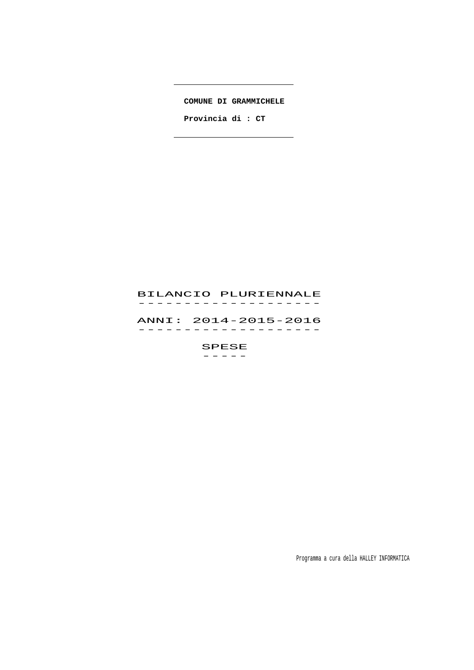**COMUNE DI GRAMMICHELE**

 $\overline{\phantom{0}}$ 

 **Provincia di : CT**

# BILANCIO PLURIENNALE -------------------<br>BILANCIO PLUKIENNALE

 ANNI: 2014-2015-2016 ANNI · 2014–2015–2016<br>-------------------

SPESE<br>----------

Programma a cura della HALLEY INFORMATICA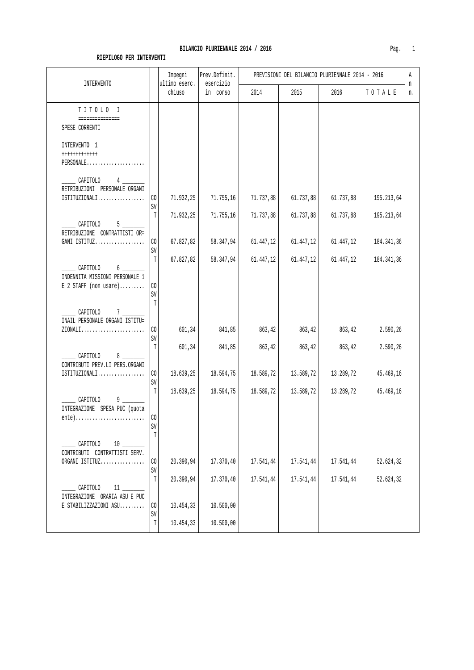| <b>INTERVENTO</b>                                                                                                      |                      | Impegni<br>ultimo eserc. | Prev.Definit.<br>esercizio |           | PREVISIONI DEL BILANCIO PLURIENNALE 2014 - 2016 |           |            | Α<br>n |
|------------------------------------------------------------------------------------------------------------------------|----------------------|--------------------------|----------------------------|-----------|-------------------------------------------------|-----------|------------|--------|
|                                                                                                                        |                      | chiuso                   | in corso                   | 2014      | 2015                                            | 2016      | TOTALE     | n.     |
| TITOLO I                                                                                                               |                      |                          |                            |           |                                                 |           |            |        |
| ===============<br>SPESE CORRENTI                                                                                      |                      |                          |                            |           |                                                 |           |            |        |
| INTERVENTO 1<br>++++++++++++<br>PERSONALE                                                                              |                      |                          |                            |           |                                                 |           |            |        |
| CAPITOLO<br>RETRIBUZIONI PERSONALE ORGANI<br>ISTITUZIONALI                                                             | C <sub>0</sub>       | 71.932,25                | 71.755, 16                 | 71.737,88 | 61.737,88                                       | 61.737,88 | 195.213,64 |        |
| CAPITOLO<br>$5^{\circ}$                                                                                                | SV<br>T              | 71.932,25                | 71.755,16                  | 71.737,88 | 61.737,88                                       | 61.737,88 | 195.213,64 |        |
| RETRIBUZIONE CONTRATTISTI OR=<br>GANI ISTITUZ                                                                          | C <sub>0</sub><br>SV | 67.827,82                | 58.347,94                  | 61.447,12 | 61.447,12                                       | 61.447,12 | 184.341,36 |        |
| CAPITOLO<br>$6 \underline{\hspace{1cm}}$<br>INDENNITA MISSIONI PERSONALE 1<br>$E$ 2 STAFF (non usare)                  | T<br>l CO<br>SV      | 67.827,82                | 58.347,94                  | 61.447,12 | 61.447,12                                       | 61.447,12 | 184.341,36 |        |
| $\sim$ CAPITOLO 7<br>INAIL PERSONALE ORGANI ISTITU=<br>$ZIONALI$                                                       | T<br>CO.             | 601,34                   | 841,85                     | 863,42    | 863,42                                          | 863,42    | 2.590,26   |        |
| CAPITOLO<br>$8 \quad -$                                                                                                | SV<br>T              | 601,34                   | 841,85                     | 863,42    | 863,42                                          | 863,42    | 2.590,26   |        |
| CONTRIBUTI PREV.LI PERS.ORGANI<br>ISTITUZIONALI                                                                        | $\rm CO$             | 18.639,25                | 18.594,75                  | 18.589,72 | 13.589,72                                       | 13.289,72 | 45.469,16  |        |
| CAPITOLO<br>$9 \_$<br>INTEGRAZIONE SPESA PUC (quota<br>$ente) \ldots \ldots \ldots \ldots \ldots \ldots \ldots \ldots$ | SV<br>T<br>CO        | 18.639,25                | 18.594,75                  | 18.589,72 | 13.589,72                                       | 13.289,72 | 45.469,16  |        |
| CAPITOLO<br>10<br>CONTRIBUTI CONTRATTISTI SERV.                                                                        | SV<br>T              |                          |                            |           |                                                 |           |            |        |
| ORGANI ISTITUZ                                                                                                         | CO<br>SV             | 20.390,94                | 17.370,40                  | 17.541,44 | 17.541,44                                       | 17.541,44 | 52.624,32  |        |
| CAPITOLO<br>$11 \quad \qquad$<br>INTEGRAZIONE ORARIA ASU E PUC                                                         | T                    | 20.390,94                | 17.370,40                  | 17.541,44 | 17.541,44                                       | 17.541,44 | 52.624,32  |        |
| E STABILIZZAZIONI ASU                                                                                                  | CO<br>SV             | 10.454,33                | 10.500,00                  |           |                                                 |           |            |        |
|                                                                                                                        | T                    | 10.454,33                | 10.500,00                  |           |                                                 |           |            |        |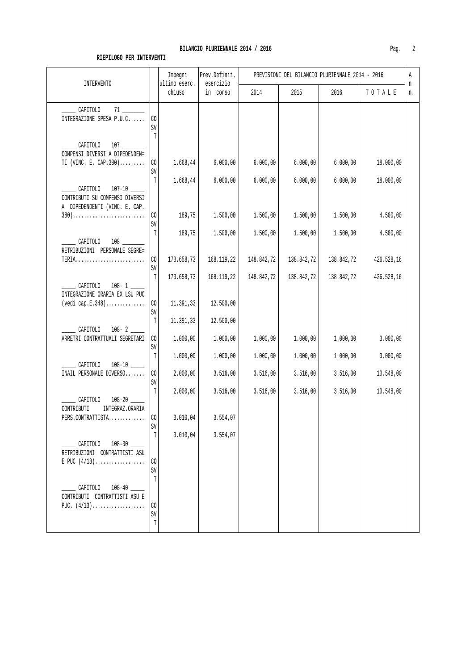|                                                                                      | INTERVENTO                        |                         | Prev.Definit.<br>esercizio |            | PREVISIONI DEL BILANCIO PLURIENNALE 2014 - 2016 |            |            | Α<br>n |
|--------------------------------------------------------------------------------------|-----------------------------------|-------------------------|----------------------------|------------|-------------------------------------------------|------------|------------|--------|
|                                                                                      |                                   | ultimo eserc.<br>chiuso | in corso                   | 2014       | 2015                                            | 2016       | TOTALE     | n.     |
| CAPITOLO<br>INTEGRAZIONE SPESA P.U.C                                                 | CO<br>SV                          |                         |                            |            |                                                 |            |            |        |
| CAPITOLO 107<br>COMPENSI DIVERSI A DIPEDENDEN=<br>TI (VINC. E. CAP.380)              | $\mathbb{T}$<br>CO<br>$\mbox{SV}$ | 1.668, 44               | 6.000,00                   | 6.000,00   | 6.000,00                                        | 6.000,00   | 18.000,00  |        |
| $\sqrt{$ CAPITOLO<br>CONTRIBUTI SU COMPENSI DIVERSI<br>A DIPEDENDENTI (VINC. E. CAP. | T                                 | 1.668,44                | 6.000,00                   | 6.000,00   | 6.000,00                                        | 6.000,00   | 18.000,00  |        |
| $380)$                                                                               | $\rm CO$<br>SV                    | 189,75                  | 1.500,00                   | 1.500,00   | 1.500,00                                        | 1.500,00   | 4.500,00   |        |
| CAPITOLO 108<br>RETRIBUZIONI PERSONALE SEGRE=                                        | T                                 | 189,75                  | 1.500,00                   | 1.500,00   | 1.500,00                                        | 1.500,00   | 4.500,00   |        |
|                                                                                      | $\rm CO$<br>SV                    | 173.658,73              | 168.119,22                 | 148.842,72 | 138.842,72                                      | 138.842,72 | 426.528,16 |        |
| CAPITOLO 108-1                                                                       | T                                 | 173.658,73              | 168.119,22                 | 148.842,72 | 138.842,72                                      | 138.842,72 | 426.528,16 |        |
| INTEGRAZIONE ORARIA EX LSU PUC<br>$(\text{vedi cap.E.348})$                          | $\rm CO$<br>SV                    | 11.391,33               | 12.500,00                  |            |                                                 |            |            |        |
| CAPITOLO                                                                             | $\mathbb T$                       | 11.391,33               | 12.500,00                  |            |                                                 |            |            |        |
| ARRETRI CONTRATTUALI SEGRETARI                                                       | $\rm CO$<br>SV                    | 1.000,00                | 1.000,00                   | 1.000,00   | 1.000,00                                        | 1.000,00   | 3.000,00   |        |
| CAPITOLO                                                                             | T                                 | 1.000,00                | 1.000,00                   | 1.000,00   | 1.000,00                                        | 1.000,00   | 3.000,00   |        |
| INAIL PERSONALE DIVERSO                                                              | $\rm CO$<br>SV                    | 2.000,00                | 3.516,00                   | 3.516,00   | 3.516,00                                        | 3.516,00   | 10.548,00  |        |
| CAPITOLO                                                                             | T                                 | 2.000,00                | 3.516,00                   | 3.516,00   | 3.516,00                                        | 3.516,00   | 10.548,00  |        |
| INTEGRAZ.ORARIA<br>CONTRIBUTI<br>PERS.CONTRATTISTA                                   | C <sub>0</sub><br>SV              | 3.010,04                | 3.554,07                   |            |                                                 |            |            |        |
| CAPITOLO 108-30                                                                      | T                                 | 3.010,04                | 3.554,07                   |            |                                                 |            |            |        |
| RETRIBUZIONI CONTRATTISTI ASU<br>E PUC $(4/13)$                                      | CO<br>SV                          |                         |                            |            |                                                 |            |            |        |
| CAPITOLO 108-40<br>CONTRIBUTI CONTRATTISTI ASU E<br>PUC. $(4/13)$                    | $\mathbb{T}$<br>CO                |                         |                            |            |                                                 |            |            |        |
|                                                                                      | SV<br>$\mathbb T$                 |                         |                            |            |                                                 |            |            |        |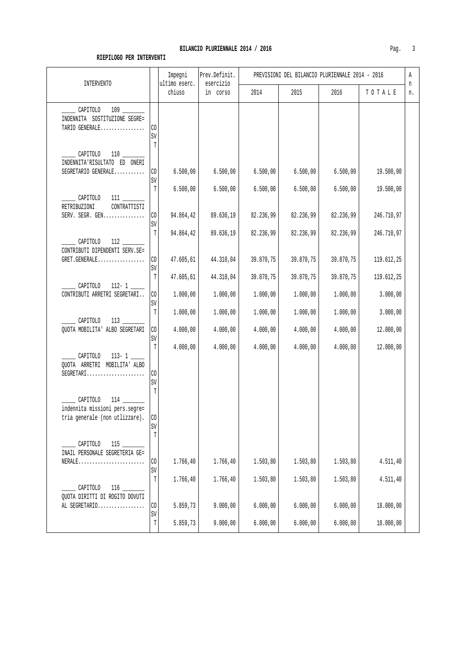| . .                      |                            |      |      |                                                 |        |    |
|--------------------------|----------------------------|------|------|-------------------------------------------------|--------|----|
| Impegni<br>ultimo eserc. | Prev.Definit.<br>esercizio |      |      | PREVISIONI DEL BILANCIO PLURIENNALE 2014 - 2016 |        | А  |
| chiuso                   | COYSO<br>ın                | 2014 | 2015 | 2016                                            | TOTALE | n. |
|                          |                            |      |      |                                                 |        |    |
|                          |                            |      |      |                                                 |        |    |

| TMIEKAEMIO                                                                   |                          | ultimo eserc.          | esercizio              |                        |                        |                        |                          | n  |  |
|------------------------------------------------------------------------------|--------------------------|------------------------|------------------------|------------------------|------------------------|------------------------|--------------------------|----|--|
|                                                                              |                          | ${\tt chius}$          | in corso               | 2014                   | 2015                   | 2016                   | TOTALE                   | n. |  |
| 109<br>CAPITOLO<br>INDENNITA SOSTITUZIONE SEGRE=<br>TARIO GENERALE           | CO<br>SV                 |                        |                        |                        |                        |                        |                          |    |  |
| CAPITOLO<br>INDENNITA'RISULTATO ED ONERI<br>SEGRETARIO GENERALE              | $\mathbb T$<br>CO        | 6.500,00               | 6.500,00               | 6.500,00               | 6.500,00               | 6.500,00               | 19.500,00                |    |  |
| CAPITOLO<br>111                                                              | SV<br>T                  | 6.500,00               | 6.500,00               | 6.500,00               | 6.500,00               | 6.500,00               | 19.500,00                |    |  |
| CONTRATTISTI<br>RETRIBUZIONI<br>SERV. SEGR. GEN                              | CO<br>SV                 | 94.864,42              | 89.636,19              | 82.236,99              | 82.236,99              | 82.236,99              | 246.710,97               |    |  |
| CAPITOLO<br>112<br>CONTRIBUTI DIPENDENTI SERV.SE=<br>GRET.GENERALE           | T<br>CO                  | 94.864,42<br>47.605,61 | 89.636,19<br>44.310,04 | 82.236,99<br>39.870,75 | 82.236,99<br>39.870,75 | 82.236,99<br>39.870,75 | 246.710,97<br>119.612,25 |    |  |
| $112 - 1$<br>CAPITOLO                                                        | SV<br>T                  | 47.605,61              | 44.310,04              | 39.870,75              | 39.870,75              | 39.870,75              | 119.612,25               |    |  |
| CONTRIBUTI ARRETRI SEGRETARI                                                 | CO<br>SV<br>$\mathbb T$  | 1.000,00<br>1.000,00   | 1.000,00<br>1.000,00   | 1.000,00<br>1.000,00   | 1.000,00<br>1.000,00   | 1.000,00<br>1.000,00   | 3.000,00<br>3.000,00     |    |  |
| CAPITOLO<br>113<br>QUOTA MOBILITA' ALBO SEGRETARI                            | CO<br>SV                 | 4.000,00               | 4.000,00               | 4.000,00               | 4.000,00               | 4.000,00               | 12.000,00                |    |  |
| CAPITOLO<br>$113 - 1$<br>QUOTA ARRETRI MOBILITA' ALBO<br>$SEGRETARI$         | $\mathbb{T}$<br>CO<br>SV | 4.000,00               | 4.000,00               | 4.000,00               | 4.000,00               | 4.000,00               | 12.000,00                |    |  |
| CAPITOLO<br>indennita missioni pers.segre=<br>tria generale (non utlizzare). | T<br>$\rm CO$<br>SV      |                        |                        |                        |                        |                        |                          |    |  |
| CAPITOLO<br>INAIL PERSONALE SEGRETERIA GE=<br>$NERALE$                       | T<br>CO<br>SV            | 1.766,40               | 1.766,40               | 1.503,80               | 1.503,80               | 1.503, 80              | 4.511,40                 |    |  |
| CAPITOLO<br>QUOTA DIRITTI DI ROGITO DOVUTI<br>AL SEGRETARIO                  | T<br>CO                  | 1.766,40<br>5.859,73   | 1.766,40<br>9.000,00   | 1.503,80<br>6.000,00   | 1.503,80<br>6.000,00   | 1.503, 80<br>6.000,00  | 4.511,40<br>18.000,00    |    |  |
|                                                                              | SV<br>T                  | 5.859,73               | 9.000,00               | 6.000,00               | 6.000,00               | 6.000,00               | 18.000,00                |    |  |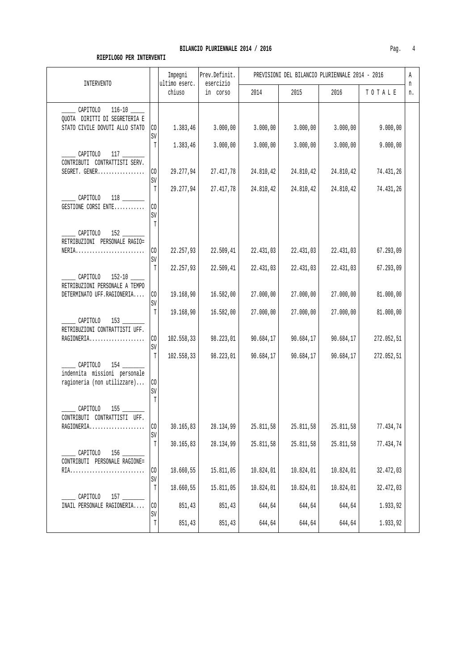| INTERVENTO                                                                                      |                         | Impegni<br>ultimo eserc. | Prev.Definit.<br>esercizio |                        |                        | PREVISIONI DEL BILANCIO PLURIENNALE 2014 - 2016 |                         | Α<br>n |
|-------------------------------------------------------------------------------------------------|-------------------------|--------------------------|----------------------------|------------------------|------------------------|-------------------------------------------------|-------------------------|--------|
|                                                                                                 |                         | chiuso                   | in corso                   | 2014                   | 2015                   | 2016                                            | TOTALE                  | n.     |
| ______ CAPITOLO 116-10 _____<br>QUOTA DIRITTI DI SEGRETERIA E<br>STATO CIVILE DOVUTI ALLO STATO | CO<br>$\mbox{SV}$       | 1.383,46                 | 3.000,00                   | 3.000,00               | 3.000,00               | 3.000,00                                        | 9.000,00                |        |
| CAPITOLO 117<br>CONTRIBUTI CONTRATTISTI SERV.                                                   | T                       | 1.383,46                 | 3.000,00                   | 3.000,00               | 3.000,00               | 3.000,00                                        | 9.000,00                |        |
| SEGRET. GENER                                                                                   | CO<br>SV<br>T           | 29.277,94<br>29.277,94   | 27.417,78<br>27.417,78     | 24.810,42<br>24.810,42 | 24.810,42<br>24.810,42 | 24.810,42<br>24.810,42                          | 74.431,26<br>74.431,26  |        |
| CAPITOLO<br>GESTIONE CORSI ENTE                                                                 | CO<br>SV<br>T           |                          |                            |                        |                        |                                                 |                         |        |
| CAPITOLO 152<br>RETRIBUZIONI PERSONALE RAGIO=<br>NERIA                                          | $\rm CO$<br>SV          | 22.257,93                | 22.509,41                  | 22.431,03              | 22.431,03              | 22.431,03                                       | 67.293,09               |        |
| CAPITOLO 152-10<br>RETRIBUZIONI PERSONALE A TEMPO                                               | T                       | 22.257,93                | 22.509,41                  | 22.431,03              | 22.431,03              | 22.431,03                                       | 67.293,09               |        |
| DETERMINATO UFF.RAGIONERIA                                                                      | $\rm CO$<br>SV<br>T     | 19.168,90                | 16.582,00                  | 27.000,00              | 27.000,00              | 27.000,00                                       | 81.000,00               |        |
| CAPITOLO 153<br>RETRIBUZIONI CONTRATTISTI UFF.<br>RAGIONERIA                                    | $\rm CO$<br>$\mbox{SV}$ | 19.168,90<br>102.558,33  | 16.582,00<br>98.223,01     | 27.000,00<br>90.684,17 | 27.000,00<br>90.684,17 | 27.000,00<br>90.684,17                          | 81.000,00<br>272.052,51 |        |
| indennita missioni personale<br>ragioneria (non utilizzare)                                     | T<br>$\rm CO$<br>SV     | 102.558,33               | 98.223,01                  | 90.684,17              | 90.684,17              | 90.684,17                                       | 272.052,51              |        |
| CAPITOLO<br>155<br>CONTRIBUTI CONTRATTISTI UFF.<br>RAGIONERIA                                   | T<br>CO                 | 30.165,83                | 28.134,99                  | 25.811,58              | 25.811,58              | 25.811,58                                       | 77.434,74               |        |
| CAPITOLO<br>156                                                                                 | $\mbox{SV}$<br>T        | 30.165,83                | 28.134,99                  | 25.811,58              | 25.811,58              | 25.811,58                                       | 77.434,74               |        |
| CONTRIBUTI PERSONALE RAGIONE=                                                                   | $\rm CO$<br>SV          | 18.660,55                | 15.811,05                  | 10.824,01              | 10.824,01              | 10.824,01                                       | 32.472,03               |        |
| CAPITOLO<br>INAIL PERSONALE RAGIONERIA                                                          | $\mathbb T$<br>$\rm CO$ | 18.660,55<br>851,43      | 15.811,05<br>851,43        | 10.824,01<br>644,64    | 10.824,01<br>644,64    | 10.824,01<br>644,64                             | 32.472,03<br>1.933,92   |        |
|                                                                                                 | SV<br>T                 | 851,43                   | 851,43                     | 644,64                 | 644,64                 | 644,64                                          | 1.933,92                |        |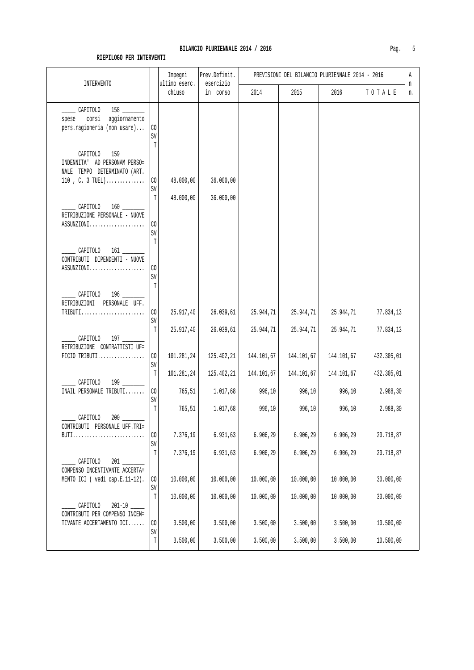| <b>INTERVENTO</b>                                                                                            |                           | Impegni<br>ultimo eserc. | Prev.Definit.<br>esercizio |                         | PREVISIONI DEL BILANCIO PLURIENNALE 2014 - 2016 |                         |                         | Α<br>n |
|--------------------------------------------------------------------------------------------------------------|---------------------------|--------------------------|----------------------------|-------------------------|-------------------------------------------------|-------------------------|-------------------------|--------|
|                                                                                                              |                           | chiuso                   | in corso                   | 2014                    | 2015                                            | 2016                    | TOTALE                  | n.     |
| $158$ $\overline{\phantom{1}}$<br>CAPITOLO<br>corsi<br>aggiornamento<br>spese<br>pers.ragioneria (non usare) | CO<br>SV                  |                          |                            |                         |                                                 |                         |                         |        |
| CAPITOLO 159<br>INDENNITA' AD PERSONAM PERSO=<br>NALE TEMPO DETERMINATO (ART.<br>110, C. 3 TUEL)             | T<br>C <sub>O</sub><br>SV | 48.000,00                | 36.000,00                  |                         |                                                 |                         |                         |        |
| CAPITOLO<br>RETRIBUZIONE PERSONALE - NUOVE<br>ASSUNZIONI                                                     | T<br>CO<br>SV             | 48.000,00                | 36.000,00                  |                         |                                                 |                         |                         |        |
| _______ CAPITOLO 161 ______<br>CONTRIBUTI DIPENDENTI - NUOVE<br>ASSUNZIONI                                   | T<br>CO<br>SV<br>T        |                          |                            |                         |                                                 |                         |                         |        |
| CAPITOLO 196<br>PERSONALE UFF.<br>RETRIBUZIONI<br>$TRIBUTI$                                                  | CO<br>SV                  | 25.917,40                | 26.039,61                  | 25.944,71               | 25.944,71                                       | 25.944,71               | 77.834,13               |        |
| CAPITOLO 197<br>RETRIBUZIONE CONTRATTISTI UF=<br>$FICIO TRIBUTI$                                             | T<br>CO                   | 25.917,40<br>101.281,24  | 26.039,61<br>125.402,21    | 25.944,71<br>144.101,67 | 25.944,71<br>144.101,67                         | 25.944,71<br>144.101,67 | 77.834,13<br>432.305,01 |        |
| CAPITOLO 199                                                                                                 | SV<br>T                   | 101.281,24               | 125.402,21                 | 144.101,67              | 144.101,67                                      | 144.101,67              | 432.305,01              |        |
| INAIL PERSONALE TRIBUTI                                                                                      | CO<br>SV<br>T             | 765,51<br>765,51         | 1.017,68<br>1.017,68       | 996,10<br>996,10        | 996,10<br>996,10                                | 996,10<br>996,10        | 2.988,30<br>2.988,30    |        |
| CAPITOLO<br>200<br>CONTRIBUTI PERSONALE UFF.TRI=<br>BUTI                                                     | CO                        | 7.376,19                 | 6.931,63                   | 6.906,29                | 6.906,29                                        | 6.906,29                | 20.718,87               |        |
| CAPITOLO                                                                                                     | SV<br>T                   | 7.376,19                 | 6.931, 63                  | 6.906,29                | 6.906,29                                        | 6.906,29                | 20.718,87               |        |
| COMPENSO INCENTIVANTE ACCERTA=<br>MENTO ICI ( vedi cap.E.11-12).                                             | CO<br>SV                  | 10.000,00                | 10.000,00                  | 10.000,00               | 10.000,00                                       | 10.000,00               | 30.000,00               |        |
| $201 - 10$<br>CAPITOLO<br>CONTRIBUTI PER COMPENSO INCEN=                                                     | $\mathbb T$               | 10.000,00                | 10.000,00                  | 10.000,00               | 10.000,00                                       | 10.000,00               | 30.000,00               |        |
| TIVANTE ACCERTAMENTO ICI                                                                                     | CO<br>SV                  | 3.500,00                 | 3.500,00                   | 3.500,00                | 3.500,00                                        | 3.500,00                | 10.500,00               |        |
|                                                                                                              | $\mathbb T$               | 3.500,00                 | 3.500,00                   | 3.500,00                | 3.500,00                                        | 3.500,00                | 10.500,00               |        |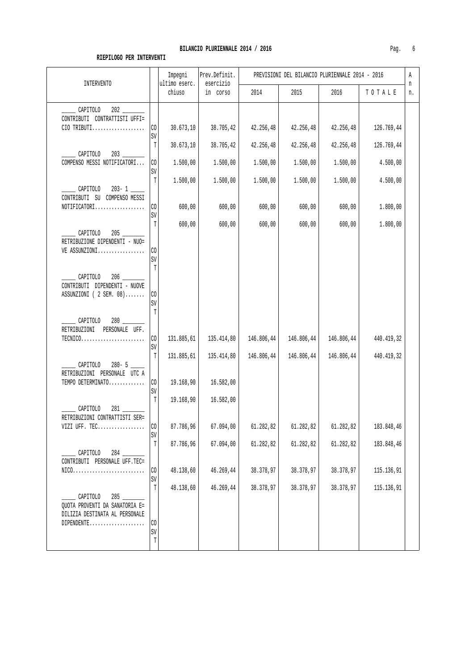| <b>INTERVENTO</b>                                                          |                     |                         | Prev.Definit.<br>esercizio |            |            | PREVISIONI DEL BILANCIO PLURIENNALE 2014 - 2016 |            | Α<br>n |
|----------------------------------------------------------------------------|---------------------|-------------------------|----------------------------|------------|------------|-------------------------------------------------|------------|--------|
|                                                                            |                     | ultimo eserc.<br>chiuso | in corso                   | 2014       | 2015       | 2016                                            | TOTALE     | n.     |
| CAPITOLO                                                                   |                     |                         |                            |            |            |                                                 |            |        |
| CONTRIBUTI CONTRATTISTI UFFI=<br>CIO TRIBUTI                               | $\rm CO$<br>SV      | 30.673, 10              | 38.705,42                  | 42.256,48  | 42.256,48  | 42.256,48                                       | 126.769,44 |        |
|                                                                            | $\mathbb T$         | 30.673, 10              | 38.705,42                  | 42.256,48  | 42.256,48  | 42.256,48                                       | 126.769,44 |        |
| CAPITOLO<br>COMPENSO MESSI NOTIFICATORI                                    | $\rm CO$<br>SV      | 1.500,00                | 1.500,00                   | 1.500,00   | 1.500,00   | 1.500,00                                        | 4.500,00   |        |
| $203 - 1$<br>CAPITOLO                                                      | T                   | 1.500,00                | 1.500,00                   | 1.500,00   | 1.500,00   | 1.500,00                                        | 4.500,00   |        |
| CONTRIBUTI SU COMPENSO MESSI<br>NOTIFICATORI                               | CO                  | 600,00                  | 600,00                     | 600,00     | 600,00     | 600,00                                          | 1.800,00   |        |
|                                                                            | SV<br>T             | 600,00                  | 600,00                     | 600,00     | 600,00     | 600,00                                          | 1.800,00   |        |
| CAPITOLO<br>RETRIBUZIONE DIPENDENTI - NUO=<br>VE ASSUNZIONI                | CO<br>SV<br>T       |                         |                            |            |            |                                                 |            |        |
| CAPITOLO<br>206<br>CONTRIBUTI DIPENDENTI - NUOVE<br>ASSUNZIONI (2 SEM. 08) | CO<br>SV            |                         |                            |            |            |                                                 |            |        |
| CAPITOLO<br>280<br>RETRIBUZIONI PERSONALE UFF.                             | $\mathbb T$         |                         |                            |            |            |                                                 |            |        |
| $TECNICO.\dots.\dots.\dots.\dots.\dots\dots$                               | $\rm CO$<br>SV      | 131.885,61              | 135.414,80                 | 146.806,44 | 146.806,44 | 146.806,44                                      | 440.419,32 |        |
| CAPITOLO<br>RETRIBUZIONI PERSONALE UTC A                                   | T                   | 131.885,61              | 135.414,80                 | 146.806,44 | 146.806,44 | 146.806,44                                      | 440.419,32 |        |
| TEMPO DETERMINATO                                                          | $\rm CO$<br>SV      | 19.168,90               | 16.582,00                  |            |            |                                                 |            |        |
| CAPITOLO<br>281                                                            | $\mathbb T$         | 19.168,90               | 16.582,00                  |            |            |                                                 |            |        |
| RETRIBUZIONI CONTRATTISTI SER=<br>VIZI UFF. TEC                            | CO                  | 87.786,96               | 67.094,00                  | 61.282,82  | 61.282,82  | 61.282,82                                       | 183.848,46 |        |
| CAPITOLO<br>284                                                            | SV<br>$\mathbb T$   | 87.786,96               | 67.094,00                  | 61.282,82  | 61.282,82  | 61.282,82                                       | 183.848,46 |        |
| CONTRIBUTI PERSONALE UFF.TEC=<br>$NIC0$                                    | $\rm CO$<br>SV      | 48.138,60               | 46.269,44                  | 38.378,97  | 38.378,97  | 38.378,97                                       | 115.136,91 |        |
| CAPITOLO<br>285                                                            | T                   | 48.138,60               | 46.269,44                  | 38.378,97  | 38.378,97  | 38.378,97                                       | 115.136,91 |        |
| QUOTA PROVENTI DA SANATORIA E=<br>DILIZIA DESTINATA AL PERSONALE           |                     |                         |                            |            |            |                                                 |            |        |
| DIPENDENTE                                                                 | $\rm CO$<br>SV<br>T |                         |                            |            |            |                                                 |            |        |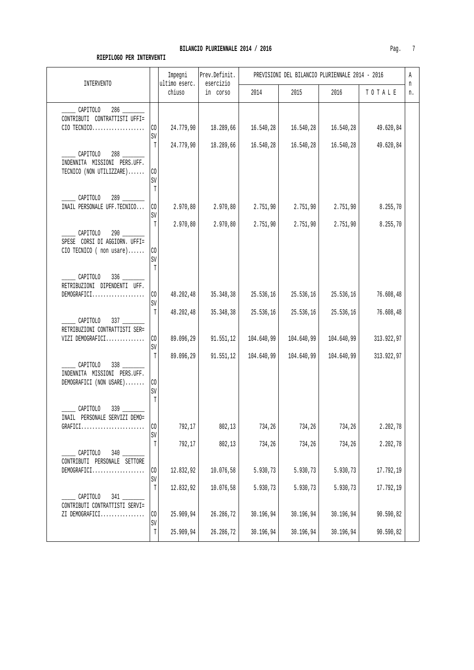| INTERVENTO                                                                                                             |                                      | Impegni<br>ultimo eserc. | Prev.Definit.<br>esercizio |                         | PREVISIONI DEL BILANCIO PLURIENNALE 2014 - 2016 |                         |                         | Α<br>n |
|------------------------------------------------------------------------------------------------------------------------|--------------------------------------|--------------------------|----------------------------|-------------------------|-------------------------------------------------|-------------------------|-------------------------|--------|
|                                                                                                                        |                                      | chiuso                   | in corso                   | 2014                    | 2015                                            | 2016                    | TOTALE                  | n.     |
| CAPITOLO<br>CONTRIBUTI CONTRATTISTI UFFI=<br>CIO TECNICO                                                               | CO<br>SV                             | 24.779,90                | 18.289,66                  | 16.540,28               | 16.540,28                                       | 16.540,28               | 49.620,84               |        |
| CAPITOLO 288<br>INDENNITA MISSIONI PERS.UFF.<br>TECNICO (NON UTILIZZARE)                                               | $\mathbb T$<br>CO.<br>$\mathtt{SV}$  | 24.779,90                | 18.289,66                  | 16.540,28               | 16.540,28                                       | 16.540,28               | 49.620,84               |        |
| CAPITOLO<br>INAIL PERSONALE UFF. TECNICO                                                                               | T<br>CO<br>SV                        | 2.970,80                 | 2.970,80                   | 2.751,90                | 2.751,90                                        | 2.751,90                | 8.255,70                |        |
| $290$ ____<br>CAPITOLO<br>SPESE CORSI DI AGGIORN. UFFI=<br>$CIO$ TECNICO (non usare)                                   | T<br>CO<br>SV<br>$\mathbb T$         | 2.970, 80                | 2.970,80                   | 2.751,90                | 2.751,90                                        | 2.751,90                | 8.255,70                |        |
| CAPITOLO<br>$336$ $-$<br>RETRIBUZIONI DIPENDENTI UFF.<br>DEMOGRAFICI                                                   | CO<br>SV                             | 48.202,48                | 35.348,38                  | 25.536,16               | 25.536,16                                       | 25.536,16               | 76.608,48               |        |
| CAPITOLO<br>RETRIBUZIONI CONTRATTISTI SER=<br>VIZI DEMOGRAFICI                                                         | $\mathbb T$<br>CO <sub>2</sub><br>SV | 48.202,48<br>89.096,29   | 35.348,38<br>91.551,12     | 25.536,16<br>104.640,99 | 25.536,16<br>104.640,99                         | 25.536,16<br>104.640,99 | 76.608,48<br>313.922,97 |        |
| $338$ __<br>CAPITOLO<br>INDENNITA MISSIONI PERS.UFF.<br>DEMOGRAFICI (NON USARE)                                        | T<br>CO<br>SV<br>T                   | 89.096,29                | 91.551, 12                 | 104.640,99              | 104.640,99                                      | 104.640,99              | 313.922,97              |        |
| CAPITOLO<br>339<br>INAIL PERSONALE SERVIZI DEMO=<br>$\texttt{GRAPHC1} \dots \dots \dots \dots \dots \dots \dots \dots$ | $\rm CO$<br>SV                       | 792,17                   | 802,13                     | 734,26                  | 734,26                                          | 734,26                  | 2.202,78                |        |
| CAPITOLO<br>$340 -$<br>CONTRIBUTI PERSONALE SETTORE<br>DEMOGRAFICI                                                     | T<br>$\rm CO$<br>SV                  | 792,17<br>12.832,92      | 802,13<br>10.076,58        | 734,26<br>5.930,73      | 734,26<br>5.930,73                              | 734,26<br>5.930,73      | 2.202,78<br>17.792,19   |        |
| CAPITOLO<br>$341$ $-$<br>CONTRIBUTI CONTRATTISTI SERVI=<br>ZI DEMOGRAFICI                                              | $\mathbb T$<br>$\rm CO$              | 12.832,92<br>25.909,94   | 10.076,58<br>26.286,72     | 5.930,73<br>30.196,94   | 5.930,73<br>30.196,94                           | 5.930,73<br>30.196,94   | 17.792,19<br>90.590,82  |        |
|                                                                                                                        | $\mbox{SV}$<br>$\mathbb T$           | 25.909,94                | 26.286,72                  | 30.196,94               | 30.196,94                                       | 30.196,94               | 90.590,82               |        |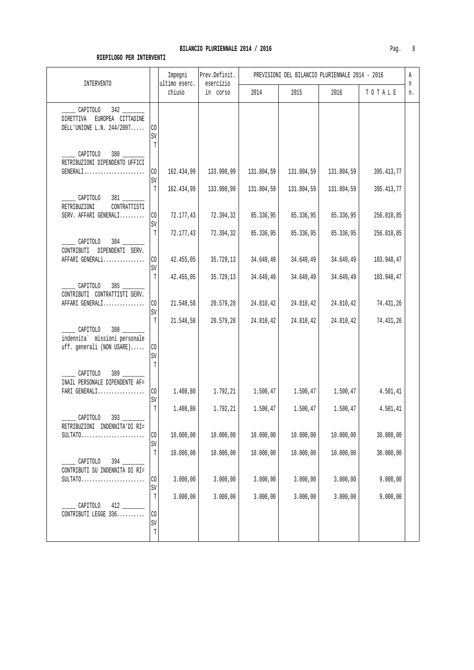| INTERVENTO                                                                                |                                  | Impegni<br>ultimo eserc. | Prev.Definit.<br>esercizio |            | PREVISIONI DEL BILANCIO PLURIENNALE 2014 - 2016 |            |            | Α       |
|-------------------------------------------------------------------------------------------|----------------------------------|--------------------------|----------------------------|------------|-------------------------------------------------|------------|------------|---------|
|                                                                                           |                                  | chiuso                   | in corso                   | 2014       | 2015                                            | 2016       | TOTALE     | n<br>n. |
| ______ CAPITOLO 342 _______<br>DIRETTIVA EUROPEA CITTADINE<br>DELL'UNIONE L.N. $244/2007$ | $\rm CO$<br>SV                   |                          |                            |            |                                                 |            |            |         |
| CAPITOLO 380<br>RETRIBUZIONI DIPENDENTO UFFICI<br>GENERALI                                | $\mathbb T$<br>CO<br>SV          | 162.434,99               | 133.998,99                 | 131.804,59 | 131.804,59                                      | 131.804,59 | 395.413,77 |         |
| CAPITOLO<br>RETRIBUZIONI<br>CONTRATTISTI                                                  | $\mathbb T$                      | 162.434,99               | 133.998,99                 | 131.804,59 | 131.804,59                                      | 131.804,59 | 395.413,77 |         |
| SERV. AFFARI GENERALI                                                                     | $\rm CO$<br>$\mbox{SV}$          | 72.177,43                | 72.394,32                  | 85.336,95  | 85.336,95                                       | 85.336,95  | 256.010,85 |         |
| ________ CAPITOLO 384 ________<br>CONTRIBUTI DIPENDENTI SERV.                             | T                                | 72.177,43                | 72.394,32                  | 85.336,95  | 85.336,95                                       | 85.336,95  | 256.010,85 |         |
| AFFARI GENERALi                                                                           | CO <sub>1</sub><br>$\mathtt{SV}$ | 42.455,05                | 35.729,13                  | 34.649,49  | 34.649,49                                       | 34.649,49  | 103.948,47 |         |
| CAPITOLO 385<br>CONTRIBUTI CONTRATTISTI SERV.                                             | $\mathbb T$                      | 42.455,05                | 35.729,13                  | 34.649,49  | 34.649,49                                       | 34.649,49  | 103.948,47 |         |
| AFFARI GENERALI                                                                           | CO<br>$\texttt{SV}$              | 21.548,58                | 20.579,28                  | 24.810,42  | 24.810,42                                       | 24.810,42  | 74.431,26  |         |
| $\sim$ CAPITOLO 388<br>indennita` missioni personale<br>uff. generali (NON USARE)         | T<br>CO<br>SV<br>T               | 21.548,58                | 20.579,28                  | 24.810,42  | 24.810,42                                       | 24.810,42  | 74.431,26  |         |
| CAPITOLO<br>389<br>INAIL PERSONALE DIPENDENTE AF=                                         |                                  |                          |                            |            |                                                 |            |            |         |
| FARI GENERALI                                                                             | $\rm CO$<br>SV                   | 1.408, 80                | 1.792,21                   | 1.500,47   | 1.500,47                                        | 1.500,47   | 4.501, 41  |         |
| ____ CAPITOLO 393 _______<br>$\verb RETRIBUZIONI     INDENNITA'DI   RI=$                  | $\mathbb T$                      | 1.408,80                 | 1.792,21                   | 1.500,47   | 1.500,47                                        | 1.500,47   | 4.501,41   |         |
| $SULTATO.$                                                                                | $\rm CO$<br>SV                   | 10.000,00                | 10.000,00                  | 10.000,00  | 10.000,00                                       | 10.000,00  | 30.000,00  |         |
| CAPITOLO<br>394 7<br>CONTRIBUTI SU INDENNITA DI RI=                                       | T                                | 10.000,00                | 10.000,00                  | 10.000,00  | 10.000,00                                       | 10.000,00  | 30.000,00  |         |
|                                                                                           | CO<br>SV                         | 3.000,00                 | 3.000,00                   | 3.000,00   | 3.000,00                                        | 3.000,00   | 9.000,00   |         |
| CAPITOLO<br>CONTRIBUTI LEGGE 336                                                          | $\mathbb T$<br>CO                | 3.000,00                 | 3.000,00                   | 3.000,00   | 3.000,00                                        | 3.000,00   | 9.000,00   |         |
|                                                                                           | $\mbox{SV}$<br>$\mathbb T$       |                          |                            |            |                                                 |            |            |         |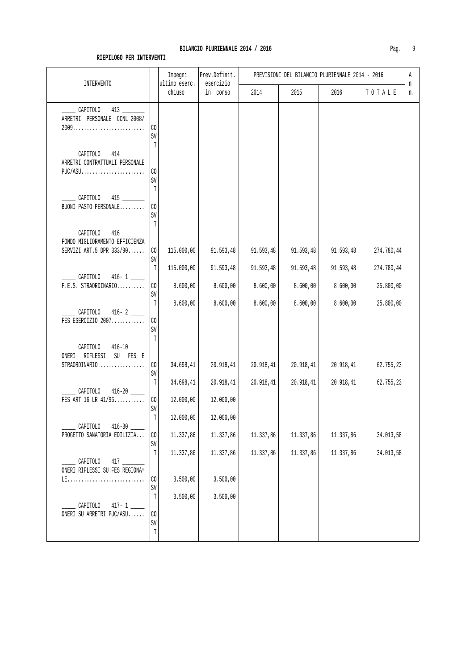| <b>INTERVENTO</b>                                                      | Impegni<br>ultimo eserc.                                         | Prev.Definit.<br>esercizio |                        | PREVISIONI DEL BILANCIO PLURIENNALE 2014 - 2016 |                        |                         | Α       |
|------------------------------------------------------------------------|------------------------------------------------------------------|----------------------------|------------------------|-------------------------------------------------|------------------------|-------------------------|---------|
|                                                                        | chiuso                                                           | in corso                   | 2014                   | 2015                                            | 2016                   | TOTALE                  | n<br>n. |
| $\frac{\text{CAPITOLO}}{13}$<br>ARRETRI PERSONALE CCNL 2008/           | CO<br>SV                                                         |                            |                        |                                                 |                        |                         |         |
| $\sqrt{2}$ CAPITOLO 414<br>ARRETRI CONTRATTUALI PERSONALE<br>$PUC/ASU$ | T<br>$\rm CO$<br>SV                                              |                            |                        |                                                 |                        |                         |         |
| CAPITOLO<br>415<br>BUONI PASTO PERSONALE                               | $\mathbb T$<br>CO<br>$\mbox{SV}$<br>T                            |                            |                        |                                                 |                        |                         |         |
| CAPITOLO<br>FONDO MIGLIORAMENTO EFFICIENZA<br>SERVIZI ART.5 DPR 333/90 | CO<br>115.000,00<br>$\mbox{SV}$                                  | 91.593,48                  | 91.593,48              | 91.593,48                                       | 91.593,48              | 274.780,44              |         |
| ______ CAPITOLO 416-1 _____<br>$F.E.S. STRAORDINARIO$                  | T<br>115.000,00<br>$\rm CO$<br>8.600,00<br>$\mbox{SV}$           | 91.593,48<br>8.600,00      | 91.593,48<br>8.600,00  | 91.593,48<br>8.600,00                           | 91.593,48<br>8.600,00  | 274.780,44<br>25.800,00 |         |
| CAPITOLO 416-2<br>FES ESERCIZIO 2007                                   | T<br>8.600,00<br>CO<br>$\mbox{SV}$                               | 8.600,00                   | 8.600,00               | 8.600,00                                        | 8.600,00               | 25.800,00               |         |
| CAPITOLO 416-10<br>ONERI RIFLESSI SU FES E<br>STRAORDINARIO            | $\mathbb T$<br>CO<br>34.698,41<br>SV                             | 20.918,41                  | 20.918,41              | 20.918,41                                       | 20.918, 41             | 62.755,23               |         |
| CAPITOLO<br>$416 - 20$ _____<br>FES ART 16 LR 41/96                    | $\mathbb T$<br>34.698,41<br>$\rm CO$<br>12.000,00                | 20.918,41<br>12.000,00     | 20.918,41              | 20.918,41                                       | 20.918,41              | 62.755,23               |         |
| CAPITOLO                                                               | $\mbox{SV}$<br>$\mathbb T$<br>12.000,00                          | 12.000,00                  |                        |                                                 |                        |                         |         |
| PROGETTO SANATORIA EDILIZIA                                            | 11.337,86<br>$\rm CO$<br>$\mbox{SV}$<br>$\mathbb T$<br>11.337,86 | 11.337,86<br>11.337,86     | 11.337,86<br>11.337,86 | 11.337,86<br>11.337,86                          | 11.337,86<br>11.337,86 | 34.013,58<br>34.013,58  |         |
| CAPITOLO<br>ONERI RIFLESSI SU FES REGIONA=                             | 3.500,00<br>CO<br>$\mbox{SV}$                                    | 3.500,00                   |                        |                                                 |                        |                         |         |
| CAPITOLO<br>$417 - 1$<br>ONERI SU ARRETRI PUC/ASU                      | $\mathbb T$<br>3.500,00<br>CO<br>$\mbox{SV}$<br>$\mathbb T$      | 3.500,00                   |                        |                                                 |                        |                         |         |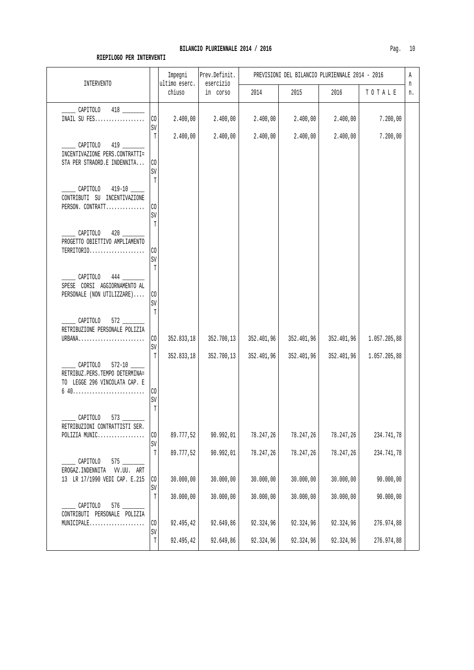| <b>INTERVENTO</b>                                                                                               |                                        | Impegni                 | Prev.Definit.          |                        | PREVISIONI DEL BILANCIO PLURIENNALE 2014 - 2016 |                        |                          | Α       |
|-----------------------------------------------------------------------------------------------------------------|----------------------------------------|-------------------------|------------------------|------------------------|-------------------------------------------------|------------------------|--------------------------|---------|
|                                                                                                                 |                                        | ultimo eserc.<br>chiuso | esercizio<br>in corso  | 2014                   | 2015                                            | 2016                   | TOTALE                   | n<br>n. |
| CAPITOLO<br>INAIL SU FES                                                                                        | CO<br>SV                               | 2.400,00                | 2.400,00               | 2.400,00               | 2.400,00                                        | 2.400,00               | 7.200,00                 |         |
| $\_$ CAPITOLO<br>INCENTIVAZIONE PERS.CONTRATTI=<br>STA PER STRAORD.E INDENNITA                                  | T<br>C <sub>0</sub><br>SV              | 2.400,00                | 2.400,00               | 2.400,00               | 2.400,00                                        | 2.400,00               | 7.200,00                 |         |
| CAPITOLO<br>CONTRIBUTI SU INCENTIVAZIONE<br>PERSON. CONTRATT                                                    | T<br>CO<br>SV                          |                         |                        |                        |                                                 |                        |                          |         |
| CAPITOLO<br>420<br>PROGETTO OBIETTIVO AMPLIAMENTO<br>TERRITORIO                                                 | $\mathbb T$<br>CO<br>SV<br>$\mathbb T$ |                         |                        |                        |                                                 |                        |                          |         |
| CAPITOLO<br>444<br>SPESE CORSI AGGIORNAMENTO AL<br>PERSONALE (NON UTILIZZARE)                                   | CO<br>SV<br>T                          |                         |                        |                        |                                                 |                        |                          |         |
| CAPITOLO<br>572<br>RETRIBUZIONE PERSONALE POLIZIA<br>URBANA                                                     | CO                                     | 352.833,18              | 352.700,13             | 352.401,96             | 352.401,96                                      | 352.401,96             | 1.057.205,88             |         |
| CAPITOLO 572-10<br>RETRIBUZ.PERS.TEMPO DETERMINA=<br>TO LEGGE 296 VINCOLATA CAP. E<br>$640$                     | SV<br>$\mathbb T$<br>CO                | 352.833,18              | 352.700,13             | 352.401,96             | 352.401,96                                      | 352.401,96             | 1.057.205,88             |         |
| CAPITOLO<br>573<br>RETRIBUZIONI CONTRATTISTI SER.                                                               | SV<br>T                                |                         |                        |                        |                                                 |                        |                          |         |
| POLIZIA MUNIC<br>CAPITOLO<br>EROGAZ.INDENNITA VV.UU. ART                                                        | $\rm CO$<br>$\mbox{SV}$<br>T           | 89.777,52<br>89.777,52  | 90.992,01<br>90.992,01 | 78.247,26<br>78.247,26 | 78.247,26<br>78.247,26                          | 78.247,26<br>78.247,26 | 234.741,78<br>234.741,78 |         |
| 13 LR 17/1990 VEDI CAP. E.215                                                                                   | $\rm CO$<br>SV<br>$\mathbb T$          | 30.000,00<br>30.000,00  | 30.000,00<br>30.000,00 | 30.000,00<br>30.000,00 | 30.000,00<br>30.000,00                          | 30.000,00<br>30.000,00 | 90.000,00<br>90.000,00   |         |
| CAPITOLO<br>CONTRIBUTI PERSONALE POLIZIA<br>$\verb+MUNICIPALE+ \dots \dots \dots \dots \dots \dots \dots \dots$ | $\rm CO$<br>$\mbox{SV}$                | 92.495,42               | 92.649,86              | 92.324,96              | 92.324,96                                       | 92.324,96              | 276.974,88               |         |
|                                                                                                                 | $\mathbb T$                            | 92.495,42               | 92.649,86              | 92.324,96              | 92.324,96                                       | 92.324,96              | 276.974,88               |         |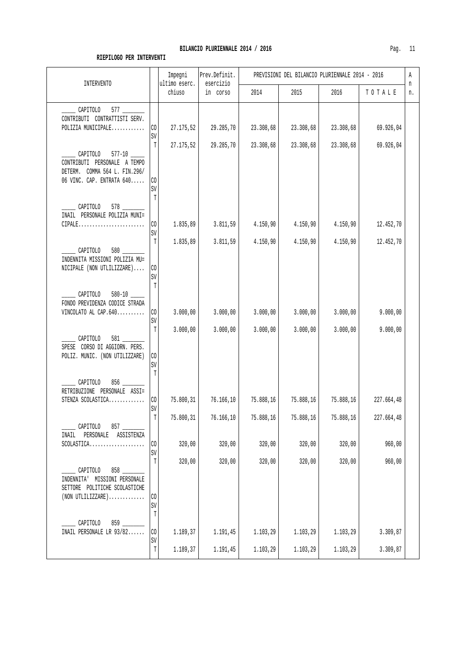| INTERVENTO                                                                                                    |                                    | Impegni<br>ultimo eserc. | Prev.Definit.<br>esercizio | PREVISIONI DEL BILANCIO PLURIENNALE 2014 - 2016<br>Α<br>n |                      |                      |                      |    |
|---------------------------------------------------------------------------------------------------------------|------------------------------------|--------------------------|----------------------------|-----------------------------------------------------------|----------------------|----------------------|----------------------|----|
|                                                                                                               |                                    | chiuso                   | in corso                   | 2014                                                      | 2015                 | 2016                 | TOTALE               | n. |
| CAPITOLO<br>CONTRIBUTI CONTRATTISTI SERV.<br>POLIZIA MUNICIPALE                                               | $\rm CO$<br>SV                     | 27.175,52                | 29.285,70                  | 23.308,68                                                 | 23.308,68            | 23.308,68            | 69.926,04            |    |
| CAPITOLO 577-10<br>CONTRIBUTI PERSONALE A TEMPO<br>DETERM. COMMA 564 L. FIN.296/<br>06 VINC. CAP. ENTRATA 640 | T<br>C <sub>0</sub><br>SV<br>T     | 27.175,52                | 29.285,70                  | 23.308,68                                                 | 23.308,68            | 23.308,68            | 69.926,04            |    |
| 578<br>CAPITOLO<br>INAIL PERSONALE POLIZIA MUNI=<br>$CIPALE$                                                  | CO<br>$\mbox{SV}$                  | 1.835,89                 | 3.811,59                   | 4.150,90                                                  | 4.150,90             | 4.150,90             | 12.452,70            |    |
| CAPITOLO<br>INDENNITA MISSIONI POLIZIA MU=<br>NICIPALE (NON UTLILIZZARE)                                      | T<br>C <sub>0</sub><br>$\mbox{SV}$ | 1.835,89                 | 3.811,59                   | 4.150,90                                                  | 4.150,90             | 4.150,90             | 12.452,70            |    |
| CAPITOLO<br>FONDO PREVIDENZA CODICE STRADA<br>VINCOLATO AL CAP.640                                            | T<br>$\rm CO$<br>$\mbox{SV}$<br>T  | 3.000,00<br>3.000,00     | 3.000,00<br>3.000,00       | 3.000,00<br>3.000,00                                      | 3.000,00<br>3.000,00 | 3.000,00<br>3.000,00 | 9.000,00<br>9.000,00 |    |
| CAPITOLO<br>581<br>SPESE CORSO DI AGGIORN. PERS.<br>POLIZ. MUNIC. (NON UTILIZZARE)                            | $\rm CO$<br>SV<br>$\mathbb T$      |                          |                            |                                                           |                      |                      |                      |    |
| CAPITOLO<br>RETRIBUZIONE PERSONALE ASSI=<br>STENZA SCOLASTICA                                                 | $\rm CO$<br>SV                     | 75.800,31                | 76.166,10                  | 75.888,16                                                 | 75.888,16            | 75.888,16            | 227.664,48           |    |
| CAPITOLO<br>PERSONALE<br>INAIL<br>ASSISTENZA                                                                  | $\mathbb T$<br>CO                  | 75.800,31<br>320,00      | 76.166,10<br>320,00        | 75.888,16<br>320,00                                       | 75.888,16<br>320,00  | 75.888,16<br>320,00  | 227.664,48<br>960,00 |    |
| CAPITOLO<br>INDENNITA' MISSIONI PERSONALE<br>SETTORE POLITICHE SCOLASTICHE                                    | SV<br>T                            | 320,00                   | 320,00                     | 320,00                                                    | 320,00               | 320,00               | 960,00               |    |
| $(NON UTLILLIZZARE) \ldots \ldots \ldots$<br>CAPITOLO                                                         | CO<br>SV<br>T                      |                          |                            |                                                           |                      |                      |                      |    |
| INAIL PERSONALE LR 93/82                                                                                      | CO<br>SV                           | 1.189,37                 | 1.191,45                   | 1.103,29                                                  | 1.103,29             | 1.103, 29            | 3.309,87             |    |
|                                                                                                               | T                                  | 1.189,37                 | 1.191,45                   | 1.103,29                                                  | 1.103,29             | 1.103,29             | 3.309,87             |    |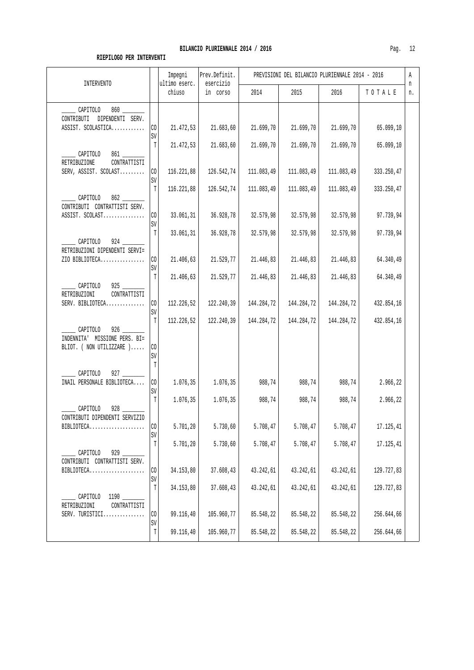| INTERVENTO                                                                                                                                                                                                                                                                                                                                                                                                                                                                                                                               |                          | Impegni<br>ultimo eserc. | Prev.Definit.<br>esercizio | PREVISIONI DEL BILANCIO PLURIENNALE 2014 - 2016<br>Α<br>n |                        |                        |                          |    |
|------------------------------------------------------------------------------------------------------------------------------------------------------------------------------------------------------------------------------------------------------------------------------------------------------------------------------------------------------------------------------------------------------------------------------------------------------------------------------------------------------------------------------------------|--------------------------|--------------------------|----------------------------|-----------------------------------------------------------|------------------------|------------------------|--------------------------|----|
|                                                                                                                                                                                                                                                                                                                                                                                                                                                                                                                                          |                          | chiuso                   | in corso                   | 2014                                                      | 2015                   | 2016                   | TOTALE                   | n. |
| CAPITOLO<br>CONTRIBUTI<br>DIPENDENTI SERV.<br>ASSIST. SCOLASTICA                                                                                                                                                                                                                                                                                                                                                                                                                                                                         | CO                       | 21.472,53                | 21.683,60                  | 21.699,70                                                 | 21.699,70              | 21.699,70              | 65.099,10                |    |
| CAPITOLO                                                                                                                                                                                                                                                                                                                                                                                                                                                                                                                                 | SV<br>$\mathbb T$        | 21.472,53                | 21.683,60                  | 21.699,70                                                 | 21.699,70              | 21.699,70              | 65.099,10                |    |
| RETRIBUZIONE<br>CONTRATTISTI<br>SERV, ASSIST. SCOLAST                                                                                                                                                                                                                                                                                                                                                                                                                                                                                    | CO<br>SV                 | 116.221,88               | 126.542,74                 | 111.083,49                                                | 111.083,49             | 111.083,49             | 333.250,47               |    |
| 862<br>CAPITOLO<br>CONTRIBUTI CONTRATTISTI SERV.                                                                                                                                                                                                                                                                                                                                                                                                                                                                                         | $\mathbb{T}$             | 116.221,88               | 126.542,74                 | 111.083,49                                                | 111.083,49             | 111.083,49             | 333.250,47               |    |
| ASSIST. SCOLAST                                                                                                                                                                                                                                                                                                                                                                                                                                                                                                                          | CO.<br>SV                | 33.061,31                | 36.928,78                  | 32.579,98                                                 | 32.579,98              | 32.579,98              | 97.739,94                |    |
| $924$ $\phantom{0}$<br>$\overline{\phantom{a}}$ $\overline{\phantom{a}}$ $\overline{\phantom{a}}$ $\overline{\phantom{a}}$ $\overline{\phantom{a}}$ $\overline{\phantom{a}}$ $\overline{\phantom{a}}$ $\overline{\phantom{a}}$ $\overline{\phantom{a}}$ $\overline{\phantom{a}}$ $\overline{\phantom{a}}$ $\overline{\phantom{a}}$ $\overline{\phantom{a}}$ $\overline{\phantom{a}}$ $\overline{\phantom{a}}$ $\overline{\phantom{a}}$ $\overline{\phantom{a}}$ $\overline{\phantom{a}}$ $\overline{\$<br>RETRIBUZIONI DIPENDENTI SERVI= | T<br>CO <sub>2</sub>     | 33.061,31<br>21.406,63   | 36.928,78                  | 32.579,98<br>21.446,83                                    | 32.579,98              | 32.579,98<br>21.446,83 | 97.739,94                |    |
| ZIO BIBLIOTECA<br>$925$ __<br>CAPITOLO                                                                                                                                                                                                                                                                                                                                                                                                                                                                                                   | SV<br>$\mathbb T$        | 21.406,63                | 21.529,77<br>21.529,77     | 21.446,83                                                 | 21.446,83<br>21.446,83 | 21.446,83              | 64.340,49<br>64.340,49   |    |
| CONTRATTISTI<br>RETRIBUZIONI<br>SERV. BIBLIOTECA                                                                                                                                                                                                                                                                                                                                                                                                                                                                                         | CO<br>SV                 | 112.226,52               | 122.240,39                 | 144.284,72                                                | 144.284,72             | 144.284,72             | 432.854,16               |    |
| CAPITOLO<br>926<br>INDENNITA' MISSIONE PERS. BI=<br>BLIOT. ( NON UTILIZZARE )                                                                                                                                                                                                                                                                                                                                                                                                                                                            | T<br>$\rm CO$<br>SV<br>T | 112.226,52               | 122.240,39                 | 144.284,72                                                | 144.284,72             | 144.284,72             | 432.854,16               |    |
| CAPITOLO<br>927<br>INAIL PERSONALE BIBLIOTECA                                                                                                                                                                                                                                                                                                                                                                                                                                                                                            | CO <sub>1</sub><br>SV    | 1.076,35                 | 1.076, 35                  | 988,74                                                    | 988,74                 | 988,74                 | 2.966,22                 |    |
| CAPITOLO<br>$928$ $-$<br>CONTRIBUTI DIPENDENTI SERVIZIO                                                                                                                                                                                                                                                                                                                                                                                                                                                                                  | T                        | 1.076,35                 | 1.076, 35                  | 988,74                                                    | 988,74                 | 988,74                 | 2.966,22                 |    |
| $BIBLIOTECA.$                                                                                                                                                                                                                                                                                                                                                                                                                                                                                                                            | I CO<br>SV               | 5.701, 20                | 5.730,60                   | 5.708,47                                                  | 5.708,47               | 5.708,47               | 17.125,41                |    |
| 929<br>CAPITOLO<br>CONTRIBUTI CONTRATTISTI SERV.                                                                                                                                                                                                                                                                                                                                                                                                                                                                                         | $\mathbb T$              | 5.701,20                 | 5.730,60                   | 5.708,47                                                  | 5.708,47               | 5.708,47               | 17.125,41                |    |
| BIBLIOTECA<br>1190                                                                                                                                                                                                                                                                                                                                                                                                                                                                                                                       | CO<br>SV<br>T            | 34.153,80<br>34.153,80   | 37.608,43<br>37.608,43     | 43.242,61<br>43.242,61                                    | 43.242,61<br>43.242,61 | 43.242,61<br>43.242,61 | 129.727,83<br>129.727,83 |    |
| CAPITOLO<br>RETRIBUZIONI<br>CONTRATTISTI<br>SERV. TURISTICI                                                                                                                                                                                                                                                                                                                                                                                                                                                                              | CO                       | 99.116,40                | 105.960,77                 | 85.548,22                                                 | 85.548,22              | 85.548,22              | 256.644,66               |    |
|                                                                                                                                                                                                                                                                                                                                                                                                                                                                                                                                          | SV<br>$\mathbb T$        | 99.116,40                | 105.960,77                 | 85.548,22                                                 | 85.548,22              | 85.548,22              | 256.644,66               |    |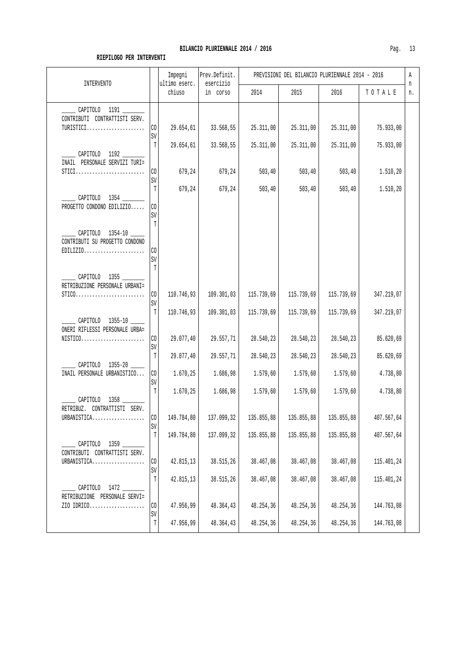| <b>INTERVENTO</b>                                                                                                                   |                   | Impegni<br>ultimo eserc. | Prev.Definit.<br>esercizio |            | PREVISIONI DEL BILANCIO PLURIENNALE 2014 - 2016 |            |            | Α<br>n |
|-------------------------------------------------------------------------------------------------------------------------------------|-------------------|--------------------------|----------------------------|------------|-------------------------------------------------|------------|------------|--------|
|                                                                                                                                     |                   | chiuso                   | in corso                   | 2014       | 2015                                            | 2016       | TOTALE     | n.     |
| ______ CAPITOLO 1191 ______<br>CONTRIBUTI CONTRATTISTI SERV.                                                                        |                   |                          |                            |            |                                                 |            |            |        |
| TURISTICI                                                                                                                           | $\rm CO$<br>SV    | 29.654,61                | 33.568,55                  | 25.311,00  | 25.311,00                                       | 25.311,00  | 75.933,00  |        |
| ______ CAPITOLO 1192 _______                                                                                                        | $\mathbb T$       | 29.654,61                | 33.568,55                  | 25.311,00  | 25.311,00                                       | 25.311,00  | 75.933,00  |        |
| INAIL PERSONALE SERVIZI TURI=<br>$STICI$                                                                                            | CO <sub>2</sub>   | 679,24                   | 679,24                     | 503, 40    | 503, 40                                         | 503, 40    | 1.510, 20  |        |
|                                                                                                                                     | SV<br>T           | 679,24                   | 679,24                     | 503, 40    | 503, 40                                         | 503, 40    | 1.510,20   |        |
| CAPITOLO 1354<br>PROGETTO CONDONO EDILIZIO                                                                                          | CO<br>SV<br>T     |                          |                            |            |                                                 |            |            |        |
| CAPITOLO 1354-10<br>CONTRIBUTI SU PROGETTO CONDONO<br>$EDILIZIO.$                                                                   | $\rm CO$<br>SV    |                          |                            |            |                                                 |            |            |        |
| _______ CAPITOLO 1355 _______<br>RETRIBUZIONE PERSONALE URBANI=<br>$STICO. \ldots \ldots \ldots \ldots \ldots \ldots \ldots \ldots$ | $T$<br>$\rm CO$   | 110.746,93               | 109.301,03                 | 115.739,69 | 115.739,69                                      | 115.739,69 | 347.219,07 |        |
| CAPITOLO 1355-10                                                                                                                    | SV<br>$\mathbb T$ | 110.746,93               | 109.301,03                 | 115.739,69 | 115.739,69                                      | 115.739,69 | 347.219,07 |        |
| ONERI RIFLESSI PERSONALE URBA=<br>$NISTICO.\dots.\dots.\dots.\dots.\dots\dots$                                                      | CO<br>$\mbox{SV}$ | 29.077,40                | 29.557,71                  | 28.540,23  | 28.540,23                                       | 28.540,23  | 85.620,69  |        |
| CAPITOLO 1355-20                                                                                                                    | T                 | 29.077,40                | 29.557,71                  | 28.540,23  | 28.540,23                                       | 28.540,23  | 85.620,69  |        |
| INAIL PERSONALE URBANISTICO                                                                                                         | $\rm CO$<br>SV    | 1.670,25                 | 1.686,98                   | 1.579,60   | 1.579,60                                        | 1.579,60   | 4.738,80   |        |
| CAPITOLO 1358                                                                                                                       | $\mathbb T$       | 1.670,25                 | 1.686,98                   | 1.579,60   | 1.579,60                                        | 1.579,60   | 4.738,80   |        |
| RETRIBUZ. CONTRATTISTI SERV.<br>URBANISTICA                                                                                         | CO                | 149.784,80               | 137.099,32                 | 135.855,88 | 135.855,88                                      | 135.855,88 | 407.567,64 |        |
| CAPITOLO 1359                                                                                                                       | SV<br>$\mathbb T$ | 149.784,80               | 137.099,32                 | 135.855,88 | 135.855,88                                      | 135.855,88 | 407.567,64 |        |
| CONTRIBUTI CONTRATTISTI SERV.<br>URBANISTICA                                                                                        | $\rm CO$<br>SV    | 42.815,13                | 38.515,26                  | 38.467,08  | 38.467,08                                       | 38.467,08  | 115.401,24 |        |
| CAPITOLO 1472                                                                                                                       | $\mathbb T$       | 42.815,13                | 38.515,26                  | 38.467,08  | 38.467,08                                       | 38.467,08  | 115.401,24 |        |
| RETRIBUZIONE PERSONALE SERVI=<br>ZIO IDRICO                                                                                         | $\rm CO$<br>SV    | 47.956,99                | 48.364,43                  | 48.254,36  | 48.254,36                                       | 48.254,36  | 144.763,08 |        |
|                                                                                                                                     | $\mathbb T$       | 47.956,99                | 48.364,43                  | 48.254,36  | 48.254,36                                       | 48.254,36  | 144.763,08 |        |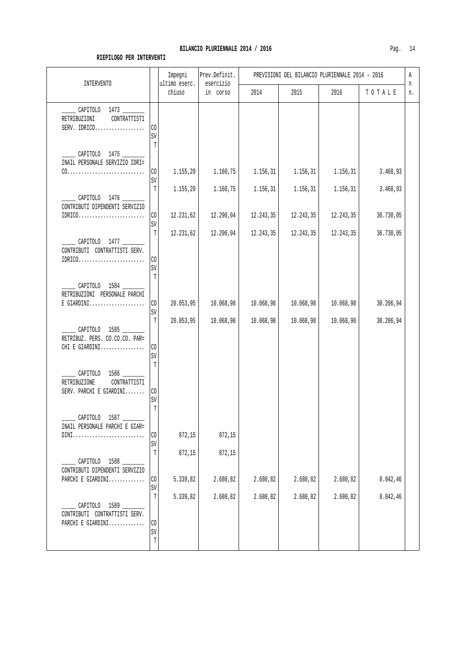|     | 4 |
|-----|---|
| Pag |   |

| <b>INTERVENTO</b>                                                             |                       | Impegni<br>ultimo eserc. | Prev.Definit.<br>esercizio | PREVISIONI DEL BILANCIO PLURIENNALE 2014 - 2016 |           |           |           |         |  |
|-------------------------------------------------------------------------------|-----------------------|--------------------------|----------------------------|-------------------------------------------------|-----------|-----------|-----------|---------|--|
|                                                                               |                       | chiuso                   | in corso                   | 2014                                            | 2015      | 2016      | TOTALE    | n<br>n. |  |
| _______ CAPITOLO 1473 _______<br>RETRIBUZIONI<br>CONTRATTISTI<br>SERV. IDRICO | CO<br>SV              |                          |                            |                                                 |           |           |           |         |  |
| CAPITOLO 1475<br>INAIL PERSONALE SERVIZIO IDRI=                               | $T$                   |                          |                            |                                                 |           |           |           |         |  |
|                                                                               | $\rm CO$<br>SV        | 1.155,20                 | 1.160,75                   | 1.156,31                                        | 1.156,31  | 1.156,31  | 3.468,93  |         |  |
| ______ CAPITOLO 1476 ______<br>CONTRIBUTI DIPENDENTI SERVIZIO                 | T                     | 1.155,20                 | 1.160,75                   | 1.156,31                                        | 1.156,31  | 1.156,31  | 3.468,93  |         |  |
| $IDRIC0 \ldots \ldots \ldots \ldots \ldots \ldots \ldots$                     | $\rm CO$<br>SV        | 12.231,62                | 12.290,04                  | 12.243,35                                       | 12.243,35 | 12.243,35 | 36.730,05 |         |  |
| CAPITOLO 1477<br>CONTRIBUTI CONTRATTISTI SERV.                                | $\mathbb T$           | 12.231,62                | 12.290,04                  | 12.243,35                                       | 12.243,35 | 12.243,35 | 36.730,05 |         |  |
| $IDRIC0.\ldots.\ldots.\ldots.\ldots.\ldots.$                                  | CO<br>SV<br>T         |                          |                            |                                                 |           |           |           |         |  |
| CAPITOLO 1584<br>RETRIBUZIONI PERSONALE PARCHI<br>$E$ GIARDINI                | $\rm CO$              | 20.053,95                | 10.068,98                  | 10.068,98                                       | 10.068,98 | 10.068,98 | 30.206,94 |         |  |
|                                                                               | SV<br>T               | 20.053,95                | 10.068,98                  | 10.068,98                                       | 10.068,98 | 10.068,98 | 30.206,94 |         |  |
| CAPITOLO 1585<br>RETRIBUZ. PERS. CO.CO.CO. PAR=<br>CHI E GIARDINI             | $\rm CO$<br>SV<br>$T$ |                          |                            |                                                 |           |           |           |         |  |
| CAPITOLO 1586<br>RETRIBUZIONE<br>CONTRATTISTI<br>SERV. PARCHI E GIARDINI      | $\rm CO$<br>SV        |                          |                            |                                                 |           |           |           |         |  |
| _ CAPITOLO 1587 _______<br>INAIL PERSONALE PARCHI E GIAR=<br>$DINI$           | $\mathbb{T}$<br>CO    | 872,15                   | 872,15                     |                                                 |           |           |           |         |  |
|                                                                               | SV                    |                          |                            |                                                 |           |           |           |         |  |
| CAPITOLO 1588<br>CONTRIBUTI DIPENDENTI SERVIZIO                               | $\mathbb T$           | 872,15                   | 872,15                     |                                                 |           |           |           |         |  |
| PARCHI E GIARDINI                                                             | CO.<br>$\mbox{SV}$    | 5.339,82                 | 2.680,82                   | 2.680,82                                        | 2.680,82  | 2.680,82  | 8.042,46  |         |  |
| CAPITOLO 1589<br>CONTRIBUTI CONTRATTISTI SERV.                                | T                     | 5.339,82                 | 2.680,82                   | 2.680,82                                        | 2.680,82  | 2.680,82  | 8.042,46  |         |  |
| PARCHI E GIARDINI                                                             | CO<br>SV<br>T         |                          |                            |                                                 |           |           |           |         |  |
|                                                                               |                       |                          |                            |                                                 |           |           |           |         |  |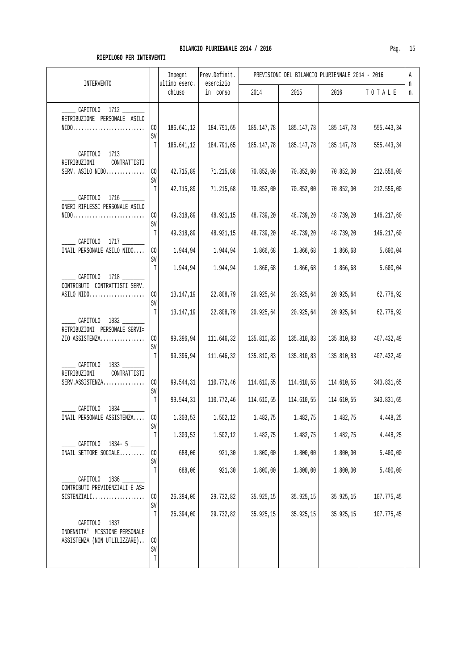|--|

| INTERVENTO                                                                                                |                              | Impegni<br>ultimo eserc. | Prev.Definit.<br>esercizio | PREVISIONI DEL BILANCIO PLURIENNALE 2014 - 2016 |            |            |            |         |
|-----------------------------------------------------------------------------------------------------------|------------------------------|--------------------------|----------------------------|-------------------------------------------------|------------|------------|------------|---------|
|                                                                                                           |                              | chiuso                   | in corso                   | 2014                                            | 2015       | 2016       | TOTALE     | n<br>n. |
| CAPITOLO 1712<br>RETRIBUZIONE PERSONALE ASILO<br>$NIDO. \ldots \ldots \ldots \ldots \ldots \ldots \ldots$ | $\rm CO$<br>SV               | 186.641,12               | 184.791,65                 | 185.147,78                                      | 185.147,78 | 185.147,78 | 555.443,34 |         |
| CAPITOLO 1713<br>RETRIBUZIONI<br>CONTRATTISTI                                                             | T                            | 186.641,12               | 184.791,65                 | 185.147,78                                      | 185.147,78 | 185.147,78 | 555.443,34 |         |
| SERV. ASILO NIDO                                                                                          | $\rm CO$<br>SV               | 42.715,89                | 71.215,68                  | 70.852,00                                       | 70.852,00  | 70.852,00  | 212.556,00 |         |
| CAPITOLO 1716<br>ONERI RIFLESSI PERSONALE ASILO                                                           | T                            | 42.715,89                | 71.215,68                  | 70.852,00                                       | 70.852,00  | 70.852,00  | 212.556,00 |         |
| $NIDO. \ldots \ldots \ldots \ldots \ldots \ldots \ldots$                                                  | $\rm CO$<br>$\mbox{SV}$      | 49.318,89                | 48.921,15                  | 48.739,20                                       | 48.739,20  | 48.739,20  | 146.217,60 |         |
| CAPITOLO 1717                                                                                             | T                            | 49.318,89                | 48.921,15                  | 48.739,20                                       | 48.739,20  | 48.739,20  | 146.217,60 |         |
| INAIL PERSONALE ASILO NIDO                                                                                | CO<br>SV                     | 1.944,94                 | 1.944,94                   | 1.866,68                                        | 1.866,68   | 1.866,68   | 5.600,04   |         |
| CAPITOLO 1718<br>CONTRIBUTI CONTRATTISTI SERV.                                                            | T                            | 1.944,94                 | 1.944,94                   | 1.866,68                                        | 1.866,68   | 1.866,68   | 5.600,04   |         |
|                                                                                                           | $\rm CO$<br>SV               | 13.147,19                | 22.808,79                  | 20.925,64                                       | 20.925,64  | 20.925,64  | 62.776,92  |         |
| CAPITOLO 1832<br>RETRIBUZIONI PERSONALE SERVI=                                                            | T                            | 13.147,19                | 22.808,79                  | 20.925,64                                       | 20.925,64  | 20.925,64  | 62.776,92  |         |
| ZIO ASSISTENZA                                                                                            | $\rm CO$<br>SV               | 99.396,94                | 111.646,32                 | 135.810,83                                      | 135.810,83 | 135.810,83 | 407.432,49 |         |
| CAPITOLO 1833<br>RETRIBUZIONI<br>CONTRATTISTI                                                             | T                            | 99.396,94                | 111.646,32                 | 135.810,83                                      | 135.810,83 | 135.810,83 | 407.432,49 |         |
| SERV.ASSISTENZA                                                                                           | CO<br>$\mbox{SV}$            | 99.544,31                | 110.772,46                 | 114.610,55                                      | 114.610,55 | 114.610,55 | 343.831,65 |         |
| CAPITOLO 1834                                                                                             | T                            | 99.544,31                | 110.772,46                 | 114.610,55                                      | 114.610,55 | 114.610,55 | 343.831,65 |         |
| INAIL PERSONALE ASSISTENZA                                                                                | CO <br>SV                    | 1.303,53                 | 1.502, 12                  | 1.482,75                                        | 1.482, 75  | 1.482,75   | 4.448,25   |         |
| CAPITOLO 1834-5                                                                                           | T                            | 1.303,53                 | 1.502,12                   | 1.482,75                                        | 1.482,75   | 1.482,75   | 4.448,25   |         |
| INAIL SETTORE SOCIALE                                                                                     | $\rm CO$<br>SV               | 688,06                   | 921,30                     | 1.800,00                                        | 1.800,00   | 1.800,00   | 5.400,00   |         |
| CAPITOLO 1836<br>CONTRIBUTI PREVIDENZIALI E AS=                                                           | T                            | 688,06                   | 921,30                     | 1.800,00                                        | 1.800,00   | 1.800,00   | 5.400,00   |         |
| $SISTENZIALI$                                                                                             | $\rm CO$<br>$\mbox{SV}$      | 26.394,00                | 29.732,82                  | 35.925,15                                       | 35.925,15  | 35.925,15  | 107.775,45 |         |
| CAPITOLO 1837<br>INDENNITA' MISSIONE PERSONALE                                                            | T                            | 26.394,00                | 29.732,82                  | 35.925,15                                       | 35.925,15  | 35.925,15  | 107.775,45 |         |
| ASSISTENZA (NON UTLILIZZARE)                                                                              | $\rm CO$<br>$\mbox{SV}$<br>T |                          |                            |                                                 |            |            |            |         |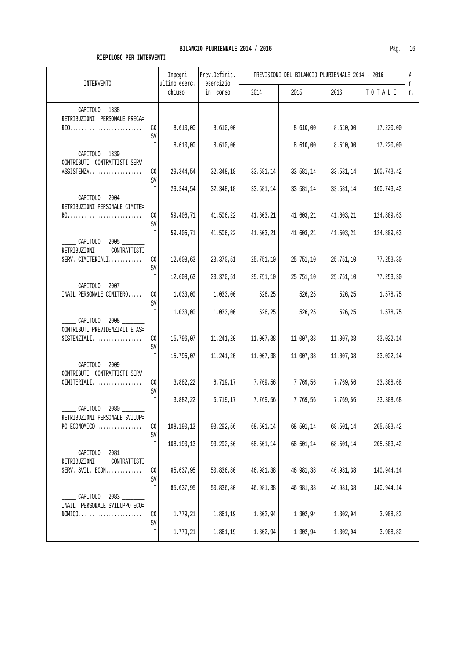| INTERVENTO                                           |                      | Impegni<br>ultimo eserc.<br>chiuso | Prev.Definit.<br>esercizio<br>in corso | PREVISIONI DEL BILANCIO PLURIENNALE 2014 - 2016 |           |           |            |         |  |
|------------------------------------------------------|----------------------|------------------------------------|----------------------------------------|-------------------------------------------------|-----------|-----------|------------|---------|--|
|                                                      |                      |                                    |                                        | 2014                                            | 2015      | 2016      | TOTALE     | n<br>n. |  |
| 1838<br>CAPITOLO<br>RETRIBUZIONI<br>PERSONALE PRECA= |                      |                                    |                                        |                                                 |           |           |            |         |  |
| RIO                                                  | C <sub>0</sub>       | 8.610,00                           | 8.610,00                               |                                                 | 8.610,00  | 8.610,00  | 17.220,00  |         |  |
|                                                      | SV                   |                                    |                                        |                                                 |           |           |            |         |  |
|                                                      |                      | 8.610,00                           | 8.610,00                               |                                                 | 8.610,00  | 8.610,00  | 17.220,00  |         |  |
| 1839<br>CAPITOLO<br>CONTRIBUTI<br>CONTRATTISTI SERV. |                      |                                    |                                        |                                                 |           |           |            |         |  |
| ASSISTENZA                                           | C <sub>0</sub>       | 29.344,54                          | 32.348,18                              | 33.581,14                                       | 33.581,14 | 33.581,14 | 100.743,42 |         |  |
|                                                      | SV                   |                                    |                                        |                                                 |           |           |            |         |  |
| 2004<br>CAPITOLO                                     |                      | 29.344,54                          | 32.348,18                              | 33.581,14                                       | 33.581,14 | 33.581,14 | 100.743,42 |         |  |
| RETRIBUZIONI PERSONALE CIMITE=                       |                      |                                    |                                        |                                                 |           |           |            |         |  |
|                                                      | C <sub>0</sub><br>SV | 59.406,71                          | 41.506,22                              | 41.603,21                                       | 41.603,21 | 41.603,21 | 124.809,63 |         |  |
|                                                      |                      | 59.406,71                          | 41.506,22                              | 41.603,21                                       | 41.603,21 | 41.603,21 | 124.809,63 |         |  |
|                                                      |                      |                                    |                                        |                                                 |           |           |            |         |  |

| CAPITOLO 1839                                                                | T                  | 8.610,00   | 8.610,00  |            | 8.610,00  | 8.610,00  | 17.220,00  |  |
|------------------------------------------------------------------------------|--------------------|------------|-----------|------------|-----------|-----------|------------|--|
| CONTRIBUTI CONTRATTISTI SERV.                                                |                    |            |           |            |           |           |            |  |
| ASSISTENZA                                                                   | CO<br>SV           | 29.344,54  | 32.348,18 | 33.581, 14 | 33.581,14 | 33.581,14 | 100.743,42 |  |
|                                                                              | T                  | 29.344,54  | 32.348,18 | 33.581,14  | 33.581,14 | 33.581,14 | 100.743,42 |  |
| CAPITOLO 2004<br>RETRIBUZIONI PERSONALE CIMITE=                              |                    |            |           |            |           |           |            |  |
|                                                                              | CO                 | 59.406,71  | 41.506,22 | 41.603, 21 | 41.603,21 | 41.603,21 | 124.809,63 |  |
|                                                                              | SV<br>$\mathbb{T}$ | 59.406,71  | 41.506,22 | 41.603,21  | 41.603,21 | 41.603,21 | 124.809,63 |  |
| $2005$ ________<br>CAPITOLO<br>RETRIBUZIONI<br>CONTRATTISTI                  |                    |            |           |            |           |           |            |  |
| SERV. CIMITERIALI                                                            | CO                 | 12.608,63  | 23.370,51 | 25.751,10  | 25.751,10 | 25.751,10 | 77.253,30  |  |
|                                                                              | SV<br>T            | 12.608,63  | 23.370,51 | 25.751,10  | 25.751,10 | 25.751,10 | 77.253,30  |  |
| _____ CAPITOLO 2007 _______                                                  |                    |            |           |            |           |           |            |  |
| INAIL PERSONALE CIMITERO                                                     | CO<br>SV           | 1.033,00   | 1.033,00  | 526,25     | 526,25    | 526,25    | 1.578,75   |  |
|                                                                              | $\mathbb T$        | 1.033,00   | 1.033,00  | 526,25     | 526,25    | 526,25    | 1.578,75   |  |
| CAPITOLO 2008<br>CONTRIBUTI PREVIDENZIALI E AS=                              |                    |            |           |            |           |           |            |  |
| $SISTENZIALI.$                                                               | CO<br><b>SV</b>    | 15.796,07  | 11.241,20 | 11.007,38  | 11.007,38 | 11.007,38 | 33.022,14  |  |
|                                                                              | $\mathbb T$        | 15.796,07  | 11.241,20 | 11.007,38  | 11.007,38 | 11.007,38 | 33.022,14  |  |
| CAPITOLO 2009<br>CONTRIBUTI CONTRATTISTI SERV.                               |                    |            |           |            |           |           |            |  |
| $CIMITERIALI$                                                                | CO                 | 3.882,22   | 6.719, 17 | 7.769,56   | 7.769,56  | 7.769,56  | 23.308,68  |  |
|                                                                              | SV<br>$\mathbb T$  | 3.882,22   | 6.719, 17 | 7.769,56   | 7.769,56  | 7.769,56  | 23.308,68  |  |
| CAPITOLO 2080<br>RETRIBUZIONI PERSONALE SVILUP=                              |                    |            |           |            |           |           |            |  |
| PO ECONOMICO                                                                 | CO                 | 108.190,13 | 93.292,56 | 68.501,14  | 68.501,14 | 68.501,14 | 205.503,42 |  |
|                                                                              | SV<br>$\mathbb T$  | 108.190,13 | 93.292,56 | 68.501,14  | 68.501,14 | 68.501,14 | 205.503,42 |  |
| 2081 7<br>CAPITOLO                                                           |                    |            |           |            |           |           |            |  |
| RETRIBUZIONI<br>CONTRATTISTI<br>SERV. SVIL. $ECON$                           | CO                 | 85.637,95  | 50.836,80 | 46.981,38  | 46.981,38 | 46.981,38 | 140.944,14 |  |
|                                                                              | SV                 |            |           |            |           |           |            |  |
| CAPITOLO 2083                                                                | T                  | 85.637,95  | 50.836,80 | 46.981,38  | 46.981,38 | 46.981,38 | 140.944,14 |  |
| INAIL PERSONALE SVILUPPO ECO=<br>$NOMICO.\dots.\dots.\dots.\dots.\dots\dots$ | $\rm CO$           | 1.779,21   | 1.861,19  | 1.302,94   | 1.302,94  | 1.302,94  | 3.908,82   |  |
|                                                                              | SV                 |            |           |            |           |           |            |  |
|                                                                              | $\mathbb T$        | 1.779,21   | 1.861,19  | 1.302,94   | 1.302,94  | 1.302,94  | 3.908,82   |  |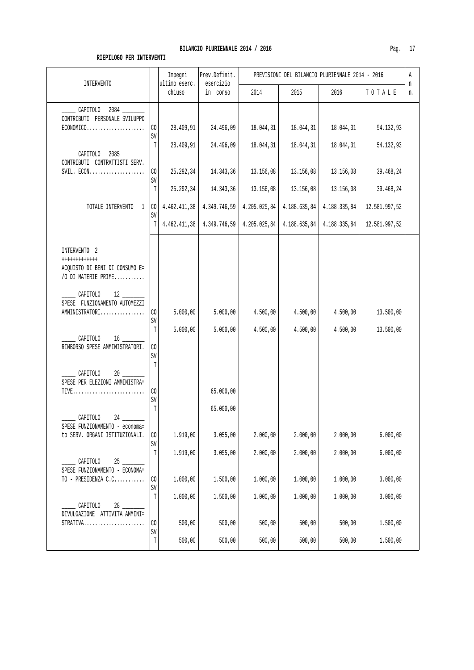| INTERVENTO                                                                                                           |                                         | Impegni<br>ultimo eserc.            | Prev.Definit.<br>esercizio          | PREVISIONI DEL BILANCIO PLURIENNALE 2014 - 2016 |                                     |                                     |                                     |         |
|----------------------------------------------------------------------------------------------------------------------|-----------------------------------------|-------------------------------------|-------------------------------------|-------------------------------------------------|-------------------------------------|-------------------------------------|-------------------------------------|---------|
|                                                                                                                      |                                         | chiuso                              | in corso                            | 2014                                            | 2015                                | 2016                                | TOTALE                              | n<br>n. |
| CAPITOLO 2084<br>CONTRIBUTI PERSONALE SVILUPPO<br>$ECONOMICO.$                                                       | $\rm CO$<br>$\mbox{SV}$                 | 28.409,91                           | 24.496,09                           | 18.044,31                                       | 18.044,31                           | 18.044,31                           | 54.132,93                           |         |
| CAPITOLO 2085<br>CONTRIBUTI CONTRATTISTI SERV.                                                                       | T<br>CO<br>$\texttt{SV}$<br>$\mathbb T$ | 28.409,91<br>25.292,34<br>25.292,34 | 24.496,09<br>14.343,36<br>14.343,36 | 18.044,31<br>13.156,08<br>13.156,08             | 18.044,31<br>13.156,08<br>13.156,08 | 18.044,31<br>13.156,08<br>13.156,08 | 54.132,93<br>39.468,24<br>39.468,24 |         |
| TOTALE INTERVENTO 1                                                                                                  | CO <sub>1</sub><br>SV<br>ΤI             | 4.462.411,38<br>4.462.411,38        | 4.349.746,59                        | 4.205.025,84<br>$4.349.746,59$   $4.205.025,84$ | 4.188.635,84<br>4.188.635,84        | 4.188.335,84<br>4.188.335,84        | 12.581.997,52<br>12.581.997,52      |         |
| INTERVENTO 2<br>++++++++++++<br>ACQUISTO DI BENI DI CONSUMO E=<br>/O DI MATERIE PRIME                                |                                         |                                     |                                     |                                                 |                                     |                                     |                                     |         |
| CAPITOLO<br>$12 \quad \qquad$<br>SPESE FUNZIONAMENTO AUTOMEZZI<br>AMMINISTRATORI                                     | $\rm CO$<br>$\mbox{SV}$<br>T            | 5.000,00<br>5.000,00                | 5.000,00<br>5.000,00                | 4.500,00<br>4.500,00                            | 4.500,00<br>4.500,00                | 4.500,00<br>4.500,00                | 13.500,00<br>13.500,00              |         |
| CAPITOLO<br>16<br>RIMBORSO SPESE AMMINISTRATORI.<br>CAPITOLO                                                         | CO<br>SV<br>$\mathbb T$                 |                                     |                                     |                                                 |                                     |                                     |                                     |         |
| SPESE PER ELEZIONI AMMINISTRA=                                                                                       | CO<br>$\mbox{SV}$<br>T                  |                                     | 65.000,00<br>65.000,00              |                                                 |                                     |                                     |                                     |         |
| CAPITOLO<br>SPESE FUNZIONAMENTO - economa=<br>to SERV. ORGANI ISTITUZIONALI.                                         | CO<br>$\mbox{SV}$<br>$\mathbb T$        | 1.919,00                            | 3.055,00                            | 2.000,00                                        | 2.000,00                            | 2.000,00                            | 6.000,00                            |         |
| CAPITOLO<br>25<br>SPESE FUNZIONAMENTO - ECONOMA=<br>TO - PRESIDENZA C.C                                              | $\rm CO$<br>$\mbox{SV}$                 | 1.919,00<br>1.000,00                | 3.055,00<br>1.500,00                | 2.000,00<br>1.000,00                            | 2.000,00<br>1.000,00                | 2.000,00<br>1.000,00                | 6.000,00<br>3.000,00                |         |
| 28<br>CAPITOLO<br>DIVULGAZIONE ATTIVITA AMMINI=<br>$\mathtt{STRATIVA.}\dots\dots\dots\dots\dots\dots\dots\dots\dots$ | $\mathbb T$<br>CO                       | 1.000,00<br>500,00                  | 1.500,00<br>500,00                  | 1.000,00<br>500,00                              | 1.000,00<br>500,00                  | 1.000,00<br>500,00                  | 3.000,00<br>1.500,00                |         |
|                                                                                                                      | SV<br>$\mathbb T$                       | 500,00                              | 500,00                              | 500,00                                          | 500,00                              | 500,00                              | 1.500,00                            |         |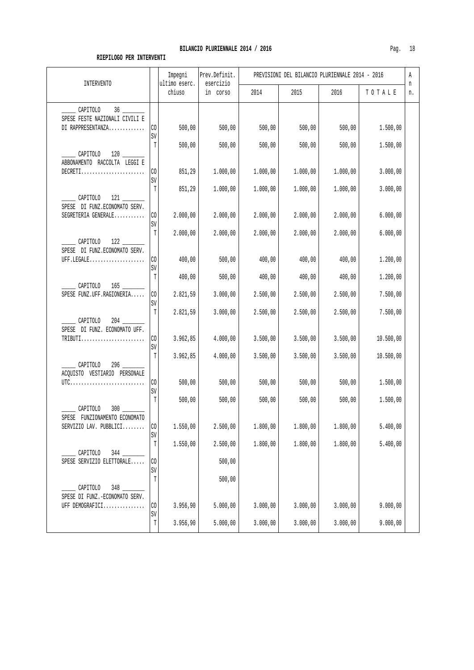| <b>INTERVENTO</b>                                   |                       | Impegni<br>ultimo eserc. | Prev.Definit.<br>esercizio |          | PREVISIONI DEL BILANCIO PLURIENNALE 2014 - 2016 |          |           | Α<br>n |
|-----------------------------------------------------|-----------------------|--------------------------|----------------------------|----------|-------------------------------------------------|----------|-----------|--------|
|                                                     |                       | chiuso                   | in corso                   | 2014     | 2015                                            | 2016     | TOTALE    | n.     |
| CAPITOLO                                            |                       |                          |                            |          |                                                 |          |           |        |
| SPESE FESTE NAZIONALI CIVILI E<br>DI RAPPRESENTANZA | CO.<br>SV             | 500,00                   | 500,00                     | 500,00   | 500,00                                          | 500,00   | 1.500,00  |        |
| CAPITOLO                                            | T                     | 500,00                   | 500,00                     | 500,00   | 500,00                                          | 500,00   | 1.500,00  |        |
| ABBONAMENTO RACCOLTA LEGGI E<br>$DECRETI$           | CO.                   | 851,29                   | 1.000,00                   | 1.000,00 | 1.000,00                                        | 1.000,00 | 3.000,00  |        |
|                                                     | SV<br>T               | 851,29                   | 1.000,00                   | 1.000,00 | 1.000,00                                        | 1.000,00 | 3.000,00  |        |
| 121 7<br>CAPITOLO<br>SPESE DI FUNZ.ECONOMATO SERV.  |                       |                          |                            |          |                                                 |          |           |        |
| SEGRETERIA GENERALE                                 | CO.<br>SV             | 2.000,00                 | 2.000,00                   | 2.000,00 | 2.000,00                                        | 2.000,00 | 6.000,00  |        |
| CAPITOLO 122<br>SPESE DI FUNZ.ECONOMATO SERV.       | T                     | 2.000,00                 | 2.000,00                   | 2.000,00 | 2.000,00                                        | 2.000,00 | 6.000,00  |        |
| UFF.LEGALE                                          | CO.<br>SV             | 400,00                   | 500,00                     | 400,00   | 400,00                                          | 400,00   | 1.200,00  |        |
| CAPITOLO                                            | T                     | 400,00                   | 500,00                     | 400,00   | 400,00                                          | 400,00   | 1.200,00  |        |
| SPESE FUNZ.UFF.RAGIONERIA                           | CO<br>SV              | 2.821,59                 | 3.000,00                   | 2.500,00 | 2.500,00                                        | 2.500,00 | 7.500,00  |        |
| CAPITOLO<br>204                                     | $\mathbb T$           | 2.821,59                 | 3.000,00                   | 2.500,00 | 2.500,00                                        | 2.500,00 | 7.500,00  |        |
| SPESE DI FUNZ. ECONOMATO UFF.<br>$TRIBUTI$          | CO <sub>2</sub><br>SV | 3.962,85                 | 4.000,00                   | 3.500,00 | 3.500,00                                        | 3.500,00 | 10.500,00 |        |
| $296$ ____<br>CAPITOLO                              | T                     | 3.962,85                 | 4.000,00                   | 3.500,00 | 3.500,00                                        | 3.500,00 | 10.500,00 |        |
| ACQUISTO VESTIARIO PERSONALE                        | CO                    | 500,00                   | 500,00                     | 500,00   | 500,00                                          | 500,00   | 1.500,00  |        |
|                                                     | SV<br>T               | 500,00                   | 500,00                     | 500,00   | 500,00                                          | 500,00   | 1.500,00  |        |
| CAPITOLO<br>300<br>SPESE FUNZIONAMENTO ECONOMATO    |                       |                          |                            |          |                                                 |          |           |        |
| SERVIZIO LAV. PUBBLICI                              | $\rm CO$<br>SV        | 1.550,00                 | 2.500,00                   | 1.800,00 | 1.800,00                                        | 1.800,00 | 5.400,00  |        |
| 344<br>CAPITOLO                                     | $\mathbb T$           | 1.550,00                 | 2.500,00                   | 1.800,00 | 1.800,00                                        | 1.800,00 | 5.400,00  |        |
| SPESE SERVIZIO ELETTORALE                           | $\rm CO$<br>SV        |                          | 500,00                     |          |                                                 |          |           |        |
| CAPITOLO<br>348                                     | T                     |                          | 500,00                     |          |                                                 |          |           |        |
| SPESE DI FUNZ.-ECONOMATO SERV.<br>UFF DEMOGRAFICI   | $\rm CO$              | 3.956,90                 | 5.000,00                   | 3.000,00 | 3.000,00                                        | 3.000,00 | 9.000,00  |        |
|                                                     | $\mbox{SV}$<br>T      | 3.956,90                 | 5.000,00                   | 3.000,00 | 3.000,00                                        | 3.000,00 | 9.000,00  |        |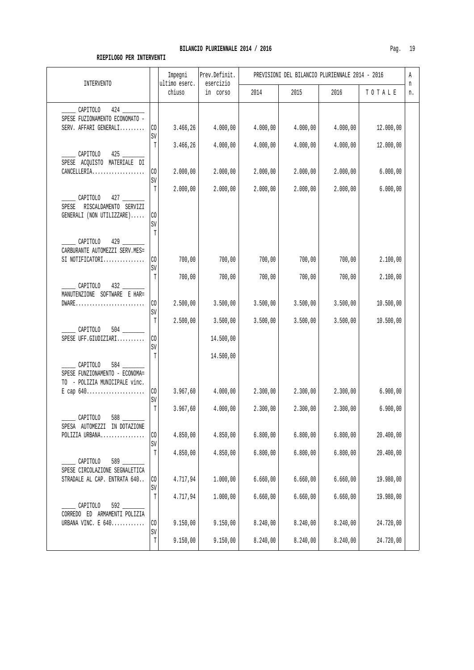| <b>INTERVENTO</b>                                                                       |                                | Impegni                 | Prev.Definit.         |                      | PREVISIONI DEL BILANCIO PLURIENNALE 2014 - 2016 |                      |                        | Α       |
|-----------------------------------------------------------------------------------------|--------------------------------|-------------------------|-----------------------|----------------------|-------------------------------------------------|----------------------|------------------------|---------|
|                                                                                         |                                | ultimo eserc.<br>chiuso | esercizio<br>in corso | 2014                 | 2015                                            | 2016                 | TOTALE                 | n<br>n. |
| CAPITOLO<br>424<br>SPESE FUZIONAMENTO ECONOMATO -<br>SERV. AFFARI GENERALI              | CO<br>$\mbox{SV}$              | 3.466,26                | 4.000,00              | 4.000,00             | 4.000,00                                        | 4.000,00             | 12.000,00              |         |
| CAPITOLO 425<br>SPESE ACQUISTO MATERIALE DI<br>$\texttt{CANCELLERIA}$                   | T<br>CO.                       | 3.466,26<br>2.000,00    | 4.000,00<br>2.000,00  | 4.000,00<br>2.000,00 | 4.000,00<br>2.000,00                            | 4.000,00<br>2.000,00 | 12.000,00<br>6.000,00  |         |
| CAPITOLO 427<br>SPESE RISCALDAMENTO SERVIZI<br>GENERALI (NON UTILIZZARE)                | $\mbox{SV}$<br>T<br>CO<br>SV   | 2.000,00                | 2.000,00              | 2.000,00             | 2.000,00                                        | 2.000,00             | 6.000,00               |         |
| CAPITOLO<br>CARBURANTE AUTOMEZZI SERV.MES=<br>SI NOTIFICATORI                           | T<br>CO<br>$\mbox{SV}$         | 700,00                  | 700,00                | 700,00               | 700,00                                          | 700,00               | 2.100,00               |         |
| CAPITOLO 432<br>MANUTENZIONE SOFTWARE E HAR=<br>$DWARE$                                 | $\mathbb T$<br>CO              | 700,00<br>2.500,00      | 700,00<br>3.500,00    | 700,00<br>3.500,00   | 700,00<br>3.500,00                              | 700,00<br>3.500,00   | 2.100,00<br>10.500,00  |         |
| CAPITOLO<br>SPESE UFF.GIUDIZIARI                                                        | SV<br>$\mathbb T$<br>CO<br>SV  | 2.500,00                | 3.500,00<br>14.500,00 | 3.500,00             | 3.500,00                                        | 3.500,00             | 10.500,00              |         |
| $584$ __<br>CAPITOLO<br>SPESE FUNZIONAMENTO - ECONOMA=<br>TO - POLIZIA MUNICIPALE vinc. | T<br>CO                        | 3.967,60                | 14.500,00<br>4.000,00 | 2.300,00             | 2.300,00                                        | 2.300,00             | 6.900,00               |         |
| CAPITOLO<br>588                                                                         | $\mbox{SV}$<br>$\mathbb T$     | 3.967,60                | 4.000,00              | 2.300,00             | 2.300,00                                        | 2.300,00             | 6.900,00               |         |
| SPESA AUTOMEZZI IN DOTAZIONE<br>POLIZIA URBANA                                          | CO<br>$\mbox{SV}$              | 4.850,00                | 4.850,00              | 6.800,00             | 6.800,00                                        | 6.800,00             | 20.400,00              |         |
| CAPITOLO<br>589<br>SPESE CIRCOLAZIONE SEGNALETICA<br>STRADALE AL CAP. ENTRATA 640       | $\mathbb T$<br>CO              | 4.850,00<br>4.717,94    | 4.850,00<br>1.000,00  | 6.800,00<br>6.660,00 | 6.800,00<br>6.660,00                            | 6.800,00<br>6.660,00 | 20.400,00<br>19.980,00 |         |
| CAPITOLO<br>$592$ $-$<br>CORREDO ED ARMAMENTI POLIZIA                                   | SV<br>T                        | 4.717,94                | 1.000,00              | 6.660,00             | 6.660,00                                        | 6.660,00             | 19.980,00              |         |
| URBANA VINC. E 640                                                                      | $\rm CO$<br>SV<br>$\mathtt{T}$ | 9.150,00<br>9.150,00    | 9.150,00<br>9.150,00  | 8.240,00<br>8.240,00 | 8.240,00<br>8.240,00                            | 8.240,00<br>8.240,00 | 24.720,00<br>24.720,00 |         |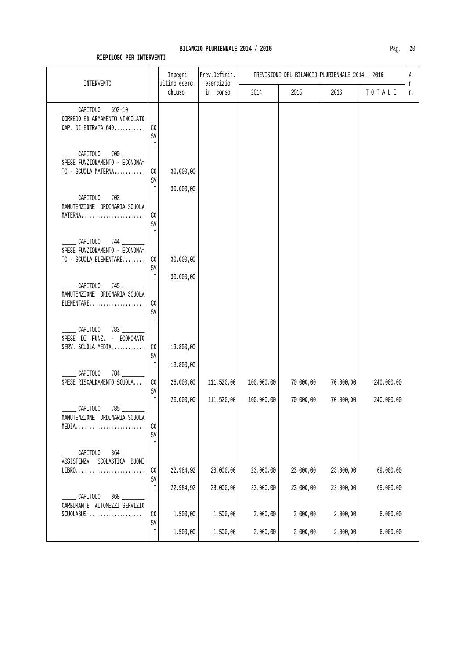| INTERVENTO                                                                                       |                              | Impegni<br>ultimo eserc. | Prev.Definit.<br>esercizio | PREVISIONI DEL BILANCIO PLURIENNALE 2014 - 2016 |                      |                      |                      |         |
|--------------------------------------------------------------------------------------------------|------------------------------|--------------------------|----------------------------|-------------------------------------------------|----------------------|----------------------|----------------------|---------|
|                                                                                                  |                              | chiuso                   | in corso                   | 2014                                            | 2015                 | 2016                 | TOTALE               | n<br>n. |
| CAPITOLO<br>CORREDO ED ARMANENTO VINCOLATO<br>CAP. DI ENTRATA 640                                | CO<br>SV                     |                          |                            |                                                 |                      |                      |                      |         |
| CAPITOLO<br>SPESE FUNZIONAMENTO - ECONOMA=<br>TO - SCUOLA MATERNA                                | T<br>CO<br>$\mbox{SV}$       | 30.000,00                |                            |                                                 |                      |                      |                      |         |
| CAPITOLO 702<br>MANUTENZIONE ORDINARIA SCUOLA<br>MATERNA                                         | T<br>CO                      | 30.000,00                |                            |                                                 |                      |                      |                      |         |
| CAPITOLO<br>SPESE FUNZIONAMENTO - ECONOMA=                                                       | SV<br>T                      |                          |                            |                                                 |                      |                      |                      |         |
| TO - SCUOLA ELEMENTARE<br>CAPITOLO 745                                                           | $\rm CO$<br>$\mbox{SV}$<br>T | 30.000,00<br>30.000,00   |                            |                                                 |                      |                      |                      |         |
| MANUTENZIONE ORDINARIA SCUOLA<br>ELEMENTARE                                                      | CO<br>$\mbox{SV}$<br>T       |                          |                            |                                                 |                      |                      |                      |         |
| $783$ $\overline{\phantom{1}}$<br>_ CAPITOLO<br>SPESE DI FUNZ. - ECONOMATO<br>SERV. SCUOLA MEDIA | $\rm CO$<br>$\mbox{SV}$      | 13.800,00                |                            |                                                 |                      |                      |                      |         |
| CAPITOLO<br>SPESE RISCALDAMENTO SCUOLA                                                           | T<br>$\rm CO$<br>SV          | 13.800,00<br>26.000,00   | 111.520,00                 | 100.000,00                                      | 70.000,00            | 70.000,00            | 240.000,00           |         |
| CAPITOLO<br>MANUTENZIONE ORDINARIA SCUOLA<br>MEDIA                                               | $\mathbb T$<br>CO<br>SV      | 26.000,00                | 111.520,00                 | 100.000,00                                      | 70.000,00            | 70.000,00            | 240.000,00           |         |
| CAPITOLO<br>864<br>ASSISTENZA<br>SCOLASTICA BUONI<br>$LIBRO.$                                    | $\mathbb T$<br>CO            | 22.984,92                | 28.000,00                  | 23.000,00                                       | 23.000,00            | 23.000,00            | 69.000,00            |         |
| CAPITOLO<br>CARBURANTE AUTOMEZZI SERVIZIO                                                        | SV<br>$\mathbb T$            | 22.984,92                | 28.000,00                  | 23.000,00                                       | 23.000,00            | 23.000,00            | 69.000,00            |         |
| $SCUOLABUS$                                                                                      | CO<br>$\mbox{SV}$<br>T       | 1.500,00<br>1.500,00     | 1.500,00<br>1.500,00       | 2.000,00<br>2.000,00                            | 2.000,00<br>2.000,00 | 2.000,00<br>2.000,00 | 6.000,00<br>6.000,00 |         |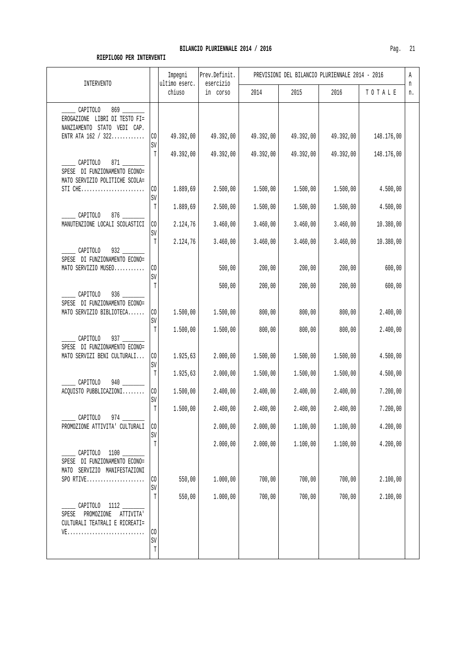| INTERVENTO                                                                                     |                | Impegni<br>ultimo eserc. | Prev.Definit.<br>esercizio | PREVISIONI DEL BILANCIO PLURIENNALE 2014 - 2016 |           |           |            |         |  |
|------------------------------------------------------------------------------------------------|----------------|--------------------------|----------------------------|-------------------------------------------------|-----------|-----------|------------|---------|--|
|                                                                                                |                | chiuso                   | in corso                   | 2014                                            | 2015      | 2016      | TOTALE     | n<br>n. |  |
| CAPITOLO<br>EROGAZIONE LIBRI DI TESTO FI=<br>NANZIAMENTO STATO VEDI CAP.<br>ENTR ATA 162 / 322 | $\rm CO$<br>SV | 49.392,00                | 49.392,00                  | 49.392,00                                       | 49.392,00 | 49.392,00 | 148.176,00 |         |  |
| CAPITOLO<br>871 — 100<br>SPESE DI FUNZIONAMENTO ECONO=<br>MATO SERVIZIO POLITICHE SCOLA=       | $\mathbb T$    | 49.392,00                | 49.392,00                  | 49.392,00                                       | 49.392,00 | 49.392,00 | 148.176,00 |         |  |
| STI $CHE$                                                                                      | $\rm CO$<br>SV | 1.889,69                 | 2.500,00                   | 1.500,00                                        | 1.500,00  | 1.500,00  | 4.500,00   |         |  |
| CAPITOLO                                                                                       | T              | 1.889,69                 | 2.500,00                   | 1.500,00                                        | 1.500,00  | 1.500,00  | 4.500,00   |         |  |
| MANUTENZIONE LOCALI SCOLASTICI                                                                 | CO.<br>SV      | 2.124,76                 | 3.460,00                   | 3.460,00                                        | 3.460,00  | 3.460,00  | 10.380,00  |         |  |
| $932$ ____<br>CAPITOLO                                                                         | T              | 2.124,76                 | 3.460,00                   | 3.460,00                                        | 3.460,00  | 3.460,00  | 10.380,00  |         |  |
| SPESE DI FUNZIONAMENTO ECONO=<br>MATO SERVIZIO MUSEO                                           | $\rm CO$<br>SV |                          | 500,00                     | 200,00                                          | 200,00    | 200,00    | 600,00     |         |  |
| CAPITOLO<br>936<br>SPESE DI FUNZIONAMENTO ECONO=                                               | $\mathbb T$    |                          | 500,00                     | 200,00                                          | 200,00    | 200,00    | 600,00     |         |  |
| MATO SERVIZIO BIBLIOTECA                                                                       | CO<br>SV       | 1.500,00                 | 1.500,00                   | 800,00                                          | 800,00    | 800,00    | 2.400,00   |         |  |
| CAPITOLO<br>SPESE DI FUNZIONAMENTO ECONO=                                                      | T              | 1.500,00                 | 1.500,00                   | 800,00                                          | 800,00    | 800,00    | 2.400,00   |         |  |
| MATO SERVIZI BENI CULTURALI                                                                    | $\rm CO$<br>SV | 1.925,63                 | 2.000,00                   | 1.500,00                                        | 1.500,00  | 1.500,00  | 4.500,00   |         |  |
| CAPITOLO<br>940                                                                                | $\mathbb T$    | 1.925,63                 | 2.000,00                   | 1.500,00                                        | 1.500,00  | 1.500,00  | 4.500,00   |         |  |
| ACQUISTO PUBBLICAZIONI                                                                         | $\rm CO$<br>SV | 1.500,00                 | 2.400,00                   | 2.400,00                                        | 2.400,00  | 2.400,00  | 7.200,00   |         |  |
| CAPITOLO                                                                                       | T              | 1.500,00                 | 2.400,00                   | 2.400,00                                        | 2.400,00  | 2.400,00  | 7.200,00   |         |  |
| PROMOZIONE ATTIVITA' CULTURALI                                                                 | CO<br>SV       |                          | 2.000,00                   | 2.000,00                                        | 1.100,00  | 1.100,00  | 4.200,00   |         |  |
| CAPITOLO 1100<br>SPESE DI FUNZIONAMENTO ECONO=<br>MATO SERVIZIO MANIFESTAZIONI                 | $\mathbb T$    |                          | 2.000,00                   | 2.000,00                                        | 1.100,00  | 1.100,00  | 4.200,00   |         |  |
| SPO RTIVE                                                                                      | CO<br>SV       | 550,00                   | 1.000,00                   | 700,00                                          | 700,00    | 700,00    | 2.100,00   |         |  |
| CAPITOLO 1112<br>PROMOZIONE<br>SPESE<br>ATTIVITA'<br>CULTURALI TEATRALI E RICREATI=            | T              | 550,00                   | 1.000,00                   | 700,00                                          | 700,00    | 700,00    | 2.100,00   |         |  |
|                                                                                                | CO<br>SV<br>T  |                          |                            |                                                 |           |           |            |         |  |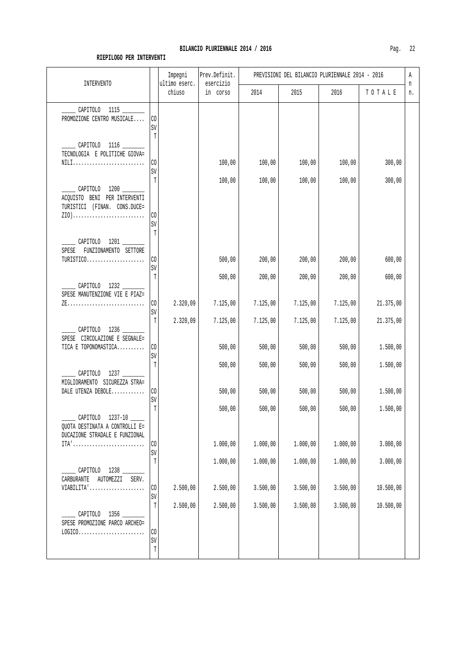### BILANCIO PLURIENNALE 2014 / 2016

| <b>INTERVENTO</b>                                                                       |                         | Impegni<br>ultimo eserc. | Prev.Definit.<br>esercizio | PREVISIONI DEL BILANCIO PLURIENNALE 2014 - 2016 |          |          |           |         |  |
|-----------------------------------------------------------------------------------------|-------------------------|--------------------------|----------------------------|-------------------------------------------------|----------|----------|-----------|---------|--|
|                                                                                         |                         | chiuso                   | in corso                   | 2014                                            | 2015     | 2016     | TOTALE    | n<br>n. |  |
| CAPITOLO 1115 _____<br>PROMOZIONE CENTRO MUSICALE                                       | CO<br>SV<br>T           |                          |                            |                                                 |          |          |           |         |  |
| CAPITOLO 1116 ______<br>TECNOLOGIA E POLITICHE GIOVA=<br>NILI                           | CO<br>$\mbox{SV}$       |                          | 100,00                     | 100,00                                          | 100,00   | 100,00   | 300,00    |         |  |
| CAPITOLO 1200<br>ACQUISTO BENI PER INTERVENTI<br>TURISTICI (FINAN. CONS.DUCE=<br>$ZIO)$ | T<br>$\rm CO$<br>SV     |                          | 100,00                     | 100,00                                          | 100,00   | 100,00   | 300,00    |         |  |
| CAPITOLO 1201<br>SPESE<br>FUNZIONAMENTO SETTORE<br>$TURISTICO.$                         | T<br>$\rm CO$<br>SV     |                          | 500,00                     | 200,00                                          | 200,00   | 200,00   | 600,00    |         |  |
| CAPITOLO 1232<br>SPESE MANUTENZIONE VIE E PIAZ=                                         | T                       |                          | 500,00                     | 200,00                                          | 200,00   | 200,00   | 600,00    |         |  |
|                                                                                         | CO<br>SV                | 2.320,09                 | 7.125,00                   | 7.125,00                                        | 7.125,00 | 7.125,00 | 21.375,00 |         |  |
| CAPITOLO 1236<br>SPESE CIRCOLAZIONE E SEGNALE=                                          | T                       | 2.320,09                 | 7.125,00                   | 7.125,00                                        | 7.125,00 | 7.125,00 | 21.375,00 |         |  |
| TICA E TOPONOMASTICA                                                                    | $\rm CO$<br>SV          |                          | 500,00                     | 500,00                                          | 500,00   | 500,00   | 1.500,00  |         |  |
| CAPITOLO 1237<br>MIGLIORAMENTO SICUREZZA STRA=                                          | T                       |                          | 500,00                     | 500,00                                          | 500,00   | 500,00   | 1.500,00  |         |  |
| DALE UTENZA DEBOLE                                                                      | $\rm CO$<br>SV          |                          | 500,00                     | 500,00                                          | 500,00   | 500,00   | 1.500,00  |         |  |
| CAPITOLO<br>QUOTA DESTINATA A CONTROLLI E=<br>DUCAZIONE STRADALE E FUNZIONAL            | T                       |                          | 500,00                     | 500,00                                          | 500,00   | 500,00   | 1.500,00  |         |  |
| ITA'                                                                                    | $\rm CO$<br>$\mbox{SV}$ |                          | 1.000,00                   | 1.000,00                                        | 1.000,00 | 1.000,00 | 3.000,00  |         |  |
| CAPITOLO 1238<br>CARBURANTE AUTOMEZZI SERV.                                             | T                       |                          | 1.000,00                   | 1.000,00                                        | 1.000,00 | 1.000,00 | 3.000,00  |         |  |
| VIABILITA'                                                                              | $\rm CO$<br>SV          | 2.500,00                 | 2.500,00                   | 3.500,00                                        | 3.500,00 | 3.500,00 | 10.500,00 |         |  |
| CAPITOLO 1356<br>SPESE PROMOZIONE PARCO ARCHEO=                                         | $\mathbb T$             | 2.500,00                 | 2.500,00                   | 3.500,00                                        | 3.500,00 | 3.500,00 | 10.500,00 |         |  |
| $LOGICO.\dots.\dots.\dots.\dots.\dots\dots\dots$                                        | $\rm CO$<br>SV<br>T     |                          |                            |                                                 |          |          |           |         |  |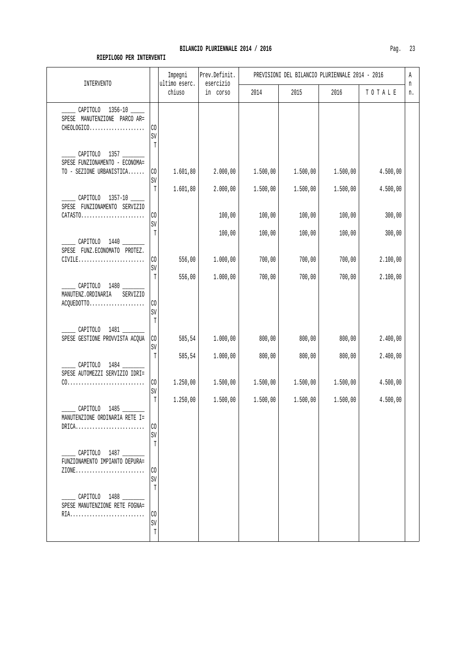#### **RIEPILOGO PER INTERVENTI**

SV T

SV T

SV T

 \_\_\_\_\_ CAPITOLO 1487 \_\_\_\_\_\_\_\_ FUNZIONAMENTO IMPIANTO DEPURA= ZIONE......................... CO

 \_\_\_\_\_ CAPITOLO 1488 \_\_\_\_\_\_\_\_ SPESE MANUTENZIONE RETE FOGNA= RIA........................... CO

|                                                 |                | Impegni                 | Prev.Definit.         |          |          | PREVISIONI DEL BILANCIO PLURIENNALE 2014 - 2016 |          | Α       |
|-------------------------------------------------|----------------|-------------------------|-----------------------|----------|----------|-------------------------------------------------|----------|---------|
| <b>INTERVENTO</b>                               |                | ultimo eserc.<br>chiuso | esercizio<br>in corso | 2014     | 2015     | 2016                                            | TOTALE   | n<br>n. |
| CAPITOLO 1356-10 _____                          |                |                         |                       |          |          |                                                 |          |         |
| SPESE MANUTENZIONE PARCO AR=                    |                |                         |                       |          |          |                                                 |          |         |
| CHEOLOGICO                                      | CO             |                         |                       |          |          |                                                 |          |         |
|                                                 | SV             |                         |                       |          |          |                                                 |          |         |
|                                                 | T              |                         |                       |          |          |                                                 |          |         |
| CAPITOLO 1357<br>SPESE FUNZIONAMENTO - ECONOMA= |                |                         |                       |          |          |                                                 |          |         |
| TO - SEZIONE URBANISTICA                        | CO             | 1.601,80                | 2.000,00              | 1.500,00 | 1.500,00 | 1.500,00                                        | 4.500,00 |         |
|                                                 | SV             |                         |                       |          |          |                                                 |          |         |
|                                                 | $\mathbb{T}$   | 1.601,80                | 2.000,00              | 1.500,00 | 1.500,00 | 1.500,00                                        | 4.500,00 |         |
| CAPITOLO 1357-10                                |                |                         |                       |          |          |                                                 |          |         |
| SPESE FUNZIONAMENTO SERVIZIO                    |                |                         |                       |          |          |                                                 |          |         |
| $CATAST0 \ldots \ldots \ldots \ldots$           | CO             |                         | 100,00                | 100,00   | 100,00   | 100,00                                          | 300,00   |         |
|                                                 | SV<br>T        |                         |                       |          |          |                                                 |          |         |
| ___ CAPITOLO 1440 ____                          |                |                         | 100,00                | 100,00   | 100,00   | 100,00                                          | 300,00   |         |
| SPESE FUNZ.ECONOMATO PROTEZ.                    |                |                         |                       |          |          |                                                 |          |         |
| $CIVILE$                                        | C <sub>0</sub> | 556,00                  | 1.000,00              | 700,00   | 700,00   | 700,00                                          | 2.100,00 |         |
|                                                 | SV             |                         |                       |          |          |                                                 |          |         |
|                                                 | T              | 556,00                  | 1.000,00              | 700,00   | 700,00   | 700,00                                          | 2.100,00 |         |
| ______ CAPITOLO 1480 _______                    |                |                         |                       |          |          |                                                 |          |         |
| MANUTENZ.ORDINARIA<br>SERVIZIO<br>ACQUEDOTTO    | CO             |                         |                       |          |          |                                                 |          |         |
|                                                 | SV             |                         |                       |          |          |                                                 |          |         |
|                                                 | T              |                         |                       |          |          |                                                 |          |         |
| CAPITOLO 1481                                   |                |                         |                       |          |          |                                                 |          |         |
| SPESE GESTIONE PROVVISTA ACQUA                  | C <sub>0</sub> | 585,54                  | 1.000,00              | 800,00   | 800,00   | 800,00                                          | 2.400,00 |         |
|                                                 | SV             |                         |                       |          |          |                                                 |          |         |
|                                                 | T              | 585,54                  | 1.000,00              | 800,00   | 800,00   | 800,00                                          | 2.400,00 |         |
| CAPITOLO 1484<br>SPESE AUTOMEZZI SERVIZIO IDRI= |                |                         |                       |          |          |                                                 |          |         |
|                                                 | C <sub>0</sub> | 1.250,00                | 1.500,00              | 1.500,00 | 1.500,00 | 1.500,00                                        | 4.500,00 |         |
|                                                 | SV             |                         |                       |          |          |                                                 |          |         |
|                                                 | T              | 1.250,00                | 1.500,00              | 1.500,00 | 1.500,00 | 1.500,00                                        | 4.500,00 |         |
| CAPITOLO 1485                                   |                |                         |                       |          |          |                                                 |          |         |
| MANUTENZIONE ORDINARIA RETE I=                  |                |                         |                       |          |          |                                                 |          |         |
| $\mathtt{DRICA}$                                | l co           |                         |                       |          |          |                                                 |          |         |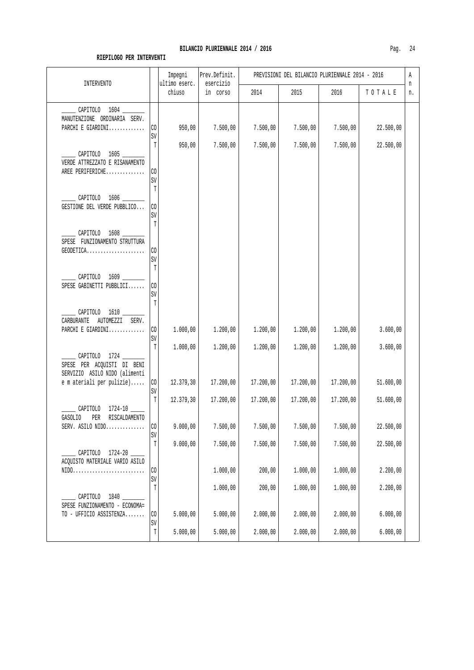| INTERVENTO                                                                                              |                         | Impegni<br>ultimo eserc. | Prev.Definit.<br>esercizio |           | PREVISIONI DEL BILANCIO PLURIENNALE 2014 - 2016 |           |           | Α<br>n |
|---------------------------------------------------------------------------------------------------------|-------------------------|--------------------------|----------------------------|-----------|-------------------------------------------------|-----------|-----------|--------|
|                                                                                                         |                         | chiuso                   | in corso                   | 2014      | 2015                                            | 2016      | TOTALE    | n.     |
| CAPITOLO 1604 ______<br>MANUTENZIONE ORDINARIA SERV.<br>PARCHI E GIARDINI                               | CO                      | 950,00                   | 7.500,00                   | 7.500,00  | 7.500,00                                        | 7.500,00  | 22.500,00 |        |
|                                                                                                         | SV                      |                          |                            |           |                                                 |           |           |        |
| CAPITOLO 1605<br>VERDE ATTREZZATO E RISANAMENTO<br>AREE PERIFERICHE                                     | T<br>CO.                | 950,00                   | 7.500,00                   | 7.500,00  | 7.500,00                                        | 7.500,00  | 22.500,00 |        |
| CAPITOLO 1606                                                                                           | SV<br>T                 |                          |                            |           |                                                 |           |           |        |
| GESTIONE DEL VERDE PUBBLICO                                                                             | CO<br>SV<br>T           |                          |                            |           |                                                 |           |           |        |
| CAPITOLO 1608<br>SPESE FUNZIONAMENTO STRUTTURA                                                          |                         |                          |                            |           |                                                 |           |           |        |
| GEODETICA                                                                                               | CO<br>SV<br>T           |                          |                            |           |                                                 |           |           |        |
| CAPITOLO 1609 ______<br>SPESE GABINETTI PUBBLICI                                                        | CO<br>$\mbox{SV}$       |                          |                            |           |                                                 |           |           |        |
| CAPITOLO 1610<br>CARBURANTE AUTOMEZZI SERV.                                                             | T                       |                          |                            |           |                                                 |           |           |        |
| PARCHI E GIARDINI                                                                                       | $\rm CO$<br>SV          | 1.000,00                 | 1.200,00                   | 1.200,00  | 1.200,00                                        | 1.200,00  | 3.600,00  |        |
| CAPITOLO 1724<br>SPESE PER ACQUISTI DI BENI<br>SERVIZIO ASILO NIDO (alimenti                            | T                       | 1.000,00                 | 1.200,00                   | 1.200,00  | 1.200,00                                        | 1.200,00  | 3.600,00  |        |
| e m ateriali per pulizie)                                                                               | $\rm CO$<br>$\mbox{SV}$ | 12.379,30                | 17.200,00                  | 17.200,00 | 17.200,00                                       | 17.200,00 | 51.600,00 |        |
| CAPITOLO<br>$1724 - 10$ ____                                                                            | T                       | 12.379,30                | 17.200,00                  | 17.200,00 | 17.200,00                                       | 17.200,00 | 51.600,00 |        |
| <b>GASOLIO</b><br>RISCALDAMENTO<br>PER<br>SERV. ASILO NIDO                                              | CO<br>SV                | 9.000,00                 | 7.500,00                   | 7.500,00  | 7.500,00                                        | 7.500,00  | 22.500,00 |        |
| CAPITOLO 1724-20                                                                                        | $\mathbb T$             | 9.000,00                 | 7.500,00                   | 7.500,00  | 7.500,00                                        | 7.500,00  | 22.500,00 |        |
| ACQUISTO MATERIALE VARIO ASILO<br>$\texttt{NIDO} \dots \dots \dots \dots \dots \dots \dots \dots \dots$ | CO<br>SV                |                          | 1.000,00                   | 200,00    | 1.000,00                                        | 1.000,00  | 2.200,00  |        |
| CAPITOLO 1840                                                                                           | $\mathbb T$             |                          | 1.000,00                   | 200,00    | 1.000,00                                        | 1.000,00  | 2.200,00  |        |
| SPESE FUNZIONAMENTO - ECONOMA=<br>TO - UFFICIO ASSISTENZA                                               | $\rm CO$<br>SV          | 5.000,00                 | 5.000,00                   | 2.000,00  | 2.000,00                                        | 2.000,00  | 6.000,00  |        |
|                                                                                                         | $\mathbb T$             | 5.000,00                 | 5.000,00                   | 2.000,00  | 2.000,00                                        | 2.000,00  | 6.000,00  |        |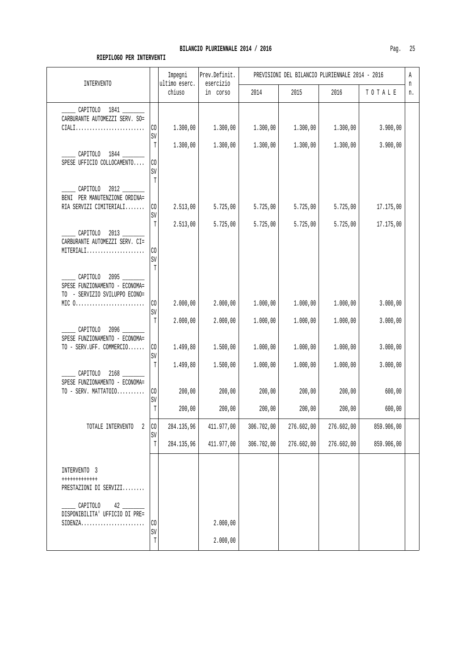|                                                                                                                         |                          | Impegni                 | Prev.Definit.         |                      | PREVISIONI DEL BILANCIO PLURIENNALE 2014 - 2016 |                      |                      | Α       |
|-------------------------------------------------------------------------------------------------------------------------|--------------------------|-------------------------|-----------------------|----------------------|-------------------------------------------------|----------------------|----------------------|---------|
| <b>INTERVENTO</b>                                                                                                       |                          | ultimo eserc.<br>chiuso | esercizio<br>in corso | 2014                 | 2015                                            | 2016                 | TOTALE               | n<br>n. |
| CAPITOLO 1841<br>CARBURANTE AUTOMEZZI SERV. SO=<br>$CIALI$                                                              | CO<br>SV                 | 1.300,00                | 1.300,00              | 1.300,00             | 1.300,00                                        | 1.300,00             | 3.900,00             |         |
| CAPITOLO 1844 ______<br>SPESE UFFICIO COLLOCAMENTO                                                                      | T<br>CO<br>SV            | 1.300,00                | 1.300,00              | 1.300,00             | 1.300,00                                        | 1.300,00             | 3.900,00             |         |
| CAPITOLO 2012<br>BENI PER MANUTENZIONE ORDINA=<br>RIA SERVIZI CIMITERIALI                                               | T<br>CO<br>$\mbox{SV}$   | 2.513,00                | 5.725,00              | 5.725,00             | 5.725,00                                        | 5.725,00             | 17.175,00            |         |
| CAPITOLO 2013<br>CARBURANTE AUTOMEZZI SERV. CI=<br>MITERIALI                                                            | $\mathbb T$<br>CO<br>SV  | 2.513,00                | 5.725,00              | 5.725,00             | 5.725,00                                        | 5.725,00             | 17.175,00            |         |
| CAPITOLO 2095<br>SPESE FUNZIONAMENTO - ECONOMA=<br>TO - SERVIZIO SVILUPPO ECONO=<br>MIC $0$                             | $\mathbb{T}$<br>$\rm CO$ | 2.000,00                | 2.000,00              | 1.000,00             | 1.000,00                                        | 1.000,00             | 3.000,00             |         |
| CAPITOLO<br>SPESE FUNZIONAMENTO - ECONOMA=                                                                              | SV<br>$\mathbb T$        | 2.000,00                | 2.000,00              | 1.000,00             | 1.000,00                                        | 1.000,00             | 3.000,00             |         |
| TO - SERV.UFF. COMMERCIO<br>CAPITOLO                                                                                    | CO<br>$\mbox{SV}$<br>T   | 1.499,80<br>1.499,80    | 1.500,00<br>1.500,00  | 1.000,00<br>1.000,00 | 1.000,00<br>1.000,00                            | 1.000,00<br>1.000,00 | 3.000,00<br>3.000,00 |         |
| SPESE FUNZIONAMENTO - ECONOMA=<br>TO - SERV. MATTATOIO                                                                  | $\rm CO$<br>SV<br>T      | 200,00<br>200,00        | 200,00<br>200,00      | 200,00<br>200,00     | 200,00<br>200,00                                | 200,00<br>200,00     | 600,00<br>600,00     |         |
| TOTALE INTERVENTO<br>2                                                                                                  | CO                       | 284.135,96              | 411.977,00            | 306.702,00           | 276.602,00                                      | 276.602,00           | 859.906,00           |         |
|                                                                                                                         | SV<br>$\mathbb T$        | 284.135,96              | 411.977,00            | 306.702,00           | 276.602,00                                      | 276.602,00           | 859.906,00           |         |
| INTERVENTO 3<br>++++++++++++<br>PRESTAZIONI DI SERVIZI<br>CAPITOLO<br>42<br>DISPONIBILITA' UFFICIO DI PRE=<br>$SIDENZA$ | $\rm CO$<br>SV           |                         | 2.000,00              |                      |                                                 |                      |                      |         |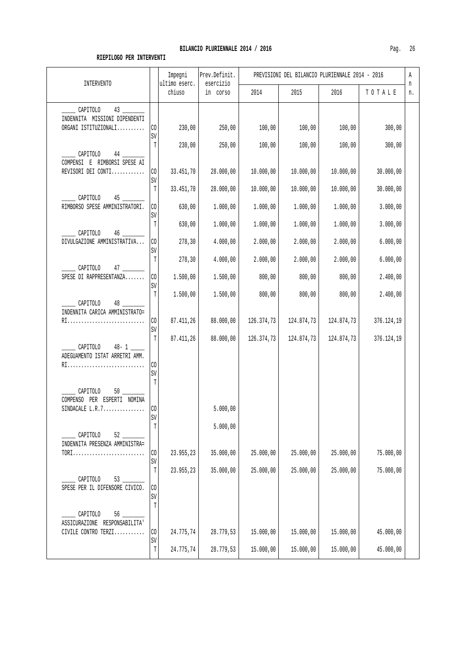| <b>INTERVENTO</b>                                                       |                           | Impegni<br>ultimo eserc. | Prev.Definit.<br>esercizio |            | PREVISIONI DEL BILANCIO PLURIENNALE 2014 - 2016 |            |            | Α<br>n |
|-------------------------------------------------------------------------|---------------------------|--------------------------|----------------------------|------------|-------------------------------------------------|------------|------------|--------|
|                                                                         |                           | chiuso                   | in corso                   | 2014       | 2015                                            | 2016       | TOTALE     | n.     |
| CAPITOLO<br>43<br>INDENNITA MISSIONI DIPENDENTI<br>ORGANI ISTITUZIONALI | CO.                       | 230,00                   | 250,00                     | 100,00     | 100,00                                          | 100,00     | 300,00     |        |
| CAPITOLO<br>$44$ $-$                                                    | SV<br>T                   | 230,00                   | 250,00                     | 100,00     | 100,00                                          | 100,00     | 300,00     |        |
| COMPENSI E RIMBORSI SPESE AI<br>REVISORI DEI CONTI                      | CO <sub>2</sub><br>SV     | 33.451,70                | 28.000,00                  | 10.000,00  | 10.000,00                                       | 10.000,00  | 30.000,00  |        |
| CAPITOLO<br>45                                                          | $\mathbb T$               | 33.451,70                | 28.000,00                  | 10.000,00  | 10.000,00                                       | 10.000,00  | 30.000,00  |        |
| RIMBORSO SPESE AMMINISTRATORI.                                          | CO<br>SV                  | 630,00                   | 1.000,00                   | 1.000,00   | 1.000,00                                        | 1.000,00   | 3.000,00   |        |
| CAPITOLO<br>46                                                          | T                         | 630,00                   | 1.000,00                   | 1.000,00   | 1.000,00                                        | 1.000,00   | 3.000,00   |        |
| DIVULGAZIONE AMMINISTRATIVA                                             | CO<br>SV                  | 278,30                   | 4.000,00                   | 2.000,00   | 2.000,00                                        | 2.000,00   | 6.000,00   |        |
| CAPITOLO<br>$47$ $-$                                                    | T                         | 278,30                   | 4.000,00                   | 2.000,00   | 2.000,00                                        | 2.000,00   | 6.000,00   |        |
| SPESE DI RAPPRESENTANZA                                                 | CO.<br>SV                 | 1.500,00                 | 1.500,00                   | 800,00     | 800,00                                          | 800,00     | 2.400,00   |        |
| CAPITOLO<br>48<br>INDENNITA CARICA AMMINISTRATO=                        | T                         | 1.500,00                 | 1.500,00                   | 800,00     | 800,00                                          | 800,00     | 2.400,00   |        |
| RI                                                                      | CO<br>SV                  | 87.411,26                | 88.000,00                  | 126.374,73 | 124.874,73                                      | 124.874,73 | 376.124,19 |        |
| CAPITOLO<br>$48 - 1$<br>ADEGUAMENTO ISTAT ARRETRI AMM.<br>RI            | $\mathbb T$<br>CO<br>SV   | 87.411,26                | 88.000,00                  | 126.374,73 | 124.874,73                                      | 124.874,73 | 376.124,19 |        |
| CAPITOLO<br>50<br>COMPENSO PER ESPERTI NOMINA                           | T                         |                          |                            |            |                                                 |            |            |        |
| SINDACALE $L.R.7$                                                       | C <sub>0</sub><br>SV<br>T |                          | 5.000,00<br>5.000,00       |            |                                                 |            |            |        |
| CAPITOLO<br>52<br>INDENNITA PRESENZA AMMINISTRA=<br>$TORI$              | CO                        | 23.955,23                | 35.000,00                  | 25.000,00  | 25.000,00                                       | 25.000,00  | 75.000,00  |        |
|                                                                         | SV<br>T                   | 23.955,23                | 35.000,00                  | 25.000,00  | 25.000,00                                       | 25.000,00  | 75.000,00  |        |
| CAPITOLO<br>SPESE PER IL DIFENSORE CIVICO.                              | CO<br>SV                  |                          |                            |            |                                                 |            |            |        |
| CAPITOLO<br>56<br>ASSICURAZIONE RESPONSABILITA'                         | T                         |                          |                            |            |                                                 |            |            |        |
| CIVILE CONTRO TERZI                                                     | CO<br>SV                  | 24.775,74                | 28.779,53                  | 15.000,00  | 15.000,00                                       | 15.000,00  | 45.000,00  |        |
|                                                                         | T                         | 24.775,74                | 28.779,53                  | 15.000,00  | 15.000,00                                       | 15.000,00  | 45.000,00  |        |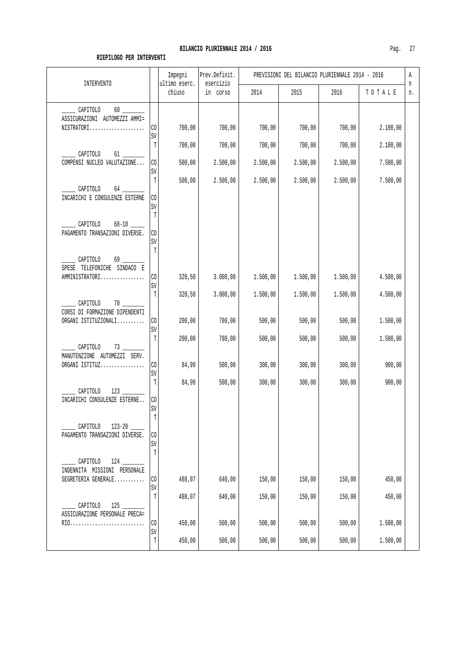| <b>INTERVENTO</b>                                                          |                   | Impegni<br>ultimo eserc. | Prev.Definit.<br>esercizio | PREVISIONI DEL BILANCIO PLURIENNALE 2014 - 2016 |                  |                  |                  |         |
|----------------------------------------------------------------------------|-------------------|--------------------------|----------------------------|-------------------------------------------------|------------------|------------------|------------------|---------|
|                                                                            |                   | chiuso                   | in corso                   | 2014                                            | 2015             | 2016             | TOTALE           | n<br>n. |
| CAPITOLO                                                                   |                   |                          |                            |                                                 |                  |                  |                  |         |
| ASSICURAZIONI AUTOMEZZI AMMI=<br>$NISTRATORI$                              | CO<br>SV          | 700,00                   | 700,00                     | 700,00                                          | 700,00           | 700,00           | 2.100,00         |         |
| CAPITOLO<br>61 — 10                                                        | T                 | 700,00                   | 700,00                     | 700,00                                          | 700,00           | 700,00           | 2.100,00         |         |
| COMPENSI NUCLEO VALUTAZIONE                                                | CO<br>SV          | 500,00                   | 2.500,00                   | 2.500,00                                        | 2.500,00         | 2.500,00         | 7.500,00         |         |
| CAPITOLO<br>64                                                             | T                 | 500,00                   | 2.500,00                   | 2.500,00                                        | 2.500,00         | 2.500,00         | 7.500,00         |         |
| INCARICHI E CONSULENZE ESTERNE                                             | CO<br>SV          |                          |                            |                                                 |                  |                  |                  |         |
| CAPITOLO                                                                   | T                 |                          |                            |                                                 |                  |                  |                  |         |
| PAGAMENTO TRANSAZIONI DIVERSE.                                             | CO<br>SV          |                          |                            |                                                 |                  |                  |                  |         |
| CAPITOLO<br>SPESE TELEFONICHE SINDACO E                                    | T                 |                          |                            |                                                 |                  |                  |                  |         |
| AMMINISTRATORI                                                             | CO<br>SV          | 320,50                   | 3.000,00                   | 1.500,00                                        | 1.500,00         | 1.500,00         | 4.500,00         |         |
| $70$ $-$<br>CAPITOLO                                                       | T                 | 320,50                   | 3.000,00                   | 1.500,00                                        | 1.500,00         | 1.500,00         | 4.500,00         |         |
| CORSI DI FORMAZIONE DIPENDENTI<br>ORGANI ISTITUZIONALI                     | CO                | 200,00                   | 780,00                     | 500,00                                          | 500,00           | 500,00           | 1.500,00         |         |
|                                                                            | SV<br>T           | 200,00                   | 780,00                     | 500,00                                          | 500,00           | 500,00           | 1.500,00         |         |
| CAPITOLO<br>73<br>MANUTENZIONE AUTOMEZZI SERV.                             |                   |                          |                            |                                                 |                  |                  |                  |         |
| ORGANI ISTITUZ                                                             | CO<br>SV<br>T     | 84,99<br>84,99           | 500,00<br>500,00           | 300,00<br>300,00                                | 300,00<br>300,00 | 300,00<br>300,00 | 900,00<br>900,00 |         |
| CAPITOLO<br>123<br>INCARICHI CONSULENZE ESTERNE                            | CO.               |                          |                            |                                                 |                  |                  |                  |         |
|                                                                            | SV<br>$\mathbb T$ |                          |                            |                                                 |                  |                  |                  |         |
| CAPITOLO<br>PAGAMENTO TRANSAZIONI DIVERSE.                                 | CO                |                          |                            |                                                 |                  |                  |                  |         |
|                                                                            | SV<br>T           |                          |                            |                                                 |                  |                  |                  |         |
| CAPITOLO<br>$124$ $\overline{\phantom{1}}$<br>INDENNITA MISSIONI PERSONALE |                   |                          |                            |                                                 |                  |                  |                  |         |
| SEGRETERIA GENERALE                                                        | CO<br>SV          | 488,07                   | 640,00                     | 150,00                                          | 150,00           | 150,00           | 450,00           |         |
| CAPITOLO                                                                   | T                 | 488,07                   | 640,00                     | 150,00                                          | 150,00           | 150,00           | 450,00           |         |
| ASSICURAZIONE PERSONALE PRECA=<br>RIO                                      | CO<br>SV          | 450,00                   | 500,00                     | 500,00                                          | 500,00           | 500,00           | 1.500,00         |         |
|                                                                            | T                 | 450,00                   | 500,00                     | 500,00                                          | 500,00           | 500,00           | 1.500,00         |         |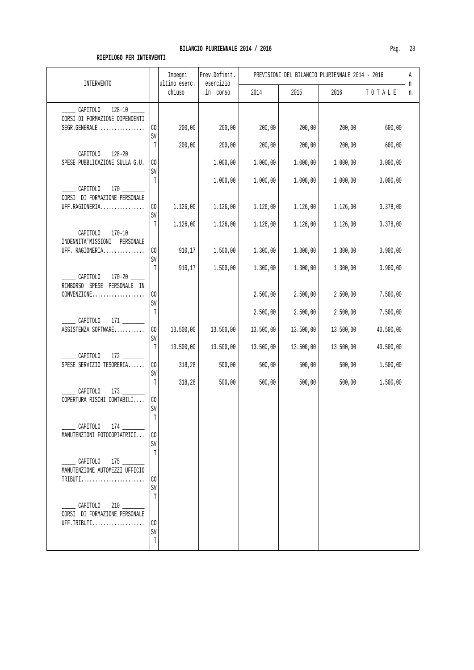| <b>INTERVENTO</b>                                                       |                                      | Impegni<br>ultimo eserc. | Prev.Definit.<br>esercizio |                                    | PREVISIONI DEL BILANCIO PLURIENNALE 2014 - 2016 |                                    |                                    | Α<br>n |
|-------------------------------------------------------------------------|--------------------------------------|--------------------------|----------------------------|------------------------------------|-------------------------------------------------|------------------------------------|------------------------------------|--------|
|                                                                         |                                      | chiuso                   | in corso                   | 2014                               | 2015                                            | 2016                               | TOTALE                             | n.     |
| CAPITOLO<br>CORSI DI FORMAZIONE DIPENDENTI<br>SEGR.GENERALE             | CO<br>SV                             | 200,00                   | 200,00                     | 200,00                             | 200,00                                          | 200,00                             | 600,00                             |        |
| CAPITOLO 128-20<br>SPESE PUBBLICAZIONE SULLA G.U.                       | $\mathbb T$<br>CO <sub>2</sub><br>SV | 200,00                   | 200,00<br>1.000,00         | 200,00<br>1.000,00                 | 200,00<br>1.000,00                              | 200,00<br>1.000,00                 | 600,00<br>3.000,00                 |        |
| CAPITOLO<br>CORSI DI FORMAZIONE PERSONALE<br>UFF.RAGIONERIA             | T<br>CO.<br>SV                       | 1.126,00                 | 1.000,00<br>1.126,00       | 1.000,00<br>1.126,00               | 1.000,00<br>1.126,00                            | 1.000,00<br>1.126,00               | 3.000,00<br>3.378,00               |        |
| CAPITOLO 170-10 ____<br>INDENNITA'MISSIONI PERSONALE<br>UFF. RAGIONERIA | T<br>$\rm CO$<br>$\mbox{SV}$         | 1.126,00<br>910,17       | 1.126,00<br>1.500,00       | 1.126,00<br>1.300,00               | 1.126,00<br>1.300,00                            | 1.126,00<br>1.300,00               | 3.378,00<br>3.900,00               |        |
| CAPITOLO<br>RIMBORSO SPESE PERSONALE IN<br>CONVENZIONE                  | T<br>CO.<br>SV                       | 910,17                   | 1.500,00                   | 1.300,00<br>2.500,00               | 1.300,00<br>2.500,00                            | 1.300,00<br>2.500,00               | 3.900,00<br>7.500,00               |        |
| CAPITOLO<br>ASSISTENZA SOFTWARE                                         | T<br>$\rm CO$<br>SV<br>T             | 13.500,00<br>13.500,00   | 13.500,00<br>13.500,00     | 2.500,00<br>13.500,00<br>13.500,00 | 2.500,00<br>13.500,00<br>13.500,00              | 2.500,00<br>13.500,00<br>13.500,00 | 7.500,00<br>40.500,00<br>40.500,00 |        |
| $172$ _<br>CAPITOLO<br>SPESE SERVIZIO TESORERIA                         | CO<br>SV<br>T                        | 318,28<br>318, 28        | 500,00<br>500,00           | 500,00<br>500,00                   | 500,00<br>500,00                                | 500,00<br>500,00                   | 1.500,00<br>1.500,00               |        |
| CAPITOLO<br>COPERTURA RISCHI CONTABILI                                  | $\rm CO$<br>SV<br>$\mathbb T$        |                          |                            |                                    |                                                 |                                    |                                    |        |
| _____ CAPITOLO   174 _________<br>MANUTENZIONI FOTOCOPIATRICI           | CO<br>SV<br>T                        |                          |                            |                                    |                                                 |                                    |                                    |        |
| CAPITOLO 175<br>MANUTENZIONE AUTOMEZZI UFFICIO<br>$TRIBUTI$             | CO.<br>SV<br>T                       |                          |                            |                                    |                                                 |                                    |                                    |        |
| $\sim$ CAPITOLO 210<br>CORSI DI FORMAZIONE PERSONALE<br>UFF.TRIBUTI     | CO.<br>SV<br>$\mathbb T$             |                          |                            |                                    |                                                 |                                    |                                    |        |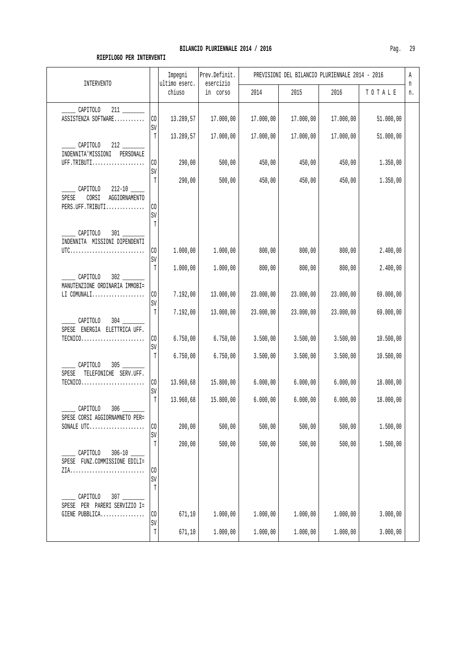| <b>INTERVENTO</b>                                                              |                         | Impegni<br>ultimo eserc. | Prev.Definit.<br>esercizio |           | PREVISIONI DEL BILANCIO PLURIENNALE 2014 - 2016 |           |           | Α       |
|--------------------------------------------------------------------------------|-------------------------|--------------------------|----------------------------|-----------|-------------------------------------------------|-----------|-----------|---------|
|                                                                                |                         | chiuso                   | in corso                   | 2014      | 2015                                            | 2016      | TOTALE    | n<br>n. |
| CAPITOLO                                                                       |                         |                          |                            |           |                                                 |           |           |         |
| ASSISTENZA SOFTWARE                                                            | $\rm CO$<br>SV          | 13.289,57                | 17.000,00                  | 17.000,00 | 17.000,00                                       | 17.000,00 | 51.000,00 |         |
| $\_$ CAPITOLO                                                                  | T                       | 13.289,57                | 17.000,00                  | 17.000,00 | 17.000,00                                       | 17.000,00 | 51.000,00 |         |
| INDENNITA'MISSIONI PERSONALE<br>UFF.TRIBUTI                                    | CO                      | 290,00                   | 500,00                     | 450,00    | 450,00                                          | 450,00    | 1.350,00  |         |
|                                                                                | SV<br>T                 | 290,00                   | 500,00                     | 450,00    | 450,00                                          | 450,00    | 1.350,00  |         |
| CAPITOLO<br>AGGIORNAMENTO<br>SPESE<br>CORSI<br>PERS.UFF.TRIBUTI                | CO<br>SV                |                          |                            |           |                                                 |           |           |         |
|                                                                                | $\mathbb{T}$            |                          |                            |           |                                                 |           |           |         |
| CAPITOLO<br>$301$ $\qquad$<br>INDENNITA MISSIONI DIPENDENTI                    |                         |                          |                            |           |                                                 |           |           |         |
|                                                                                | $\rm CO$<br>SV          | 1.000,00                 | 1.000,00                   | 800,00    | 800,00                                          | 800,00    | 2.400,00  |         |
| CAPITOLO<br>MANUTENZIONE ORDINARIA IMMOBI=                                     | $\mathbb T$             | 1.000,00                 | 1.000,00                   | 800,00    | 800,00                                          | 800,00    | 2.400,00  |         |
| $LI$ COMUNALI                                                                  | CO<br>SV                | 7.192,00                 | 13.000,00                  | 23.000,00 | 23.000,00                                       | 23.000,00 | 69.000,00 |         |
| $304$ $-$<br>CAPITOLO                                                          | T                       | 7.192,00                 | 13.000,00                  | 23.000,00 | 23.000,00                                       | 23.000,00 | 69.000,00 |         |
| SPESE ENERGIA ELETTRICA UFF.                                                   | CO.<br>SV               | 6.750,00                 | 6.750,00                   | 3.500,00  | 3.500,00                                        | 3.500,00  | 10.500,00 |         |
| $305$ __<br>CAPITOLO                                                           | T                       | 6.750,00                 | 6.750,00                   | 3.500,00  | 3.500,00                                        | 3.500,00  | 10.500,00 |         |
| TELEFONICHE SERV.UFF.<br>SPESE<br>$TECNICO.\dots.\dots.\dots.\dots.\dots\dots$ | $\rm CO$                | 13.960,68                | 15.800,00                  | 6.000,00  | 6.000,00                                        | 6.000,00  | 18.000,00 |         |
|                                                                                | SV<br>$\mathbb T$       | 13.960,68                | 15.800,00                  | 6.000,00  | 6.000,00                                        | 6.000,00  | 18.000,00 |         |
| CAPITOLO<br>306<br>SPESE CORSI AGGIORNAMNETO PER=<br>SONALE UTC                | CO                      | 200,00                   | 500,00                     | 500,00    | 500,00                                          | 500,00    | 1.500,00  |         |
|                                                                                | SV                      |                          |                            |           |                                                 |           |           |         |
| CAPITOLO<br>$306 - 10$<br>SPESE FUNZ.COMMISSIONE EDILI=                        | $\mathbb T$             | 200,00                   | 500,00                     | 500,00    | 500,00                                          | 500,00    | 1.500,00  |         |
|                                                                                | CO<br>SV<br>$\mathbb T$ |                          |                            |           |                                                 |           |           |         |
| CAPITOLO<br>307<br>SPESE PER PARERI SERVIZIO I=                                |                         |                          |                            |           |                                                 |           |           |         |
| GIENE PUBBLICA                                                                 | CO<br>SV                | 671,10                   | 1.000,00                   | 1.000,00  | 1.000,00                                        | 1.000,00  | 3.000,00  |         |
|                                                                                | $\mathbb T$             | 671,10                   | 1.000,00                   | 1.000,00  | 1.000,00                                        | 1.000,00  | 3.000,00  |         |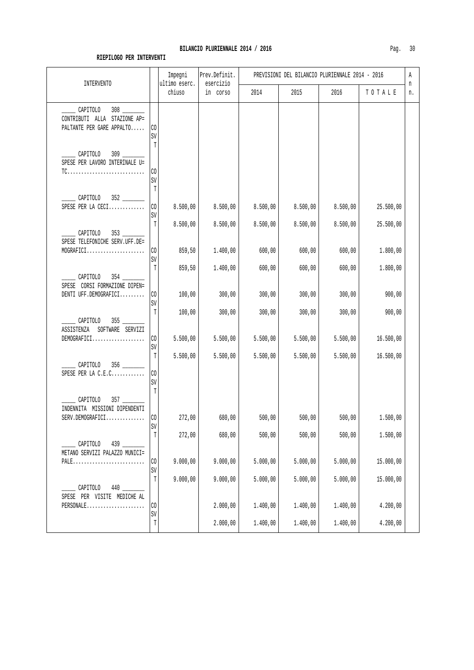| <b>INTERVENTO</b>                                                                          |                           | Impegni<br>ultimo eserc. | Prev.Definit.<br>esercizio | PREVISIONI DEL BILANCIO PLURIENNALE 2014 - 2016 |          |          |           |         |  |
|--------------------------------------------------------------------------------------------|---------------------------|--------------------------|----------------------------|-------------------------------------------------|----------|----------|-----------|---------|--|
|                                                                                            |                           | chiuso                   | in corso                   | 2014                                            | 2015     | 2016     | TOTALE    | n<br>n. |  |
| $\frac{308}{100}$<br>CAPITOLO<br>CONTRIBUTI ALLA STAZIONE AP=<br>PALTANTE PER GARE APPALTO | CO<br>SV<br>T             |                          |                            |                                                 |          |          |           |         |  |
| CAPITOLO<br>SPESE PER LAVORO INTERINALE U=                                                 | CO<br>SV<br>T             |                          |                            |                                                 |          |          |           |         |  |
| CAPITOLO<br>SPESE PER LA CECI                                                              | CO<br>SV                  | 8.500,00                 | 8.500,00                   | 8.500,00                                        | 8.500,00 | 8.500,00 | 25.500,00 |         |  |
| 353<br>CAPITOLO<br>SPESE TELEFONICHE SERV.UFF.DE=                                          | T                         | 8.500,00                 | 8.500,00                   | 8.500,00                                        | 8.500,00 | 8.500,00 | 25.500,00 |         |  |
| MOGRAFICI                                                                                  | CO<br>SV                  | 859,50                   | 1.400,00                   | 600,00                                          | 600,00   | 600,00   | 1.800,00  |         |  |
| CAPITOLO<br>SPESE CORSI FORMAZIONE DIPEN=                                                  | T                         | 859,50                   | 1.400,00                   | 600,00                                          | 600,00   | 600,00   | 1.800,00  |         |  |
| DENTI UFF.DEMOGRAFICI                                                                      | CO<br>SV                  | 100,00                   | 300,00                     | 300,00                                          | 300,00   | 300,00   | 900,00    |         |  |
| CAPITOLO<br>SOFTWARE SERVIZI<br>ASSISTENZA                                                 | T                         | 100,00                   | 300,00                     | 300,00                                          | 300,00   | 300,00   | 900,00    |         |  |
| DEMOGRAFICI                                                                                | CO<br>SV                  | 5.500,00                 | 5.500,00                   | 5.500,00                                        | 5.500,00 | 5.500,00 | 16.500,00 |         |  |
| CAPITOLO<br>SPESE PER LA C.E.C                                                             | T<br>CO<br>SV             | 5.500,00                 | 5.500,00                   | 5.500,00                                        | 5.500,00 | 5.500,00 | 16.500,00 |         |  |
| CAPITOLO<br>INDENNITA MISSIONI DIPENDENTI<br>SERV.DEMOGRAFICI                              | T<br>C <sub>0</sub><br>SV | 272,00                   | 680,00                     | 500,00                                          | 500,00   | 500,00   | 1.500,00  |         |  |
| CAPITOLO<br>439                                                                            | T                         | 272,00                   | 680,00                     | 500,00                                          | 500,00   | 500,00   | 1.500,00  |         |  |
| METANO SERVIZI PALAZZO MUNICI=<br>$PALE.$                                                  | CO<br>SV                  | 9.000,00                 | 9.000,00                   | 5.000,00                                        | 5.000,00 | 5.000,00 | 15.000,00 |         |  |
| CAPITOLO                                                                                   | T                         | 9.000,00                 | 9.000,00                   | 5.000,00                                        | 5.000,00 | 5.000,00 | 15.000,00 |         |  |
| SPESE PER VISITE MEDICHE AL<br>PERSONALE                                                   | CO<br>SV                  |                          | 2.000,00                   | 1.400,00                                        | 1.400,00 | 1.400,00 | 4.200,00  |         |  |
|                                                                                            | T                         |                          | 2.000,00                   | 1.400,00                                        | 1.400,00 | 1.400,00 | 4.200,00  |         |  |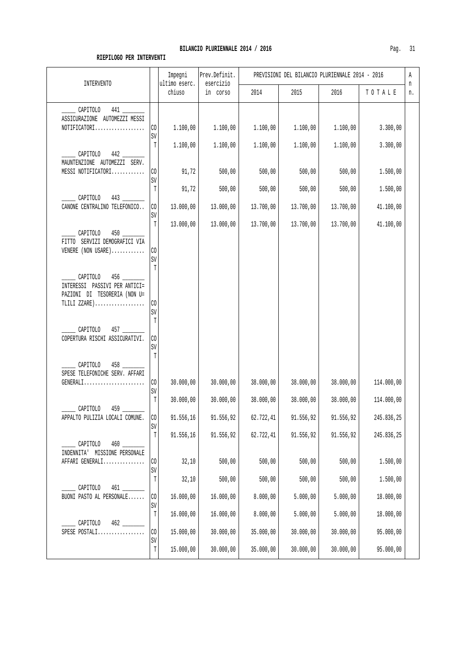| INTERVENTO                                                                                                  |                               | Impegni<br>ultimo eserc. | Prev.Definit.<br>esercizio | PREVISIONI DEL BILANCIO PLURIENNALE 2014 - 2016 |                        |                        |                        |         |
|-------------------------------------------------------------------------------------------------------------|-------------------------------|--------------------------|----------------------------|-------------------------------------------------|------------------------|------------------------|------------------------|---------|
|                                                                                                             |                               | chiuso                   | in corso                   | 2014                                            | 2015                   | 2016                   | TOTALE                 | n<br>n. |
| 441<br>CAPITOLO<br>ASSICURAZIONE AUTOMEZZI MESSI<br>$NOTIFICATION 1.$                                       | CO<br>SV                      | 1.100,00                 | 1.100,00                   | 1.100,00                                        | 1.100,00               | 1.100,00               | 3.300,00               |         |
| 442<br>CAPITOLO<br>MAUNTENZIONE AUTOMEZZI SERV.                                                             | T                             | 1.100,00                 | 1.100,00                   | 1.100,00                                        | 1.100,00               | 1.100,00               | 3.300,00               |         |
| MESSI NOTIFICATORI                                                                                          | CO<br>SV<br>T                 | 91,72<br>91,72           | 500,00<br>500,00           | 500,00<br>500,00                                | 500,00<br>500,00       | 500,00<br>500,00       | 1.500,00<br>1.500,00   |         |
| CAPITOLO<br>CANONE CENTRALINO TELEFONICO                                                                    | $\rm CO$                      | 13.000,00                | 13.000,00                  | 13.700,00                                       | 13.700,00              | 13.700,00              | 41.100,00              |         |
| CAPITOLO                                                                                                    | SV<br>T                       | 13.000,00                | 13.000,00                  | 13.700,00                                       | 13.700,00              | 13.700,00              | 41.100,00              |         |
| FITTO SERVIZI DEMOGRAFICI VIA<br>VENERE (NON USARE)                                                         | CO<br>SV<br>$\mathbb T$       |                          |                            |                                                 |                        |                        |                        |         |
| $456$ $\qquad$<br>CAPITOLO<br>INTERESSI PASSIVI PER ANTICI=<br>PAZIONI DI TESORERIA (NON U=<br>TLILI ZZARE) | CO                            |                          |                            |                                                 |                        |                        |                        |         |
| CAPITOLO<br>457<br>COPERTURA RISCHI ASSICURATIVI.                                                           | SV<br>$\mathbb T$<br>CO<br>SV |                          |                            |                                                 |                        |                        |                        |         |
| $458$ ___<br>CAPITOLO<br>SPESE TELEFONICHE SERV. AFFARI<br>$GENERALI.$                                      | T<br>CO                       | 30.000,00                | 30.000,00                  | 38.000,00                                       | 38.000,00              | 38.000,00              | 114.000,00             |         |
|                                                                                                             | SV<br>$\mathbb T$             | 30.000,00                | 30.000,00                  | 38.000,00                                       | 38.000,00              | 38.000,00              | 114.000,00             |         |
| CAPITOLO<br>459<br>APPALTO PULIZIA LOCALI COMUNE.                                                           | C <sub>0</sub>                | 91.556,16                | 91.556,92                  | 62.722,41                                       | 91.556,92              | 91.556,92              | 245.836,25             |         |
| ${\tt CAPITOLO}$<br>460                                                                                     | SV<br>$\mathbb T$             | 91.556,16                | 91.556,92                  | 62.722,41                                       | 91.556,92              | 91.556,92              | 245.836,25             |         |
| INDENNITA' MISSIONE PERSONALE<br>AFFARI GENERALI                                                            | CO                            | 32,10                    | 500,00                     | 500,00                                          | 500,00                 | 500,00                 | 1.500,00               |         |
| CAPITOLO<br>$461$ __                                                                                        | SV<br>T                       | 32,10                    | 500,00                     | 500,00                                          | 500,00                 | 500,00                 | 1.500,00               |         |
| BUONI PASTO AL PERSONALE                                                                                    | CO<br>SV                      | 16.000,00                | 16.000,00                  | 8.000,00                                        | 5.000,00               | 5.000,00               | 18.000,00              |         |
| CAPITOLO<br>462                                                                                             | T                             | 16.000,00                | 16.000,00                  | 8.000,00                                        | 5.000,00               | 5.000,00               | 18.000,00              |         |
| SPESE POSTALI                                                                                               | $\rm CO$<br>SV<br>$\mathbb T$ | 15.000,00<br>15.000,00   | 30.000,00<br>30.000,00     | 35.000,00<br>35.000,00                          | 30.000,00<br>30.000,00 | 30.000,00<br>30.000,00 | 95.000,00<br>95.000,00 |         |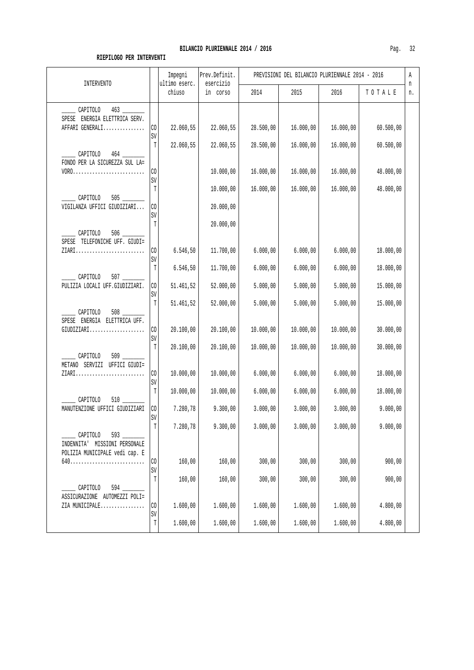| INTERVENTO                                                             |                | Impegni<br>ultimo eserc. | Prev.Definit.<br>esercizio | PREVISIONI DEL BILANCIO PLURIENNALE 2014 - 2016 |           |           |           |         |
|------------------------------------------------------------------------|----------------|--------------------------|----------------------------|-------------------------------------------------|-----------|-----------|-----------|---------|
|                                                                        |                | chiuso                   | in corso                   | 2014                                            | 2015      | 2016      | TOTALE    | n<br>n. |
| CAPITOLO                                                               |                |                          |                            |                                                 |           |           |           |         |
| SPESE ENERGIA ELETTRICA SERV.                                          |                |                          |                            |                                                 |           |           |           |         |
| AFFARI GENERALI                                                        | CO             | 22.060,55                | 22.060,55                  | 28.500,00                                       | 16.000,00 | 16.000,00 | 60.500,00 |         |
|                                                                        | SV             |                          |                            |                                                 |           |           |           |         |
| CAPITOLO                                                               | $\mathbb T$    | 22.060,55                | 22.060,55                  | 28.500,00                                       | 16.000,00 | 16.000,00 | 60.500,00 |         |
| FONDO PER LA SICUREZZA SUL LA=                                         |                |                          |                            |                                                 |           |           |           |         |
| $VORO.\ldots\ldots\ldots\ldots\ldots\ldots\ldots\ldots\ldots\ldots$    | CO             |                          | 10.000,00                  | 16.000,00                                       | 16.000,00 | 16.000,00 | 48.000,00 |         |
|                                                                        | SV             |                          |                            |                                                 |           |           |           |         |
|                                                                        | T              |                          | 10.000,00                  | 16.000,00                                       | 16.000,00 | 16.000,00 | 48.000,00 |         |
| CAPITOLO                                                               |                |                          |                            |                                                 |           |           |           |         |
| VIGILANZA UFFICI GIUDIZIARI                                            | CO             |                          | 20.000,00                  |                                                 |           |           |           |         |
|                                                                        | SV<br>Т        |                          | 20.000,00                  |                                                 |           |           |           |         |
| CAPITOLO                                                               |                |                          |                            |                                                 |           |           |           |         |
| SPESE TELEFONICHE UFF. GIUDI=                                          |                |                          |                            |                                                 |           |           |           |         |
| $\texttt{ZIARI} \dots \dots \dots \dots \dots \dots \dots \dots \dots$ | CO             | 6.546,50                 | 11.700,00                  | 6.000,00                                        | 6.000,00  | 6.000,00  | 18.000,00 |         |
|                                                                        | SV             |                          |                            |                                                 |           |           |           |         |
|                                                                        | T              | 6.546,50                 | 11.700,00                  | 6.000,00                                        | 6.000,00  | 6.000,00  | 18.000,00 |         |
| CAPITOLO<br>PULIZIA LOCALI UFF.GIUDIZIARI.                             | $\rm CO$       | 51.461,52                | 52.000,00                  | 5.000,00                                        | 5.000,00  | 5.000,00  | 15.000,00 |         |
|                                                                        | SV             |                          |                            |                                                 |           |           |           |         |
|                                                                        | T              | 51.461,52                | 52.000,00                  | 5.000,00                                        | 5.000,00  | 5.000,00  | 15.000,00 |         |
| CAPITOLO                                                               |                |                          |                            |                                                 |           |           |           |         |
| SPESE ENERGIA ELETTRICA UFF.                                           |                |                          |                            |                                                 |           |           |           |         |
| GIUDIZIARI                                                             | СO             | 20.100,00                | 20.100,00                  | 10.000,00                                       | 10.000,00 | 10.000,00 | 30.000,00 |         |
|                                                                        | SV<br>T        | 20.100,00                | 20.100,00                  | 10.000,00                                       | 10.000,00 | 10.000,00 | 30.000,00 |         |
| CAPITOLO                                                               |                |                          |                            |                                                 |           |           |           |         |
| METANO SERVIZI UFFICI GIUDI=                                           |                |                          |                            |                                                 |           |           |           |         |
| ZIARI                                                                  | CO.            | 10.000,00                | 10.000,00                  | 6.000,00                                        | 6.000,00  | 6.000,00  | 18.000,00 |         |
|                                                                        | SV             |                          |                            |                                                 |           |           |           |         |
|                                                                        | $\mathbb T$    | 10.000,00                | 10.000,00                  | 6.000,00                                        | 6.000,00  | 6.000,00  | 18.000,00 |         |
| $510$ __<br>CAPITOLO<br>MANUTENZIONE UFFICI GIUDIZIARI                 | $\rm CO$       | 7.280,78                 | 9.300,00                   | 3.000,00                                        | 3.000,00  | 3.000,00  | 9.000,00  |         |
|                                                                        | SV             |                          |                            |                                                 |           |           |           |         |
|                                                                        | T              | 7.280,78                 | 9.300,00                   | 3.000,00                                        | 3.000,00  | 3.000,00  | 9.000,00  |         |
| CAPITOLO<br>$593$ $-$                                                  |                |                          |                            |                                                 |           |           |           |         |
| INDENNITA' MISSIONI PERSONALE                                          |                |                          |                            |                                                 |           |           |           |         |
| POLIZIA MUNICIPALE vedi cap. E                                         |                |                          |                            |                                                 |           |           |           |         |
|                                                                        | $\rm CO$<br>SV | 160,00                   | 160,00                     | 300,00                                          | 300,00    | 300,00    | 900,00    |         |
|                                                                        | T              | 160,00                   | 160,00                     | 300,00                                          | 300,00    | 300,00    | 900,00    |         |
| 594<br>CAPITOLO                                                        |                |                          |                            |                                                 |           |           |           |         |
| ASSICURAZIONE AUTOMEZZI POLI=                                          |                |                          |                            |                                                 |           |           |           |         |
| ZIA MUNICIPALE                                                         | $\rm CO$       | 1.600,00                 | 1.600,00                   | 1.600,00                                        | 1.600,00  | 1.600,00  | 4.800,00  |         |
|                                                                        | SV             |                          |                            |                                                 |           |           |           |         |
|                                                                        | T              | 1.600,00                 | 1.600,00                   | 1.600,00                                        | 1.600,00  | 1.600,00  | 4.800,00  |         |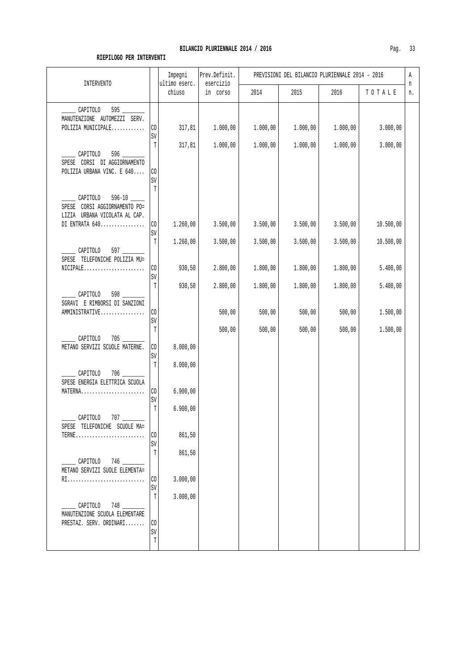| INTERVENTO                                                                 |                         | Impegni<br>ultimo eserc. | Prev.Definit.<br>esercizio | PREVISIONI DEL BILANCIO PLURIENNALE 2014 - 2016 |                      |                      |                        |         |
|----------------------------------------------------------------------------|-------------------------|--------------------------|----------------------------|-------------------------------------------------|----------------------|----------------------|------------------------|---------|
|                                                                            |                         | chiuso                   | in corso                   | 2014                                            | 2015                 | 2016                 | TOTALE                 | n<br>n. |
| 595<br>CAPITOLO<br>MANUTENZIONE AUTOMEZZI SERV.<br>POLIZIA MUNICIPALE      | CO                      | 317,81                   | 1.000,00                   | 1.000,00                                        | 1.000,00             | 1.000,00             | 3.000,00               |         |
| CAPITOLO<br>SPESE CORSI DI AGGIORNAMENTO<br>POLIZIA URBANA VINC. E 640     | SV<br>T<br>CO           | 317,81                   | 1.000,00                   | 1.000,00                                        | 1.000,00             | 1.000,00             | 3.000,00               |         |
| CAPITOLO<br>SPESE CORSI AGGIORNAMENTO PO=<br>LIZIA URBANA VICOLATA AL CAP. | SV<br>T                 |                          |                            |                                                 |                      |                      |                        |         |
| DI ENTRATA 640                                                             | $\rm CO$<br>SV<br>Т     | 1.260,00<br>1.260,00     | 3.500,00<br>3.500,00       | 3.500,00<br>3.500,00                            | 3.500,00<br>3.500,00 | 3.500,00<br>3.500,00 | 10.500,00<br>10.500,00 |         |
| $\sim$ CAPITOLO 597<br>SPESE TELEFONICHE POLIZIA MU=                       | CO.<br>SV               | 930,50                   | 2.800,00                   | 1.800,00                                        | 1.800,00             | 1.800,00             | 5.400,00               |         |
| _ CAPITOLO<br>SGRAVI E RIMBORSI DI SANZIONI<br>AMMINISTRATIVE              | T<br>CO                 | 930,50                   | 2.800,00<br>500,00         | 1.800,00<br>500,00                              | 1.800,00<br>500,00   | 1.800,00<br>500,00   | 5.400,00<br>1.500,00   |         |
| CAPITOLO                                                                   | $\mbox{SV}$<br>T        |                          | 500,00                     | 500,00                                          | 500,00               | 500,00               | 1.500,00               |         |
| METANO SERVIZI SCUOLE MATERNE.                                             | $\rm CO$<br>SV          | 8.000,00                 |                            |                                                 |                      |                      |                        |         |
| $706$ $\qquad$<br>CAPITOLO<br>SPESE ENERGIA ELETTRICA SCUOLA               | T                       | 8.000,00                 |                            |                                                 |                      |                      |                        |         |
| MATERNA                                                                    | $\rm CO$<br>SV<br>T     | 6.900,00<br>6.900,00     |                            |                                                 |                      |                      |                        |         |
| CAPITOLO<br>SPESE TELEFONICHE SCUOLE MA=<br>$TERNE$                        | CO                      | 861,50                   |                            |                                                 |                      |                      |                        |         |
| $\sim$ CAPITOLO 746                                                        | SV<br>T                 | 861,50                   |                            |                                                 |                      |                      |                        |         |
| METANO SERVIZI SUOLE ELEMENTA=<br>RI                                       | CO<br>SV                | 3.000,00                 |                            |                                                 |                      |                      |                        |         |
| CAPITOLO<br>748<br>MANUTENZIONE SCUOLA ELEMENTARE                          | Т                       | 3.000,00                 |                            |                                                 |                      |                      |                        |         |
| PRESTAZ. SERV. ORDINARI                                                    | CO<br>SV<br>$\mathbb T$ |                          |                            |                                                 |                      |                      |                        |         |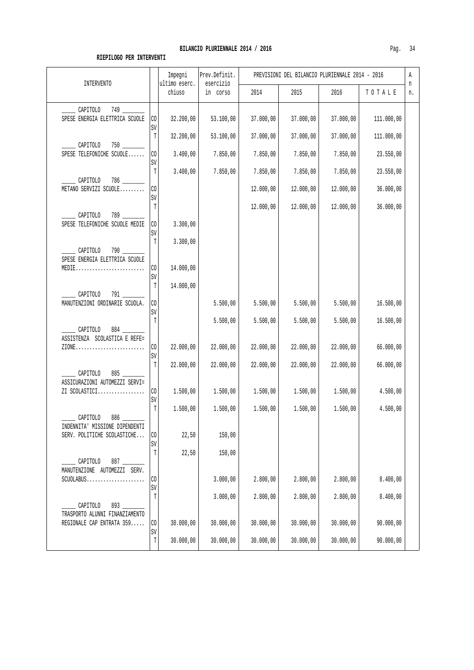| <b>INTERVENTO</b>                                                              |                            | Impegni<br>ultimo eserc. | Prev.Definit.<br>esercizio | PREVISIONI DEL BILANCIO PLURIENNALE 2014 - 2016 |           |           |            |         |
|--------------------------------------------------------------------------------|----------------------------|--------------------------|----------------------------|-------------------------------------------------|-----------|-----------|------------|---------|
|                                                                                |                            | chiuso                   | in corso                   | 2014                                            | 2015      | 2016      | TOTALE     | n<br>n. |
| CAPITOLO<br>SPESE ENERGIA ELETTRICA SCUOLE                                     | CO<br>SV                   | 32.200,00                | 53.100,00                  | 37.000,00                                       | 37.000,00 | 37.000,00 | 111.000,00 |         |
| CAPITOLO                                                                       | T                          | 32.200,00                | 53.100,00                  | 37.000,00                                       | 37.000,00 | 37.000,00 | 111.000,00 |         |
| SPESE TELEFONICHE SCUOLE                                                       | CO<br>SV                   | 3.400,00                 | 7.850,00                   | 7.850,00                                        | 7.850,00  | 7.850,00  | 23.550,00  |         |
| CAPITOLO                                                                       | T                          | 3.400,00                 | 7.850,00                   | 7.850,00                                        | 7.850,00  | 7.850,00  | 23.550,00  |         |
| METANO SERVIZI SCUOLE                                                          | $\rm CO$<br>SV             |                          |                            | 12.000,00                                       | 12.000,00 | 12.000,00 | 36.000,00  |         |
|                                                                                | T                          |                          |                            | 12.000,00                                       | 12.000,00 | 12.000,00 | 36.000,00  |         |
| CAPITOLO<br>789<br>SPESE TELEFONICHE SCUOLE MEDIE                              | CO                         | 3.300,00                 |                            |                                                 |           |           |            |         |
| $790$ $\qquad$<br>CAPITOLO                                                     | SV<br>T                    | 3.300,00                 |                            |                                                 |           |           |            |         |
| SPESE ENERGIA ELETTRICA SCUOLE<br>MEDIE                                        | CO <sub>2</sub>            | 14.000,00                |                            |                                                 |           |           |            |         |
| $791$ __                                                                       | SV<br>T                    | 14.000,00                |                            |                                                 |           |           |            |         |
| CAPITOLO<br>MANUTENZIONI ORDINARIE SCUOLA.                                     | $\rm CO$<br>SV             |                          | 5.500,00                   | 5.500,00                                        | 5.500,00  | 5.500,00  | 16.500,00  |         |
| CAPITOLO                                                                       | $\mathbb T$                |                          | 5.500,00                   | 5.500,00                                        | 5.500,00  | 5.500,00  | 16.500,00  |         |
| ASSISTENZA SCOLASTICA E REFE=<br>$ZIONE$                                       | CO<br>SV                   | 22.000,00                | 22.000,00                  | 22.000,00                                       | 22.000,00 | 22.000,00 | 66.000,00  |         |
| CAPITOLO                                                                       | T                          | 22.000,00                | 22.000,00                  | 22.000,00                                       | 22.000,00 | 22.000,00 | 66.000,00  |         |
| ASSICURAZIONI AUTOMEZZI SERVI=<br>ZI SCOLASTICI                                | CO <sub>1</sub>            | 1.500,00                 | 1.500,00                   | 1.500,00                                        | 1.500,00  | 1.500,00  | 4.500,00   |         |
|                                                                                | SV<br>T                    | 1.500,00                 | 1.500,00                   | 1.500,00                                        | 1.500,00  | 1.500,00  | 4.500,00   |         |
| CAPITOLO<br>INDENNITA' MISSIONE DIPENDENTI                                     |                            |                          |                            |                                                 |           |           |            |         |
| SERV. POLITICHE SCOLASTICHE                                                    | $\rm CO$<br>SV             | 22,50                    | 150,00                     |                                                 |           |           |            |         |
| CAPITOLO                                                                       | $\mathbb T$                | 22,50                    | 150,00                     |                                                 |           |           |            |         |
| MANUTENZIONE AUTOMEZZI SERV.<br>$SCUOLABUS$                                    | CO                         |                          | 3.000,00                   | 2.800,00                                        | 2.800,00  | 2.800,00  | 8.400,00   |         |
|                                                                                | SV<br>T                    |                          | 3.000,00                   | 2.800,00                                        | 2.800,00  | 2.800,00  | 8.400,00   |         |
| CAPITOLO<br>893<br>TRASPORTO ALUNNI FINANZIAMENTO<br>REGIONALE CAP ENTRATA 359 | $\rm CO$                   | 30.000,00                | 30.000,00                  | 30.000,00                                       | 30.000,00 | 30.000,00 | 90.000,00  |         |
|                                                                                | $\mbox{SV}$<br>$\mathbb T$ | 30.000,00                | 30.000,00                  | 30.000,00                                       | 30.000,00 | 30.000,00 | 90.000,00  |         |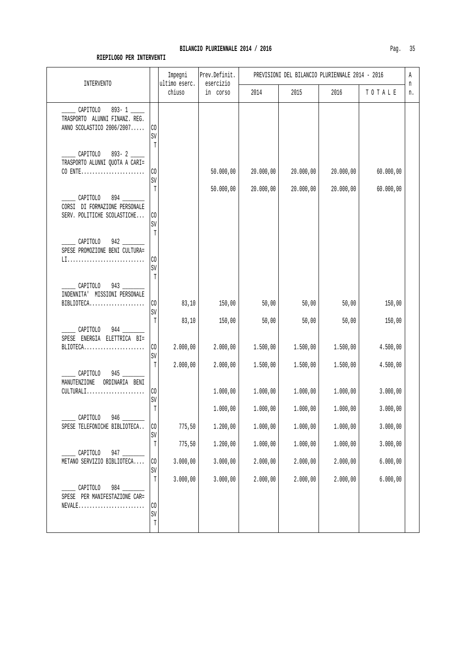| <b>INTERVENTO</b>                                                                                    |                              | Impegni<br>ultimo eserc. | Prev.Definit.<br>esercizio | PREVISIONI DEL BILANCIO PLURIENNALE 2014 - 2016<br>Α |                      |                      |                      |         |
|------------------------------------------------------------------------------------------------------|------------------------------|--------------------------|----------------------------|------------------------------------------------------|----------------------|----------------------|----------------------|---------|
|                                                                                                      |                              | chiuso                   | in corso                   | 2014                                                 | 2015                 | 2016                 | TOTALE               | n<br>n. |
| CAPITOLO<br>$893 - 1$<br>TRASPORTO ALUNNI FINANZ. REG.<br>ANNO SCOLASTICO 2006/2007                  | CO<br>SV<br>Т                |                          |                            |                                                      |                      |                      |                      |         |
| CAPITOLO 893-2<br>TRASPORTO ALUNNI QUOTA A CARI=<br>CO ENTE                                          | CO<br>SV                     |                          | 50.000,00                  | 20.000,00                                            | 20.000,00            | 20.000,00            | 60.000,00            |         |
| CAPITOLO<br>$894$ $-$<br>CORSI DI FORMAZIONE PERSONALE<br>SERV. POLITICHE SCOLASTICHE                | T<br>CO<br>SV                |                          | 50.000,00                  | 20.000,00                                            | 20.000,00            | 20.000,00            | 60.000,00            |         |
| CAPITOLO<br>SPESE PROMOZIONE BENI CULTURA=<br>LI                                                     | T<br>CO<br>SV                |                          |                            |                                                      |                      |                      |                      |         |
| CAPITOLO<br>INDENNITA' MISSIONI PERSONALE<br>$\mathtt{BIBLIOTECA}.\dots.\dots.\dots.\dots\dots\dots$ | $\mathbb T$<br>CO<br>SV      | 83,10                    | 150,00                     | 50,00                                                | 50,00                | 50,00                | 150,00               |         |
| CAPITOLO<br>SPESE ENERGIA ELETTRICA BI=<br>BLIOTECA                                                  | T<br>$\rm CO$<br>$\mbox{SV}$ | 83,10<br>2.000,00        | 150,00<br>2.000,00         | 50,00<br>1.500,00                                    | 50,00<br>1.500,00    | 50,00<br>1.500,00    | 150,00<br>4.500,00   |         |
| 945<br>CAPITOLO<br>MANUTENZIONE<br>ORDINARIA BENI                                                    | Т                            | 2.000,00                 | 2.000,00                   | 1.500,00                                             | 1.500,00             | 1.500,00             | 4.500,00             |         |
| $CULTURALI$<br>CAPITOLO<br>946                                                                       | CO<br>SV<br>T                |                          | 1.000,00<br>1.000,00       | 1.000,00<br>1.000,00                                 | 1.000,00<br>1.000,00 | 1.000,00<br>1.000,00 | 3.000,00<br>3.000,00 |         |
| SPESE TELEFONICHE BIBLIOTECA                                                                         | $\rm CO$<br>SV               | 775,50                   | 1.200,00                   | 1.000,00                                             | 1.000,00             | 1.000,00             | 3.000,00             |         |
| CAPITOLO<br>947                                                                                      | T                            | 775,50                   | 1.200,00                   | 1.000,00                                             | 1.000,00             | 1.000,00             | 3.000,00             |         |
| METANO SERVIZIO BIBLIOTECA                                                                           | $\rm CO$<br>SV               | 3.000,00                 | 3.000,00                   | 2.000,00                                             | 2.000,00             | 2.000,00             | 6.000,00             |         |
| 984<br>CAPITOLO<br>SPESE PER MANIFESTAZIONE CAR=<br>$NEVALE$                                         | $\mathbb T$<br>$_{\rm CO}$   | 3.000,00                 | 3.000,00                   | 2.000,00                                             | 2.000,00             | 2.000,00             | 6.000,00             |         |
|                                                                                                      | $\mbox{SV}$<br>T             |                          |                            |                                                      |                      |                      |                      |         |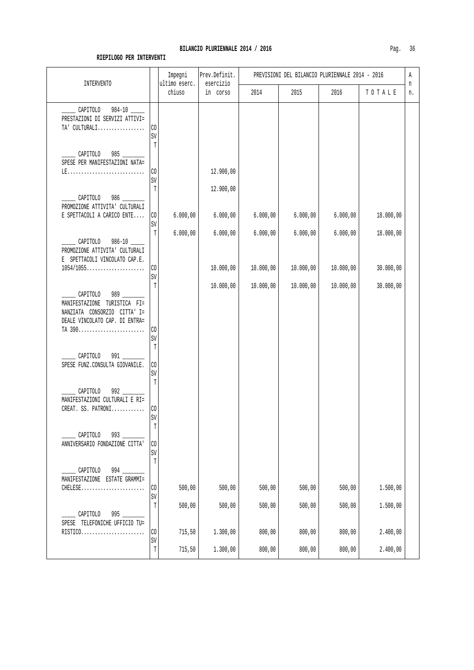## BILANCIO PLURIENNALE 2014 / 2016

| Ξ |
|---|
|---|

| <b>INTERVENTO</b>                                                                                          |                          | Impegni<br>ultimo eserc. | Prev.Definit.<br>esercizio | PREVISIONI DEL BILANCIO PLURIENNALE 2014 - 2016 |           |           |           |         |  |
|------------------------------------------------------------------------------------------------------------|--------------------------|--------------------------|----------------------------|-------------------------------------------------|-----------|-----------|-----------|---------|--|
|                                                                                                            |                          | chiuso                   | in corso                   | 2014                                            | 2015      | 2016      | TOTALE    | n<br>n. |  |
| CAPITOLO 984-10<br>PRESTAZIONI DI SERVIZI ATTIVI=<br>TA' CULTURALI                                         | CO<br>SV<br>$\mathbb{T}$ |                          |                            |                                                 |           |           |           |         |  |
| CAPITOLO<br>SPESE PER MANIFESTAZIONI NATA=                                                                 | $\rm CO$                 |                          | 12.900,00                  |                                                 |           |           |           |         |  |
|                                                                                                            | SV<br>T                  |                          | 12.900,00                  |                                                 |           |           |           |         |  |
| CAPITOLO<br>PROMOZIONE ATTIVITA' CULTURALI<br>E SPETTACOLI A CARICO ENTE                                   | $\rm CO$                 | 6.000,00                 | 6.000,00                   | 6.000,00                                        | 6.000,00  | 6.000,00  | 18.000,00 |         |  |
| CAPITOLO<br>PROMOZIONE ATTIVITA' CULTURALI                                                                 | SV<br>T                  | 6.000,00                 | 6.000,00                   | 6.000,00                                        | 6.000,00  | 6.000,00  | 18.000,00 |         |  |
| E SPETTACOLI VINCOLATO CAP.E.<br>$1054/1055$                                                               | CO                       |                          | 10.000,00                  | 10.000,00                                       | 10.000,00 | 10.000,00 | 30.000,00 |         |  |
| CAPITOLO<br>MANIFESTAZIONE TURISTICA FI=<br>NANZIATA CONSORZIO CITTA' I=<br>DEALE VINCOLATO CAP. DI ENTRA= | SV<br>$\mathbb{T}$       |                          | 10.000,00                  | 10.000,00                                       | 10.000,00 | 10.000,00 | 30.000,00 |         |  |
| TA 390<br>CAPITOLO<br>991                                                                                  | CO<br>SV<br>T            |                          |                            |                                                 |           |           |           |         |  |
| SPESE FUNZ.CONSULTA GIOVANILE.                                                                             | $\rm CO$<br>SV<br>T      |                          |                            |                                                 |           |           |           |         |  |
| CAPITOLO<br>MANIFESTAZIONI CULTURALI E RI=<br>CREAT. SS. PATRONI                                           | $\rm CO$<br>SV<br>Т      |                          |                            |                                                 |           |           |           |         |  |
| CAPITOLO<br>993<br>ANNIVERSARIO FONDAZIONE CITTA'                                                          | CO<br>SV<br>$\mathbb T$  |                          |                            |                                                 |           |           |           |         |  |
| $994$ $-$<br>CAPITOLO<br>MANIFESTAZIONE ESTATE GRAMMI=<br>CHELESE                                          | CO                       | 500,00                   | 500,00                     | 500,00                                          | 500,00    | 500,00    | 1.500,00  |         |  |
|                                                                                                            | SV<br>T                  | 500,00                   | 500,00                     | 500,00                                          | 500,00    | 500,00    | 1.500,00  |         |  |
| CAPITOLO<br>SPESE TELEFONICHE UFFICIO TU=<br>RISTICO                                                       | CO                       | 715,50                   | 1.300,00                   | 800,00                                          | 800,00    | 800,00    | 2.400,00  |         |  |
|                                                                                                            | SV<br>$\mathbb T$        | 715,50                   | 1.300,00                   | 800,00                                          | 800,00    | 800,00    | 2.400,00  |         |  |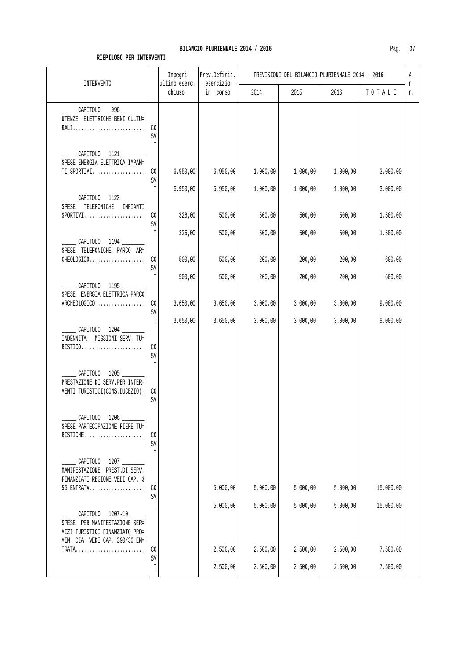#### BILANCIO PLURIENNALE 2014 / 2016

| Pag |  |  |
|-----|--|--|
|-----|--|--|

| <b>INTERVENTO</b>                                                                                                          |                                   | Impegni<br>ultimo eserc. | Prev.Definit.<br>esercizio | PREVISIONI DEL BILANCIO PLURIENNALE 2014 - 2016 |          |          |           |         |  |
|----------------------------------------------------------------------------------------------------------------------------|-----------------------------------|--------------------------|----------------------------|-------------------------------------------------|----------|----------|-----------|---------|--|
|                                                                                                                            |                                   | chiuso                   | in corso                   | 2014                                            | 2015     | 2016     | TOTALE    | n<br>n. |  |
| CAPITOLO 996<br>UTENZE ELETTRICHE BENI CULTU=<br>RALI                                                                      | CO<br>SV<br>$\mathbb T$           |                          |                            |                                                 |          |          |           |         |  |
| CAPITOLO 1121 ______<br>SPESE ENERGIA ELETTRICA IMPAN=<br>TI SPORTIVI                                                      | CO<br>SV                          | 6.950,00                 | 6.950,00                   | 1.000,00                                        | 1.000,00 | 1.000,00 | 3.000,00  |         |  |
| ___ CAPITOLO 1122 ______<br>SPESE TELEFONICHE IMPIANTI                                                                     | T                                 | 6.950,00                 | 6.950,00                   | 1.000,00                                        | 1.000,00 | 1.000,00 | 3.000,00  |         |  |
| $SPORTIVI.$                                                                                                                | CO<br>SV                          | 326,00                   | 500,00                     | 500,00                                          | 500,00   | 500,00   | 1.500,00  |         |  |
| CAPITOLO 1194<br>SPESE TELEFONICHE PARCO AR=                                                                               | Т                                 | 326,00                   | 500,00                     | 500,00                                          | 500,00   | 500,00   | 1.500,00  |         |  |
| CHEOLOGICO                                                                                                                 | CO.<br>SV                         | 500,00                   | 500,00                     | 200,00                                          | 200,00   | 200,00   | 600,00    |         |  |
| CAPITOLO 1195                                                                                                              | T                                 | 500,00                   | 500,00                     | 200,00                                          | 200,00   | 200,00   | 600,00    |         |  |
| SPESE ENERGIA ELETTRICA PARCO<br>ARCHEOLOGICO                                                                              | CO.<br>SV                         | 3.650,00                 | 3.650,00                   | 3.000,00                                        | 3.000,00 | 3.000,00 | 9.000,00  |         |  |
| CAPITOLO 1204 _____<br>INDENNITA' MISSIONI SERV. TU=<br>$RISTICO.\dots.\dots.\dots.\dots.\dots\dots$                       | $\mathbb T$<br>CO.<br>$\mbox{SV}$ | 3.650,00                 | 3.650,00                   | 3.000,00                                        | 3.000,00 | 3.000,00 | 9.000,00  |         |  |
| CAPITOLO 1205<br>PRESTAZIONE DI SERV. PER INTER=<br>VENTI TURISTICI (CONS.DUCEZIO).                                        | $\mathbb T$<br>CO<br>SV<br>T      |                          |                            |                                                 |          |          |           |         |  |
| CAPITOLO 1206<br>SPESE PARTECIPAZIONE FIERE TU=<br>RISTICHE                                                                | CO                                |                          |                            |                                                 |          |          |           |         |  |
| $1207$ $\phantom{0}$<br>CAPITOLO<br>MANIFESTAZIONE PREST.DI SERV.<br>FINANZIATI REGIONE VEDI CAP. 3                        | $\mbox{SV}$<br>$\mathbb T$        |                          |                            |                                                 |          |          |           |         |  |
| 55 ENTRATA                                                                                                                 | CO<br>SV                          |                          | 5.000,00                   | 5.000,00                                        | 5.000,00 | 5.000,00 | 15.000,00 |         |  |
| CAPITOLO<br>$1207 - 10$<br>SPESE PER MANIFESTAZIONE SER=<br>VIZI TURISTICI FINANZIATO PRO=<br>VIN CIA VEDI CAP. 390/30 EN= | T                                 |                          | 5.000,00                   | 5.000,00                                        | 5.000,00 | 5.000,00 | 15.000,00 |         |  |
| TRATA                                                                                                                      | CO.<br>$\mbox{SV}$                |                          | 2.500,00                   | 2.500,00                                        | 2.500,00 | 2.500,00 | 7.500,00  |         |  |
|                                                                                                                            | T                                 |                          | 2.500,00                   | 2.500,00                                        | 2.500,00 | 2.500,00 | 7.500,00  |         |  |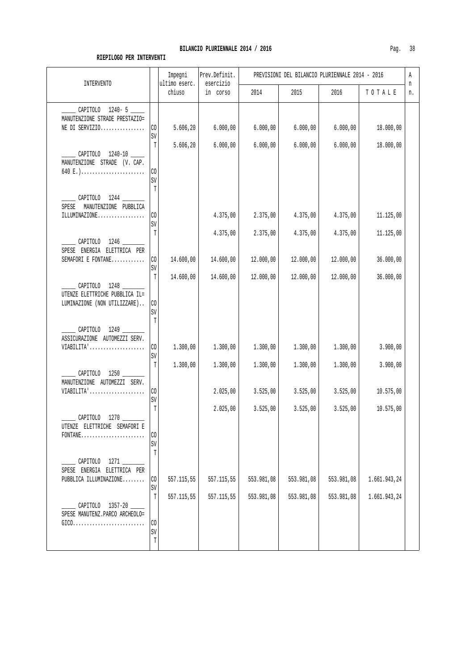| INTERVENTO                                                                          |                            | Impegni<br>ultimo eserc. | Prev.Definit.<br>esercizio | PREVISIONI DEL BILANCIO PLURIENNALE 2014 - 2016 |            |            |              |         |  |
|-------------------------------------------------------------------------------------|----------------------------|--------------------------|----------------------------|-------------------------------------------------|------------|------------|--------------|---------|--|
|                                                                                     |                            | chiuso                   | in corso                   | 2014                                            | 2015       | 2016       | TOTALE       | n<br>n. |  |
| CAPITOLO 1240-5                                                                     |                            |                          |                            |                                                 |            |            |              |         |  |
| MANUTENZIONE STRADE PRESTAZIO=<br>NE DI SERVIZIO                                    | CO                         | 5.606,20                 | 6.000,00                   | 6.000,00                                        | 6.000,00   | 6.000,00   | 18.000,00    |         |  |
|                                                                                     | SV<br>Т                    | 5.606, 20                | 6.000,00                   | 6.000,00                                        | 6.000,00   | 6.000,00   | 18.000,00    |         |  |
| CAPITOLO 1240-10 _____<br>MANUTENZIONE STRADE (V. CAP.                              |                            |                          |                            |                                                 |            |            |              |         |  |
| 640 E.)                                                                             | CO<br>SV                   |                          |                            |                                                 |            |            |              |         |  |
| CAPITOLO 1244 _____                                                                 | T                          |                          |                            |                                                 |            |            |              |         |  |
| SPESE MANUTENZIONE PUBBLICA<br>ILLUMINAZIONE                                        | CO                         |                          | 4.375,00                   | 2.375,00                                        | 4.375,00   | 4.375,00   | 11.125,00    |         |  |
|                                                                                     | SV                         |                          |                            |                                                 |            |            |              |         |  |
| CAPITOLO 1246                                                                       | Т                          |                          | 4.375,00                   | 2.375,00                                        | 4.375,00   | 4.375,00   | 11.125,00    |         |  |
| SPESE ENERGIA ELETTRICA PER<br>SEMAFORI E FONTANE                                   | $\rm CO$                   | 14.600,00                | 14.600,00                  | 12.000,00                                       | 12.000,00  | 12.000,00  | 36.000,00    |         |  |
|                                                                                     | $\mbox{SV}$<br>$\mathbb T$ | 14.600,00                | 14.600,00                  | 12.000,00                                       | 12.000,00  | 12.000,00  | 36.000,00    |         |  |
| CAPITOLO 1248<br>UTENZE ELETTRICHE PUBBLICA IL=                                     |                            |                          |                            |                                                 |            |            |              |         |  |
| LUMINAZIONE (NON UTILIZZARE)                                                        | $\rm CO$<br>SV             |                          |                            |                                                 |            |            |              |         |  |
| CAPITOLO 1249 _____                                                                 | T                          |                          |                            |                                                 |            |            |              |         |  |
| ASSICURAZIONE AUTOMEZZI SERV.<br>VIABILITA'                                         | $\rm CO$                   | 1.300,00                 | 1.300,00                   | 1.300,00                                        | 1.300,00   | 1.300,00   | 3.900,00     |         |  |
|                                                                                     | SV                         |                          |                            |                                                 |            |            |              |         |  |
| CAPITOLO 1250                                                                       | T                          | 1.300,00                 | 1.300,00                   | 1.300,00                                        | 1.300,00   | 1.300,00   | 3.900,00     |         |  |
| MANUTENZIONE AUTOMEZZI SERV.<br>VIABILITA'                                          | CO                         |                          | 2.025,00                   | 3.525,00                                        | 3.525,00   | 3.525,00   | 10.575,00    |         |  |
|                                                                                     | SV<br>T                    |                          | 2.025,00                   | 3.525,00                                        | 3.525,00   | 3.525,00   | 10.575,00    |         |  |
| CAPITOLO<br>1270<br>UTENZE ELETTRICHE SEMAFORI E                                    |                            |                          |                            |                                                 |            |            |              |         |  |
| $FONTANE \ldots \ldots \ldots \ldots \ldots \ldots$                                 | CO<br>SV                   |                          |                            |                                                 |            |            |              |         |  |
| CAPITOLO 1271                                                                       | T                          |                          |                            |                                                 |            |            |              |         |  |
| SPESE ENERGIA ELETTRICA PER                                                         |                            |                          |                            |                                                 |            |            |              |         |  |
| PUBBLICA ILLUMINAZIONE                                                              | CO<br>SV                   | 557.115,55               | 557.115,55                 | 553.981,08                                      | 553.981,08 | 553.981,08 | 1.661.943,24 |         |  |
| 1357-20<br>CAPITOLO                                                                 | T                          | 557.115,55               | 557.115,55                 | 553.981,08                                      | 553.981,08 | 553.981,08 | 1.661.943,24 |         |  |
| SPESE MANUTENZ.PARCO ARCHEOLO=<br>$GIC0.\ldots.\ldots.\ldots.\ldots.\ldots.\ldots.$ | CO                         |                          |                            |                                                 |            |            |              |         |  |
|                                                                                     | SV<br>T                    |                          |                            |                                                 |            |            |              |         |  |
|                                                                                     |                            |                          |                            |                                                 |            |            |              |         |  |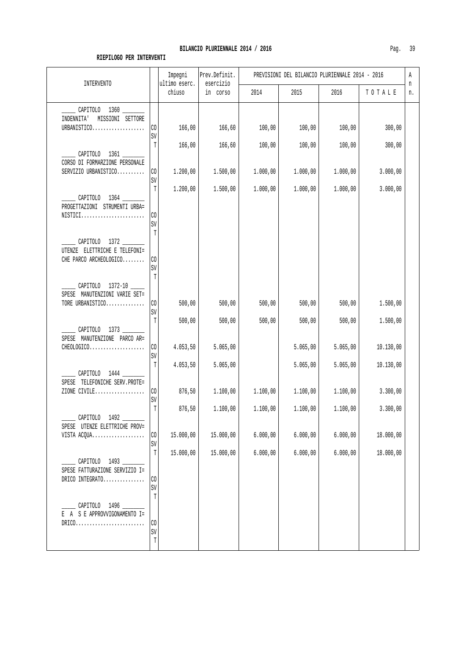| INTERVENTO                                             |                    | Impegni<br>ultimo eserc. | Prev.Definit.<br>esercizio |          | PREVISIONI DEL BILANCIO PLURIENNALE 2014 - 2016 |          |           | Α       |
|--------------------------------------------------------|--------------------|--------------------------|----------------------------|----------|-------------------------------------------------|----------|-----------|---------|
|                                                        |                    | chiuso                   | in corso                   | 2014     | 2015                                            | 2016     | TOTALE    | n<br>n. |
| CAPITOLO 1360                                          |                    |                          |                            |          |                                                 |          |           |         |
| INDENNITA'<br>MISSIONI SETTORE<br>URBANISTICO          | CO                 | 166,00                   | 166,60                     | 100,00   | 100,00                                          | 100,00   | 300,00    |         |
|                                                        | SV<br>T            | 166,00                   | 166,60                     | 100,00   | 100,00                                          | 100,00   | 300,00    |         |
| CORSO DI FORMARZIONE PERSONALE                         |                    |                          |                            |          |                                                 |          |           |         |
| SERVIZIO URBANISTICO                                   | CO<br>$\mbox{SV}$  | 1.200,00                 | 1.500,00                   | 1.000,00 | 1.000,00                                        | 1.000,00 | 3.000,00  |         |
| CAPITOLO 1364                                          | T                  | 1.200,00                 | 1.500,00                   | 1.000,00 | 1.000,00                                        | 1.000,00 | 3.000,00  |         |
| PROGETTAZIONI STRUMENTI URBA=<br>$NISTICI$             | CO                 |                          |                            |          |                                                 |          |           |         |
|                                                        | SV<br>Т            |                          |                            |          |                                                 |          |           |         |
| CAPITOLO 1372<br>UTENZE ELETTRICHE E TELEFONI=         |                    |                          |                            |          |                                                 |          |           |         |
| CHE PARCO ARCHEOLOGICO                                 | CO<br>SV           |                          |                            |          |                                                 |          |           |         |
| CAPITOLO 1372-10 _____                                 | Т                  |                          |                            |          |                                                 |          |           |         |
| SPESE MANUTENZIONI VARIE SET=                          |                    |                          |                            |          |                                                 |          |           |         |
| TORE URBANISTICO                                       | CO<br>$\mbox{SV}$  | 500,00                   | 500,00                     | 500,00   | 500,00                                          | 500,00   | 1.500,00  |         |
| CAPITOLO 1373                                          | T                  | 500,00                   | 500,00                     | 500,00   | 500,00                                          | 500,00   | 1.500,00  |         |
| SPESE MANUTENZIONE PARCO AR=<br>CHEOLOGICO             | $\rm CO$           | 4.053,50                 | 5.065,00                   |          | 5.065,00                                        | 5.065,00 | 10.130,00 |         |
|                                                        | SV<br>T            | 4.053,50                 | 5.065,00                   |          | 5.065,00                                        | 5.065,00 | 10.130,00 |         |
| CAPITOLO 1444 ______<br>SPESE TELEFONICHE SERV. PROTE= |                    |                          |                            |          |                                                 |          |           |         |
| ZIONE CIVILE                                           | CO.<br>$\mbox{SV}$ | 876,50                   | 1.100,00                   | 1.100,00 | 1.100,00                                        | 1.100,00 | 3.300,00  |         |
| CAPITOLO<br>1492                                       | T                  | 876,50                   | 1.100,00                   | 1.100,00 | 1.100,00                                        | 1.100,00 | 3.300,00  |         |
| SPESE UTENZE ELETTRICHE PROV=<br>VISTA ACQUA           | CO                 | 15.000,00                | 15.000,00                  | 6.000,00 | 6.000,00                                        | 6.000,00 | 18.000,00 |         |
|                                                        | SV<br>$\mathbb T$  | 15.000,00                | 15.000,00                  | 6.000,00 | 6.000,00                                        | 6.000,00 | 18.000,00 |         |
| CAPITOLO 1493<br>SPESE FATTURAZIONE SERVIZIO I=        |                    |                          |                            |          |                                                 |          |           |         |
| DRICO INTEGRATO                                        | $\rm CO$           |                          |                            |          |                                                 |          |           |         |
|                                                        | SV<br>T            |                          |                            |          |                                                 |          |           |         |
| CAPITOLO 1496<br>A S E APPROVVIGONAMENTO I=<br>E.      |                    |                          |                            |          |                                                 |          |           |         |
| $DRICO.$                                               | $\rm CO$<br>SV     |                          |                            |          |                                                 |          |           |         |
|                                                        | $\mathbb T$        |                          |                            |          |                                                 |          |           |         |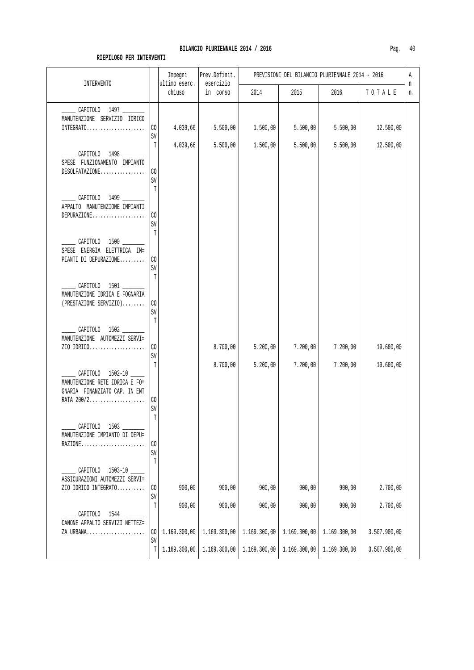| <b>INTERVENTO</b>                                                                                 |                              | Impegni<br>ultimo eserc. | Prev.Definit.<br>esercizio | PREVISIONI DEL BILANCIO PLURIENNALE 2014 - 2016 |                        |                        |                          |         |
|---------------------------------------------------------------------------------------------------|------------------------------|--------------------------|----------------------------|-------------------------------------------------|------------------------|------------------------|--------------------------|---------|
|                                                                                                   |                              | chiuso                   | in corso                   | 2014                                            | 2015                   | 2016                   | TOTALE                   | n<br>n. |
| CAPITOLO 1497<br>MANUTENZIONE SERVIZIO IDRICO<br>$INTEGRATO.$                                     | CO<br>SV                     | 4.039,66                 | 5.500,00                   | 1.500,00                                        | 5.500,00               | 5.500,00               | 12.500,00                |         |
| CAPITOLO 1498<br>SPESE FUNZIONAMENTO IMPIANTO<br>DESOLFATAZIONE                                   | T<br>CO<br>$\mbox{SV}$<br>T  | 4.039,66                 | 5.500,00                   | 1.500,00                                        | 5.500,00               | 5.500,00               | 12.500,00                |         |
| CAPITOLO 1499<br>APPALTO MANUTENZIONE IMPIANTI<br>DEPURAZIONE                                     | CO<br>SV<br>T                |                          |                            |                                                 |                        |                        |                          |         |
| CAPITOLO 1500<br>SPESE ENERGIA ELETTRICA IM=<br>PIANTI DI DEPURAZIONE                             | CO<br>SV<br>$\mathbb T$      |                          |                            |                                                 |                        |                        |                          |         |
| CAPITOLO 1501<br>MANUTENZIONE IDRICA E FOGNARIA<br>(PRESTAZIONE SERVIZIO)                         | CO<br>$\mbox{SV}$<br>T       |                          |                            |                                                 |                        |                        |                          |         |
| CAPITOLO 1502<br>MANUTENZIONE AUTOMEZZI SERVI=<br>ZIO IDRICO                                      | $\rm CO$<br>$\mbox{SV}$<br>T |                          | 8.700,00<br>8.700,00       | 5.200,00<br>5.200,00                            | 7.200,00<br>7.200,00   | 7.200,00<br>7.200,00   | 19.600,00<br>19.600,00   |         |
| CAPITOLO 1502-10<br>MANUTENZIONE RETE IDRICA E FO=<br>GNARIA FINANZIATO CAP. IN ENT<br>RATA 200/2 | $\rm CO$<br>SV               |                          |                            |                                                 |                        |                        |                          |         |
| CAPITOLO<br>MANUTENZIONE IMPIANTO DI DEPU=<br>RAZIONE                                             | $\mathbb T$<br>CO<br>SV<br>T |                          |                            |                                                 |                        |                        |                          |         |
| $1503 - 10$<br>CAPITOLO<br>ASSICURAZIONI AUTOMEZZI SERVI=<br>ZIO IDRICO INTEGRATO                 | $\mathcal{C}0$<br>SV         | 900,00                   | 900,00                     | 900,00                                          | 900,00                 | 900,00                 | 2.700,00                 |         |
| CAPITOLO<br>1544<br>CANONE APPALTO SERVIZI NETTEZ=<br>ZA URBANA                                   | T<br>CO                      | 900,00<br>1.169.300,00   | 900,00<br>1.169.300,00     | 900,00<br>1.169.300,00                          | 900,00<br>1.169.300,00 | 900,00<br>1.169.300,00 | 2.700,00<br>3.507.900,00 |         |
|                                                                                                   | SV<br>T                      | 1.169.300,00             | 1.169.300,00               | 1.169.300,00                                    | 1.169.300,00           | 1.169.300,00           | 3.507.900,00             |         |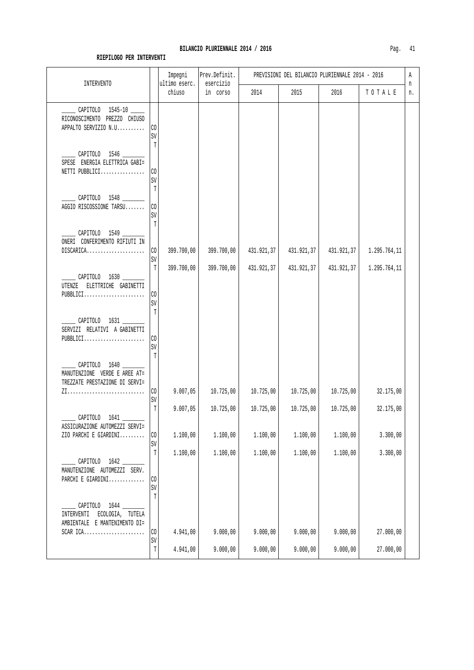|                                                                                  |                               | Impegni<br>ultimo eserc. | Prev.Definit.            | PREVISIONI DEL BILANCIO PLURIENNALE 2014 - 2016 |                          |                          |                              |         |  |
|----------------------------------------------------------------------------------|-------------------------------|--------------------------|--------------------------|-------------------------------------------------|--------------------------|--------------------------|------------------------------|---------|--|
| <b>INTERVENTO</b>                                                                |                               | chiuso                   | esercizio<br>in corso    | 2014                                            | 2015                     | 2016                     | TOTALE                       | n<br>n. |  |
| CAPITOLO 1545-10<br>RICONOSCIMENTO PREZZO CHIUSO<br>APPALTO SERVIZIO N.U         | $_{\rm CO}$<br>SV<br>T        |                          |                          |                                                 |                          |                          |                              |         |  |
| ______ CAPITOLO 1546 _______<br>SPESE ENERGIA ELETTRICA GABI=<br>NETTI PUBBLICI  | CO<br>SV                      |                          |                          |                                                 |                          |                          |                              |         |  |
| CAPITOLO 1548<br>AGGIO RISCOSSIONE TARSU                                         | T<br>$\rm CO$<br>SV<br>T      |                          |                          |                                                 |                          |                          |                              |         |  |
| ______ CAPITOLO 1549 ___<br>ONERI CONFERIMENTO RIFIUTI IN<br>DISCARICA           | $\rm CO$<br>SV<br>T           | 399.700,00<br>399.700,00 | 399.700,00<br>399.700,00 | 431.921,37<br>431.921,37                        | 431.921,37<br>431.921,37 | 431.921,37<br>431.921,37 | 1.295.764,11<br>1.295.764,11 |         |  |
| CAPITOLO 1630<br>UTENZE ELETTRICHE GABINETTI<br>PUBBLICI                         | CO<br>SV<br>T                 |                          |                          |                                                 |                          |                          |                              |         |  |
| CAPITOLO 1631<br>SERVIZI RELATIVI A GABINETTI<br>$PUBBLICI$                      | CO<br>SV                      |                          |                          |                                                 |                          |                          |                              |         |  |
| CAPITOLO 1640<br>MANUTENZIONE VERDE E AREE AT=<br>TREZZATE PRESTAZIONE DI SERVI= | T<br>$\rm CO$                 | 9.007,05                 | 10.725,00                | 10.725,00                                       | 10.725,00                | 10.725,00                | 32.175,00                    |         |  |
| CAPITOLO<br>1641                                                                 | SV<br>$\mathbb T$             | 9.007,05                 | 10.725,00                | 10.725,00                                       | 10.725,00                | 10.725,00                | 32.175,00                    |         |  |
| ASSICURAZIONE AUTOMEZZI SERVI=<br>ZIO PARCHI E GIARDINI                          | CO<br>SV                      | 1.100,00                 | 1.100,00                 | 1.100,00                                        | 1.100,00                 | 1.100,00                 | 3.300,00                     |         |  |
| CAPITOLO 1642<br>MANUTENZIONE AUTOMEZZI SERV.<br>PARCHI E GIARDINI               | $\mathbb T$<br>$\rm CO$<br>SV | 1.100,00                 | 1.100,00                 | 1.100,00                                        | 1.100,00                 | 1.100,00                 | 3.300,00                     |         |  |
| CAPITOLO 1644<br>INTERVENTI ECOLOGIA, TUTELA<br>AMBIENTALE E MANTENIMENTO DI=    | T                             |                          |                          |                                                 |                          |                          |                              |         |  |
| SCAR $ICA.$                                                                      | $\rm CO$<br>SV<br>$\mathbb T$ | 4.941,00<br>4.941,00     | 9.000,00<br>9.000,00     | 9.000,00<br>9.000,00                            | 9.000,00<br>9.000,00     | 9.000,00<br>9.000,00     | 27.000,00<br>27.000,00       |         |  |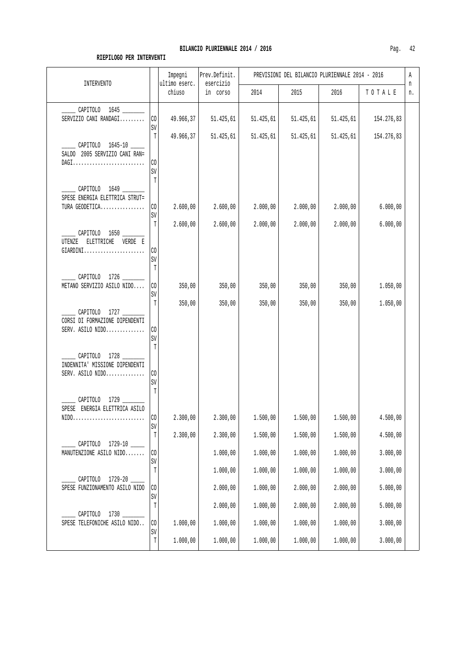| <b>INTERVENTO</b>                                                        |                                  | Impegni<br>ultimo eserc. | Prev.Definit.<br>esercizio | PREVISIONI DEL BILANCIO PLURIENNALE 2014 - 2016 |                      |                      |                      |         |
|--------------------------------------------------------------------------|----------------------------------|--------------------------|----------------------------|-------------------------------------------------|----------------------|----------------------|----------------------|---------|
|                                                                          |                                  | chiuso                   | in corso                   | 2014                                            | 2015                 | 2016                 | TOTALE               | n<br>n. |
| CAPITOLO 1645<br>SERVIZIO CANI RANDAGI                                   | CO<br>SV                         | 49.966,37                | 51.425,61                  | 51.425,61                                       | 51.425,61            | 51.425,61            | 154.276,83           |         |
| ______ CAPITOLO 1645-10 _____<br>SALDO 2005 SERVIZIO CANI RAN=<br>DAGI   | T<br>CO<br>SV                    | 49.966,37                | 51.425,61                  | 51.425,61                                       | 51.425,61            | 51.425,61            | 154.276,83           |         |
| CAPITOLO 1649 ______<br>SPESE ENERGIA ELETTRICA STRUT=<br>TURA GEODETICA | T<br>CO.<br>SV                   | 2.600,00                 | 2.600,00                   | 2.000,00                                        | 2.000,00             | 2.000,00             | 6.000,00             |         |
| CAPITOLO 1650 _____<br>UTENZE<br>ELETTRICHE VERDE E<br>$GIARDINI$        | T<br>CO<br>SV<br>T               | 2.600,00                 | 2.600,00                   | 2.000,00                                        | 2.000,00             | 2.000,00             | 6.000,00             |         |
| CAPITOLO 1726 ______<br>METANO SERVIZIO ASILO NIDO                       | CO<br>SV<br>T                    | 350,00<br>350,00         | 350,00<br>350,00           | 350,00<br>350,00                                | 350,00<br>350,00     | 350,00<br>350,00     | 1.050,00<br>1.050,00 |         |
| CAPITOLO 1727<br>CORSI DI FORMAZIONE DIPENDENTI<br>SERV. ASILO NIDO      | CO<br>SV<br>T                    |                          |                            |                                                 |                      |                      |                      |         |
| CAPITOLO 1728<br>INDENNITA' MISSIONE DIPENDENTI<br>SERV. ASILO NIDO      | $_{\rm CO}$<br>SV<br>T           |                          |                            |                                                 |                      |                      |                      |         |
| CAPITOLO 1729<br>SPESE ENERGIA ELETTRICA ASILO<br>NIDO                   | l CO<br>SV                       | 2.300,00                 | 2.300,00                   | 1.500,00                                        | 1.500,00             | 1.500,00             | 4.500,00             |         |
| CAPITOLO 1729-10<br>MANUTENZIONE ASILO NIDO                              | $\mathbb T$<br>$_{\rm CO}$<br>SV | 2.300,00                 | 2.300,00<br>1.000,00       | 1.500,00<br>1.000,00                            | 1.500,00<br>1.000,00 | 1.500,00<br>1.000,00 | 4.500,00<br>3.000,00 |         |
| CAPITOLO<br>1729-20<br>SPESE FUNZIONAMENTO ASILO NIDO                    | T<br>CO<br>SV                    |                          | 1.000,00<br>2.000,00       | 1.000,00<br>1.000,00                            | 1.000,00<br>2.000,00 | 1.000,00<br>2.000,00 | 3.000,00<br>5.000,00 |         |
| CAPITOLO<br>SPESE TELEFONICHE ASILO NIDO                                 | T<br>CO                          | 1.000,00                 | 2.000,00<br>1.000,00       | 1.000,00<br>1.000,00                            | 2.000,00<br>1.000,00 | 2.000,00<br>1.000,00 | 5.000,00<br>3.000,00 |         |
|                                                                          | SV<br>$\mathbb T$                | 1.000,00                 | 1.000,00                   | 1.000,00                                        | 1.000,00             | 1.000,00             | 3.000,00             |         |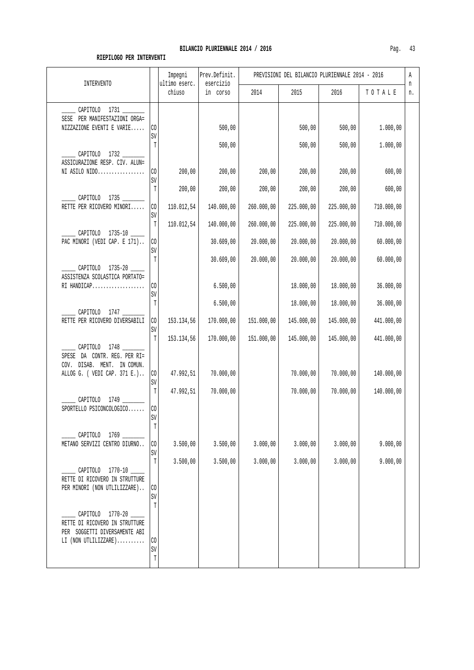### BILANCIO PLURIENNALE 2014 / 2016

| ٢а | - 1 |
|----|-----|
|----|-----|

| INTERVENTO                                                                                                    |                                        | Impegni<br>ultimo eserc. | Prev.Definit.<br>esercizio | PREVISIONI DEL BILANCIO PLURIENNALE 2014 - 2016<br>Α |                         |                         |                          |         |
|---------------------------------------------------------------------------------------------------------------|----------------------------------------|--------------------------|----------------------------|------------------------------------------------------|-------------------------|-------------------------|--------------------------|---------|
|                                                                                                               |                                        | chiuso                   | in corso                   | 2014                                                 | 2015                    | 2016                    | TOTALE                   | n<br>n. |
| ______ CAPITOLO 1731 _______<br>SESE PER MANIFESTAZIONI ORGA=<br>NIZZAZIONE EVENTI E VARIE                    | $\rm CO$<br>SV                         |                          | 500,00                     |                                                      | 500,00                  | 500,00                  | 1.000,00                 |         |
| CAPITOLO 1732<br>ASSICURAZIONE RESP. CIV. ALUN=<br>NI ASILO NIDO                                              | T<br>CO.<br>SV                         | 200,00                   | 500,00<br>200,00           | 200,00                                               | 500,00<br>200,00        | 500,00<br>200,00        | 1.000,00<br>600,00       |         |
| CAPITOLO 1735<br>RETTE PER RICOVERO MINORI                                                                    | T<br>CO<br>SV                          | 200,00<br>110.012,54     | 200,00<br>140.000,00       | 200,00<br>260.000,00                                 | 200,00<br>225.000,00    | 200,00<br>225.000,00    | 600,00<br>710.000,00     |         |
| CAPITOLO 1735-10<br>PAC MINORI (VEDI CAP. E 171)                                                              | $\mathbb T$<br>$\rm CO$<br>SV          | 110.012,54               | 140.000,00<br>30.609,00    | 260.000,00<br>20.000,00                              | 225.000,00<br>20.000,00 | 225.000,00<br>20.000,00 | 710.000,00<br>60.000,00  |         |
| CAPITOLO 1735-20<br>ASSISTENZA SCOLASTICA PORTATO=<br>$RI$ HANDICAP                                           | T<br>CO<br>SV                          |                          | 30.609,00<br>6.500,00      | 20.000,00                                            | 20.000,00<br>18.000,00  | 20.000,00<br>18.000,00  | 60.000,00<br>36.000,00   |         |
| CAPITOLO 1747 ______<br>RETTE PER RICOVERO DIVERSABILI                                                        | T<br>$\rm CO$<br>$\mbox{SV}$           | 153.134,56               | 6.500,00<br>170.000,00     | 151.000,00                                           | 18.000,00<br>145.000,00 | 18.000,00<br>145.000,00 | 36.000,00<br>441.000,00  |         |
| CAPITOLO 1748<br>SPESE DA CONTR. REG. PER RI=<br>COV. DISAB. MENT. IN COMUN.<br>ALLOG G. ( VEDI CAP. 371 E.)  | $\mathbb{T}$<br>CO                     | 153.134,56<br>47.992,51  | 170.000,00<br>70.000,00    | 151.000,00                                           | 145.000,00<br>70.000,00 | 145.000,00<br>70.000,00 | 441.000,00<br>140.000,00 |         |
| CAPITOLO 1749<br>SPORTELLO PSICONCOLOGICO                                                                     | $\mbox{SV}$<br>$\mathbb T$<br>CO<br>SV | 47.992,51                | 70.000,00                  |                                                      | 70.000,00               | 70.000,00               | 140.000,00               |         |
| CAPITOLO 1769<br>METANO SERVIZI CENTRO DIURNO                                                                 | Ί<br>CO<br>SV                          | 3.500,00                 | 3.500,00                   | 3.000,00                                             | 3.000,00                | 3.000,00                | 9.000,00                 |         |
| CAPITOLO 1770-10<br>RETTE DI RICOVERO IN STRUTTURE<br>PER MINORI (NON UTLILIZZARE)                            | T<br>CO<br>SV                          | 3.500,00                 | 3.500,00                   | 3.000,00                                             | 3.000,00                | 3.000,00                | 9.000,00                 |         |
| CAPITOLO 1770-20<br>RETTE DI RICOVERO IN STRUTTURE<br>PER SOGGETTI DIVERSAMENTE ABI<br>$LI$ (NON UTLILIZZARE) | T<br>CO<br>SV<br>T                     |                          |                            |                                                      |                         |                         |                          |         |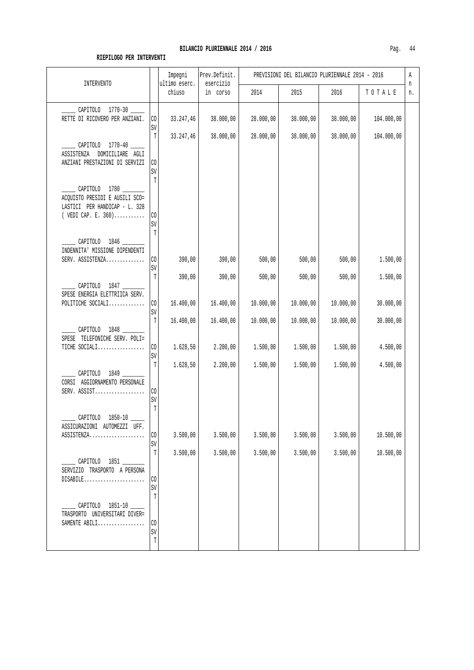| INTERVENTO                                                                                                       |                                | Impegni<br>ultimo eserc. | Prev.Definit.<br>esercizio | PREVISIONI DEL BILANCIO PLURIENNALE 2014 - 2016<br>Α |           |           |            |         |
|------------------------------------------------------------------------------------------------------------------|--------------------------------|--------------------------|----------------------------|------------------------------------------------------|-----------|-----------|------------|---------|
|                                                                                                                  |                                | chiuso                   | in corso                   | 2014                                                 | 2015      | 2016      | TOTALE     | n<br>n. |
| CAPITOLO 1770-30<br>RETTE DI RICOVERO PER ANZIANI.                                                               | $\rm CO$<br>$\mbox{SV}$        | 33.247,46                | 38.000,00                  | 28.000,00                                            | 38.000,00 | 38.000,00 | 104.000,00 |         |
| CAPITOLO 1770-40<br>ASSISTENZA<br>DOMICILIARE AGLI<br>ANZIANI PRESTAZIONI DI SERVIZI                             | T<br>CO<br>SV                  | 33.247,46                | 38.000,00                  | 28.000,00                                            | 38.000,00 | 38.000,00 | 104.000,00 |         |
| CAPITOLO 1780 ______<br>ACQUISTO PRESIDI E AUSILI SCO=<br>LASTICI PER HANDICAP - L. 328<br>( $VEDI$ CAP. E. 360) | T<br>C <sub>0</sub><br>SV<br>T |                          |                            |                                                      |           |           |            |         |
| CAPITOLO 1846<br>INDENNITA' MISSIONE DIPENDENTI<br>SERV. ASSISTENZA                                              | $\rm CO$                       | 390,00                   | 390,00                     | 500,00                                               | 500,00    | 500,00    | 1.500,00   |         |
| CAPITOLO 1847                                                                                                    | SV<br>T                        | 390,00                   | 390,00                     | 500,00                                               | 500,00    | 500,00    | 1.500,00   |         |
| SPESE ENERGIA ELETTRIICA SERV.<br>POLITICHE SOCIALI                                                              | $\rm CO$<br>$\mbox{SV}$        | 16.400,00                | 16.400,00                  | 10.000,00                                            | 10.000,00 | 10.000,00 | 30.000,00  |         |
| CAPITOLO 1848<br>SPESE TELEFONICHE SERV. POLI=                                                                   | T                              | 16.400,00                | 16.400,00                  | 10.000,00                                            | 10.000,00 | 10.000,00 | 30.000,00  |         |
| TICHE SOCIALI                                                                                                    | CO<br>$\mbox{SV}$              | 1.628,50                 | 2.200,00                   | 1.500,00                                             | 1.500,00  | 1.500,00  | 4.500,00   |         |
| CAPITOLO 1849<br>CORSI AGGIORNAMENTO PERSONALE<br>SERV. $ASSIST$                                                 | T<br>$\rm CO$<br>$\mbox{SV}$   | 1.628,50                 | 2.200,00                   | 1.500,00                                             | 1.500,00  | 1.500,00  | 4.500,00   |         |
| CAPITOLO<br>$1850 - 10$<br>ASSICURAZIONI AUTOMEZZI UFF.<br>ASSISTENZA                                            | T<br>CO                        | 3.500,00                 | 3.500,00                   | 3.500,00                                             | 3.500,00  | 3.500,00  | 10.500,00  |         |
|                                                                                                                  | SV<br>$\mathbb T$              | 3.500,00                 | 3.500,00                   | 3.500,00                                             | 3.500,00  | 3.500,00  | 10.500,00  |         |
| CAPITOLO 1851 ______<br>SERVIZIO TRASPORTO A PERSONA<br>$DISABLE$                                                | CO<br>SV                       |                          |                            |                                                      |           |           |            |         |
| CAPITOLO 1851-10<br>TRASPORTO UNIVERSITARI DIVER=<br>SAMENTE ABILI                                               | T<br>CO                        |                          |                            |                                                      |           |           |            |         |
|                                                                                                                  | $\mbox{SV}$<br>T               |                          |                            |                                                      |           |           |            |         |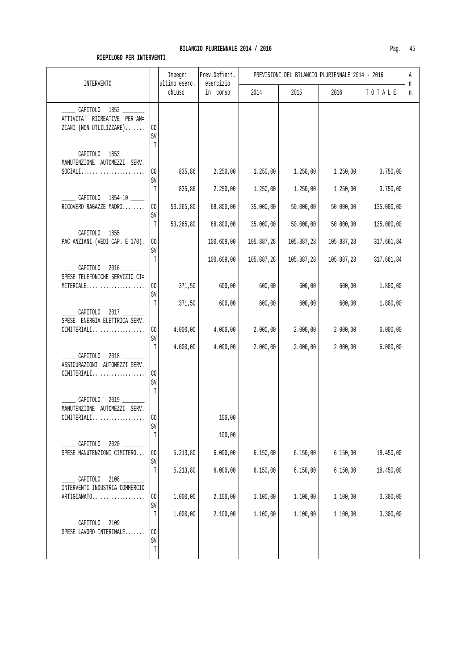| <b>INTERVENTO</b>                                                        |               | Impegni<br>ultimo eserc. | Prev.Definit.<br>esercizio | PREVISIONI DEL BILANCIO PLURIENNALE 2014 - 2016 |            |            |            |         |
|--------------------------------------------------------------------------|---------------|--------------------------|----------------------------|-------------------------------------------------|------------|------------|------------|---------|
|                                                                          |               | chiuso                   | in corso                   | 2014                                            | 2015       | 2016       | TOTALE     | n<br>n. |
| CAPITOLO 1852<br>ATTIVITA' RICREATIVE PER AN=<br>ZIANI (NON UTLILIZZARE) | CO<br>SV      |                          |                            |                                                 |            |            |            |         |
| CAPITOLO 1853<br>MANUTENZIONE AUTOMEZZI SERV.<br>$SOCIALI.$              | T<br>CO.      | 835,86                   | 2.250,00                   | 1.250,00                                        | 1.250,00   | 1.250,00   | 3.750,00   |         |
| CAPITOLO 1854-10                                                         | SV<br>T       | 835,86                   | 2.250,00                   | 1.250,00                                        | 1.250,00   | 1.250,00   | 3.750,00   |         |
| RICOVERO RAGAZZE MADRI                                                   | CO<br>SV      | 53.265,80                | 68.800,00                  | 35.000,00                                       | 50.000,00  | 50.000,00  | 135.000,00 |         |
| CAPITOLO 1855                                                            | T             | 53.265,80                | 68.800,00                  | 35.000,00                                       | 50.000,00  | 50.000,00  | 135.000,00 |         |
| PAC ANZIANI (VEDI CAP. E 170).                                           | CO<br>SV      |                          | 100.609,00                 | 105.887,28                                      | 105.887,28 | 105.887,28 | 317.661,84 |         |
| CAPITOLO 2016<br>SPESE TELEFONICHE SERVIZIO CI=                          | T             |                          | 100.609,00                 | 105.887,28                                      | 105.887,28 | 105.887,28 | 317.661,84 |         |
| MITERIALE                                                                | CO<br>SV      | 371,50                   | 600,00                     | 600,00                                          | 600,00     | 600,00     | 1.800,00   |         |
| CAPITOLO 2017<br>SPESE ENERGIA ELETTRICA SERV.                           | T             | 371,50                   | 600,00                     | 600,00                                          | 600,00     | 600,00     | 1.800,00   |         |
| $CIMITERIALI$                                                            | CO.<br>SV     | 4.000,00                 | 4.000,00                   | 2.000,00                                        | 2.000,00   | 2.000,00   | 6.000,00   |         |
| CAPITOLO 2018<br>ASSICURAZIONI AUTOMEZZI SERV.<br>$CIMITERIALI$          | Т<br>CO<br>SV | 4.000,00                 | 4.000,00                   | 2.000,00                                        | 2.000,00   | 2.000,00   | 6.000,00   |         |
| CAPITOLO<br>2019<br>MANUTENZIONE AUTOMEZZI SERV.                         | T             |                          |                            |                                                 |            |            |            |         |
| $CIMITERIALI$                                                            | CO<br>SV      |                          | 100,00                     |                                                 |            |            |            |         |
| CAPITOLO<br>$2020$ $-$                                                   | $\mathbb T$   |                          | 100,00                     |                                                 |            |            |            |         |
| SPESE MANUTENZIONI CIMITERO                                              | CO<br>SV      | 5.213,80                 | 6.000,00                   | 6.150,00                                        | 6.150,00   | 6.150,00   | 18.450,00  |         |
| CAPITOLO<br>INTERVENTI INDUSTRIA COMMERCIO                               | T             | 5.213,80                 | 6.000,00                   | 6.150,00                                        | 6.150,00   | 6.150,00   | 18.450,00  |         |
| ARTIGIANATO                                                              | CO<br>SV      | 1.000,00                 | 2.100,00                   | 1.100,00                                        | 1.100,00   | 1.100,00   | 3.300,00   |         |
| CAPITOLO<br>SPESE LAVORO INTERINALE                                      | T<br>CO       | 1.000,00                 | 2.100,00                   | 1.100,00                                        | 1.100,00   | 1.100,00   | 3.300,00   |         |
|                                                                          | SV<br>T       |                          |                            |                                                 |            |            |            |         |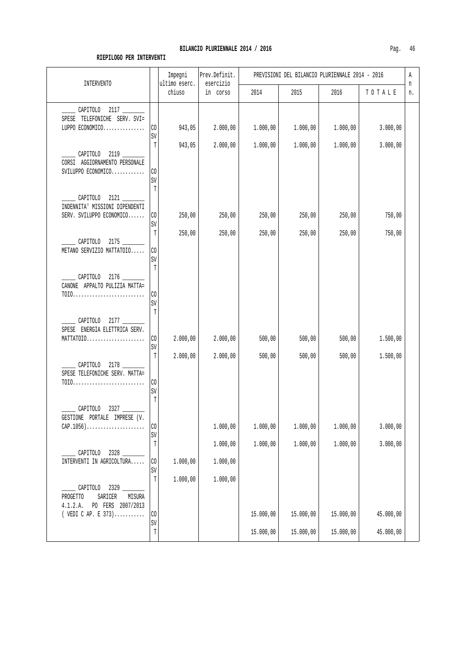| <b>INTERVENTO</b>                                                                                        |                                  | Impegni<br>ultimo eserc. | Prev.Definit.<br>esercizio | PREVISIONI DEL BILANCIO PLURIENNALE 2014 - 2016<br>Α<br>n |                      |                      |                      |    |
|----------------------------------------------------------------------------------------------------------|----------------------------------|--------------------------|----------------------------|-----------------------------------------------------------|----------------------|----------------------|----------------------|----|
|                                                                                                          |                                  | chiuso                   | in corso                   | 2014                                                      | 2015                 | 2016                 | TOTALE               | n. |
| CAPITOLO 2117<br>SPESE TELEFONICHE SERV. SVI=<br>LUPPO ECONOMICO                                         | CO<br>SV                         | 943,05                   | 2.000,00                   | 1.000,00                                                  | 1.000,00             | 1.000,00             | 3.000,00             |    |
| CAPITOLO 2119<br>CORSI AGGIORNAMENTO PERSONALE<br>SVILUPPO ECONOMICO                                     | T<br>CO<br>SV                    | 943,05                   | 2.000,00                   | 1.000,00                                                  | 1.000,00             | 1.000,00             | 3.000,00             |    |
| CAPITOLO 2121<br>INDENNITA' MISSIONI DIPENDENTI<br>SERV. SVILUPPO ECONOMICO                              | T<br>CO<br>SV                    | 250,00                   | 250,00                     | 250,00                                                    | 250,00               | 250,00               | 750,00               |    |
| ___ CAPITOLO 2175 _____<br>METANO SERVIZIO MATTATOIO                                                     | T<br>CO<br>SV<br>T               | 250,00                   | 250,00                     | 250,00                                                    | 250,00               | 250,00               | 750,00               |    |
| CAPITOLO 2176<br>CANONE APPALTO PULIZIA MATTA=<br>$TOIO.$                                                | CO<br>SV<br>T                    |                          |                            |                                                           |                      |                      |                      |    |
| CAPITOLO 2177<br>SPESE ENERGIA ELETTRICA SERV.<br>$MATTATOIO.\ldots\ldots\ldots\ldots\ldots\ldots\ldots$ | CO<br>SV                         | 2.000,00                 | 2.000,00                   | 500,00                                                    | 500,00               | 500,00               | 1.500,00             |    |
| $\sim$ CAPITOLO 2178<br>SPESE TELEFONICHE SERV. MATTA=                                                   | Т<br>CO<br>SV<br>T               | 2.000,00                 | 2.000,00                   | 500,00                                                    | 500,00               | 500,00               | 1.500,00             |    |
| CAPITOLO<br>2327<br>GESTIONE PORTALE IMPRESE (V.<br>$CAP.1056)$                                          | CO<br>$\mbox{SV}$<br>$\mathbb T$ |                          | 1.000,00<br>1.000,00       | 1.000,00<br>1.000,00                                      | 1.000,00<br>1.000,00 | 1.000,00<br>1.000,00 | 3.000,00<br>3.000,00 |    |
| CAPITOLO 2328<br>INTERVENTI IN AGRICOLTURA                                                               | CO<br>SV                         | 1.000,00                 | 1.000,00                   |                                                           |                      |                      |                      |    |
| CAPITOLO 2329<br>PROGETTO<br>SARICER<br>MISURA<br>4.1.2.A.<br>PO FERS 2007/2013<br>( VEDI CAP. E $373$ ) | $\mathbb T$<br>$\rm CO$          | 1.000,00                 | 1.000,00                   | 15.000,00                                                 | 15.000,00            | 15.000,00            | 45.000,00            |    |
|                                                                                                          | SV<br>$\mathbb T$                |                          |                            | 15.000,00                                                 | 15.000,00            | 15.000,00            | 45.000,00            |    |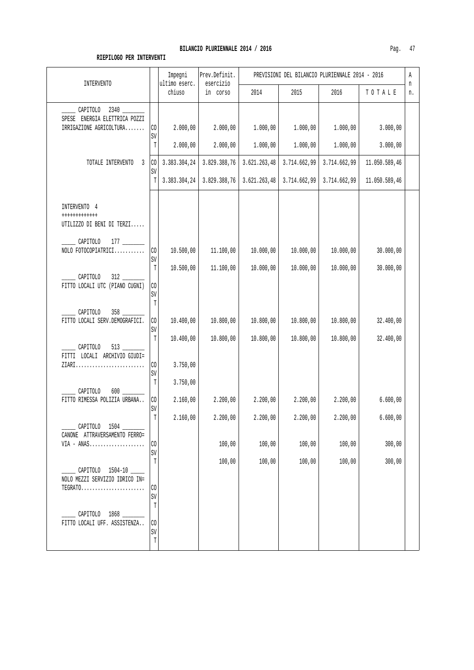|                                                                                                            |                                  | Impegni<br>ultimo eserc.     | Prev.Definit.                | PREVISIONI DEL BILANCIO PLURIENNALE 2014 - 2016<br>Α |                              |                              |                                |         |
|------------------------------------------------------------------------------------------------------------|----------------------------------|------------------------------|------------------------------|------------------------------------------------------|------------------------------|------------------------------|--------------------------------|---------|
| <b>INTERVENTO</b>                                                                                          |                                  | chiuso                       | esercizio<br>in corso        | 2014                                                 | 2015                         | 2016                         | TOTALE                         | n<br>n. |
| $2340$ $\qquad$<br>CAPITOLO<br>ENERGIA ELETTRICA POZZI<br>SPESE<br>IRRIGAZIONE AGRICOLTURA                 | CO<br>SV<br>$\mathbb T$          | 2.000,00<br>2.000,00         | 2.000,00<br>2.000,00         | 1.000,00<br>1.000,00                                 | 1.000,00<br>1.000,00         | 1.000,00<br>1.000,00         | 3.000,00<br>3.000,00           |         |
| TOTALE INTERVENTO<br>3                                                                                     | $_{\rm CO}$<br>SV<br>$\mathbb T$ | 3.383.304,24<br>3.383.304,24 | 3.829.388,76<br>3.829.388,76 | 3.621.263,48<br>3.621.263,48                         | 3.714.662,99<br>3.714.662,99 | 3.714.662,99<br>3.714.662,99 | 11.050.589,46<br>11.050.589,46 |         |
| INTERVENTO 4<br>++++++++++++<br>UTILIZZO DI BENI DI TERZI<br>CAPITOLO<br>NOLO FOTOCOPIATRICI<br>CAPITOLO   | CO<br>SV<br>T                    | 10.500,00<br>10.500,00       | 11.100,00<br>11.100,00       | 10.000,00<br>10.000,00                               | 10.000,00<br>10.000,00       | 10.000,00<br>10.000,00       | 30.000,00<br>30.000,00         |         |
| FITTO LOCALI UTC (PIANO CUGNI)<br>CAPITOLO<br>$358 -$<br>FITTO LOCALI SERV.DEMOGRAFICI.                    | CO<br>SV<br>$\mathbb T$<br>CO    | 10.400,00                    | 10.800,00                    | 10.800,00                                            | 10.800,00                    | 10.800,00                    | 32.400,00                      |         |
| CAPITOLO<br>FITTI LOCALI ARCHIVIO GIUDI=<br>ZIARI                                                          | SV<br>$\mathbb{T}$<br>CO<br>SV   | 10.400,00<br>3.750,00        | 10.800,00                    | 10.800,00                                            | 10.800,00                    | 10.800,00                    | 32.400,00                      |         |
| CAPITOLO<br>FITTO RIMESSA POLIZIA URBANA                                                                   | T<br>CO<br>SV                    | 3.750,00<br>2.160,00         | 2.200,00                     | 2.200,00                                             | 2.200,00                     | 2.200,00                     | 6.600,00                       |         |
| _ CAPITOLO 1504 ___<br>CANONE ATTRAVERSAMENTO FERRO=<br>$VIA - ANAS$                                       | $\mathbb T$<br>CO                | 2.160,00                     | 2.200,00<br>100,00           | 2.200,00<br>100,00                                   | 2.200,00<br>100,00           | 2.200,00<br>100,00           | 6.600,00<br>300,00             |         |
| CAPITOLO 1504-10<br>NOLO MEZZI SERVIZIO IDRICO IN=<br>$TEGRATO. \ldots \ldots \ldots \ldots \ldots \ldots$ | SV<br>T<br>CO<br>SV              |                              | 100,00                       | 100,00                                               | 100,00                       | 100,00                       | 300,00                         |         |
| CAPITOLO 1868<br>FITTO LOCALI UFF. ASSISTENZA                                                              | T<br>CO<br>SV<br>T               |                              |                              |                                                      |                              |                              |                                |         |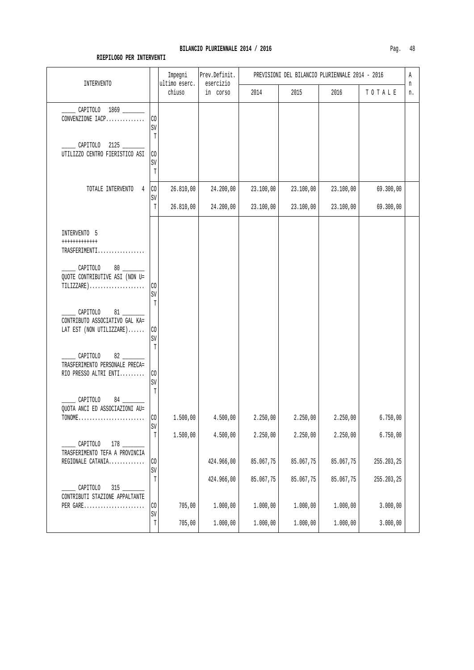#### **RIEPILOGO PER INTERVENTI**

CAPITOLO 84 QUOTA ANCI ED ASSOCIAZIONI AU=

 $\Box$  CAPITOLO 178  $\Box$ TRASFERIMENTO TEFA A PROVINCIA

 \_\_\_\_\_ CAPITOLO 315 \_\_\_\_\_\_\_\_ CONTRIBUTI STAZIONE APPALTANTE SV T

SV

SV

SV

| <b>INTERVENTO</b>                                                                                                                                                                             |                                                   | Impegni<br>ultimo eserc. | Prev.Definit.<br>esercizio | PREVISIONI DEL BILANCIO PLURIENNALE 2014 - 2016 |           |           |           |    |  |
|-----------------------------------------------------------------------------------------------------------------------------------------------------------------------------------------------|---------------------------------------------------|--------------------------|----------------------------|-------------------------------------------------|-----------|-----------|-----------|----|--|
|                                                                                                                                                                                               |                                                   | chiuso                   | in corso                   | 2014                                            | 2015      | 2016      | TOTALE    | n. |  |
| CAPITOLO 1869<br>CONVENZIONE IACP                                                                                                                                                             | CO<br>SV                                          |                          |                            |                                                 |           |           |           |    |  |
| CAPITOLO 2125<br>UTILIZZO CENTRO FIERISTICO ASI                                                                                                                                               | T<br>$\rm CO$<br>SV<br>T                          |                          |                            |                                                 |           |           |           |    |  |
| TOTALE INTERVENTO<br>4                                                                                                                                                                        | C <sub>0</sub><br>SV                              | 26.810,00                | 24.200,00                  | 23.100,00                                       | 23.100,00 | 23.100,00 | 69.300,00 |    |  |
|                                                                                                                                                                                               | $\mathbb{T}$                                      | 26.810,00                | 24.200,00                  | 23.100,00                                       | 23.100,00 | 23.100,00 | 69.300,00 |    |  |
| INTERVENTO 5<br>++++++++++++<br>TRASFERIMENTI<br>CAPITOLO<br>QUOTE CONTRIBUTIVE ASI (NON U=<br>$TILLIZZARE$ )<br>81<br>CAPITOLO<br>CONTRIBUTO ASSOCIATIVO GAL KA=<br>LAT EST (NON UTILIZZARE) | C <sub>0</sub><br>SV<br>T<br>C <sub>0</sub><br>SV |                          |                            |                                                 |           |           |           |    |  |
| 82<br>CAPITOLO<br>TRASFERIMENTO PERSONALE PRECA=<br>RIO PRESSO ALTRI ENTI CO                                                                                                                  | T                                                 |                          |                            |                                                 |           |           |           |    |  |

TONOME........................ CO 1.500,00 4.500,00 2.250,00 2.250,00 2.250,00 6.750,00

REGIONALE CATANIA................ |CO | 424.966,00 | 85.067,75 | 85.067,75 | 85.067,75 | 255.203,25

PER GARE...................... CO 705,00 1.000,00 1.000,00 1.000,00 1.000,00 3.000,00

 $T$  1.500,00 4.500,00 2.250,00 2.250,00 2.250,00 6.750,00

 $T$  424.966,00 85.067,75 85.067,75 85.067,75 255.203,25

T 705,00 1.000,00 1.000,00 1.000,00 1.000,00 3.000,00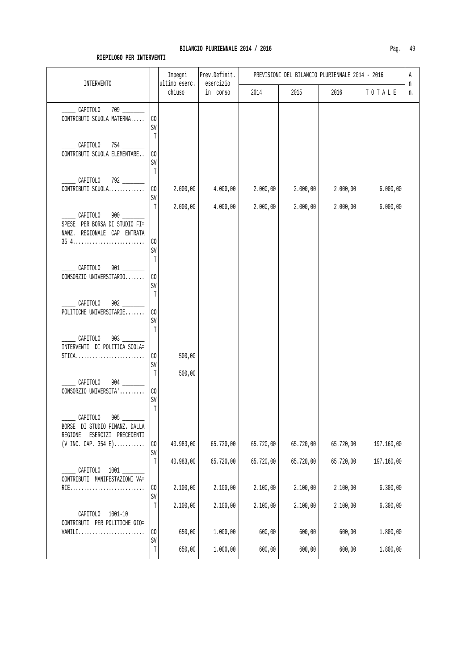| <b>INTERVENTO</b>                                                                                           | Impegni<br>ultimo eserc.           |                  | Prev.Definit.<br>esercizio | PREVISIONI DEL BILANCIO PLURIENNALE 2014 - 2016 |                  |                  |                        |         |  |
|-------------------------------------------------------------------------------------------------------------|------------------------------------|------------------|----------------------------|-------------------------------------------------|------------------|------------------|------------------------|---------|--|
|                                                                                                             |                                    | chiuso           | in corso                   | 2014                                            | 2015             | 2016             | $T$ 0 $T$ A L $\cal E$ | n<br>n. |  |
| CAPITOLO<br>CONTRIBUTI SCUOLA MATERNA                                                                       | CO<br>SV                           |                  |                            |                                                 |                  |                  |                        |         |  |
| $754$ $\qquad$<br>CAPITOLO<br>CONTRIBUTI SCUOLA ELEMENTARE                                                  | T<br>$\rm CO$<br>SV<br>$\mathbb T$ |                  |                            |                                                 |                  |                  |                        |         |  |
| CAPITOLO 792<br>CONTRIBUTI SCUOLA                                                                           | $\mathcal{C}^{\bullet}$<br>SV      | 2.000,00         | 4.000,00                   | 2.000,00                                        | 2.000,00         | 2.000,00         | 6.000,00               |         |  |
| CAPITOLO<br>SPESE PER BORSA DI STUDIO FI=<br>NANZ. REGIONALE CAP ENTRATA                                    | $\mathbb T$<br>$\rm CO$<br>SV      | 2.000,00         | 4.000,00                   | 2.000,00                                        | 2.000,00         | 2.000,00         | 6.000,00               |         |  |
| CAPITOLO<br>CONSORZIO UNIVERSITARIO                                                                         | T<br>CO<br>SV<br>$\mathbb T$       |                  |                            |                                                 |                  |                  |                        |         |  |
| 902<br>CAPITOLO<br>POLITICHE UNIVERSITARIE                                                                  | $\rm CO$<br>SV<br>$\mathbb T$      |                  |                            |                                                 |                  |                  |                        |         |  |
| CAPITOLO<br>903<br>INTERVENTI DI POLITICA SCOLA=<br>$STICA$                                                 | $\rm CO$<br>SV<br>T                | 500,00<br>500,00 |                            |                                                 |                  |                  |                        |         |  |
| CAPITOLO<br>CONSORZIO UNIVERSITA'                                                                           | CO<br>$\mbox{SV}$<br>$\mathbb T$   |                  |                            |                                                 |                  |                  |                        |         |  |
| 905<br>CAPITOLO<br>BORSE DI STUDIO FINANZ. DALLA<br>ESERCIZI PRECEDENTI<br>REGIONE<br>$(V$ INC. CAP. 354 E) | $\rm CO$                           | 40.983,00        | 65.720,00                  | 65.720,00                                       | 65.720,00        | 65.720,00        | 197.160,00             |         |  |
| CAPITOLO 1001<br>CONTRIBUTI MANIFESTAZIONI VA=                                                              | $\mbox{SV}$<br>$\mathbb T$         | 40.983,00        | 65.720,00                  | 65.720,00                                       | 65.720,00        | 65.720,00        | 197.160,00             |         |  |
| RIE                                                                                                         | $\rm CO$<br>$\mbox{SV}$            | 2.100,00         | 2.100,00                   | 2.100,00                                        | 2.100,00         | 2.100,00         | 6.300,00               |         |  |
| CAPITOLO 1001-10<br>CONTRIBUTI PER POLITICHE GIO=                                                           | T                                  | 2.100,00         | 2.100,00                   | 2.100,00                                        | 2.100,00         | 2.100,00         | 6.300,00               |         |  |
| $VANILI$                                                                                                    | CO<br>$\mbox{SV}$<br>$\mathbb T$   | 650,00<br>650,00 | 1.000,00<br>1.000,00       | 600,00<br>600,00                                | 600,00<br>600,00 | 600,00<br>600,00 | 1.800,00<br>1.800,00   |         |  |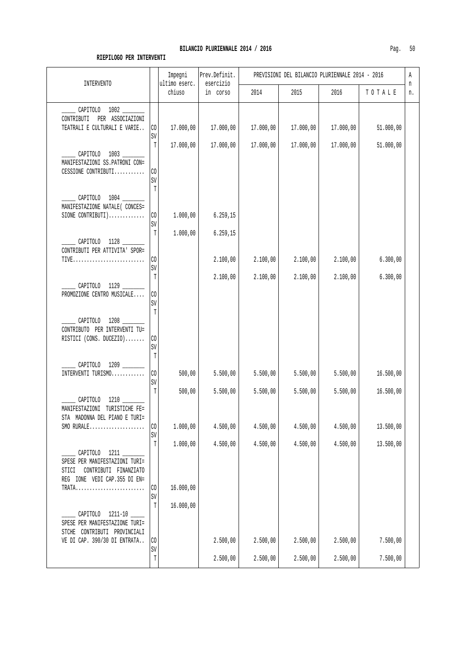| <b>INTERVENTO</b>                                                                                              |                              | Impegni<br>ultimo eserc. | Prev.Definit.<br>esercizio | PREVISIONI DEL BILANCIO PLURIENNALE 2014 - 2016 |           |           | Α<br>n    |    |
|----------------------------------------------------------------------------------------------------------------|------------------------------|--------------------------|----------------------------|-------------------------------------------------|-----------|-----------|-----------|----|
|                                                                                                                |                              | chiuso                   | in corso                   | 2014                                            | 2015      | 2016      | TOTALE    | n. |
| CAPITOLO 1002 ____<br>CONTRIBUTI PER ASSOCIAZIONI<br>TEATRALI E CULTURALI E VARIE                              | $\rm CO$<br>SV               | 17.000,00                | 17.000,00                  | 17.000,00                                       | 17.000,00 | 17.000,00 | 51.000,00 |    |
| CAPITOLO 1003<br>MANIFESTAZIONI SS.PATRONI CON=<br>CESSIONE CONTRIBUTI                                         | T<br>$\rm CO$<br>SV<br>T     | 17.000,00                | 17.000,00                  | 17.000,00                                       | 17.000,00 | 17.000,00 | 51.000,00 |    |
| CAPITOLO 1004 _____<br>MANIFESTAZIONE NATALE ( CONCES=<br>SIONE CONTRIBUTI)                                    | $\rm CO$<br>SV               | 1.000,00                 | 6.259, 15                  |                                                 |           |           |           |    |
| CAPITOLO 1128<br>CONTRIBUTI PER ATTIVITA' SPOR=<br>TIVE                                                        | T<br>$\rm CO$<br>SV          | 1.000,00                 | 6.259, 15<br>2.100,00      | 2.100,00                                        | 2.100,00  | 2.100,00  | 6.300,00  |    |
| CAPITOLO 1129<br>PROMOZIONE CENTRO MUSICALE                                                                    | $\mathbb T$<br>CO<br>SV<br>T |                          | 2.100,00                   | 2.100,00                                        | 2.100,00  | 2.100,00  | 6.300,00  |    |
| CAPITOLO 1208<br>CONTRIBUTO PER INTERVENTI TU=<br>RISTICI (CONS. DUCEZIO)                                      | CO<br>SV<br>T                |                          |                            |                                                 |           |           |           |    |
| CAPITOLO 1209<br>INTERVENTI TURISMO                                                                            | $\rm CO$<br>SV               | 500,00                   | 5.500,00                   | 5.500,00                                        | 5.500,00  | 5.500,00  | 16.500,00 |    |
| CAPITOLO 1210<br>MANIFESTAZIONI TURISTICHE FE=<br>STA MADONNA DEL PIANO E TURI=                                | T                            | 500,00                   | 5.500,00                   | 5.500,00                                        | 5.500,00  | 5.500,00  | 16.500,00 |    |
| $SMO$ RURALE                                                                                                   | CO<br>SV                     | 1.000,00                 | 4.500,00                   | 4.500,00                                        | 4.500,00  | 4.500,00  | 13.500,00 |    |
| CAPITOLO 1211<br>SPESE PER MANIFESTAZIONI TURI=<br>STICI CONTRIBUTI FINANZIATO<br>REG IONE VEDI CAP.355 DI EN= | $\mathbb T$                  | 1.000,00                 | 4.500,00                   | 4.500,00                                        | 4.500,00  | 4.500,00  | 13.500,00 |    |
| TRATA                                                                                                          | CO<br>SV                     | 16.000,00                |                            |                                                 |           |           |           |    |
| CAPITOLO 1211-10<br>SPESE PER MANIFESTAZIONE TURI=<br>STCHE CONTRIBUTI PROVINCIALI                             | $\mathbb T$                  | 16.000,00                |                            |                                                 |           |           |           |    |
| VE DI CAP. 390/30 DI ENTRATA                                                                                   | CO<br>SV                     |                          | 2.500,00                   | 2.500,00                                        | 2.500,00  | 2.500,00  | 7.500,00  |    |
|                                                                                                                | T                            |                          | 2.500,00                   | 2.500,00                                        | 2.500,00  | 2.500,00  | 7.500,00  |    |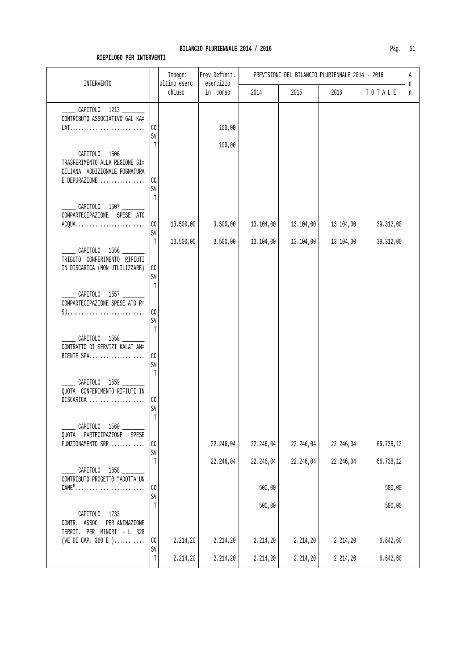| <b>INTERVENTO</b>                                                                                   |                                  | Impegni<br>ultimo eserc. | Prev.Definit.<br>esercizio | PREVISIONI DEL BILANCIO PLURIENNALE 2014 - 2016 |           |           |                     |         |
|-----------------------------------------------------------------------------------------------------|----------------------------------|--------------------------|----------------------------|-------------------------------------------------|-----------|-----------|---------------------|---------|
|                                                                                                     |                                  | chiuso                   | in corso                   | 2014                                            | 2015      | 2016      | TOTALE              | n<br>n. |
| CAPITOLO 1212<br>CONTRIBUTO ASSOCIATIVO GAL KA=                                                     | CO<br>SV                         |                          | 100,00                     |                                                 |           |           |                     |         |
| CAPITOLO 1506<br>TRASFERIMENTO ALLA REGIONE SI=<br>CILIANA ADDIZIONALE FOGNATURA<br>$E$ DEPURAZIONE | Т<br>$\rm CO$<br>SV              |                          | 100,00                     |                                                 |           |           |                     |         |
| CAPITOLO 1507<br>COMPARTECIPAZIONE SPESE ATO<br>$ACQUA$                                             | T<br>$\rm CO$<br>SV              | 13.500,00                | 3.500,00                   | 13.104,00                                       | 13.104,00 | 13.104,00 | 39.312,00           |         |
| CAPITOLO 1556<br>TRIBUTO CONFERIMENTO RIFIUTI<br>IN DISCARICA (NON UTLILIZZARE)                     | T<br>CO<br>SV                    | 13.500,00                | 3.500,00                   | 13.104,00                                       | 13.104,00 | 13.104,00 | 39.312,00           |         |
| CAPITOLO 1557<br>COMPARTECIPAZIONE SPESE ATO R=                                                     | $\mathbb{T}$<br>CO<br>SV<br>T    |                          |                            |                                                 |           |           |                     |         |
| CAPITOLO 1558<br>CONTRATTO DI SERVIZI KALAT AM=<br>BIENTE SPA                                       | CO<br>SV<br>T                    |                          |                            |                                                 |           |           |                     |         |
| CAPITOLO 1559<br>QUOTA CONFERIMENTO RIFIUTI IN<br>DISCARICA                                         | $_{\rm CO}$<br>SV<br>$\mathbb T$ |                          |                            |                                                 |           |           |                     |         |
| CAPITOLO 1560 _____<br>QUOTA PARTECIPAZIONE SPESE<br>FUNZIONAMENTO SRR                              | CO<br>SV                         |                          | 22.246,04                  | 22.246,04                                       | 22.246,04 | 22.246,04 | 66.738,12           |         |
| CAPITOLO 1658<br>CONTRIBUTO PROGETTO "ADOTTA UN                                                     | T<br>$\rm CO$<br>SV              |                          | 22.246,04                  | 22.246,04<br>500,00                             | 22.246,04 | 22.246,04 | 66.738,12<br>500,00 |         |
| CAPITOLO 1733                                                                                       | T                                |                          |                            | 500,00                                          |           |           | 500,00              |         |
| CONTR. ASSOC. PER ANIMAZIONE<br>TERRIT. PER MINORI - L. 328<br>(VE DI CAP. 360 E.)                  | $\rm CO$                         | 2.214,20                 | 2.214,20                   | 2.214,20                                        | 2.214,20  | 2.214,20  | 6.642, 60           |         |
|                                                                                                     | SV<br>$\mathbb T$                | 2.214,20                 | 2.214,20                   | 2.214,20                                        | 2.214,20  | 2.214,20  | 6.642, 60           |         |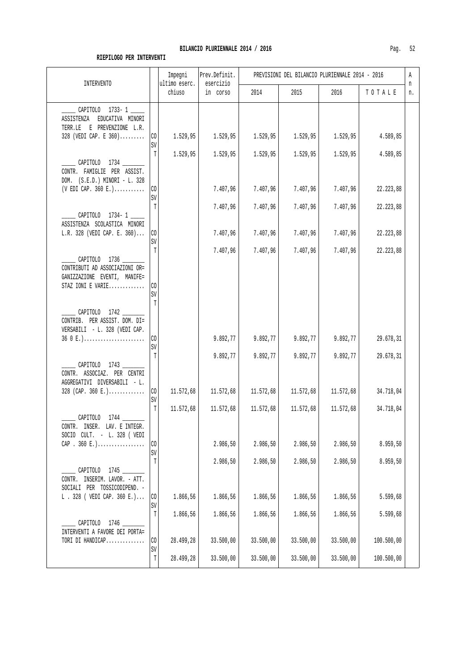| <b>INTERVENTO</b>                                                                           |                      | Impegni<br>ultimo eserc. | Prev.Definit.<br>esercizio | PREVISIONI DEL BILANCIO PLURIENNALE 2014 - 2016 |                      |                      |                        |         |
|---------------------------------------------------------------------------------------------|----------------------|--------------------------|----------------------------|-------------------------------------------------|----------------------|----------------------|------------------------|---------|
|                                                                                             |                      | chiuso                   | in corso                   | 2014                                            | 2015                 | 2016                 | TOTALE                 | n<br>n. |
| CAPITOLO 1733-1<br>EDUCATIVA MINORI<br>ASSISTENZA                                           |                      |                          |                            |                                                 |                      |                      |                        |         |
| TERR.LE E PREVENZIONE L.R.<br>328 (VEDI CAP. E 360)                                         | $\rm CO$             | 1.529,95                 | 1.529,95                   | 1.529,95                                        | 1.529,95             | 1.529,95             | 4.589,85               |         |
| CAPITOLO 1734                                                                               | SV<br>T              | 1.529,95                 | 1.529,95                   | 1.529,95                                        | 1.529,95             | 1.529,95             | 4.589,85               |         |
| CONTR. FAMIGLIE PER ASSIST.<br>DOM. (S.E.D.) MINORI - L. 328<br>$(VEDI CAP. 360 E.).\ldots$ | $\rm CO$             |                          | 7.407,96                   | 7.407,96                                        | 7.407,96             | 7.407,96             | 22.223,88              |         |
|                                                                                             | SV<br>T              |                          | 7.407,96                   | 7.407,96                                        | 7.407,96             | 7.407,96             | 22.223,88              |         |
| CAPITOLO 1734-1<br>ASSISTENZA SCOLASTICA MINORI                                             |                      |                          |                            |                                                 |                      |                      |                        |         |
| L.R. 328 (VEDI CAP. E. 360)                                                                 | $\rm CO$<br>SV<br>T  |                          | 7.407,96<br>7.407,96       | 7.407,96<br>7.407,96                            | 7.407,96<br>7.407,96 | 7.407,96<br>7.407,96 | 22.223,88<br>22.223,88 |         |
| CAPITOLO 1736<br>CONTRIBUTI AD ASSOCIAZIONI OR=<br>GANIZZAZIONE EVENTI, MANIFE=             |                      |                          |                            |                                                 |                      |                      |                        |         |
| STAZ IONI E VARIE                                                                           | C <sub>0</sub><br>SV |                          |                            |                                                 |                      |                      |                        |         |
| CAPITOLO 1742<br>CONTRIB. PER ASSIST. DOM. DI=<br>VERSABILI - L. 328 (VEDI CAP.             | T                    |                          |                            |                                                 |                      |                      |                        |         |
| $360E.$ )                                                                                   | CO<br>SV             |                          | 9.892, 77                  | 9.892,77                                        | 9.892,77             | 9.892,77             | 29.678,31              |         |
| CAPITOLO 1743<br>CONTR. ASSOCIAZ. PER CENTRI                                                | Т                    |                          | 9.892,77                   | 9.892,77                                        | 9.892,77             | 9.892,77             | 29.678,31              |         |
| AGGREGATIVI DIVERSABILI - L.<br>$328$ (CAP. 360 E.)                                         | CO<br>SV             | 11.572,68                | 11.572,68                  | 11.572,68                                       | 11.572,68            | 11.572,68            | 34.718,04              |         |
| CAPITOLO<br>1744<br>CONTR. INSER. LAV. E INTEGR.                                            | $\mathbb T$          | 11.572,68                | 11.572,68                  | 11.572,68                                       | 11.572,68            | 11.572,68            | 34.718,04              |         |
| SOCIO CULT. - L. 328 ( VEDI<br>CAP . 360 $E.$ )                                             | CO<br>$\mbox{SV}$    |                          | 2.986,50                   | 2.986,50                                        | 2.986,50             | 2.986,50             | 8.959, 50              |         |
| CAPITOLO 1745                                                                               | Т                    |                          | 2.986,50                   | 2.986,50                                        | 2.986,50             | 2.986,50             | 8.959,50               |         |
| CONTR. INSERIM. LAVOR. - ATT.<br>SOCIALI PER TOSSICODIPEND. -<br>L. 328 ( VEDI CAP. 360 E.) | CO                   | 1.866,56                 | 1.866,56                   | 1.866,56                                        | 1.866,56             | 1.866,56             | 5.599,68               |         |
| CAPITOLO 1746 ______                                                                        | $\mbox{SV}$<br>Т     | 1.866,56                 | 1.866,56                   | 1.866,56                                        | 1.866,56             | 1.866,56             | 5.599,68               |         |
| INTERVENTI A FAVORE DEI PORTA=<br>TORI DI HANDICAP                                          | CO                   | 28.499,28                | 33.500,00                  | 33.500,00                                       | 33.500,00            | 33.500,00            | 100.500,00             |         |
|                                                                                             | SV<br>T              | 28.499,28                | 33.500,00                  | 33.500,00                                       | 33.500,00            | 33.500,00            | 100.500,00             |         |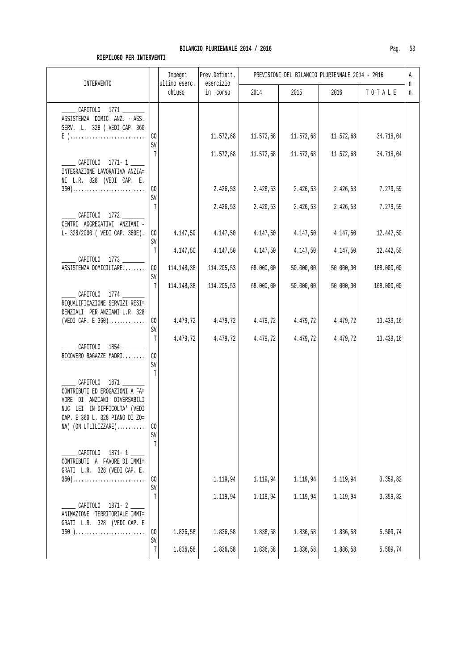| <b>INTERVENTO</b>                                                                                                                                                        |                      | Impegni<br>ultimo eserc. | Prev.Definit.<br>esercizio | PREVISIONI DEL BILANCIO PLURIENNALE 2014 - 2016 |           |           |            |         |
|--------------------------------------------------------------------------------------------------------------------------------------------------------------------------|----------------------|--------------------------|----------------------------|-------------------------------------------------|-----------|-----------|------------|---------|
|                                                                                                                                                                          |                      | chiuso                   | in corso                   | 2014                                            | 2015      | 2016      | TOTALE     | n<br>n. |
| CAPITOLO 1771<br>ASSISTENZA DOMIC. ANZ. - ASS.<br>SERV. L. 328 ( VEDI CAP. 360<br>$E$ )                                                                                  | CO                   |                          | 11.572,68                  | 11.572,68                                       | 11.572,68 | 11.572,68 | 34.718,04  |         |
|                                                                                                                                                                          | SV<br>Т              |                          | 11.572,68                  | 11.572,68                                       | 11.572,68 | 11.572,68 | 34.718,04  |         |
| CAPITOLO 1771-1<br>INTEGRAZIONE LAVORATIVA ANZIA=<br>NI L.R. 328 (VEDI CAP. E.                                                                                           |                      |                          |                            |                                                 |           |           |            |         |
| $360)$                                                                                                                                                                   | C <sub>0</sub><br>SV |                          | 2.426, 53                  | 2.426,53                                        | 2.426,53  | 2.426,53  | 7.279,59   |         |
| CAPITOLO 1772<br>CENTRI AGGREGATIVI ANZIANI -                                                                                                                            | T                    |                          | 2.426,53                   | 2.426,53                                        | 2.426,53  | 2.426,53  | 7.279,59   |         |
| L- 328/2000 ( VEDI CAP. 360E).                                                                                                                                           | C <sub>0</sub><br>SV | 4.147,50                 | 4.147,50                   | 4.147,50                                        | 4.147,50  | 4.147,50  | 12.442,50  |         |
|                                                                                                                                                                          | T                    | 4.147,50                 | 4.147,50                   | 4.147,50                                        | 4.147,50  | 4.147,50  | 12.442,50  |         |
| CAPITOLO 1773 _______<br>ASSISTENZA DOMICILIARE                                                                                                                          | CO                   | 114.148,38               | 114.205,53                 | 68.000,00                                       | 50.000,00 | 50.000,00 | 168.000,00 |         |
|                                                                                                                                                                          | SV<br>T              | 114.148,38               | 114.205,53                 | 68.000,00                                       | 50.000,00 | 50.000,00 | 168.000,00 |         |
| CAPITOLO 1774 ______<br>RIQUALIFICAZIONE SERVIZI RESI=<br>DENZIALI PER ANZIANI L.R. 328<br>(VEDI CAP. E $360$ )                                                          | C <sub>0</sub><br>SV | 4.479,72                 | 4.479,72                   | 4.479,72                                        | 4.479,72  | 4.479,72  | 13.439,16  |         |
| CAPITOLO 1854<br>RICOVERO RAGAZZE MADRI                                                                                                                                  | T<br>CO<br>SV<br>T   | 4.479,72                 | 4.479,72                   | 4.479,72                                        | 4.479,72  | 4.479,72  | 13.439,16  |         |
| CAPITOLO 1871<br>CONTRIBUTI ED EROGAZIONI A FA=<br>VORE DI ANZIANI DIVERSABILI<br>NUC LEI IN DIFFICOLTA' (VEDI<br>CAP. E 360 L. 328 PIANO DI ZO=<br>NA) (ON UTLILIZZARE) | C <sub>0</sub><br>SV |                          |                            |                                                 |           |           |            |         |
| CAPITOLO 1871-1<br>CONTRIBUTI A FAVORE DI IMMI=<br>GRATI L.R. 328 (VEDI CAP. E.<br>$360)$                                                                                | T<br>CO              |                          | 1.119,94                   | 1.119,94                                        | 1.119,94  | 1.119,94  | 3.359,82   |         |
|                                                                                                                                                                          | SV<br>T              |                          |                            |                                                 |           |           |            |         |
| CAPITOLO 1871-2<br>ANIMAZIONE TERRITORIALE IMMI=<br>GRATI L.R. 328 (VEDI CAP. E                                                                                          |                      |                          | 1.119,94                   | 1.119,94                                        | 1.119,94  | 1.119,94  | 3.359,82   |         |
| $360$ )                                                                                                                                                                  | CO<br>SV             | 1.836,58                 | 1.836,58                   | 1.836,58                                        | 1.836,58  | 1.836,58  | 5.509,74   |         |
|                                                                                                                                                                          | T                    | 1.836,58                 | 1.836,58                   | 1.836,58                                        | 1.836,58  | 1.836,58  | 5.509,74   |         |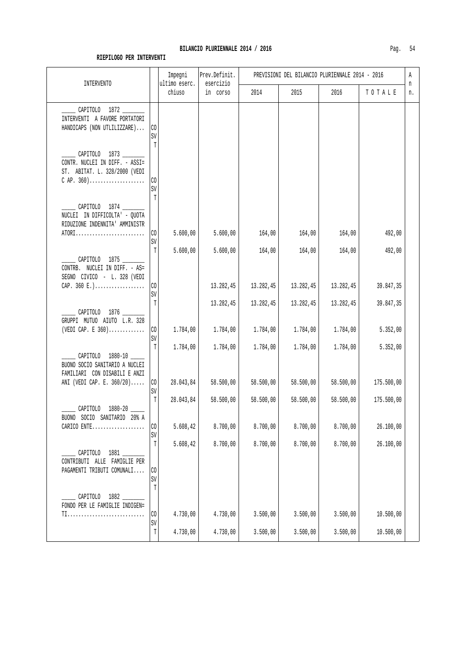| INTERVENTO                                                                                                       |                                    | Impegni<br>ultimo eserc. | Prev.Definit.<br>esercizio | PREVISIONI DEL BILANCIO PLURIENNALE 2014 - 2016 |                       |                       |                       |         |  |
|------------------------------------------------------------------------------------------------------------------|------------------------------------|--------------------------|----------------------------|-------------------------------------------------|-----------------------|-----------------------|-----------------------|---------|--|
|                                                                                                                  |                                    | chiuso                   | in corso                   | 2014                                            | 2015                  | 2016                  | TOTALE                | n<br>n. |  |
| CAPITOLO 1872<br>INTERVENTI A FAVORE PORTATORI<br>HANDICAPS (NON UTLILIZZARE)                                    | CO<br>$\mbox{SV}$<br>$\mathbb T$   |                          |                            |                                                 |                       |                       |                       |         |  |
| _______ CAPITOLO 1873 ________<br>CONTR. NUCLEI IN DIFF. - ASSI=<br>ST. ABITAT. L. 328/2000 (VEDI<br>$CRP. 360)$ | CO<br>SV<br>T                      |                          |                            |                                                 |                       |                       |                       |         |  |
| _______ CAPITOLO 1874 ________<br>NUCLEI IN DIFFICOLTA' - QUOTA<br>RIDUZIONE INDENNITA' AMMINISTR<br>ATORI       | CO                                 | 5.600,00                 | 5.600,00                   | 164,00                                          | 164,00                | 164,00                | 492,00                |         |  |
| CAPITOLO 1875<br>CONTRB. NUCLEI IN DIFF. - AS=<br>SEGNO CIVICO - L. 328 (VEDI                                    | SV<br>T                            | 5.600,00                 | 5.600,00                   | 164,00                                          | 164,00                | 164,00                | 492,00                |         |  |
| CAP. 360 $E.$ )                                                                                                  | CO<br>SV                           |                          | 13.282,45                  | 13.282,45                                       | 13.282,45             | 13.282,45             | 39.847,35             |         |  |
| CAPITOLO 1876<br>GRUPPI MUTUO AIUTO L.R. 328<br>(VEDI CAP. E $360)$                                              | T<br>CO.<br>SV                     | 1.784,00                 | 13.282,45<br>1.784,00      | 13.282,45<br>1.784,00                           | 13.282,45<br>1.784,00 | 13.282,45<br>1.784,00 | 39.847,35<br>5.352,00 |         |  |
| CAPITOLO 1880-10<br>BUONO SOCIO SANITARIO A NUCLEI<br>FAMILIARI CON DISABILI E ANZI                              | T                                  | 1.784,00                 | 1.784,00                   | 1.784,00                                        | 1.784,00              | 1.784,00              | 5.352,00              |         |  |
| ANI (VEDI CAP. E. 360/20)                                                                                        | CO<br>$\texttt{SV}$                | 28.043,84                | 58.500,00                  | 58.500,00                                       | 58.500,00             | 58.500,00             | 175.500,00            |         |  |
| CAPITOLO 1880-20<br>BUONO SOCIO SANITARIO 20% A                                                                  | T                                  | 28.043,84                | 58.500,00                  | 58.500,00                                       | 58.500,00             | 58.500,00             | 175.500,00            |         |  |
| CARICO ENTE                                                                                                      | CO<br>$\mathtt{SV}$                | 5.608,42                 | 8.700,00                   | 8.700,00                                        | 8.700,00              | 8.700,00              | 26.100,00             |         |  |
| CAPITOLO 1881<br>CONTRIBUTI ALLE FAMIGLIE PER<br>PAGAMENTI TRIBUTI COMUNALI                                      | T<br>$\rm CO$<br>SV<br>$\mathbb T$ | 5.608,42                 | 8.700,00                   | 8.700,00                                        | 8.700,00              | 8.700,00              | 26.100,00             |         |  |
| CAPITOLO 1882<br>FONDO PER LE FAMIGLIE INDIGEN=<br>TI                                                            | $\rm CO$                           | 4.730,00                 | 4.730,00                   | 3.500,00                                        | 3.500,00              | 3.500,00              | 10.500,00             |         |  |
|                                                                                                                  | SV<br>$\mathbb T$                  | 4.730,00                 | 4.730,00                   | 3.500,00                                        | 3.500,00              | 3.500,00              | 10.500,00             |         |  |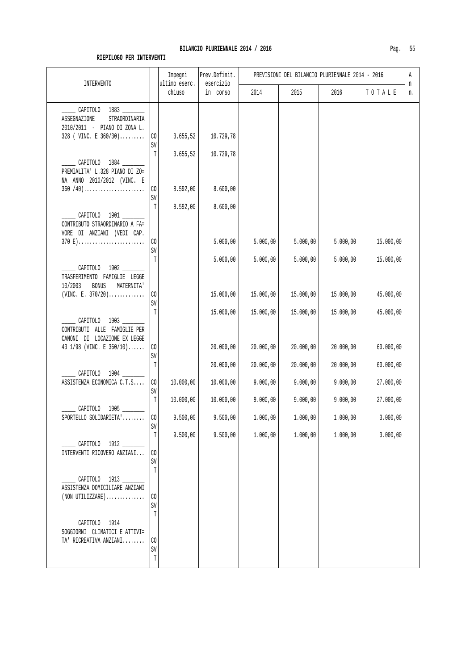| <b>INTERVENTO</b>                                                                                          |                      | Impegni<br>ultimo eserc. | Prev.Definit.<br>esercizio |           | PREVISIONI DEL BILANCIO PLURIENNALE 2014 - 2016 |           |           | Α<br>n |
|------------------------------------------------------------------------------------------------------------|----------------------|--------------------------|----------------------------|-----------|-------------------------------------------------|-----------|-----------|--------|
|                                                                                                            |                      | chiuso                   | in corso                   | 2014      | 2015                                            | 2016      | TOTALE    | n.     |
| CAPITOLO 1883<br>ASSEGNAZIONE<br>STRAORDINARIA<br>2010/2011 - PIANO DI ZONA L.<br>328 ( VINC. E $360/30$ ) | C <sub>0</sub>       | 3.655, 52                | 10.729,78                  |           |                                                 |           |           |        |
|                                                                                                            | SV<br>Т              | 3.655, 52                | 10.729,78                  |           |                                                 |           |           |        |
| CAPITOLO 1884<br>PREMIALITA' L.328 PIANO DI ZO=<br>NA ANNO 2010/2012 (VINC. E                              |                      |                          |                            |           |                                                 |           |           |        |
| $360 / 40$ )                                                                                               | CO<br>SV             | 8.592,00                 | 8.600,00                   |           |                                                 |           |           |        |
| CAPITOLO 1901<br>CONTRIBUTO STRAORDINARIO A FA=<br>VORE DI ANZIANI (VEDI CAP.                              | Т                    | 8.592,00                 | 8.600,00                   |           |                                                 |           |           |        |
| 370 E)                                                                                                     | C <sub>0</sub><br>SV |                          | 5.000,00                   | 5.000,00  | 5.000,00                                        | 5.000,00  | 15.000,00 |        |
| CAPITOLO 1902<br>TRASFERIMENTO FAMIGLIE LEGGE<br><b>BONUS</b><br>10/2003<br>MATERNITA'                     | T                    |                          | 5.000,00                   | 5.000,00  | 5.000,00                                        | 5.000,00  | 15.000,00 |        |
| (VINC. E. $370/20$ )                                                                                       | CO<br>SV             |                          | 15.000,00                  | 15.000,00 | 15.000,00                                       | 15.000,00 | 45.000,00 |        |
| CAPITOLO 1903<br>CONTRIBUTI ALLE FAMIGLIE PER<br>CANONI DI LOCAZIONE EX LEGGE                              | T                    |                          | 15.000,00                  | 15.000,00 | 15.000,00                                       | 15.000,00 | 45.000,00 |        |
| 43 1/98 (VINC. E $360/10$ )                                                                                | C <sub>0</sub><br>SV |                          | 20.000,00                  | 20.000,00 | 20.000,00                                       | 20.000,00 | 60.000,00 |        |
| CAPITOLO 1904                                                                                              | T                    |                          | 20.000,00                  | 20.000,00 | 20.000,00                                       | 20.000,00 | 60.000,00 |        |
| ASSISTENZA ECONOMICA C.T.S                                                                                 | $\rm CO$<br>SV       | 10.000,00                | 10.000,00                  | 9.000,00  | 9.000,00                                        | 9.000,00  | 27.000,00 |        |
| CAPITOLO 1905                                                                                              | T                    | 10.000,00                | 10.000,00                  | 9.000,00  | 9.000,00                                        | 9.000,00  | 27.000,00 |        |
| SPORTELLO SOLIDARIETA'                                                                                     | C <sub>0</sub><br>SV | 9.500,00                 | 9.500,00                   | 1.000,00  | 1.000,00                                        | 1.000,00  | 3.000,00  |        |
| CAPITOLO 1912<br>INTERVENTI RICOVERO ANZIANI                                                               | T<br>C <sub>0</sub>  | 9.500,00                 | 9.500,00                   | 1.000,00  | 1.000,00                                        | 1.000,00  | 3.000,00  |        |
|                                                                                                            | SV<br>T              |                          |                            |           |                                                 |           |           |        |
| _ CAPITOLO 1913 ____<br>ASSISTENZA DOMICILIARE ANZIANI<br>$(NON$ UTILIZZARE $)$                            | C <sub>0</sub>       |                          |                            |           |                                                 |           |           |        |
| __ CAPITOLO 1914 _____<br>SOGGIORNI CLIMATICI E ATTIVI=                                                    | SV<br>T              |                          |                            |           |                                                 |           |           |        |
| TA' RICREATIVA ANZIANI                                                                                     | CO<br>SV<br>T        |                          |                            |           |                                                 |           |           |        |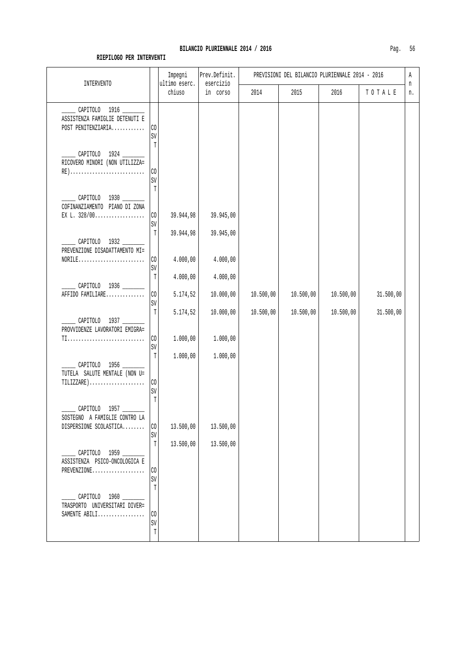| INTERVENTO                                                                                                |                               | Impegni<br>ultimo eserc. | Prev.Definit.<br>esercizio |           |           | PREVISIONI DEL BILANCIO PLURIENNALE 2014 - 2016 |           | Α       |
|-----------------------------------------------------------------------------------------------------------|-------------------------------|--------------------------|----------------------------|-----------|-----------|-------------------------------------------------|-----------|---------|
|                                                                                                           |                               | chiuso                   | in corso                   | 2014      | 2015      | 2016                                            | TOTALE    | n<br>n. |
| CAPITOLO 1916<br>ASSISTENZA FAMIGLIE DETENUTI E<br>POST PENITENZIARIA                                     | CO<br>SV                      |                          |                            |           |           |                                                 |           |         |
| ______ CAPITOLO 1924 _______<br>RICOVERO MINORI (NON UTILIZZA=<br>RE)                                     | T<br>$\rm CO$<br>SV           |                          |                            |           |           |                                                 |           |         |
| CAPITOLO 1930 ______<br>COFINANZIAMENTO PIANO DI ZONA<br>EX L. $328/00$                                   | $\mathbb T$<br>$\rm CO$       | 39.944,98                | 39.945,00                  |           |           |                                                 |           |         |
| CAPITOLO 1932<br>PREVENZIONE DISADATTAMENTO MI=                                                           | SV<br>T                       | 39.944,98                | 39.945,00                  |           |           |                                                 |           |         |
|                                                                                                           | $\rm CO$<br>SV<br>$\mathbb T$ | 4.000,00<br>4.000,00     | 4.000,00<br>4.000,00       |           |           |                                                 |           |         |
| CAPITOLO 1936<br>AFFIDO FAMILIARE                                                                         | CO<br>$\mbox{SV}$             | 5.174,52                 | 10.000,00                  | 10.500,00 | 10.500,00 | 10.500,00                                       | 31.500,00 |         |
| CAPITOLO 1937<br>PROVVIDENZE LAVORATORI EMIGRA=                                                           | $\mathbb T$                   | 5.174,52                 | 10.000,00                  | 10.500,00 | 10.500,00 | 10.500,00                                       | 31.500,00 |         |
| TI                                                                                                        | CO<br>SV<br>T                 | 1.000,00<br>1.000,00     | 1.000,00<br>1.000,00       |           |           |                                                 |           |         |
| CAPITOLO 1956<br>TUTELA SALUTE MENTALE (NON U=<br>$TILLIZZARE) \ldots \ldots \ldots \ldots \ldots \ldots$ | CO<br>SV<br>$\mathbb T$       |                          |                            |           |           |                                                 |           |         |
| CAPITOLO 1957<br>SOSTEGNO A FAMIGLIE CONTRO LA<br>DISPERSIONE SCOLASTICA                                  | CO<br>SV                      | 13.500,00                | 13.500,00                  |           |           |                                                 |           |         |
| CAPITOLO 1959 _____<br>ASSISTENZA PSICO-ONCOLOGICA E<br>PREVENZIONE                                       | $\mathbb T$<br>CO<br>SV       | 13.500,00                | 13.500,00                  |           |           |                                                 |           |         |
| CAPITOLO 1960 ______<br>TRASPORTO UNIVERSITARI DIVER=<br>SAMENTE ABILI                                    | $\mathbb T$<br>CO.            |                          |                            |           |           |                                                 |           |         |
|                                                                                                           | $\mbox{SV}$<br>$\mathbb T$    |                          |                            |           |           |                                                 |           |         |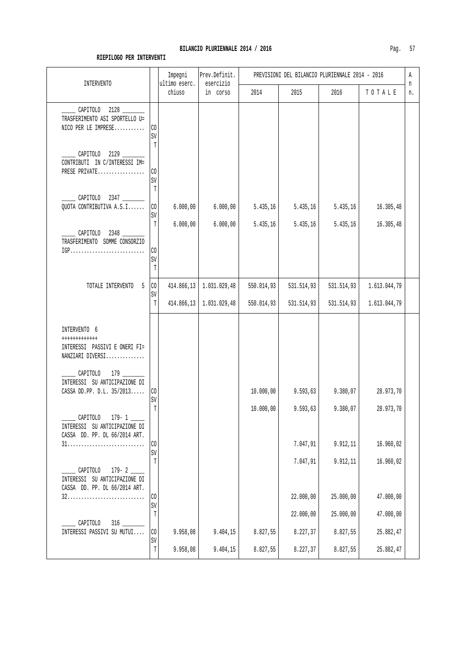| INTERVENTO                                                                                                           |                           | Impegni<br>ultimo eserc. | Prev.Definit.<br>esercizio       |            | PREVISIONI DEL BILANCIO PLURIENNALE 2014 - 2016 |            |              | Α<br>n |
|----------------------------------------------------------------------------------------------------------------------|---------------------------|--------------------------|----------------------------------|------------|-------------------------------------------------|------------|--------------|--------|
|                                                                                                                      |                           | chiuso                   | in corso                         | 2014       | 2015                                            | 2016       | TOTALE       | n.     |
| CAPITOLO 2128<br>TRASFERIMENTO ASI SPORTELLO U=<br>NICO PER LE IMPRESE                                               | CO<br>SV<br>$\mathbb T$   |                          |                                  |            |                                                 |            |              |        |
| CAPITOLO 2129<br>CONTRIBUTI IN C/INTERESSI IM=<br>PRESE PRIVATE                                                      | C <sub>0</sub><br>SV<br>T |                          |                                  |            |                                                 |            |              |        |
| CAPITOLO 2347<br>QUOTA CONTRIBUTIVA A.S.I                                                                            | $\rm CO$<br>SV            | 6.000,00                 | 6.000,00                         | 5.435,16   | 5.435,16                                        | 5.435,16   | 16.305,48    |        |
| CAPITOLO 2348 ____<br>TRASFERIMENTO SOMME CONSORZIO<br>$IGP \ldots \ldots \ldots \ldots \ldots \ldots \ldots \ldots$ | T<br>CO<br>SV             | 6.000,00                 | 6.000,00                         | 5.435,16   | 5.435,16                                        | 5.435,16   | 16.305,48    |        |
| TOTALE INTERVENTO<br>5                                                                                               | T<br>$\rm CO$<br>SV       | 414.866,13               | 1.031.029,48                     | 550.014,93 | 531.514,93                                      | 531.514,93 | 1.613.044,79 |        |
| INTERVENTO 6                                                                                                         | $\mathbb T$               |                          | $414.866, 13 \mid 1.031.029, 48$ | 550.014,93 | 531.514,93                                      | 531.514,93 | 1.613.044,79 |        |
| ++++++++++++<br>INTERESSI PASSIVI E ONERI FI=<br>NANZIARI DIVERSI                                                    |                           |                          |                                  |            |                                                 |            |              |        |
| $179$ $-$<br>CAPITOLO<br>INTERESSI SU ANTICIPAZIONE DI<br>CASSA DD.PP. D.L. 35/2013                                  | C <sub>0</sub><br>SV      |                          |                                  | 10.000,00  | 9.593,63                                        | 9.380,07   | 28.973,70    |        |
| $179 - 1$<br>CAPITOLO<br>INTERESSI SU ANTICIPAZIONE DI<br>CASSA DD. PP. DL 66/2014 ART.                              | T                         |                          |                                  | 10.000,00  | 9.593,63                                        | 9.380,07   | 28.973,70    |        |
|                                                                                                                      | CO<br>$\mbox{SV}$         |                          |                                  |            | 7.047,91                                        | 9.912,11   | 16.960,02    |        |
| $179 - 2$<br>CAPITOLO<br>INTERESSI SU ANTICIPAZIONE DI                                                               | T                         |                          |                                  |            | 7.047,91                                        | 9.912,11   | 16.960,02    |        |
| CASSA DD. PP. DL 66/2014 ART.                                                                                        | $\rm CO$<br>SV            |                          |                                  |            | 22.000,00                                       | 25.000,00  | 47.000,00    |        |
| CAPITOLO                                                                                                             | Т                         |                          |                                  |            | 22.000,00                                       | 25.000,00  | 47.000,00    |        |
| INTERESSI PASSIVI SU MUTUI                                                                                           | CO<br>SV                  | 9.958,08                 | 9.404,15                         | 8.827,55   | 8.227,37                                        | 8.827,55   | 25.882,47    |        |
|                                                                                                                      | $\mathbb T$               | 9.958,08                 | 9.404,15                         | 8.827,55   | 8.227,37                                        | 8.827,55   | 25.882,47    |        |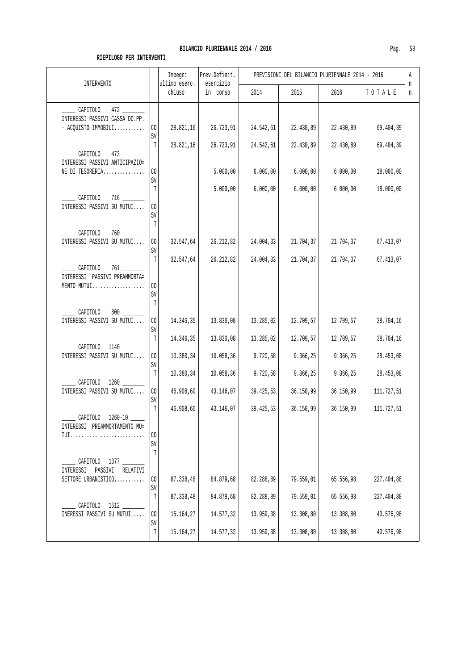| INTERVENTO                                                            |                          | Impegni<br>ultimo eserc. | Prev.Definit.<br>esercizio |                        | PREVISIONI DEL BILANCIO PLURIENNALE 2014 - 2016 |                        |                         | Α<br>n |  |
|-----------------------------------------------------------------------|--------------------------|--------------------------|----------------------------|------------------------|-------------------------------------------------|------------------------|-------------------------|--------|--|
|                                                                       |                          | chiuso                   | in corso                   | 2014                   | 2015                                            | 2016                   | TOTALE                  | n.     |  |
| CAPITOLO<br>INTERESSI PASSIVI CASSA DD.PP.<br>- ACQUISTO IMMOBILI     | CO<br>SV                 | 28.821,16                | 26.723,91                  | 24.542,61              | 22.430,89                                       | 22.430,89              | 69.404,39               |        |  |
| CAPITOLO<br>473<br>INTERESSI PASSIVI ANTICIPAZIO=<br>NE DI TESORERIA  | T<br>CO.                 | 28.821,16                | 26.723,91<br>5.000,00      | 24.542,61<br>6.000,00  | 22.430,89<br>6.000,00                           | 22.430,89<br>6.000,00  | 69.404,39<br>18.000,00  |        |  |
| CAPITOLO                                                              | SV<br>T                  |                          | 5.000,00                   | 6.000,00               | 6.000,00                                        | 6.000,00               | 18.000,00               |        |  |
| INTERESSI PASSIVI SU MUTUI<br>$760$ __<br>$\_$ CAPITOLO               | CO<br>SV<br>Т            |                          |                            |                        |                                                 |                        |                         |        |  |
| INTERESSI PASSIVI SU MUTUI                                            | $\rm CO$<br>SV<br>T      | 32.547,64<br>32.547,64   | 26.212,82<br>26.212,82     | 24.004,33<br>24.004,33 | 21.704,37<br>21.704,37                          | 21.704,37<br>21.704,37 | 67.413,07<br>67.413,07  |        |  |
| CAPITOLO<br>INTERESSI PASSIVI PREAMMORTA=<br>MENTO MUTUI              | CO<br>SV<br>T            |                          |                            |                        |                                                 |                        |                         |        |  |
| CAPITOLO<br>INTERESSI PASSIVI SU MUTUI                                | CO<br>SV                 | 14.346,35                | 13.830,08                  | 13.285,02              | 12.709,57                                       | 12.709,57              | 38.704,16               |        |  |
| $\sim$ CAPITOLO 1140<br>INTERESSI PASSIVI SU MUTUI                    | $\mathbb T$<br>CO<br>SV  | 14.346,35<br>10.380,34   | 13.830,08<br>10.058, 36    | 13.285,02<br>9.720,58  | 12.709,57<br>9.366,25                           | 12.709,57<br>9.366,25  | 38.704,16<br>28.453,08  |        |  |
| CAPITOLO 1260<br>INTERESSI PASSIVI SU MUTUI                           | T<br>CO                  | 10.380,34<br>46.908,60   | 10.058, 36<br>43.146,07    | 9.720,58<br>39.425,53  | 9.366,25<br>36.150,99                           | 9.366,25<br>36.150,99  | 28.453,08<br>111.727,51 |        |  |
| ______ CAPITOLO 1260-10 _____<br>INTERESSI PREAMMORTAMENTO MU=<br>TUI | SV<br>$\mathbb{T}$<br>CO | 46.908,60                | 43.146,07                  | 39.425,53              | 36.150,99                                       | 36.150,99              | 111.727,51              |        |  |
| CAPITOLO<br>1377<br>INTERESSI PASSIVI RELATIVI<br>SETTORE URBANISTICO | SV<br>T<br>CO            | 87.338,48                | 84.879,68                  | 82.288,89              | 79.559,01                                       | 65.556,98              | 227.404,88              |        |  |
| CAPITOLO                                                              | SV<br>T                  | 87.338,48                | 84.879,68                  | 82.288,89              | 79.559,01                                       | 65.556,98              | 227.404,88              |        |  |
| INERESSI PASSIVI SU MUTUI                                             | CO<br>SV<br>$\mathbb T$  | 15.164,27<br>15.164,27   | 14.577,32<br>14.577,32     | 13.959,38<br>13.959,38 | 13.308,80<br>13.308,80                          | 13.308,80<br>13.308,80 | 40.576,98<br>40.576,98  |        |  |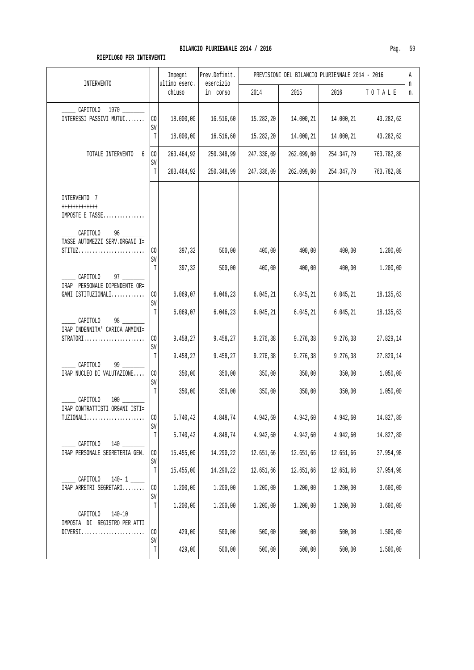| Ρ.<br>г | n |
|---------|---|
|---------|---|

| <b>INTERVENTO</b>                                                                                                             |                   | Impegni<br>ultimo eserc. | Prev.Definit.<br>esercizio |            | PREVISIONI DEL BILANCIO PLURIENNALE 2014 - 2016 |            |            | Α<br>n |
|-------------------------------------------------------------------------------------------------------------------------------|-------------------|--------------------------|----------------------------|------------|-------------------------------------------------|------------|------------|--------|
|                                                                                                                               |                   | chiuso                   | in corso                   | 2014       | 2015                                            | 2016       | TOTALE     | n.     |
| CAPITOLO 1970<br>INTERESSI PASSIVI MUTUI                                                                                      | CO<br>SV          | 18.000,00                | 16.516,60                  | 15.282,20  | 14.000,21                                       | 14.000,21  | 43.282,62  |        |
|                                                                                                                               | T                 | 18.000,00                | 16.516,60                  | 15.282,20  | 14.000,21                                       | 14.000,21  | 43.282,62  |        |
| TOTALE INTERVENTO<br>6                                                                                                        | $\rm CO$<br>SV    | 263.464,92               | 250.348,99                 | 247.336,09 | 262.099,00                                      | 254.347,79 | 763.782,88 |        |
|                                                                                                                               | T                 | 263.464,92               | 250.348,99                 | 247.336,09 | 262.099,00                                      | 254.347,79 | 763.782,88 |        |
| INTERVENTO 7<br>++++++++++++<br>IMPOSTE E TASSE                                                                               |                   |                          |                            |            |                                                 |            |            |        |
| $\sqrt{$ CAPITOLO<br>96<br>TASSE AUTOMEZZI SERV.ORGANI I=<br>$STITUZ \ldots \ldots \ldots \ldots \ldots \ldots \ldots \ldots$ | $\rm CO$          | 397,32                   | 500,00                     | 400,00     | 400,00                                          | 400,00     | 1.200,00   |        |
|                                                                                                                               | SV<br>T           | 397,32                   | 500,00                     | 400,00     | 400,00                                          | 400,00     | 1.200,00   |        |
| CAPITOLO<br>$97 \quad \overline{\quad}$<br>IRAP PERSONALE DIPENDENTE OR=<br>GANI ISTITUZIONALI                                | CO<br>$\mbox{SV}$ | 6.069,07                 | 6.046, 23                  | 6.045, 21  | 6.045, 21                                       | 6.045, 21  | 18.135,63  |        |
| CAPITOLO<br>98<br>IRAP INDENNITA' CARICA AMMINI=                                                                              | T                 | 6.069,07                 | 6.046, 23                  | 6.045, 21  | 6.045, 21                                       | 6.045, 21  | 18.135,63  |        |
| $STRATORI$                                                                                                                    | CO<br>SV          | 9.458,27                 | 9.458,27                   | 9.276,38   | 9.276, 38                                       | 9.276, 38  | 27.829,14  |        |
| CAPITOLO<br>99                                                                                                                | T                 | 9.458,27                 | 9.458,27                   | 9.276,38   | 9.276,38                                        | 9.276, 38  | 27.829,14  |        |
| IRAP NUCLEO DI VALUTAZIONE                                                                                                    | CO<br>SV          | 350,00                   | 350,00                     | 350,00     | 350,00                                          | 350,00     | 1.050,00   |        |
| CAPITOLO                                                                                                                      | T                 | 350,00                   | 350,00                     | 350,00     | 350,00                                          | 350,00     | 1.050,00   |        |
| IRAP CONTRATTISTI ORGANI ISTI=                                                                                                | CO <sub>1</sub>   | 5.740, 42                | 4.848,74                   | 4.942,60   | 4.942,60                                        | 4.942,60   | 14.827,80  |        |
|                                                                                                                               | SV<br>$\mathbb T$ | 5.740,42                 | 4.848,74                   | 4.942,60   | 4.942,60                                        | 4.942,60   | 14.827,80  |        |
| CAPITOLO<br>$140$ $-$<br>IRAP PERSONALE SEGRETERIA GEN.                                                                       | CO<br>SV          | 15.455,00                | 14.290,22                  | 12.651,66  | 12.651,66                                       | 12.651,66  | 37.954,98  |        |
| CAPITOLO<br>$140 - 1$                                                                                                         | $\mathbb T$       | 15.455,00                | 14.290,22                  | 12.651,66  | 12.651,66                                       | 12.651,66  | 37.954,98  |        |
| IRAP ARRETRI SEGRETARI                                                                                                        | CO<br>SV          | 1.200,00                 | 1.200,00                   | 1.200,00   | 1.200,00                                        | 1.200,00   | 3.600,00   |        |
| CAPITOLO                                                                                                                      | T                 | 1,200,00                 | 1.200,00                   | 1.200,00   | 1.200,00                                        | 1.200,00   | 3.600,00   |        |
| IMPOSTA DI REGISTRO PER ATTI<br>$DIVERS1 \ldots \ldots \ldots \ldots \ldots \ldots \ldots$                                    | CO<br>SV          | 429,00                   | 500,00                     | 500,00     | 500,00                                          | 500,00     | 1.500,00   |        |
|                                                                                                                               | $\mathbb T$       | 429,00                   | 500,00                     | 500,00     | 500,00                                          | 500,00     | 1.500,00   |        |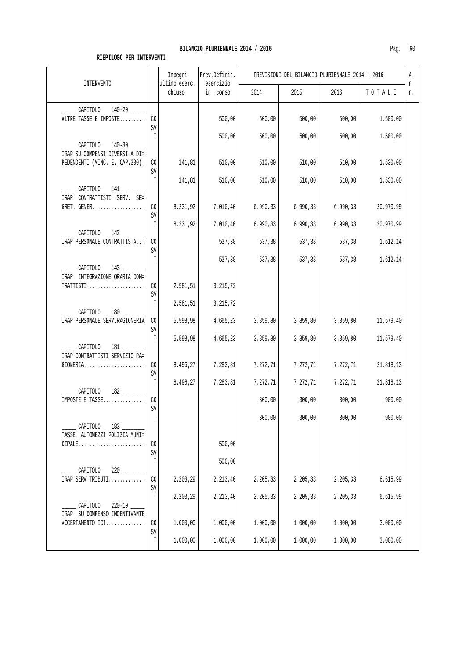| <b>INTERVENTO</b>                                              |                       | Impegni<br>ultimo eserc. | Prev.Definit.<br>esercizio |           | PREVISIONI DEL BILANCIO PLURIENNALE 2014 - 2016 |           |           | Α<br>n |
|----------------------------------------------------------------|-----------------------|--------------------------|----------------------------|-----------|-------------------------------------------------|-----------|-----------|--------|
|                                                                |                       | chiuso                   | in corso                   | 2014      | 2015                                            | 2016      | TOTALE    | n.     |
| CAPITOLO 140-20<br>ALTRE TASSE E IMPOSTE                       | CO<br>SV              |                          | 500,00                     | 500,00    | 500,00                                          | 500,00    | 1.500,00  |        |
| ______ CAPITOLO 140-30 _____<br>IRAP SU COMPENSI DIVERSI A DI= | Т                     |                          | 500,00                     | 500,00    | 500,00                                          | 500,00    | 1.500,00  |        |
| PEDENDENTI (VINC. E. CAP.380).                                 | CO <sub>2</sub><br>SV | 141,81                   | 510,00                     | 510,00    | 510,00                                          | 510,00    | 1.530,00  |        |
| $\sim$ CAPITOLO 141 $\sim$<br>IRAP CONTRATTISTI SERV. SE=      | Т                     | 141,81                   | 510,00                     | 510,00    | 510,00                                          | 510,00    | 1.530,00  |        |
| GRET. GENER                                                    | CO<br>SV              | 8.231,92                 | 7.010,40                   | 6.990, 33 | 6.990, 33                                       | 6.990, 33 | 20.970,99 |        |
| CAPITOLO<br>$142$ $\overline{\phantom{1}}$                     | Т                     | 8.231,92                 | 7.010, 40                  | 6.990, 33 | 6.990, 33                                       | 6.990, 33 | 20.970,99 |        |
| IRAP PERSONALE CONTRATTISTA                                    | CO<br>SV              |                          | 537,38                     | 537,38    | 537,38                                          | 537,38    | 1.612,14  |        |
| CAPITOLO 143<br>IRAP INTEGRAZIONE ORARIA CON=                  | T                     |                          | 537,38                     | 537,38    | 537,38                                          | 537,38    | 1.612,14  |        |
| TRATTISTI                                                      | CO <sub>2</sub><br>SV | 2.581,51                 | 3.215,72                   |           |                                                 |           |           |        |
| $180$ __<br>CAPITOLO<br>IRAP PERSONALE SERV. RAGIONERIA        | T<br>CO               | 2.581,51<br>5.598,98     | 3.215,72<br>4.665,23       | 3.859,80  | 3.859, 80                                       | 3.859, 80 | 11.579,40 |        |
| $\overline{\phantom{a}}$ CAPITOLO                              | SV<br>T               | 5.598,98                 | 4.665,23                   | 3.859,80  | 3.859, 80                                       | 3.859, 80 | 11.579,40 |        |
| IRAP CONTRATTISTI SERVIZIO RA=<br>$GIONERIA.$                  | CO                    | 8.496,27                 | 7.283,81                   | 7.272,71  | 7.272,71                                        | 7.272,71  | 21.818,13 |        |
| $182$ $\qquad$<br>CAPITOLO                                     | SV<br>T               | 8.496,27                 | 7.283,81                   | 7.272,71  | 7.272,71                                        | 7.272,71  | 21.818,13 |        |
| IMPOSTE E TASSE                                                | CO<br>SV              |                          |                            | 300,00    | 300,00                                          | 300,00    | 900,00    |        |
| CAPITOLO<br>TASSE AUTOMEZZI POLIZIA MUNI=                      | T                     |                          |                            | 300,00    | 300,00                                          | 300,00    | 900,00    |        |
| $CIPALE$                                                       | CO<br>SV              |                          | 500,00                     |           |                                                 |           |           |        |
| CAPITOLO                                                       | Т                     |                          | 500,00                     |           |                                                 |           |           |        |
| IRAP SERV.TRIBUTI                                              | CO<br>SV              | 2.203,29                 | 2.213,40                   | 2.205,33  | 2.205,33                                        | 2.205,33  | 6.615,99  |        |
| CAPITOLO<br>$220 - 10$<br>IRAP SU COMPENSO INCENTIVANTE        | T                     | 2.203,29                 | 2.213,40                   | 2.205,33  | 2.205,33                                        | 2.205,33  | 6.615,99  |        |
| ACCERTAMENTO ICI                                               | CO<br>SV              | 1.000,00                 | 1.000,00                   | 1.000,00  | 1.000,00                                        | 1.000,00  | 3.000,00  |        |
|                                                                | T                     | 1.000,00                 | 1.000,00                   | 1.000,00  | 1.000,00                                        | 1.000,00  | 3.000,00  |        |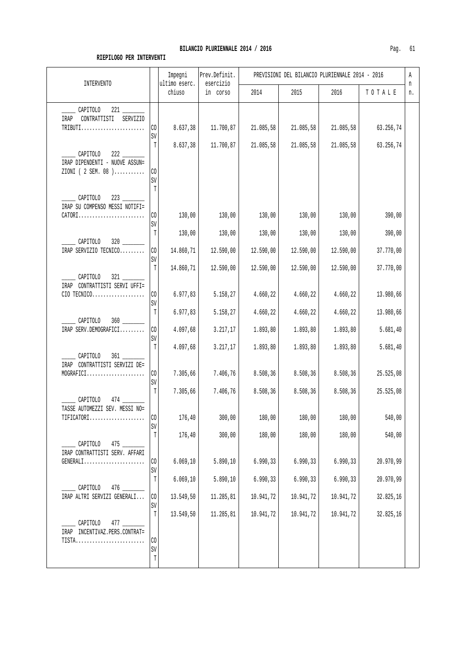|                                                                              | Impegni<br>ultimo eserc. | Prev.perinit.<br>esercizio |           | PREVISIONI DEL BILANCIO PLORIENNALE 2014 - 2016 |           |           | Α<br>n |
|------------------------------------------------------------------------------|--------------------------|----------------------------|-----------|-------------------------------------------------|-----------|-----------|--------|
| INTERVENTO<br>221<br>CAPITOLO<br>SERVIZIO<br>CONTRATTISTI<br>IRAP<br>TRIBUTI | chiuso<br>COYSO<br>ın    | 2014                       | 2015      | 2016                                            | TOTALE    | n.        |        |
|                                                                              |                          |                            |           |                                                 |           |           |        |
|                                                                              | 8.637,38                 | 11.700, 87                 | 21.085,58 | 21.085,58                                       | 21.085,58 | 63.256,74 |        |
|                                                                              | 8.637,38                 | 11.700,87                  | 21.085,58 | 21.085,58                                       | 21.085,58 | 63.256,74 |        |

|                                                   |                   | chluso    | in corso  | 2014      | 2015      | 2016      | TOTALE    | n. |
|---------------------------------------------------|-------------------|-----------|-----------|-----------|-----------|-----------|-----------|----|
| CAPITOLO                                          |                   |           |           |           |           |           |           |    |
| CONTRATTISTI SERVIZIO<br>IRAP                     |                   |           |           |           |           |           |           |    |
| TRIBUTI                                           | CO<br>SV          | 8.637,38  | 11.700,87 | 21.085,58 | 21.085,58 | 21.085,58 | 63.256,74 |    |
|                                                   | T                 | 8.637,38  | 11.700,87 | 21.085,58 | 21.085,58 | 21.085,58 | 63.256,74 |    |
| CAPITOLO<br>222<br>IRAP DIPENDENTI - NUOVE ASSUN= |                   |           |           |           |           |           |           |    |
| ZIONI (2 SEM. 08 )                                | $\rm CO$          |           |           |           |           |           |           |    |
|                                                   | SV<br>T           |           |           |           |           |           |           |    |
| CAPITOLO                                          |                   |           |           |           |           |           |           |    |
| IRAP SU COMPENSO MESSI NOTIFI=<br>CATORI          | CO.               | 130,00    | 130,00    | 130,00    | 130,00    | 130,00    | 390,00    |    |
|                                                   | SV                |           |           |           |           |           |           |    |
| CAPITOLO                                          | T                 | 130,00    | 130,00    | 130,00    | 130,00    | 130,00    | 390,00    |    |
| IRAP SERVIZIO TECNICO                             | $\rm CO$          | 14.860,71 | 12.590,00 | 12.590,00 | 12.590,00 | 12.590,00 | 37.770,00 |    |
|                                                   | SV<br>T           | 14.860,71 | 12.590,00 | 12.590,00 | 12.590,00 | 12.590,00 | 37.770,00 |    |
| CAPITOLO                                          |                   |           |           |           |           |           |           |    |
| IRAP CONTRATTISTI SERVI UFFI=<br>CIO TECNICO      | $\rm CO$          | 6.977,83  | 5.158,27  | 4.660,22  | 4.660,22  | 4.660,22  | 13.980,66 |    |
|                                                   | SV                |           |           |           |           |           |           |    |
| CAPITOLO                                          | T                 | 6.977,83  | 5.158,27  | 4.660,22  | 4.660,22  | 4.660,22  | 13.980,66 |    |
| IRAP SERV.DEMOGRAFICI                             | CO                | 4.097,68  | 3.217,17  | 1.893,80  | 1.893,80  | 1.893,80  | 5.681,40  |    |
|                                                   | SV<br>T           | 4.097,68  | 3.217,17  | 1.893,80  | 1.893,80  | 1.893,80  | 5.681,40  |    |
| CAPITOLO<br>$361$ $-$                             |                   |           |           |           |           |           |           |    |
| IRAP CONTRATTISTI SERVIZI DE=<br>MOGRAFICI        | CO                | 7.305,66  | 7.406,76  | 8.508,36  | 8.508, 36 | 8.508,36  | 25.525,08 |    |
|                                                   | SV                |           |           |           |           |           |           |    |
| $\_$ CAPITOLO                                     | T                 | 7.305,66  | 7.406,76  | 8.508,36  | 8.508,36  | 8.508,36  | 25.525,08 |    |
| TASSE AUTOMEZZI SEV. MESSI NO=                    |                   |           |           |           |           |           |           |    |
| TIFICATORI                                        | CO<br>SV          | 176,40    | 300,00    | 180,00    | 180,00    | 180,00    | 540,00    |    |
|                                                   | Т                 | 176,40    | 300,00    | 180,00    | 180,00    | 180,00    | 540,00    |    |
| CAPITOLO<br>475<br>IRAP CONTRATTISTI SERV. AFFARI |                   |           |           |           |           |           |           |    |
| GENERALI                                          | CO                | 6.069, 10 | 5.890, 10 | 6.990,33  | 6.990, 33 | 6.990,33  | 20.970,99 |    |
|                                                   | SV<br>$\mathbb T$ | 6.069, 10 | 5.890,10  | 6.990,33  | 6.990,33  | 6.990, 33 | 20.970,99 |    |
| CAPITOLO<br>476                                   |                   |           |           |           |           |           |           |    |
| IRAP ALTRI SERVIZI GENERALI                       | CO<br>SV          | 13.549,50 | 11.285,81 | 10.941,72 | 10.941,72 | 10.941,72 | 32.825,16 |    |
|                                                   | $\mathbb T$       | 13.549,50 | 11.285,81 | 10.941,72 | 10.941,72 | 10.941,72 | 32.825,16 |    |
| CAPITOLO<br>477<br>IRAP INCENTIVAZ.PERS.CONTRAT=  |                   |           |           |           |           |           |           |    |
| TISTA                                             | CO                |           |           |           |           |           |           |    |
|                                                   | SV<br>T           |           |           |           |           |           |           |    |
|                                                   |                   |           |           |           |           |           |           |    |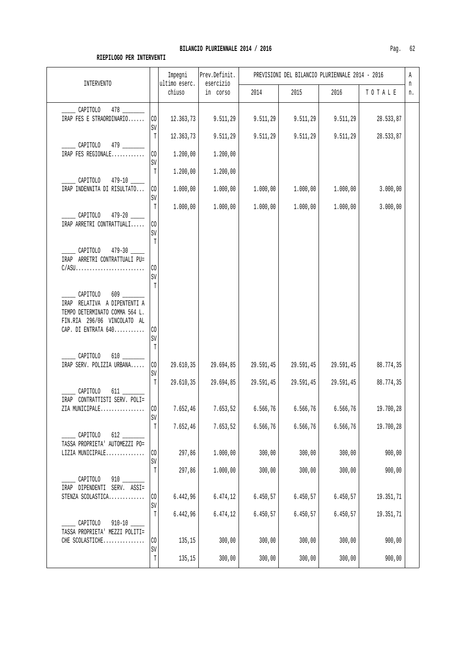| <b>INTERVENTO</b>                                                          |                               | Impegni<br>ultimo eserc. | Prev.Definit.<br>esercizio |           | PREVISIONI DEL BILANCIO PLURIENNALE 2014 - 2016 |           |           | Α<br>n |
|----------------------------------------------------------------------------|-------------------------------|--------------------------|----------------------------|-----------|-------------------------------------------------|-----------|-----------|--------|
|                                                                            |                               | chiuso                   | in corso                   | 2014      | 2015                                            | 2016      | TOTALE    | n.     |
| <b>CAPITOLO</b><br>IRAP FES E STRAORDINARIO                                | CO<br>SV                      | 12.363,73                | 9.511,29                   | 9.511,29  | 9.511,29                                        | 9.511, 29 | 28.533,87 |        |
| CAPITOLO 479 _____                                                         | $\mathbb T$                   | 12.363,73                | 9.511,29                   | 9.511,29  | 9.511,29                                        | 9.511,29  | 28.533,87 |        |
| IRAP FES REGIONALE                                                         | CO<br>SV                      | 1.200,00                 | 1.200,00                   |           |                                                 |           |           |        |
| CAPITOLO 479-10                                                            | $\mathbb T$                   | 1.200,00                 | 1.200,00                   |           |                                                 |           |           |        |
| IRAP INDENNITA DI RISULTATO                                                | $\rm CO$<br>SV                | 1.000,00                 | 1.000,00                   | 1.000,00  | 1.000,00                                        | 1.000,00  | 3.000,00  |        |
| $479 - 20$<br>CAPITOLO                                                     | T                             | 1.000,00                 | 1.000,00                   | 1.000,00  | 1.000,00                                        | 1.000,00  | 3.000,00  |        |
| IRAP ARRETRI CONTRATTUALI                                                  | $\rm CO$<br>SV                |                          |                            |           |                                                 |           |           |        |
| CAPITOLO 479-30                                                            | T                             |                          |                            |           |                                                 |           |           |        |
| IRAP ARRETRI CONTRATTUALI PU=<br>$C/ASU$                                   | $\rm CO$                      |                          |                            |           |                                                 |           |           |        |
|                                                                            | SV<br>$\overline{\mathrm{T}}$ |                          |                            |           |                                                 |           |           |        |
| CAPITOLO<br>IRAP RELATIVA A DIPENTENTI A<br>TEMPO DETERMINATO COMMA 564 L. |                               |                          |                            |           |                                                 |           |           |        |
| FIN.RIA 296/06 VINCOLATO AL<br>CAP. DI ENTRATA 640                         | CO<br>SV<br>T                 |                          |                            |           |                                                 |           |           |        |
| CAPITOLO<br>IRAP SERV. POLIZIA URBANA                                      | $\rm CO$                      | 29.610,35                | 29.694,85                  | 29.591,45 | 29.591,45                                       | 29.591,45 | 88.774,35 |        |
|                                                                            | SV<br>$\mathbb T$             | 29.610,35                | 29.694,85                  | 29.591,45 | 29.591,45                                       | 29.591,45 | 88.774,35 |        |
| CAPITOLO<br>IRAP CONTRATTISTI SERV. POLI=                                  |                               |                          |                            |           |                                                 |           |           |        |
| ZIA MUNICIPALE                                                             | CO<br>SV                      | 7.652,46                 | 7.653,52                   | 6.566, 76 | 6.566, 76                                       | 6.566,76  | 19.700,28 |        |
| CAPITOLO<br>612                                                            | T                             | 7.652,46                 | 7.653,52                   | 6.566,76  | 6.566,76                                        | 6.566,76  | 19.700,28 |        |
| TASSA PROPRIETA' AUTOMEZZI PO=<br>LIZIA MUNICIPALE                         | CO<br>SV                      | 297,86                   | 1.000,00                   | 300,00    | 300,00                                          | 300,00    | 900,00    |        |
| CAPITOLO                                                                   | T                             | 297,86                   | 1.000,00                   | 300,00    | 300,00                                          | 300,00    | 900,00    |        |
| IRAP DIPENDENTI SERV. ASSI=<br>STENZA SCOLASTICA                           | CO<br>SV                      | 6.442,96                 | 6.474,12                   | 6.450,57  | 6.450,57                                        | 6.450,57  | 19.351,71 |        |
| CAPITOLO<br>$910 - 10$ $-$                                                 | $\mathbb T$                   | 6.442,96                 | 6.474,12                   | 6.450,57  | 6.450,57                                        | 6.450, 57 | 19.351,71 |        |
| TASSA PROPRIETA' MEZZI POLITI=<br>CHE SCOLASTICHE                          | CO                            | 135,15                   | 300,00                     | 300,00    | 300,00                                          | 300,00    | 900,00    |        |
|                                                                            | SV<br>T                       | 135,15                   | 300,00                     | 300,00    | 300,00                                          | 300,00    | 900,00    |        |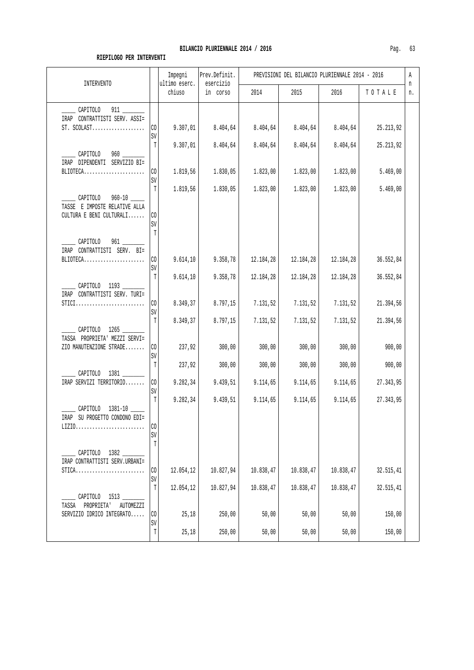| chiuso<br>2015<br>in corso<br>2014<br>2016<br>TOTALE<br>n.<br>______ CAPITOLO 911 _____<br>IRAP CONTRATTISTI SERV. ASSI=<br>9.307,01<br>8.404,64<br>8.404,64<br>8.404,64<br>$ST. SCOLAST.$<br>CO <sub>1</sub><br>8.404,64<br>25.213,92<br>SV<br>8.404,64<br>8.404,64<br>8.404,64<br>8.404,64<br>T<br>9.307,01<br>25.213,92<br>_______ CAPITOLO 960 ________<br>IRAP DIPENDENTI SERVIZIO BI=<br>1.819,56<br>1.830,05<br>1.823,00<br>1.823,00<br>1.823,00<br>5.469,00<br>BLIOTECA<br>CO <sub>1</sub><br>SV<br>T<br>1.819,56<br>5.469,00<br>1.830,05<br>1.823,00<br>1.823,00<br>1.823,00<br>CAPITOLO<br>TASSE E IMPOSTE RELATIVE ALLA<br>CULTURA E BENI CULTURALI<br>CO.<br>SV<br>T<br>CAPITOLO 961<br>IRAP CONTRATTISTI SERV. BI=<br>CO<br>9.614, 10<br>BLIOTECA<br>9.358,78<br>12.184,28<br>12.184,28<br>12.184,28<br>36.552,84<br>SV<br>T<br>9.358,78<br>9.614, 10<br>12.184,28<br>12.184,28<br>12.184,28<br>36.552,84<br>CAPITOLO 1193<br>IRAP CONTRATTISTI SERV. TURI=<br>8.349,37<br>8.797,15<br>7.131,52<br>CO<br>7.131,52<br>7.131,52<br>21.394,56<br>$STICI$<br>SV<br>T<br>8.349,37<br>8.797,15<br>7.131,52<br>7.131,52<br>7.131,52<br>21.394,56<br>$\_$ CAPITOLO $1265$ $\_$<br>TASSA PROPRIETA' MEZZI SERVI=<br>ZIO MANUTENZIONE STRADE<br>CO<br>237,92<br>300,00<br>300,00<br>300,00<br>300,00<br>900,00<br>$\mathtt{SV}$<br>237,92<br>300,00<br>300,00<br>300,00<br>T<br>300,00<br>900,00<br>CAPITOLO 1381<br>IRAP SERVIZI TERRITORIO<br>CO <sub>2</sub><br>9.282,34<br>9.439,51<br>9.114,65<br>9.114,65<br>9.114,65<br>27.343,95<br>SV<br>T<br>9.282,34<br>9.439,51<br>9.114,65<br>9.114,65<br>9.114,65<br>27.343,95<br>CAPITOLO 1381-10<br>IRAP SU PROGETTO CONDONO EDI=<br>CO<br>$\mbox{SV}$<br>T<br>CAPITOLO 1382<br>IRAP CONTRATTISTI SERV.URBANI=<br>10.838,47<br>10.827,94<br>10.838,47<br>10.838,47<br>32.515,41<br>CO<br>12.054,12<br>$STICA$<br>SV<br>T<br>10.827,94<br>10.838,47<br>10.838,47<br>10.838,47<br>12.054,12<br>32.515,41 | INTERVENTO       | Impegni<br>ultimo eserc. | Prev.Definit.<br>esercizio |  | PREVISIONI DEL BILANCIO PLURIENNALE 2014 - 2016 | Α<br>n |
|-----------------------------------------------------------------------------------------------------------------------------------------------------------------------------------------------------------------------------------------------------------------------------------------------------------------------------------------------------------------------------------------------------------------------------------------------------------------------------------------------------------------------------------------------------------------------------------------------------------------------------------------------------------------------------------------------------------------------------------------------------------------------------------------------------------------------------------------------------------------------------------------------------------------------------------------------------------------------------------------------------------------------------------------------------------------------------------------------------------------------------------------------------------------------------------------------------------------------------------------------------------------------------------------------------------------------------------------------------------------------------------------------------------------------------------------------------------------------------------------------------------------------------------------------------------------------------------------------------------------------------------------------------------------------------------------------------------------------------------------------------------------------------------------------------------------------------------------------------------------------------------------------------------------------------------------------------------|------------------|--------------------------|----------------------------|--|-------------------------------------------------|--------|
|                                                                                                                                                                                                                                                                                                                                                                                                                                                                                                                                                                                                                                                                                                                                                                                                                                                                                                                                                                                                                                                                                                                                                                                                                                                                                                                                                                                                                                                                                                                                                                                                                                                                                                                                                                                                                                                                                                                                                           |                  |                          |                            |  |                                                 |        |
|                                                                                                                                                                                                                                                                                                                                                                                                                                                                                                                                                                                                                                                                                                                                                                                                                                                                                                                                                                                                                                                                                                                                                                                                                                                                                                                                                                                                                                                                                                                                                                                                                                                                                                                                                                                                                                                                                                                                                           |                  |                          |                            |  |                                                 |        |
|                                                                                                                                                                                                                                                                                                                                                                                                                                                                                                                                                                                                                                                                                                                                                                                                                                                                                                                                                                                                                                                                                                                                                                                                                                                                                                                                                                                                                                                                                                                                                                                                                                                                                                                                                                                                                                                                                                                                                           |                  |                          |                            |  |                                                 |        |
|                                                                                                                                                                                                                                                                                                                                                                                                                                                                                                                                                                                                                                                                                                                                                                                                                                                                                                                                                                                                                                                                                                                                                                                                                                                                                                                                                                                                                                                                                                                                                                                                                                                                                                                                                                                                                                                                                                                                                           |                  |                          |                            |  |                                                 |        |
|                                                                                                                                                                                                                                                                                                                                                                                                                                                                                                                                                                                                                                                                                                                                                                                                                                                                                                                                                                                                                                                                                                                                                                                                                                                                                                                                                                                                                                                                                                                                                                                                                                                                                                                                                                                                                                                                                                                                                           |                  |                          |                            |  |                                                 |        |
|                                                                                                                                                                                                                                                                                                                                                                                                                                                                                                                                                                                                                                                                                                                                                                                                                                                                                                                                                                                                                                                                                                                                                                                                                                                                                                                                                                                                                                                                                                                                                                                                                                                                                                                                                                                                                                                                                                                                                           |                  |                          |                            |  |                                                 |        |
|                                                                                                                                                                                                                                                                                                                                                                                                                                                                                                                                                                                                                                                                                                                                                                                                                                                                                                                                                                                                                                                                                                                                                                                                                                                                                                                                                                                                                                                                                                                                                                                                                                                                                                                                                                                                                                                                                                                                                           |                  |                          |                            |  |                                                 |        |
|                                                                                                                                                                                                                                                                                                                                                                                                                                                                                                                                                                                                                                                                                                                                                                                                                                                                                                                                                                                                                                                                                                                                                                                                                                                                                                                                                                                                                                                                                                                                                                                                                                                                                                                                                                                                                                                                                                                                                           |                  |                          |                            |  |                                                 |        |
|                                                                                                                                                                                                                                                                                                                                                                                                                                                                                                                                                                                                                                                                                                                                                                                                                                                                                                                                                                                                                                                                                                                                                                                                                                                                                                                                                                                                                                                                                                                                                                                                                                                                                                                                                                                                                                                                                                                                                           |                  |                          |                            |  |                                                 |        |
|                                                                                                                                                                                                                                                                                                                                                                                                                                                                                                                                                                                                                                                                                                                                                                                                                                                                                                                                                                                                                                                                                                                                                                                                                                                                                                                                                                                                                                                                                                                                                                                                                                                                                                                                                                                                                                                                                                                                                           |                  |                          |                            |  |                                                 |        |
|                                                                                                                                                                                                                                                                                                                                                                                                                                                                                                                                                                                                                                                                                                                                                                                                                                                                                                                                                                                                                                                                                                                                                                                                                                                                                                                                                                                                                                                                                                                                                                                                                                                                                                                                                                                                                                                                                                                                                           |                  |                          |                            |  |                                                 |        |
|                                                                                                                                                                                                                                                                                                                                                                                                                                                                                                                                                                                                                                                                                                                                                                                                                                                                                                                                                                                                                                                                                                                                                                                                                                                                                                                                                                                                                                                                                                                                                                                                                                                                                                                                                                                                                                                                                                                                                           |                  |                          |                            |  |                                                 |        |
| PROPRIETA'<br>AUTOMEZZI<br>TASSA                                                                                                                                                                                                                                                                                                                                                                                                                                                                                                                                                                                                                                                                                                                                                                                                                                                                                                                                                                                                                                                                                                                                                                                                                                                                                                                                                                                                                                                                                                                                                                                                                                                                                                                                                                                                                                                                                                                          | CAPITOLO<br>1513 |                          |                            |  |                                                 |        |
| 25, 18<br>50,00<br>50,00<br>SERVIZIO IDRICO INTEGRATO<br>CO<br>250,00<br>50,00<br>150,00<br>$\mbox{SV}$<br>T<br>25,18<br>50,00<br>50,00<br>250,00<br>50,00<br>150,00                                                                                                                                                                                                                                                                                                                                                                                                                                                                                                                                                                                                                                                                                                                                                                                                                                                                                                                                                                                                                                                                                                                                                                                                                                                                                                                                                                                                                                                                                                                                                                                                                                                                                                                                                                                      |                  |                          |                            |  |                                                 |        |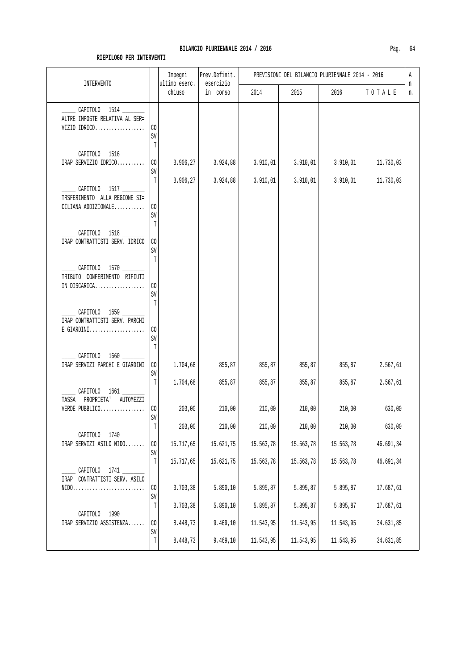| <b>INTERVENTO</b>                                                                                       |                      | Impegni<br>ultimo eserc. | Prev.Definit.<br>esercizio |           | PREVISIONI DEL BILANCIO PLURIENNALE 2014 - 2016 |           |           | Α<br>n |
|---------------------------------------------------------------------------------------------------------|----------------------|--------------------------|----------------------------|-----------|-------------------------------------------------|-----------|-----------|--------|
|                                                                                                         |                      | chiuso                   | in corso                   | 2014      | 2015                                            | 2016      | TOTALE    | n.     |
| $\_$ CAPITOLO 1514 $\_\_$<br>ALTRE IMPOSTE RELATIVA AL SER=<br>VIZIO IDRICO                             | CO<br>SV             |                          |                            |           |                                                 |           |           |        |
| CAPITOLO 1516<br>IRAP SERVIZIO IDRICO                                                                   | T<br>$\rm CO$<br>SV  | 3.906,27                 | 3.924,88                   | 3.910,01  | 3.910,01                                        | 3.910,01  | 11.730,03 |        |
| CAPITOLO 1517<br>TRSFERIMENTO ALLA REGIONE SI=<br>CILIANA ADDIZIONALE                                   | T<br>CO<br>SV        | 3.906,27                 | 3.924,88                   | 3.910,01  | 3.910,01                                        | 3.910,01  | 11.730,03 |        |
| CAPITOLO 1518 ____<br>IRAP CONTRATTISTI SERV. IDRICO                                                    | T<br>CO<br>SV<br>T   |                          |                            |           |                                                 |           |           |        |
| ______ CAPITOLO 1570 ________<br>TRIBUTO CONFERIMENTO RIFIUTI<br>IN DISCARICA                           | CO<br>SV<br>T        |                          |                            |           |                                                 |           |           |        |
| CAPITOLO 1659 ______<br>IRAP CONTRATTISTI SERV. PARCHI<br>$E$ GIARDINI                                  | CO<br>SV             |                          |                            |           |                                                 |           |           |        |
| CAPITOLO 1660 ____<br>IRAP SERVIZI PARCHI E GIARDINI                                                    | T<br>$\rm CO$<br>SV  | 1.704,68                 | 855,87                     | 855,87    | 855,87                                          | 855,87    | 2.567,61  |        |
| CAPITOLO 1661<br>TASSA PROPRIETA'<br>AUTOMEZZI                                                          | T                    | 1.704,68                 | 855,87                     | 855,87    | 855,87                                          | 855,87    | 2.567,61  |        |
| VERDE PUBBLICO                                                                                          | C <sub>0</sub><br>SV | 203,00                   | 210,00                     | 210,00    | 210,00                                          | 210,00    | 630,00    |        |
| CAPITOLO 1740                                                                                           | T                    | 203,00                   | 210,00                     | 210,00    | 210,00                                          | 210,00    | 630,00    |        |
| IRAP SERVIZI ASILO NIDO                                                                                 | $_{\rm CO}$<br>SV    | 15.717,65                | 15.621,75                  | 15.563,78 | 15.563,78                                       | 15.563,78 | 46.691,34 |        |
| CAPITOLO 1741                                                                                           | $\mathbb T$          | 15.717,65                | 15.621,75                  | 15.563,78 | 15.563,78                                       | 15.563,78 | 46.691,34 |        |
| IRAP CONTRATTISTI SERV. ASILO<br>$\texttt{NIDO.} \dots \dots \dots \dots \dots \dots \dots \dots \dots$ | $_{\rm CO}$<br>SV    | 3.703,38                 | 5.890,10                   | 5.895,87  | 5.895,87                                        | 5.895,87  | 17.687,61 |        |
| CAPITOLO 1990                                                                                           | T                    | 3.703,38                 | 5.890,10                   | 5.895,87  | 5.895,87                                        | 5.895,87  | 17.687,61 |        |
| IRAP SERVIZIO ASSISTENZA                                                                                | $\rm CO$<br>SV       | 8.448,73                 | 9.469,10                   | 11.543,95 | 11.543,95                                       | 11.543,95 | 34.631,85 |        |
|                                                                                                         | $\mathbb T$          | 8.448,73                 | 9.469, 10                  | 11.543,95 | 11.543,95                                       | 11.543,95 | 34.631,85 |        |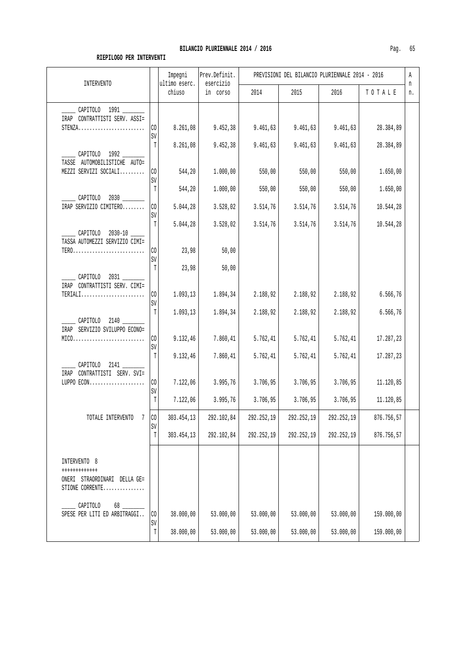| <b>INTERVENTO</b>                                                                                             |                                          | Impegni<br>ultimo eserc.          | Prev.Definit.<br>esercizio       |                                   | PREVISIONI DEL BILANCIO PLURIENNALE 2014 - 2016 |                                   |                                     | Α<br>n |
|---------------------------------------------------------------------------------------------------------------|------------------------------------------|-----------------------------------|----------------------------------|-----------------------------------|-------------------------------------------------|-----------------------------------|-------------------------------------|--------|
|                                                                                                               |                                          | chiuso                            | in corso                         | 2014                              | 2015                                            | 2016                              | TOTALE                              | n.     |
| CAPITOLO 1991<br>IRAP CONTRATTISTI SERV. ASSI=<br>$STENZA$                                                    | CO.<br>SV                                | 8.261,08                          | 9.452, 38                        | 9.461, 63                         | 9.461, 63                                       | 9.461, 63                         | 28.384,89                           |        |
| CAPITOLO 1992<br>TASSE AUTOMOBILISTICHE AUTO=<br>MEZZI SERVIZI SOCIALI                                        | T<br>CO <sub>2</sub><br>SV               | 8.261,08<br>544,20                | 9.452,38<br>1.000,00             | 9.461,63<br>550,00                | 9.461, 63<br>550,00                             | 9.461, 63<br>550,00               | 28.384,89<br>1.650,00               |        |
| CAPITOLO<br>IRAP SERVIZIO CIMITERO                                                                            | T<br>$\rm CO$<br>SV                      | 544,20<br>5.044,28                | 1.000,00<br>3.528,02             | 550,00<br>3.514,76                | 550,00<br>3.514,76                              | 550,00<br>3.514,76                | 1.650,00<br>10.544,28               |        |
| CAPITOLO 2030-10<br>TASSA AUTOMEZZI SERVIZIO CIMI=<br>$TER0 \ldots \ldots \ldots \ldots \ldots \ldots \ldots$ | T<br>CO <sub>1</sub><br>SV               | 5.044,28<br>23,98                 | 3.528,02<br>50,00                | 3.514,76                          | 3.514,76                                        | 3.514,76                          | 10.544,28                           |        |
| CAPITOLO 2031<br>IRAP CONTRATTISTI SERV. CIMI=<br>TERIALI                                                     | T<br>CO<br>SV                            | 23,98<br>1.093, 13                | 50,00<br>1.894,34                | 2.188,92                          | 2.188,92                                        | 2.188,92                          | 6.566,76                            |        |
| CAPITOLO 2140<br>IRAP SERVIZIO SVILUPPO ECONO=<br>$MIC0.\dots\dots\dots\dots\dots\dots\dots\dots\dots\dots$   | $\mathbb T$<br>CO<br>SV                  | 1.093, 13<br>9.132,46             | 1.894,34<br>7.860,41             | 2.188,92<br>5.762, 41             | 2.188,92<br>5.762, 41                           | 2.188,92<br>5.762, 41             | 6.566, 76<br>17.287,23              |        |
| CAPITOLO 2141<br>IRAP CONTRATTISTI SERV. SVI=<br>LUPPO ECON                                                   | T<br>CO <sub>1</sub><br>$\mbox{SV}$<br>T | 9.132, 46<br>7.122,06<br>7.122,06 | 7.860,41<br>3.995,76<br>3.995,76 | 5.762, 41<br>3.706,95<br>3.706,95 | 5.762, 41<br>3.706,95<br>3.706,95               | 5.762, 41<br>3.706,95<br>3.706,95 | 17.287,23<br>11.120,85<br>11.120,85 |        |
| TOTALE INTERVENTO<br>-7                                                                                       | $ $ CO<br>SV<br>T                        | 303.454,13<br>303.454,13          | 292.102,84<br>292.102,84         | 292.252,19<br>292.252,19          | 292.252,19<br>292.252,19                        | 292.252,19<br>292.252,19          | 876.756,57<br>876.756,57            |        |
| INTERVENTO 8<br>++++++++++++<br>ONERI STRAORDINARI DELLA GE=<br>STIONE CORRENTE.<br>.                         |                                          |                                   |                                  |                                   |                                                 |                                   |                                     |        |
| CAPITOLO<br>68<br>SPESE PER LITI ED ARBITRAGGI                                                                | CO<br>SV                                 | 38.000,00                         | 53.000,00                        | 53.000,00                         | 53.000,00                                       | 53.000,00                         | 159.000,00                          |        |
|                                                                                                               | T                                        | 38.000,00                         | 53.000,00                        | 53.000,00                         | 53.000,00                                       | 53.000,00                         | 159.000,00                          |        |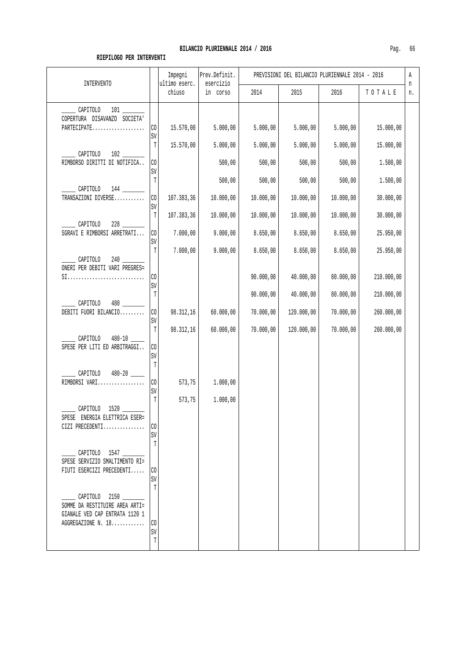| INTERVENTO                                                                                              |                                | Impegni<br>ultimo eserc. | Prev.Definit.<br>esercizio |                        | PREVISIONI DEL BILANCIO PLURIENNALE 2014 - 2016 |                        |                          | Α<br>n |
|---------------------------------------------------------------------------------------------------------|--------------------------------|--------------------------|----------------------------|------------------------|-------------------------------------------------|------------------------|--------------------------|--------|
|                                                                                                         |                                | chiuso                   | in corso                   | 2014                   | 2015                                            | 2016                   | TOTALE                   | n.     |
| CAPITOLO<br>COPERTURA DISAVANZO SOCIETA'<br>PARTECIPATE                                                 | $\rm CO$<br>SV                 | 15.570,00                | 5.000,00                   | 5.000,00               | 5.000,00                                        | 5.000,00               | 15.000,00                |        |
| CAPITOLO<br>RIMBORSO DIRITTI DI NOTIFICA                                                                | T<br>$\rm CO$<br>$\mathtt{SV}$ | 15.570,00                | 5.000,00<br>500,00         | 5.000,00<br>500,00     | 5.000,00<br>500,00                              | 5.000,00<br>500,00     | 15.000,00<br>1.500,00    |        |
| CAPITOLO<br>TRANSAZIONI DIVERSE                                                                         | T<br>CO<br>SV                  | 107.383,36               | 500,00<br>10.000,00        | 500,00<br>10.000,00    | 500,00<br>10.000,00                             | 500,00<br>10.000,00    | 1.500,00<br>30.000,00    |        |
| CAPITOLO<br>228<br>SGRAVI E RIMBORSI ARRETRATI                                                          | $\mathbb T$<br>CO<br>SV        | 107.383,36<br>7.000,00   | 10.000,00<br>9.000,00      | 10.000,00<br>8.650,00  | 10.000,00<br>8.650,00                           | 10.000,00<br>8.650,00  | 30.000,00<br>25.950,00   |        |
| CAPITOLO<br>ONERI PER DEBITI VARI PREGRES=<br>$SL$                                                      | T<br>CO.<br>$\mathtt{SV}$      | 7.000,00                 | 9.000,00                   | 8.650,00<br>90.000,00  | 8.650,00<br>40.000,00                           | 8.650,00<br>80.000,00  | 25.950,00<br>210.000,00  |        |
| CAPITOLO<br>480<br>DEBITI FUORI BILANCIO                                                                | $\mathbb T$<br>CO<br>SV        | 98.312,16                | 60.000,00                  | 90.000,00<br>70.000,00 | 40.000,00<br>120.000,00                         | 80.000,00<br>70.000,00 | 210.000,00<br>260.000,00 |        |
| CAPITOLO<br>SPESE PER LITI ED ARBITRAGGI                                                                | T<br>CO.<br>SV                 | 98.312,16                | 60.000,00                  | 70.000,00              | 120.000,00                                      | 70.000,00              | 260.000,00               |        |
| CAPITOLO<br>RIMBORSI VARI                                                                               | $\mathbb T$<br>CO<br>SV<br>T   | 573,75                   | 1.000,00                   |                        |                                                 |                        |                          |        |
| CAPITOLO<br>SPESE ENERGIA ELETTRICA ESER=<br>CIZI PRECEDENTI                                            | CO<br>SV                       | 573,75                   | 1.000,00                   |                        |                                                 |                        |                          |        |
| CAPITOLO 1547<br>SPESE SERVIZIO SMALTIMENTO RI=<br>FIUTI ESERCIZI PRECEDENTI                            | T<br>CO.<br>SV                 |                          |                            |                        |                                                 |                        |                          |        |
| CAPITOLO 2150<br>SOMME DA RESTITUIRE AREA ARTI=<br>GIANALE VED CAP ENTRATA 1120 1<br>AGGREGAZIONE N. 18 | T<br>CO<br>SV<br>$\mathbb T$   |                          |                            |                        |                                                 |                        |                          |        |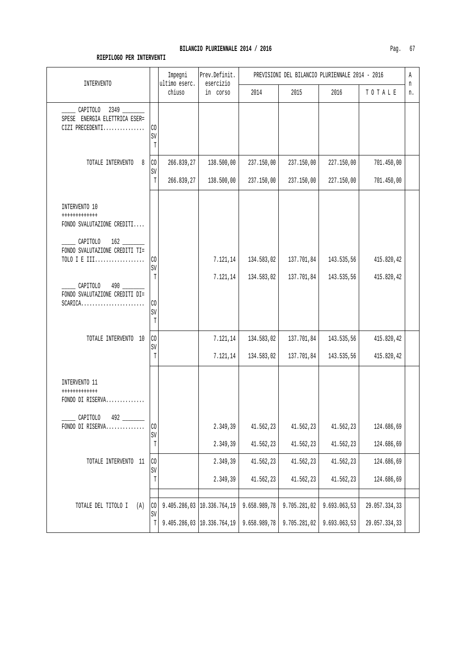| Paα |  |
|-----|--|
|-----|--|

| <b>INTERVENTO</b>                                                                                         |                             | Impegni<br>ultimo eserc. | Prev.Definit.<br>esercizio | PREVISIONI DEL BILANCIO PLURIENNALE 2014 - 2016 |              |              |               |         |
|-----------------------------------------------------------------------------------------------------------|-----------------------------|--------------------------|----------------------------|-------------------------------------------------|--------------|--------------|---------------|---------|
|                                                                                                           |                             | chiuso                   | in corso                   | 2014                                            | 2015         | 2016         | TOTALE        | n<br>n. |
| CAPITOLO 2349 _____<br>SPESE ENERGIA ELETTRICA ESER=<br>CIZI PRECEDENTI                                   | CO<br>SV<br>T               |                          |                            |                                                 |              |              |               |         |
| TOTALE INTERVENTO<br>8                                                                                    | $\rm CO$<br>SV              | 266.839,27               | 138.500,00                 | 237.150,00                                      | 237.150,00   | 227.150,00   | 701.450,00    |         |
|                                                                                                           | T                           | 266.839,27               | 138.500,00                 | 237.150,00                                      | 237.150,00   | 227.150,00   | 701.450,00    |         |
| INTERVENTO 10<br>++++++++++++<br>FONDO SVALUTAZIONE CREDITI<br>CAPITOLO<br>FONDO SVALUTAZIONE CREDITI TI= |                             |                          |                            |                                                 |              |              |               |         |
| TOLO I E III                                                                                              | CO<br>SV                    |                          | 7.121,14                   | 134.583,02                                      | 137.701,84   | 143.535,56   | 415.820,42    |         |
| CAPITOLO<br>FONDO SVALUTAZIONE CREDITI DI=<br>$SCARICA$                                                   | T<br>$_{\rm CO}$<br>SV<br>T |                          | 7.121,14                   | 134.583,02                                      | 137.701,84   | 143.535,56   | 415.820,42    |         |
| TOTALE INTERVENTO 10                                                                                      | $_{\rm CO}$<br>SV           |                          | 7.121,14                   | 134.583,02                                      | 137.701,84   | 143.535,56   | 415.820,42    |         |
|                                                                                                           | $\mathbb T$                 |                          | 7.121,14                   | 134.583,02                                      | 137.701,84   | 143.535,56   | 415.820,42    |         |
| INTERVENTO 11<br>++++++++++++<br>FONDO DI RISERVA<br>CAPITOLO                                             |                             |                          |                            |                                                 |              |              |               |         |
| FONDO DI RISERVA                                                                                          | CO<br>$\mbox{SV}$           |                          | 2.349,39                   | 41.562,23                                       | 41.562,23    | 41.562,23    | 124.686,69    |         |
|                                                                                                           | T                           |                          | 2.349,39                   | 41.562,23                                       | 41.562,23    | 41.562,23    | 124.686,69    |         |
| TOTALE INTERVENTO 11                                                                                      | CO<br>SV                    |                          | 2.349,39                   | 41.562,23                                       | 41.562,23    | 41.562,23    | 124.686,69    |         |
|                                                                                                           | $\mathbb T$                 |                          | 2.349,39                   | 41.562,23                                       | 41.562,23    | 41.562,23    | 124.686,69    |         |
| TOTALE DEL TITOLO I<br>(A)                                                                                | $\rm CO$                    |                          | 9.405.286,03 10.336.764,19 | 9.658.989,78                                    | 9.705.281,02 | 9.693.063,53 | 29.057.334,33 |         |
|                                                                                                           | SV<br>T                     |                          | 9.405.286,03 10.336.764,19 | 9.658.989,78                                    | 9.705.281,02 | 9.693.063,53 | 29.057.334,33 |         |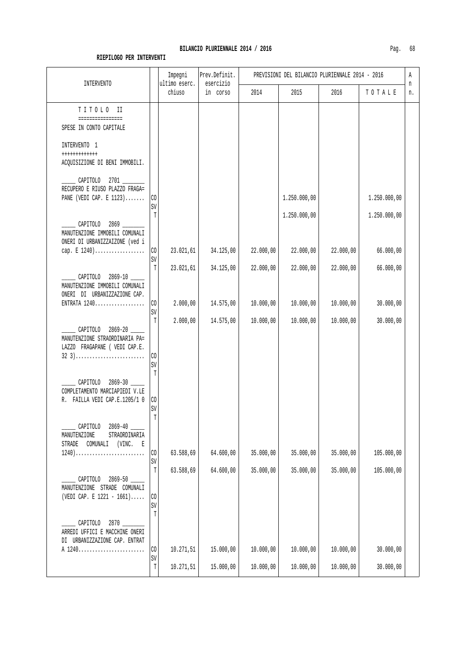| .           |               |                                                 |  |
|-------------|---------------|-------------------------------------------------|--|
| Impegni     | Prev.Definit. | PREVISIONI DEL BILANCIO PLURIENNALE 2014 - 2016 |  |
| timo eserc. | eserc         |                                                 |  |

| INTERVENTO                                                       |                            | Impegni<br>ultimo eserc. | Prev.Definit.<br>esercizio | PREVISIONI DEL BILANCIO PLURIENNALE 2014 - 2016 |              |           |              |         |
|------------------------------------------------------------------|----------------------------|--------------------------|----------------------------|-------------------------------------------------|--------------|-----------|--------------|---------|
|                                                                  |                            | chiuso                   | in corso                   | 2014                                            | 2015         | 2016      | TOTALE       | n<br>n. |
| TITOLO II<br>================                                    |                            |                          |                            |                                                 |              |           |              |         |
| SPESE IN CONTO CAPITALE                                          |                            |                          |                            |                                                 |              |           |              |         |
| INTERVENTO 1                                                     |                            |                          |                            |                                                 |              |           |              |         |
| ++++++++++++<br>ACQUISIZIONE DI BENI IMMOBILI.                   |                            |                          |                            |                                                 |              |           |              |         |
| CAPITOLO 2701                                                    |                            |                          |                            |                                                 |              |           |              |         |
| RECUPERO E RIUSO PLAZZO FRAGA=<br>PANE (VEDI CAP. E $1123$ )     | C <sub>0</sub>             |                          |                            |                                                 | 1.250.000,00 |           | 1.250.000,00 |         |
|                                                                  | SV                         |                          |                            |                                                 |              |           |              |         |
| CAPITOLO 2869                                                    | T                          |                          |                            |                                                 | 1.250.000,00 |           | 1.250.000,00 |         |
| MANUTENZIONE IMMOBILI COMUNALI<br>ONERI DI URBANIZZAIZONE (ved i |                            |                          |                            |                                                 |              |           |              |         |
| cap. $E$ 1240)                                                   | CO<br>$\mbox{SV}$          | 23.021,61                | 34.125,00                  | 22.000,00                                       | 22.000,00    | 22.000,00 | 66.000,00    |         |
|                                                                  | Т                          | 23.021,61                | 34.125,00                  | 22.000,00                                       | 22.000,00    | 22.000,00 | 66.000,00    |         |
| CAPITOLO 2869-10<br>MANUTENZIONE IMMOBILI COMUNALI               |                            |                          |                            |                                                 |              |           |              |         |
| ONERI DI URBANIZZAZIONE CAP.<br>ENTRATA 1240                     | CO                         | 2.000,00                 | 14.575,00                  | 10.000,00                                       | 10.000,00    | 10.000,00 | 30.000,00    |         |
|                                                                  | $\mbox{SV}$<br>T           | 2.000,00                 | 14.575,00                  | 10.000,00                                       | 10.000,00    | 10.000,00 | 30.000,00    |         |
| CAPITOLO 2869-20<br>MANUTENZIONE STRAORDINARIA PA=               |                            |                          |                            |                                                 |              |           |              |         |
| LAZZO FRAGAPANE ( VEDI CAP.E.                                    |                            |                          |                            |                                                 |              |           |              |         |
| $32$ 3)                                                          | CO<br>SV                   |                          |                            |                                                 |              |           |              |         |
| CAPITOLO 2869-30                                                 | T                          |                          |                            |                                                 |              |           |              |         |
| COMPLETAMENTO MARCIAPIEDI V.LE<br>R. FAILLA VEDI CAP.E.1205/1 0  | CO                         |                          |                            |                                                 |              |           |              |         |
|                                                                  | $\mbox{SV}$<br>$\mathbb T$ |                          |                            |                                                 |              |           |              |         |
| 2869-40<br>CAPITOLO                                              |                            |                          |                            |                                                 |              |           |              |         |
| MANUTENZIONE<br>STRAORDINARIA<br>STRADE COMUNALI (VINC. E        |                            |                          |                            |                                                 |              |           |              |         |
| $1240) \ldots \ldots \ldots \ldots \ldots \ldots \ldots \ldots$  | CO<br>SV                   | 63.588,69                | 64.600,00                  | 35.000,00                                       | 35.000,00    | 35.000,00 | 105.000,00   |         |
| CAPITOLO 2869-50                                                 | T                          | 63.588,69                | 64.600,00                  | 35.000,00                                       | 35.000,00    | 35.000,00 | 105.000,00   |         |
| MANUTENZIONE STRADE COMUNALI<br>(VEDI CAP. E 1221 - 1661)        | $_{\rm CO}$                |                          |                            |                                                 |              |           |              |         |
|                                                                  | SV                         |                          |                            |                                                 |              |           |              |         |
| CAPITOLO 2870                                                    | $\mathbb T$                |                          |                            |                                                 |              |           |              |         |
| ARREDI UFFICI E MACCHINE ONERI<br>DI URBANIZZAZIONE CAP. ENTRAT  |                            |                          |                            |                                                 |              |           |              |         |
| A 1240                                                           | $\rm CO$<br>SV             | 10.271,51                | 15.000,00                  | 10.000,00                                       | 10.000,00    | 10.000,00 | 30.000,00    |         |
|                                                                  | $\mathbb T$                | 10.271,51                | 15.000,00                  | 10.000,00                                       | 10.000,00    | 10.000,00 | 30.000,00    |         |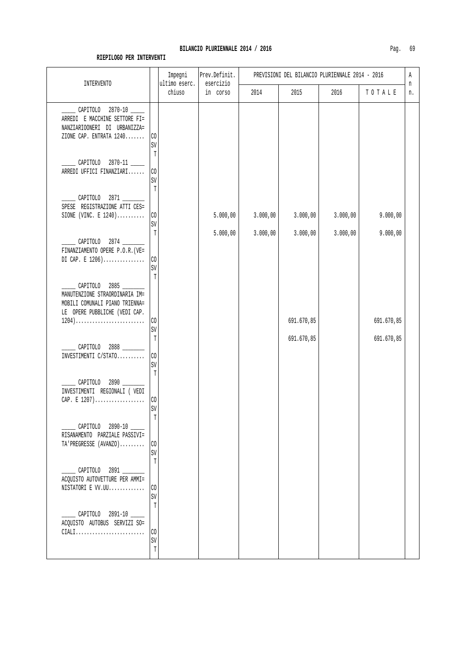| <b>INTERVENTO</b>                                                                                                  |                                              | Impegni<br>ultimo eserc. | Prev.Definit.<br>esercizio | PREVISIONI DEL BILANCIO PLURIENNALE 2014 - 2016 |            |          |            |         |
|--------------------------------------------------------------------------------------------------------------------|----------------------------------------------|--------------------------|----------------------------|-------------------------------------------------|------------|----------|------------|---------|
|                                                                                                                    |                                              | chiuso                   | in corso                   | 2014                                            | 2015       | 2016     | TOTALE     | n<br>n. |
| CAPITOLO 2870-10<br>ARREDI E MACCHINE SETTORE FI=<br>NANZIARIOONERI DI URBANIZZA=<br>ZIONE CAP. ENTRATA 1240       | $_{\rm CO}$<br>SV<br>T                       |                          |                            |                                                 |            |          |            |         |
| CAPITOLO 2870-11<br>ARREDI UFFICI FINANZIARI                                                                       | CO<br>SV<br>T                                |                          |                            |                                                 |            |          |            |         |
| CAPITOLO 2871<br>SPESE REGISTRAZIONE ATTI CES=<br>SIONE (VINC. E $1240)$                                           | CO<br>SV                                     |                          | 5.000,00                   | 3.000,00                                        | 3.000,00   | 3.000,00 | 9.000,00   |         |
| CAPITOLO 2874 _____<br>FINANZIAMENTO OPERE P.O.R. (VE=<br>DI CAP. E $1206)$                                        | T<br>CO<br>SV                                |                          | 5.000,00                   | 3.000,00                                        | 3.000,00   | 3.000,00 | 9.000,00   |         |
| CAPITOLO 2885<br>MANUTENZIONE STRAORDINARIA IM=<br>MOBILI COMUNALI PIANO TRIENNA=<br>LE OPERE PUBBLICHE (VEDI CAP. | $\overline{\mathrm{T}}$                      |                          |                            |                                                 |            |          |            |         |
| $1204) \ldots \ldots \ldots \ldots \ldots \ldots \ldots \ldots$                                                    | CO<br>SV                                     |                          |                            |                                                 | 691.670,85 |          | 691.670,85 |         |
| CAPITOLO 2888<br>INVESTIMENTI C/STATO                                                                              | $\mathbb{T}$<br>CO<br>SV                     |                          |                            |                                                 | 691.670,85 |          | 691.670,85 |         |
| CAPITOLO 2890<br>INVESTIMENTI REGIONALI ( VEDI<br>CAP. E 1207)                                                     | $\mathbb T$<br>$\rm CO$<br>SV<br>$\mathbb T$ |                          |                            |                                                 |            |          |            |         |
| ______ CAPITOLO 2890-10 _____<br>RISANAMENTO PARZIALE PASSIVI=<br>TA'PREGRESSE (AVANZO)                            | CO<br>SV<br>T                                |                          |                            |                                                 |            |          |            |         |
| CAPITOLO 2891 _____<br>ACQUISTO AUTOVETTURE PER AMMI=<br>$NISTATORI$ E $VV.UU.\ldots\ldots\ldots\ldots$            | CO<br>SV<br>T                                |                          |                            |                                                 |            |          |            |         |
| ______ CAPITOLO 2891-10 _____<br>ACQUISTO AUTOBUS SERVIZI SO=<br>$\mathtt{CIALI}$                                  | $_{\rm CO}$<br>SV<br>$\mathbb T$             |                          |                            |                                                 |            |          |            |         |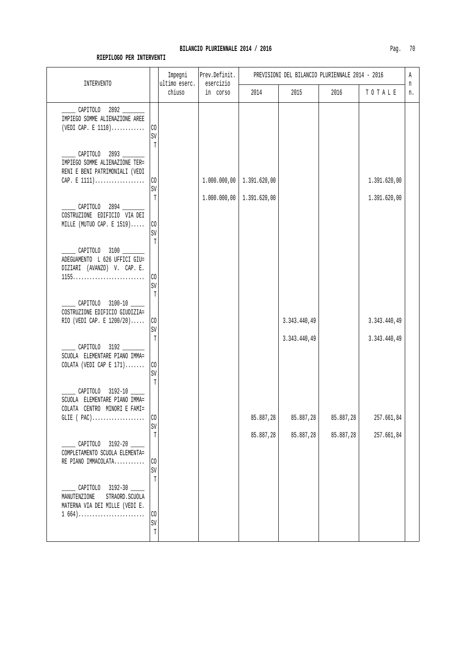|                                                                                                    |                                | Impegni<br>ultimo eserc. | Prev.Definit.<br>esercizio | PREVISIONI DEL BILANCIO PLURIENNALE 2014 - 2016 |                              |           |                              | Α       |  |
|----------------------------------------------------------------------------------------------------|--------------------------------|--------------------------|----------------------------|-------------------------------------------------|------------------------------|-----------|------------------------------|---------|--|
| <b>INTERVENTO</b>                                                                                  |                                | chiuso                   | in corso                   | 2014                                            | 2015                         | 2016      | TOTALE                       | n<br>n. |  |
| ___ CAPITOLO 2892 ___<br>IMPIEGO SOMME ALIENAZIONE AREE<br>(VEDI CAP. E $1110)$                    | $\rm CO$<br>SV<br>$\mathbb{T}$ |                          |                            |                                                 |                              |           |                              |         |  |
| CAPITOLO 2893<br>IMPIEGO SOMME ALIENAZIONE TER=<br>RENI E BENI PATRIMONIALI (VEDI<br>CAP. E $1111$ | CO<br>SV                       |                          |                            | $1.000.000,00$   1.391.620,00                   |                              |           | 1.391.620,00                 |         |  |
| _______ CAPITOLO 2894 ________<br>COSTRUZIONE EDIFICIO VIA DEI<br>MILLE (MUTUO CAP. E $1519$ )     | T<br>CO                        |                          | 1.000.000,00               | 1.391.620,00                                    |                              |           | 1.391.620,00                 |         |  |
| ______ CAPITOLO 3100 ________<br>ADEGUAMENTO L 626 UFFICI GIU=<br>DIZIARI (AVANZO) V. CAP. E.      | SV<br>T                        |                          |                            |                                                 |                              |           |                              |         |  |
| CAPITOLO 3100-10 ____                                                                              | C <sub>0</sub><br>SV<br>Т      |                          |                            |                                                 |                              |           |                              |         |  |
| COSTRUZIONE EDIFICIO GIUDIZIA=<br>RIO (VEDI CAP. E 1200/20)                                        | C <sub>0</sub><br>SV<br>T      |                          |                            |                                                 | 3.343.440,49<br>3.343.440,49 |           | 3.343.440,49<br>3.343.440,49 |         |  |
| $\sim$ CAPITOLO 3192<br>SCUOLA ELEMENTARE PIANO IMMA=<br>COLATA (VEDI CAP E $171$ )                | CO<br>SV<br>T                  |                          |                            |                                                 |                              |           |                              |         |  |
| CAPITOLO 3192-10<br>SCUOLA ELEMENTARE PIANO IMMA=<br>COLATA CENTRO MINORI E FAMI=                  | SV                             |                          |                            | 85.887,28                                       | 85.887,28                    | 85.887,28 | 257.661,84                   |         |  |
| CAPITOLO 3192-20<br>COMPLETAMENTO SCUOLA ELEMENTA=<br>RE PIANO IMMACOLATA                          | T<br>$\rm CO$<br>SV            |                          |                            | 85.887,28                                       | 85.887,28                    | 85.887,28 | 257.661,84                   |         |  |
| CAPITOLO 3192-30<br>MANUTENZIONE<br>STRAORD. SCUOLA<br>MATERNA VIA DEI MILLE (VEDI E.<br>$1\,664)$ | T<br>$\rm CO$<br>SV            |                          |                            |                                                 |                              |           |                              |         |  |
|                                                                                                    | $\mathbb T$                    |                          |                            |                                                 |                              |           |                              |         |  |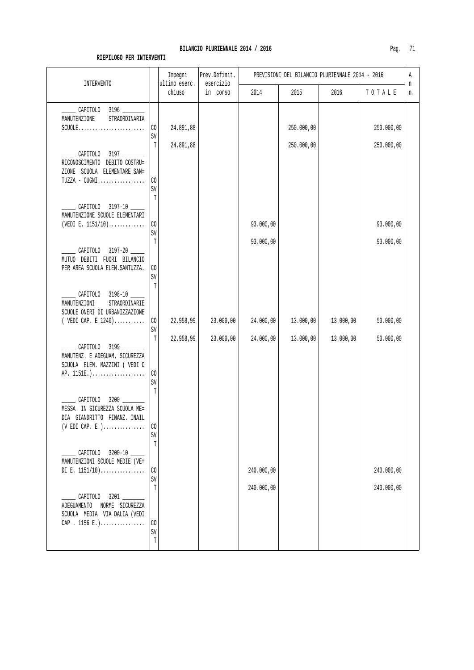| <b>INTERVENTO</b>                                                                                                                    |                             | Impegni<br>ultimo eserc. | Prev.Definit.<br>esercizio | PREVISIONI DEL BILANCIO PLURIENNALE 2014 - 2016 |            |           | Α                        |         |
|--------------------------------------------------------------------------------------------------------------------------------------|-----------------------------|--------------------------|----------------------------|-------------------------------------------------|------------|-----------|--------------------------|---------|
|                                                                                                                                      |                             | chiuso                   | in corso                   | 2014                                            | 2015       | 2016      | TOTALE                   | n<br>n. |
| CAPITOLO 3196<br>MANUTENZIONE<br>STRAORDINARIA                                                                                       | CO<br>SV                    | 24.891,88                |                            |                                                 | 250.000,00 |           | 250.000,00               |         |
| CAPITOLO 3197<br>RICONOSCIMENTO DEBITO COSTRU=<br>ZIONE SCUOLA ELEMENTARE SAN=<br>$TUZZA - CUGNI \ldots \ldots \ldots \ldots \ldots$ | T<br>CO<br>SV               | 24.891,88                |                            |                                                 | 250.000,00 |           | 250.000,00               |         |
| CAPITOLO 3197-10<br>MANUTENZIONE SCUOLE ELEMENTARI<br>(VEDI E. $1151/10$ )                                                           | T<br>CO<br>SV               |                          |                            | 93.000,00                                       |            |           | 93.000,00                |         |
| CAPITOLO 3197-20<br>MUTUO DEBITI FUORI BILANCIO<br>PER AREA SCUOLA ELEM. SANTUZZA.                                                   | T<br>$_{\rm CO}$<br>SV<br>T |                          |                            | 93.000,00                                       |            |           | 93.000,00                |         |
| CAPITOLO 3198-10 ____<br>MANUTENZIONI<br>STRAORDINARIE<br>SCUOLE ONERI DI URBANIZZAZIONE<br>( $VEDI$ CAP. E $1240)$                  | $\rm CO$<br>SV              | 22.958,99                | 23.000,00                  | 24.000,00                                       | 13.000,00  | 13.000,00 | 50.000,00                |         |
| CAPITOLO 3199<br>MANUTENZ. E ADEGUAM. SICUREZZA<br>SCUOLA ELEM. MAZZINI ( VEDI C<br>AP. 1151E.)                                      | T<br>CO<br>SV               | 22.958,99                | 23.000,00                  | 24.000,00                                       | 13.000,00  | 13.000,00 | 50.000,00                |         |
| CAPITOLO 3200<br>MESSA IN SICUREZZA SCUOLA ME=<br>DIA GIANDRITTO FINANZ. INAIL<br>$(V$ EDI CAP. E $)$                                | T<br>CO<br>SV<br>T          |                          |                            |                                                 |            |           |                          |         |
| CAPITOLO 3200-10<br>MANUTENZIONI SCUOLE MEDIE (VE=<br>DI E. $1151/10)$                                                               | CO<br>SV<br>T               |                          |                            | 240.000,00<br>240.000,00                        |            |           | 240.000,00<br>240.000,00 |         |
| CAPITOLO 3201<br>ADEGUAMENTO<br>NORME SICUREZZA<br>SCUOLA MEDIA VIA DALIA (VEDI<br>CAP . 1156 E.)                                    | CO<br>SV<br>Т               |                          |                            |                                                 |            |           |                          |         |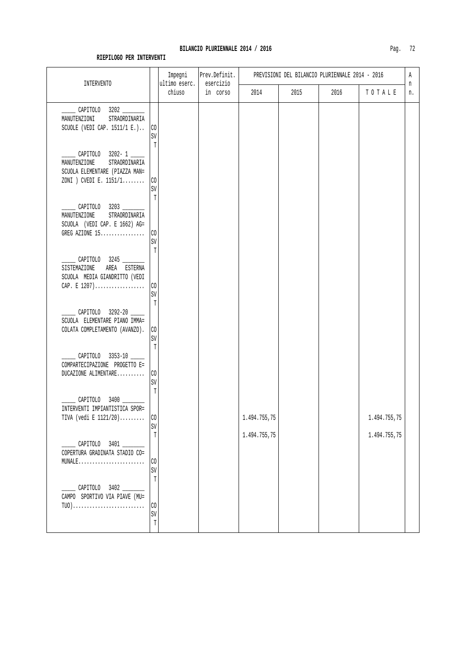| INTERVENTO                                                                                                   |                                             | Impegni<br>ultimo eserc. | Prev.Definit.<br>esercizio |                              |      | PREVISIONI DEL BILANCIO PLURIENNALE 2014 - 2016 |                              | Α<br>n |
|--------------------------------------------------------------------------------------------------------------|---------------------------------------------|--------------------------|----------------------------|------------------------------|------|-------------------------------------------------|------------------------------|--------|
|                                                                                                              |                                             | chiuso                   | in corso                   | 2014                         | 2015 | 2016                                            | TOTALE                       | n.     |
| CAPITOLO 3202 __<br>MANUTENZIONI<br>STRAORDINARIA<br>SCUOLE (VEDI CAP. $1511/1 E.$ )                         | C <sub>0</sub><br>$\mbox{SV}$<br>T          |                          |                            |                              |      |                                                 |                              |        |
| CAPITOLO 3202-1<br>MANUTENZIONE<br>STRAORDINARIA<br>SCUOLA ELEMENTARE (PIAZZA MAN=<br>ZONI ) CVEDI E. 1151/1 | $\rm CO$<br>$\mbox{SV}$                     |                          |                            |                              |      |                                                 |                              |        |
| CAPITOLO 3203<br>MANUTENZIONE<br>STRAORDINARIA<br>SCUOLA (VEDI CAP. E 1662) AG=<br>GREG AZIONE 15            | T<br>$\rm CO$<br>$\mbox{SV}$                |                          |                            |                              |      |                                                 |                              |        |
| _CAPITOLO 3245 ______<br>SISTEMAZIONE<br>AREA ESTERNA<br>SCUOLA MEDIA GIANDRITTO (VEDI<br>CAP. E $1207)$     | T<br>CO<br>SV                               |                          |                            |                              |      |                                                 |                              |        |
| CAPITOLO 3292-20<br>SCUOLA ELEMENTARE PIANO IMMA=<br>COLATA COMPLETAMENTO (AVANZO).                          | T<br>CO<br>SV                               |                          |                            |                              |      |                                                 |                              |        |
| ___ CAPITOLO 3353-10 ____<br>COMPARTECIPAZIONE PROGETTO E=<br>DUCAZIONE ALIMENTARE                           | $\mathbb T$<br>$\rm CO$<br>$\mbox{SV}$<br>T |                          |                            |                              |      |                                                 |                              |        |
| CAPITOLO 3400 ________<br>INTERVENTI IMPIANTISTICA SPOR=<br>TIVA (vedi E $1121/20$ )                         | CO<br>SV<br>T                               |                          |                            | 1.494.755,75<br>1.494.755,75 |      |                                                 | 1.494.755,75<br>1.494.755,75 |        |
| CAPITOLO 3401<br>COPERTURA GRADINATA STADIO CO=<br>$MUNALE$                                                  | CO<br>SV<br>T                               |                          |                            |                              |      |                                                 |                              |        |
| CAPITOLO 3402<br>CAMPO SPORTIVO VIA PIAVE (MU=<br>$TUO)$                                                     | CO<br>SV<br>T                               |                          |                            |                              |      |                                                 |                              |        |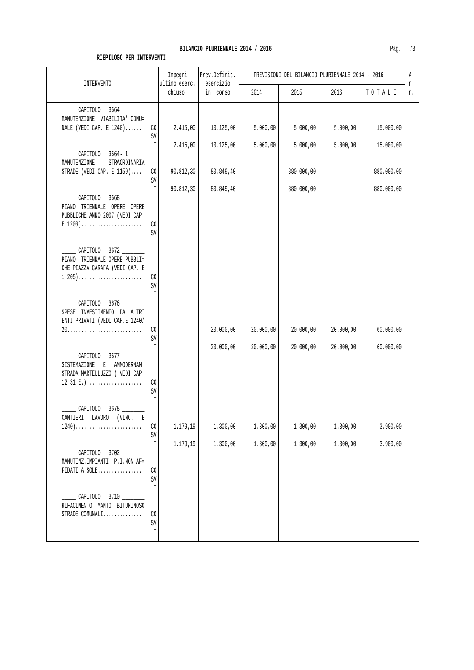| <b>INTERVENTO</b>                                                                           |                                   | Impegni<br>ultimo eserc. | Prev.Definit.<br>esercizio |           |            | PREVISIONI DEL BILANCIO PLURIENNALE 2014 - 2016 |            | Α<br>n |
|---------------------------------------------------------------------------------------------|-----------------------------------|--------------------------|----------------------------|-----------|------------|-------------------------------------------------|------------|--------|
|                                                                                             |                                   | chiuso                   | in corso                   | 2014      | 2015       | 2016                                            | TOTALE     | n.     |
| CAPITOLO 3664 _____<br>MANUTENZIONE VIABILITA' COMU=<br>NALE (VEDI CAP. E $1240)$           | CO                                | 2.415,00                 | 10.125,00                  | 5.000,00  | 5.000,00   | 5.000,00                                        | 15.000,00  |        |
|                                                                                             | SV<br>T                           | 2.415,00                 | 10.125,00                  | 5.000,00  | 5.000,00   | 5.000,00                                        | 15.000,00  |        |
| CAPITOLO 3664-1<br>MANUTENZIONE<br>STRAORDINARIA                                            |                                   |                          |                            |           |            |                                                 |            |        |
| STRADE (VEDI CAP. E $1159$ )                                                                | CO<br>SV                          | 90.812,30                | 80.849,40                  |           | 880.000,00 |                                                 | 880.000,00 |        |
| CAPITOLO 3668<br>PIANO TRIENNALE OPERE OPERE<br>PUBBLICHE ANNO 2007 (VEDI CAP.<br>$E$ 1203) | $\mathbb{T}$<br>$_{\rm CO}$<br>SV | 90.812,30                | 80.849,40                  |           | 880.000,00 |                                                 | 880.000,00 |        |
| CAPITOLO 3672<br>PIANO TRIENNALE OPERE PUBBLI=<br>CHE PIAZZA CARAFA (VEDI CAP. E            | T                                 |                          |                            |           |            |                                                 |            |        |
| $1\ 205)$                                                                                   | C <sub>0</sub><br>SV<br>T         |                          |                            |           |            |                                                 |            |        |
| CAPITOLO 3676<br>SPESE INVESTIMENTO DA ALTRI<br>ENTI PRIVATI (VEDI CAP.E 1240/              |                                   |                          |                            |           |            |                                                 |            |        |
|                                                                                             | $\rm CO$<br>SV                    |                          | 20.000,00                  | 20.000,00 | 20.000,00  | 20.000,00                                       | 60.000,00  |        |
| CAPITOLO 3677<br>SISTEMAZIONE<br>E AMMODERNAM.<br>STRADA MARTELLUZZO ( VEDI CAP.            | T                                 |                          | 20.000,00                  | 20.000,00 | 20.000,00  | 20.000,00                                       | 60.000,00  |        |
| 12 31 E.)                                                                                   | CO<br>SV<br>T                     |                          |                            |           |            |                                                 |            |        |
| CAPITOLO<br>3678<br>CANTIERI LAVORO<br>(VINC. E<br>1240)                                    | CO                                | 1.179,19                 | 1.300,00                   | 1.300,00  | 1.300,00   | 1.300,00                                        | 3.900,00   |        |
|                                                                                             | SV<br>T                           | 1.179,19                 | 1.300,00                   | 1.300,00  | 1.300,00   | 1.300,00                                        | 3.900,00   |        |
| CAPITOLO 3702<br>MANUTENZ. IMPIANTI P.I.NON AF=<br>FIDATI A SOLE                            | CO<br>SV                          |                          |                            |           |            |                                                 |            |        |
| CAPITOLO 3710<br>RIFACIMENTO MANTO BITUMINOSO<br>STRADE COMUNALI                            | T<br>CO                           |                          |                            |           |            |                                                 |            |        |
|                                                                                             | SV<br>$\mathbb T$                 |                          |                            |           |            |                                                 |            |        |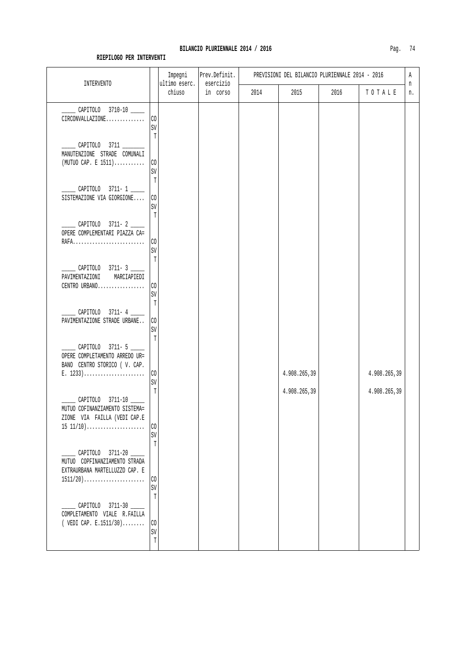| <b>INTERVENTO</b>                                                                                                                           |                                        | Impegni<br>ultimo eserc. | Prev.Definit.<br>esercizio |      |              | PREVISIONI DEL BILANCIO PLURIENNALE 2014 - 2016 |              | Α       |
|---------------------------------------------------------------------------------------------------------------------------------------------|----------------------------------------|--------------------------|----------------------------|------|--------------|-------------------------------------------------|--------------|---------|
|                                                                                                                                             |                                        | chiuso                   | in corso                   | 2014 | 2015         | 2016                                            | TOTALE       | n<br>n. |
| CAPITOLO 3710-10<br>CIRCONVALLAZIONE                                                                                                        | $\rm CO$<br>SV<br>T                    |                          |                            |      |              |                                                 |              |         |
| MANUTENZIONE STRADE COMUNALI<br>$(MUTUO CAP. E 1511)$                                                                                       | CO<br>SV                               |                          |                            |      |              |                                                 |              |         |
| CAPITOLO 3711-1<br>SISTEMAZIONE VIA GIORGIONE                                                                                               | T<br>C <sub>0</sub><br>SV<br>T         |                          |                            |      |              |                                                 |              |         |
| CAPITOLO 3711-2<br>OPERE COMPLEMENTARI PIAZZA CA=<br>RAFA                                                                                   | $\rm CO$<br>SV                         |                          |                            |      |              |                                                 |              |         |
| CAPITOLO 3711-3<br>PAVIMENTAZIONI<br>MARCIAPIEDI<br>CENTRO URBANO                                                                           | $\mathbb T$<br>$\rm CO$<br>$\mbox{SV}$ |                          |                            |      |              |                                                 |              |         |
| CAPITOLO 3711-4<br>PAVIMENTAZIONE STRADE URBANE                                                                                             | T<br>$\rm CO$<br>$\mbox{SV}$<br>T      |                          |                            |      |              |                                                 |              |         |
| ___ CAPITOLO 3711-5 ____<br>OPERE COMPLETAMENTO ARREDO UR=<br>BANO CENTRO STORICO ( V. CAP.<br>E. $1233)$                                   | $\rm CO$<br>$\mbox{SV}$                |                          |                            |      | 4.908.265,39 |                                                 | 4.908.265,39 |         |
| CAPITOLO 3711-10<br>MUTUO COFINANZIAMENTO SISTEMA=<br>ZIONE VIA FAILLA (VEDI CAP.E<br>$15 11/10) \ldots \ldots \ldots \ldots \ldots \ldots$ | T<br>C <sub>0</sub>                    |                          |                            |      | 4.908.265,39 |                                                 | 4.908.265,39 |         |
| CAPITOLO 3711-20<br>MUTUO COPFINANZIAMENTO STRADA                                                                                           | SV<br>T                                |                          |                            |      |              |                                                 |              |         |
| EXTRAURBANA MARTELLUZZO CAP. E<br>$1511/20)$                                                                                                | $\rm CO$<br>SV<br>Т                    |                          |                            |      |              |                                                 |              |         |
| CAPITOLO 3711-30<br>COMPLETAMENTO VIALE R. FAILLA<br>( VEDI CAP. E.1511/30)                                                                 | $\rm CO$<br>$\mbox{SV}$<br>$\mathbb T$ |                          |                            |      |              |                                                 |              |         |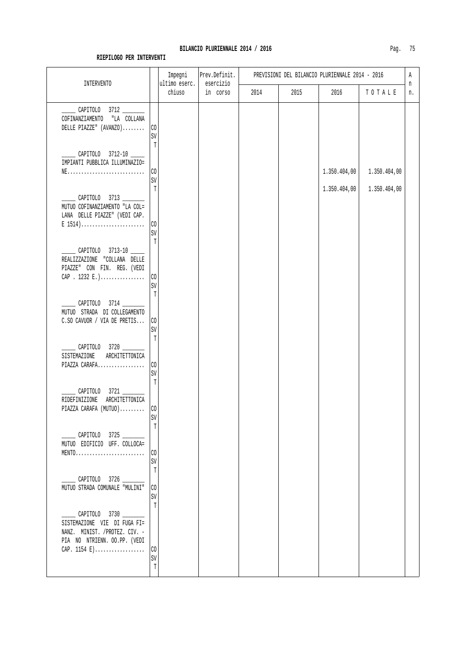| n  |              |              |      | PREVISIONI DEL BILANCIO PLURIENNALE 2014 - 2016 | Prev.Definit.         | Impegni                 |                                       |                                                                                                                                                    |
|----|--------------|--------------|------|-------------------------------------------------|-----------------------|-------------------------|---------------------------------------|----------------------------------------------------------------------------------------------------------------------------------------------------|
| n. | TOTALE       | 2016         | 2015 | 2014                                            | esercizio<br>in corso | ultimo eserc.<br>chiuso |                                       | <b>INTERVENTO</b>                                                                                                                                  |
|    |              |              |      |                                                 |                       |                         | CO<br>SV                              | CAPITOLO 3712<br>COFINANZIAMENTO<br>"LA COLLANA<br>DELLE PIAZZE" $(AVANZO)$                                                                        |
|    | 1.350.404,00 | 1.350.404,00 |      |                                                 |                       |                         | $\mathbb T$<br>CO<br>SV               | CAPITOLO 3712-10<br>IMPIANTI PUBBLICA ILLUMINAZIO=<br>$NE$                                                                                         |
|    | 1.350.404,00 |              |      |                                                 |                       |                         | C <sub>0</sub>                        | CAPITOLO 3713<br>MUTUO COFINANZIAMENTO "LA COL=<br>LANA DELLE PIAZZE" (VEDI CAP.<br>$E$ 1514)                                                      |
|    |              |              |      |                                                 |                       |                         | T                                     | CAPITOLO 3713-10 _____<br>REALIZZAZIONE "COLLANA DELLE<br>PIAZZE" CON FIN. REG. (VEDI                                                              |
|    |              |              |      |                                                 |                       |                         | SV<br>T                               | CAPITOLO 3714<br>MUTUO STRADA DI COLLEGAMENTO                                                                                                      |
|    |              |              |      |                                                 |                       |                         | $\mbox{SV}$<br>T                      | CAPITOLO 3720<br>SISTEMAZIONE<br>ARCHITETTONICA                                                                                                    |
|    |              |              |      |                                                 |                       |                         | CO<br>SV<br>T                         | PIAZZA CARAFA<br>CAPITOLO 3721                                                                                                                     |
|    |              |              |      |                                                 |                       |                         | CO<br>SV                              | PIAZZA CARAFA (MUTUO)<br>CAPITOLO 3725                                                                                                             |
|    |              |              |      |                                                 |                       |                         | CO<br>SV<br>T                         | $MENTO.\dots.\dots.\dots.\dots.\dots\dots\dots$<br>______ CAPITOLO 3726 _______                                                                    |
|    |              |              |      |                                                 |                       |                         | SV<br>Т                               | ________ CAPITOLO 3730 _________<br>SISTEMAZIONE VIE DI FUGA FI=                                                                                   |
|    |              |              |      |                                                 |                       |                         | C <sub>0</sub><br>SV<br>T             | NANZ. MINIST. /PROTEZ. CIV. -<br>PIA NO NTRIENN. OO.PP. (VEDI<br>CAP. $1154 E$ )                                                                   |
|    |              | 1.350.404,00 |      |                                                 |                       |                         | T<br>SV<br>CO<br>C <sub>0</sub><br>CO | CAP . 1232 E.)<br>C.SO CAVUOR / VIA DE PRETIS<br>ARCHITETTONICA<br>RIDEFINIZIONE<br>MUTUO EDIFICIO UFF. COLLOCA=<br>MUTUO STRADA COMUNALE "MULINI" |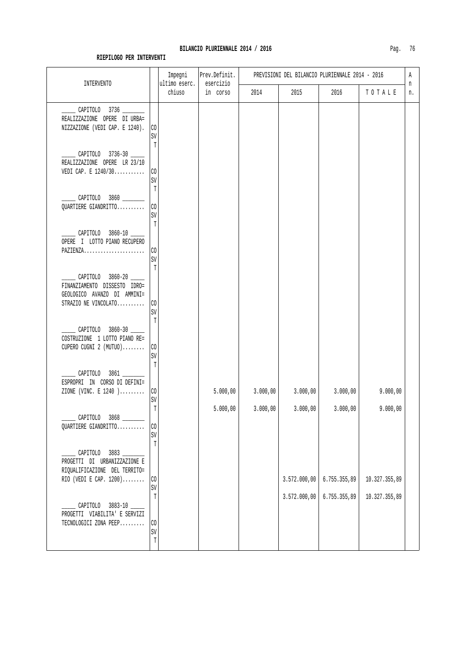| 2015         | 2016                             | n<br>TOTALE<br>n.                        |                                            |
|--------------|----------------------------------|------------------------------------------|--------------------------------------------|
|              |                                  |                                          |                                            |
|              |                                  |                                          |                                            |
|              |                                  |                                          |                                            |
|              |                                  |                                          |                                            |
|              |                                  |                                          |                                            |
|              |                                  |                                          |                                            |
|              |                                  |                                          |                                            |
| 3.000,00     | 3.000,00                         | 9.000,00                                 |                                            |
|              |                                  |                                          |                                            |
| 3.572.000,00 |                                  |                                          |                                            |
| 3.572.000,00 |                                  |                                          |                                            |
|              | 3.000,00<br>3.000,00<br>3.000,00 | 3.000,00<br>6.755.355,89<br>6.755.355,89 | 9.000,00<br>10.327.355,89<br>10.327.355,89 |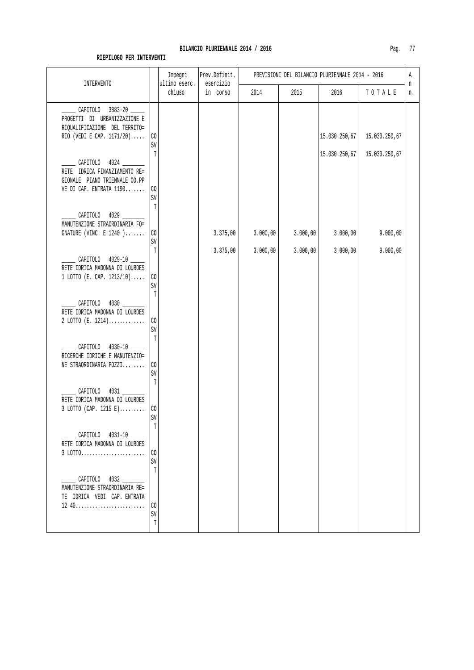| INTERVENTO                                                                                                        | Impegni<br>ultimo eserc.     | Prev.Definit.<br>esercizio | PREVISIONI DEL BILANCIO PLURIENNALE 2014 - 2016 |          |          |               |               |         |
|-------------------------------------------------------------------------------------------------------------------|------------------------------|----------------------------|-------------------------------------------------|----------|----------|---------------|---------------|---------|
|                                                                                                                   |                              | chiuso                     | in corso                                        | 2014     | 2015     | 2016          | TOTALE        | n<br>n. |
| CAPITOLO 3883-20<br>PROGETTI DI URBANIZZAZIONE E<br>RIQUALIFICAZIONE DEL TERRITO=<br>RIO (VEDI E CAP. $1171/20$ ) | CO<br>SV                     |                            |                                                 |          |          | 15.030.250,67 | 15.030.250,67 |         |
| CAPITOLO 4024<br>RETE IDRICA FINANZIAMENTO RE=<br>GIONALE PIANO TRIENNALE 00.PP<br>VE DI CAP. ENTRATA 1190        | T<br>CO<br>SV                |                            |                                                 |          |          | 15.030.250,67 | 15.030.250,67 |         |
| CAPITOLO 4029<br>MANUTENZIONE STRAORDINARIA FO=<br>GNATURE (VINC. E $1240$ )                                      | T<br>$\rm CO$                |                            | 3.375,00                                        | 3.000,00 | 3.000,00 | 3.000,00      | 9.000,00      |         |
| CAPITOLO 4029-10<br>RETE IDRICA MADONNA DI LOURDES<br>$1$ LOTTO (E. CAP. $1213/10$ )                              | $\mbox{SV}$<br>T<br>$\rm CO$ |                            | 3.375,00                                        | 3.000,00 | 3.000,00 | 3.000,00      | 9.000,00      |         |
| $CAPITOLO$ 4030<br>RETE IDRICA MADONNA DI LOURDES                                                                 | $\mbox{SV}$<br>T             |                            |                                                 |          |          |               |               |         |
| $2$ LOTTO (E. 1214)<br>____ CAPITOLO 4030-10 _____                                                                | $\rm CO$<br>$\mbox{SV}$<br>T |                            |                                                 |          |          |               |               |         |
| RICERCHE IDRICHE E MANUTENZIO=<br>NE STRAORDINARIA POZZI<br>CAPITOLO 4031                                         | CO<br>SV<br>$\mathbb T$      |                            |                                                 |          |          |               |               |         |
| RETE IDRICA MADONNA DI LOURDES<br>$3$ LOTTO (CAP. 1215 E)                                                         | $\rm CO$<br>$\texttt{SV}$    |                            |                                                 |          |          |               |               |         |
| CAPITOLO 4031-10<br>RETE IDRICA MADONNA DI LOURDES<br>3 LOTTO                                                     | CO<br>SV<br>T                |                            |                                                 |          |          |               |               |         |
| CAPITOLO 4032<br>MANUTENZIONE STRAORDINARIA RE=<br>TE IDRICA VEDI CAP. ENTRATA                                    | CO                           |                            |                                                 |          |          |               |               |         |
|                                                                                                                   | SV<br>$\mathbb T$            |                            |                                                 |          |          |               |               |         |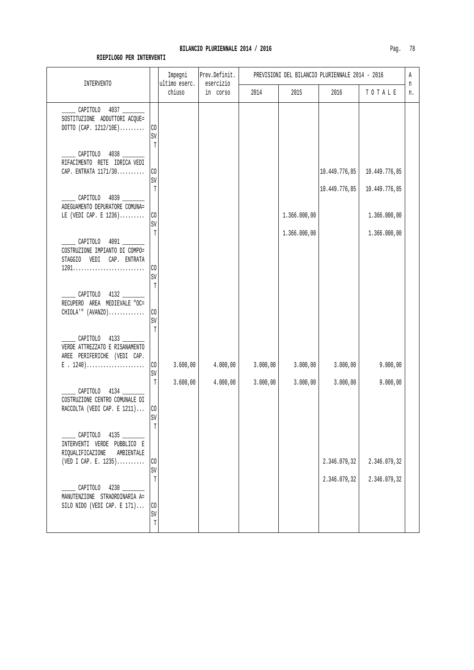| <b>INTERVENTO</b>                                                                                      |                                | Impegni<br>ultimo eserc. | Prev.Definit.<br>esercizio |          |              | PREVISIONI DEL BILANCIO PLURIENNALE 2014 - 2016 |                               | Α<br>n |
|--------------------------------------------------------------------------------------------------------|--------------------------------|--------------------------|----------------------------|----------|--------------|-------------------------------------------------|-------------------------------|--------|
|                                                                                                        |                                | chiuso                   | in corso                   | 2014     | 2015         | 2016                                            | TOTALE                        | n.     |
| CAPITOLO 4037<br>SOSTITUZIONE ADDUTTORI ACQUE=<br>DOTTO (CAP. $1212/10E$ )                             | CO<br>SV                       |                          |                            |          |              |                                                 |                               |        |
| CAPITOLO 4038<br>RIFACIMENTO RETE IDRICA VEDI<br>CAP. ENTRATA 1171/30                                  | Т<br>CO<br>SV                  |                          |                            |          |              | 10.449.776,85                                   | 10.449.776,85                 |        |
| CAPITOLO 4039<br>ADEGUAMENTO DEPURATORE COMUNA=<br>LE (VEDI CAP. E $1236)$                             | T<br>CO<br>SV                  |                          |                            |          | 1.366.000,00 | 10.449.776,85                                   | 10.449.776,85<br>1.366.000,00 |        |
| CAPITOLO 4091<br>COSTRUZIONE IMPIANTO DI COMPO=<br>STAGGIO VEDI CAP. ENTRATA                           | T                              |                          |                            |          | 1.366.000,00 |                                                 | 1.366.000,00                  |        |
| CAPITOLO 4132<br>RECUPERO AREA MEDIEVALE "OC=                                                          | CO<br>SV<br>T                  |                          |                            |          |              |                                                 |                               |        |
| $CHIOLA$ '" $(AVANZO)$<br>CAPITOLO 4133                                                                | CO<br>SV<br>$\mathbb{T}$       |                          |                            |          |              |                                                 |                               |        |
| VERDE ATTREZZATO E RISANAMENTO<br>AREE PERIFERICHE (VEDI CAP.<br>$E$ . 1240)                           | $\rm CO$<br>SV                 | 3.600,00                 | 4.000,00                   | 3.000,00 | 3.000,00     | 3.000,00                                        | 9.000,00                      |        |
| CAPITOLO 4134<br>COSTRUZIONE CENTRO COMUNALE DI<br>RACCOLTA (VEDI CAP. E 1211)                         | T<br>$\rm CO$<br>$\texttt{SV}$ | 3.600,00                 | 4.000,00                   | 3.000,00 | 3.000,00     | 3.000,00                                        | 9.000,00                      |        |
| CAPITOLO 4135<br>INTERVENTI VERDE PUBBLICO E<br>RIQUALIFICAZIONE<br>AMBIENTALE<br>(VED I CAP. E. 1235) | Т<br>CO                        |                          |                            |          |              | 2.346.079,32                                    | 2.346.079,32                  |        |
| CAPITOLO 4230                                                                                          | SV<br>T                        |                          |                            |          |              | 2.346.079,32                                    | 2.346.079,32                  |        |
| MANUTENZIONE STRAORDINARIA A=<br>SILO NIDO (VEDI CAP. E $171$ )                                        | CO<br>SV<br>T                  |                          |                            |          |              |                                                 |                               |        |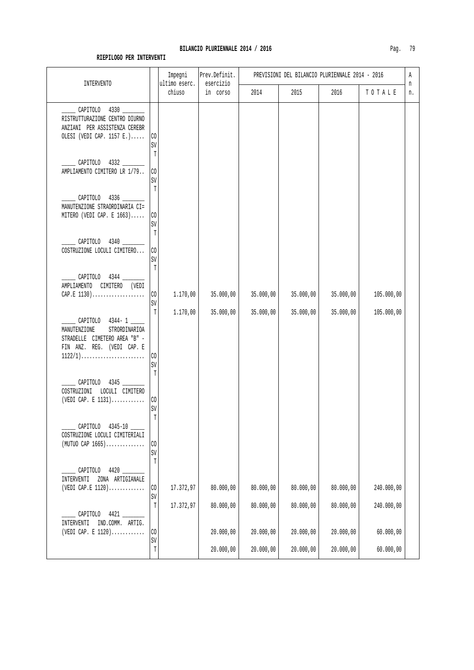| INTERVENTO                                                                                                                                                                    |                               | Impegni<br>ultimo eserc. | Prev.Definit.<br>esercizio |                        | PREVISIONI DEL BILANCIO PLURIENNALE 2014 - 2016 |                        |                          | Α       |
|-------------------------------------------------------------------------------------------------------------------------------------------------------------------------------|-------------------------------|--------------------------|----------------------------|------------------------|-------------------------------------------------|------------------------|--------------------------|---------|
|                                                                                                                                                                               |                               | chiuso                   | in corso                   | 2014                   | 2015                                            | 2016                   | TOTALE                   | n<br>n. |
| $\sim$ CAPITOLO 4330<br>RISTRUTTURAZIONE CENTRO DIURNO<br>ANZIANI PER ASSISTENZA CEREBR<br>OLESI (VEDI CAP. 1157 E.)                                                          | $\rm CO$<br>SV<br>T           |                          |                            |                        |                                                 |                        |                          |         |
| CAPITOLO 4332<br>AMPLIAMENTO CIMITERO LR 1/79                                                                                                                                 | CO<br>SV<br>T                 |                          |                            |                        |                                                 |                        |                          |         |
| CAPITOLO 4336<br>MANUTENZIONE STRAORDINARIA CI=<br>MITERO (VEDI CAP. E $1663$ )                                                                                               | $\rm CO$<br>$\mbox{SV}$<br>T  |                          |                            |                        |                                                 |                        |                          |         |
| CAPITOLO 4340<br>COSTRUZIONE LOCULI CIMITERO                                                                                                                                  | CO<br>SV<br>T                 |                          |                            |                        |                                                 |                        |                          |         |
| CAPITOLO 4344<br>AMPLIAMENTO CIMITERO (VEDI<br>$CAP.E 1130)$                                                                                                                  | $\rm CO$<br>SV<br>T           | 1.170,00<br>1.170,00     | 35.000,00<br>35.000,00     | 35.000,00<br>35.000,00 | 35.000,00<br>35.000,00                          | 35.000,00<br>35.000,00 | 105.000,00<br>105.000,00 |         |
| CAPITOLO 4344-1<br>MANUTENZIONE<br>STRORDINARIOA<br>STRADELLE CIMETERO AREA "B" -<br>FIN ANZ. REG. (VEDI CAP. E<br>$1122/1) \ldots \ldots \ldots \ldots \ldots \ldots \ldots$ | CO<br>SV<br>T                 |                          |                            |                        |                                                 |                        |                          |         |
| CAPITOLO 4345<br>COSTRUZIONI LOCULI CIMITERO<br>(VEDI CAP. E $1131)$                                                                                                          | $\rm CO$<br>SV<br>$\mathbb T$ |                          |                            |                        |                                                 |                        |                          |         |
| CAPITOLO 4345-10<br>COSTRUZIONE LOCULI CIMITERIALI<br>$(MUTU0$ CAP $1665)$                                                                                                    | $\rm CO$<br>$\mbox{SV}$<br>T  |                          |                            |                        |                                                 |                        |                          |         |
| CAPITOLO 4420<br>INTERVENTI<br>ZONA ARTIGIANALE<br>(VEDI CAP.E $1120$ )                                                                                                       | $\rm CO$<br>$\mbox{SV}$       | 17.372,97                | 80.000,00                  | 80.000,00              | 80.000,00                                       | 80.000,00              | 240.000,00               |         |
| CAPITOLO 4421<br>INTERVENTI<br>IND.COMM. ARTIG.                                                                                                                               | T                             | 17.372,97                | 80.000,00                  | 80.000,00              | 80.000,00                                       | 80.000,00              | 240.000,00               |         |
| (VEDI CAP. E $1120)$                                                                                                                                                          | $\rm CO$<br>SV                |                          | 20.000,00                  | 20.000,00              | 20.000,00                                       | 20.000,00              | 60.000,00                |         |
|                                                                                                                                                                               | T                             |                          | 20.000,00                  | 20.000,00              | 20.000,00                                       | 20.000,00              | 60.000,00                |         |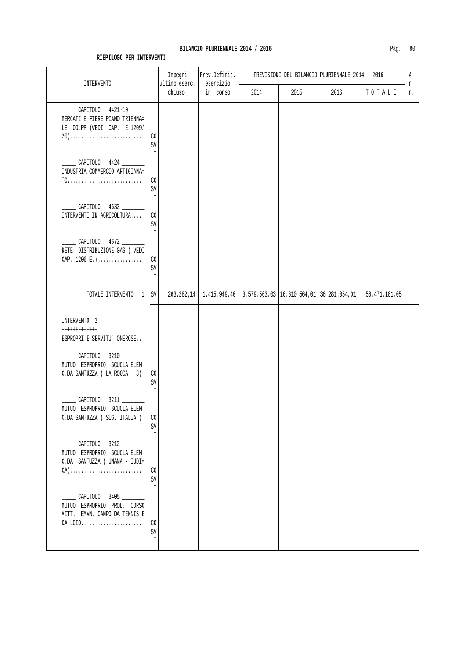| <b>INTERVENTO</b>                                                                                                                              |                         | Impegni<br>ultimo eserc. | Prev.Definit.<br>esercizio                                               | PREVISIONI DEL BILANCIO PLURIENNALE 2014 - 2016 |      |      |               |         |
|------------------------------------------------------------------------------------------------------------------------------------------------|-------------------------|--------------------------|--------------------------------------------------------------------------|-------------------------------------------------|------|------|---------------|---------|
|                                                                                                                                                |                         | chiuso                   | in corso                                                                 | 2014                                            | 2015 | 2016 | TOTALE        | n<br>n. |
| CAPITOLO 4421-10<br>MERCATI E FIERE PIANO TRIENNA=<br>LE 00.PP. (VEDI CAP. E 1209/<br>20)                                                      | CO<br>SV                |                          |                                                                          |                                                 |      |      |               |         |
| CAPITOLO 4424 ______<br>INDUSTRIA COMMERCIO ARTIGIANA=<br>$T0.\ldots.\ldots.\ldots.\ldots.\ldots.\ldots.$                                      | T<br>CO<br>$\mbox{SV}$  |                          |                                                                          |                                                 |      |      |               |         |
| CAPITOLO 4632<br>INTERVENTI IN AGRICOLTURA                                                                                                     | T<br>CO<br>SV<br>T      |                          |                                                                          |                                                 |      |      |               |         |
| CAPITOLO 4672<br>RETE DISTRIBUZIONE GAS ( VEDI<br>CAP. $1206 E.$ )                                                                             | $\rm CO$<br>SV<br>T     |                          |                                                                          |                                                 |      |      |               |         |
| TOTALE INTERVENTO 1 SV                                                                                                                         |                         |                          | 263.282,14   1.415.949,40   3.579.563,03   16.610.564,01   36.281.054,01 |                                                 |      |      | 56.471.181,05 |         |
| INTERVENTO 2<br>++++++++++++<br>ESPROPRI E SERVITU` ONEROSE<br>CAPITOLO 3210<br>MUTUO ESPROPRIO SCUOLA ELEM.<br>C.DA SANTUZZA ( LA ROCCA + 3). | CO<br>SV<br>T           |                          |                                                                          |                                                 |      |      |               |         |
| CAPITOLO 3211<br>MUTUO ESPROPRIO SCUOLA ELEM.<br>C.DA SANTUZZA ( SIG. ITALIA ).                                                                | CO<br>SV<br>T           |                          |                                                                          |                                                 |      |      |               |         |
| $\frac{1}{2}$ CAPITOLO 3212<br>MUTUO ESPROPRIO SCUOLA ELEM.<br>C.DA SANTUZZA ( UMANA - IUDI=                                                   | CO.<br>SV<br>T          |                          |                                                                          |                                                 |      |      |               |         |
| _______ CAPITOLO 3405 _______<br>MUTUO ESPROPRIO PROL. CORSO<br>VITT. EMAN. CAMPO DA TENNIS E<br>CA LCIO                                       | CO<br>SV<br>$\mathbb T$ |                          |                                                                          |                                                 |      |      |               |         |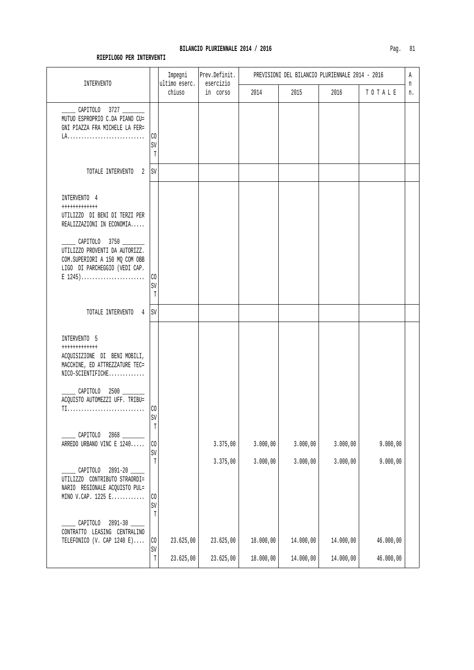#### BILANCIO PLURIENNALE 2014 / 2016

| Pag |  |  |
|-----|--|--|
|     |  |  |

|                                                                                                                                                                                 |                                              | Impegni<br>ultimo eserc. | Prev.Definit.<br>esercizio |           | PREVISIONI DEL BILANCIO PLURIENNALE 2014 - 2016 |           |           | Α       |
|---------------------------------------------------------------------------------------------------------------------------------------------------------------------------------|----------------------------------------------|--------------------------|----------------------------|-----------|-------------------------------------------------|-----------|-----------|---------|
| INTERVENTO                                                                                                                                                                      |                                              | chiuso                   | in corso                   | 2014      | 2015                                            | 2016      | TOTALE    | n<br>n. |
| CAPITOLO 3727<br>MUTUO ESPROPRIO C.DA PIANO CU=<br>GNI PIAZZA FRA MICHELE LA FER=                                                                                               | CO<br>SV<br>T                                |                          |                            |           |                                                 |           |           |         |
| TOTALE INTERVENTO 2 SV                                                                                                                                                          |                                              |                          |                            |           |                                                 |           |           |         |
| INTERVENTO 4<br>++++++++++++<br>UTILIZZO DI BENI DI TERZI PER<br>REALIZZAZIONI IN ECONOMIA                                                                                      |                                              |                          |                            |           |                                                 |           |           |         |
| _______ CAPITOLO 3750 ________<br>UTILIZZO PROVENTI DA AUTORIZZ.<br>COM.SUPERIORI A 150 MQ COM OBB<br>LIGO DI PARCHEGGIO (VEDI CAP.<br>$E$ 1245)                                | $\rm CO$<br>SV<br>$\mathbb T$                |                          |                            |           |                                                 |           |           |         |
| TOTALE INTERVENTO 4 SV                                                                                                                                                          |                                              |                          |                            |           |                                                 |           |           |         |
| INTERVENTO 5<br>++++++++++++<br>ACQUISIZIONE DI BENI MOBILI,<br>MACCHINE, ED ATTREZZATURE TEC=<br>$NICO-SCIENTIFICHE$<br>CAPITOLO 2500 ______<br>ACQUISTO AUTOMEZZI UFF. TRIBU= |                                              |                          |                            |           |                                                 |           |           |         |
| TI                                                                                                                                                                              | CO<br>SV                                     |                          |                            |           |                                                 |           |           |         |
| CAPITOLO 2868<br>ARREDO URBANO VINC E 1240                                                                                                                                      | T<br>$\rm CO$<br>SV                          |                          | 3.375,00                   | 3.000,00  | 3.000,00                                        | 3.000,00  | 9.000,00  |         |
| 2891-20<br>CAPITOLO<br>UTILIZZO CONTRIBUTO STRAORDI=<br>NARIO REGIONALE ACQUISTO PUL=<br>MINO V.CAP. $1225$ $E$                                                                 | $\mathbb T$<br>$\rm CO$<br>SV<br>$\mathbb T$ |                          | 3.375,00                   | 3.000,00  | 3.000,00                                        | 3.000,00  | 9.000,00  |         |
| CAPITOLO 2891-30<br>CONTRATTO LEASING CENTRALINO<br>TELEFONICO (V. CAP 1240 E)                                                                                                  | CO                                           | 23.625,00                | 23.625,00                  | 18.000,00 | 14.000,00                                       | 14.000,00 | 46.000,00 |         |
|                                                                                                                                                                                 | $\mbox{SV}$<br>$\mathtt{T}$                  | 23.625,00                | 23.625,00                  | 18.000,00 | 14.000,00                                       | 14.000,00 | 46.000,00 |         |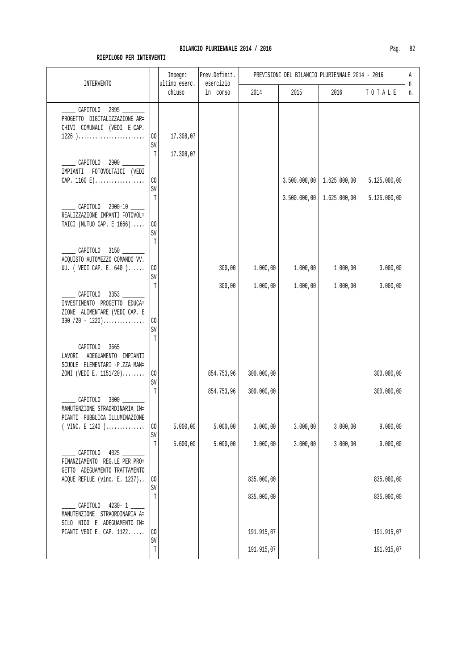| <b>INTERVENTO</b>                                                                                                                                |                                | Impegni<br>ultimo eserc. | Prev.Definit.<br>esercizio |            |                              | PREVISIONI DEL BILANCIO PLURIENNALE 2014 - 2016 |                              | Α<br>n |
|--------------------------------------------------------------------------------------------------------------------------------------------------|--------------------------------|--------------------------|----------------------------|------------|------------------------------|-------------------------------------------------|------------------------------|--------|
|                                                                                                                                                  |                                | chiuso                   | in corso                   | 2014       | 2015                         | 2016                                            | TOTALE                       | n.     |
| CAPITOLO 2895<br>PROGETTO DIGITALIZZAZIONE AR=<br>CHIVI COMUNALI (VEDI E CAP.<br>$1226) \ldots \ldots \ldots \ldots \ldots \ldots \ldots \ldots$ | CO<br>SV                       | 17.308,07                |                            |            |                              |                                                 |                              |        |
| CAPITOLO 2900<br>IMPIANTI FOTOVOLTAICI (VEDI                                                                                                     | T                              | 17.308,07                |                            |            |                              |                                                 |                              |        |
| CAP. $1160 E$                                                                                                                                    | $\rm CO$<br>SV<br>$\mathbb{T}$ |                          |                            |            | 3.500.000,00<br>3.500.000,00 | 1.625.000,00<br>1.625.000,00                    | 5.125.000,00<br>5.125.000,00 |        |
| CAPITOLO 2900-10<br>REALIZZAZIONE IMPANTI FOTOVOL=<br>TAICI (MUTUO CAP. E 1666)                                                                  | CO<br>SV<br>T                  |                          |                            |            |                              |                                                 |                              |        |
| CAPITOLO 3150<br>ACQUISTO AUTOMEZZO COMANDO VV.<br>UU. ( VEDI CAP. E. 640                                                                        | $\rm CO$<br>SV<br>T            |                          | 300,00                     | 1.000,00   | 1.000,00                     | 1.000,00                                        | 3.000,00                     |        |
| CAPITOLO 3353<br>INVESTIMENTO PROGETTO EDUCA=<br>ZIONE ALIMENTARE (VEDI CAP. E<br>$390 / 20 - 1220) \ldots$                                      | CO<br>SV                       |                          | 300,00                     | 1.000,00   | 1.000,00                     | 1.000,00                                        | 3.000,00                     |        |
| CAPITOLO 3665<br>LAVORI ADEGUAMENTO IMPIANTI<br>SCUOLE ELEMENTARI -P.ZZA MAN=<br>ZONI (VEDI E. 1151/20)                                          | $\mathbb{T}$<br>$\rm CO$       |                          | 854.753,96                 | 300.000,00 |                              |                                                 | 300.000,00                   |        |
| CAPITOLO<br>MANUTENZIONE STRAORDINARIA IM=<br>PIANTI PUBBLICA ILLUMINAZIONE                                                                      | SV<br>$\mathbb{T}$             |                          | 854.753,96                 | 300.000,00 |                              |                                                 | 300.000,00                   |        |
| VINC. E 1240 )                                                                                                                                   | $\rm CO$<br>SV                 | 5.000,00                 | 5.000,00                   | 3.000,00   | 3.000,00                     | 3.000,00                                        | 9.000,00                     |        |
| CAPITOLO 4025<br>FINANZIAMENTO REG.LE PER PRO=<br>GETTO ADEGUAMENTO TRATTAMENTO                                                                  | $\mathbb T$                    | 5.000,00                 | 5.000,00                   | 3.000,00   | 3.000,00                     | 3.000,00                                        | 9.000,00                     |        |
| ACQUE REFLUE (vinc. E. 1237)                                                                                                                     | CO<br>SV                       |                          |                            | 835.000,00 |                              |                                                 | 835.000,00                   |        |
| CAPITOLO<br>$4230 - 1$<br>MANUTENZIONE STRAORDINARIA A=<br>SILO NIDO E ADEGUAMENTO IM=                                                           | T                              |                          |                            | 835.000,00 |                              |                                                 | 835.000,00                   |        |
| PIANTI VEDI E. CAP. $1122$                                                                                                                       | $\rm CO$<br>SV                 |                          |                            | 191.915,07 |                              |                                                 | 191.915,07                   |        |
|                                                                                                                                                  | $\mathbb T$                    |                          |                            | 191.915,07 |                              |                                                 | 191.915,07                   |        |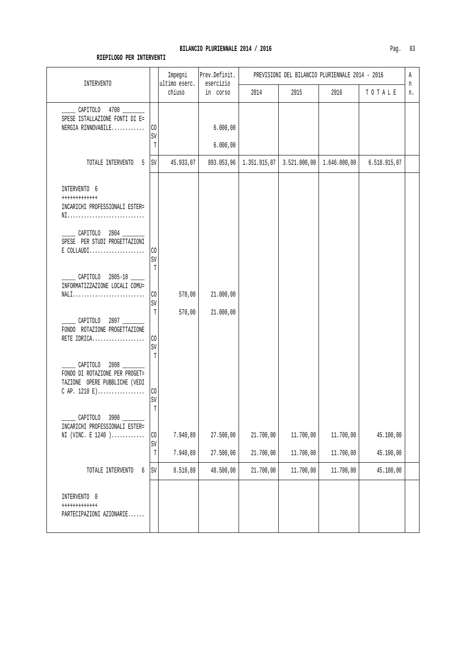| <b>INTERVENTO</b>                                                                                                                                  |                              | Impegni<br>ultimo eserc. | Prev.Definit.<br>esercizio |                        | PREVISIONI DEL BILANCIO PLURIENNALE 2014 - 2016 | Α<br>n                 |                        |    |
|----------------------------------------------------------------------------------------------------------------------------------------------------|------------------------------|--------------------------|----------------------------|------------------------|-------------------------------------------------|------------------------|------------------------|----|
|                                                                                                                                                    |                              | chiuso                   | in corso                   | 2014                   | 2015                                            | 2016                   | TOTALE                 | n. |
| CAPITOLO 4700 _____<br>SPESE ISTALLAZIONE FONTI DI E=<br>NERGIA RINNOVABILE                                                                        | $\rm CO$<br>SV<br>T          |                          | 6.000,00<br>6.000,00       |                        |                                                 |                        |                        |    |
| TOTALE INTERVENTO<br>5                                                                                                                             | $\mbox{SV}$                  | 45.933,07                | 893.053,96                 | 1.351.915,07           | 3.521.000,00                                    | 1.646.000,00           | 6.518.915,07           |    |
| INTERVENTO 6<br>++++++++++++<br>INCARICHI PROFESSIONALI ESTER=<br>NI<br>_____ CAPITOLO 2804 _____<br>SPESE PER STUDI PROGETTAZIONI<br>$E$ COLLAUDI | CO<br>SV                     |                          |                            |                        |                                                 |                        |                        |    |
| CAPITOLO 2805-10<br>INFORMATIZZAZIONE LOCALI COMU=<br>NALI                                                                                         | T<br>CO<br>SV                | 570,00                   | 21.000,00                  |                        |                                                 |                        |                        |    |
| CAPITOLO 2807<br>FONDO ROTAZIONE PROGETTAZIONE<br>RETE IDRICA                                                                                      | T<br>$\rm CO$<br>SV          | 570,00                   | 21.000,00                  |                        |                                                 |                        |                        |    |
| CAPITOLO 2808<br>FONDO DI ROTAZIONE PER PROGET=<br>TAZIONE OPERE PUBBLICHE (VEDI                                                                   | Т<br>CO<br>$\mbox{SV}$       |                          |                            |                        |                                                 |                        |                        |    |
| CAPITOLO<br>3900<br>INCARICHI PROFESSIONALI ESTER=<br>NI (VINC. E 1240)                                                                            | T<br>$\rm CO$<br>$\mbox{SV}$ | 7.940,89                 | 27.500,00                  | 21.700,00              | 11.700,00                                       | 11.700,00              | 45.100,00              |    |
| TOTALE INTERVENTO<br>б                                                                                                                             | $\mathbb T$<br>$\mbox{SV}$   | 7.940,89<br>8.510,89     | 27.500,00<br>48.500,00     | 21.700,00<br>21.700,00 | 11.700,00<br>11.700,00                          | 11.700,00<br>11.700,00 | 45.100,00<br>45.100,00 |    |
| INTERVENTO 8<br>$++++++++++++$<br>PARTECIPAZIONI AZIONARIE                                                                                         |                              |                          |                            |                        |                                                 |                        |                        |    |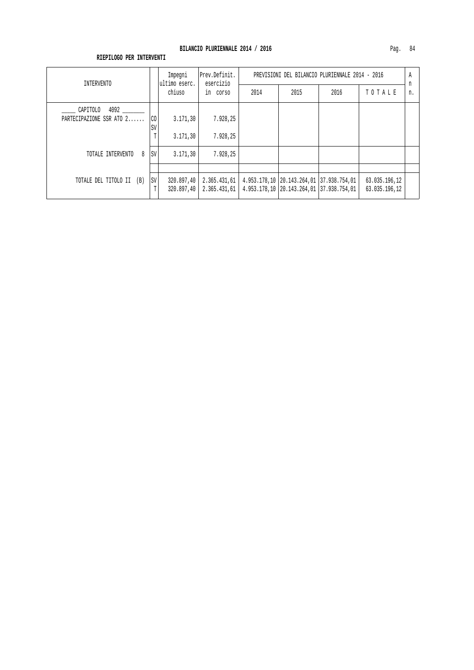| INTERVENTO                                   |                      | Impegni<br>ultimo eserc.   | Prev.Definit.<br>esercizio   | PREVISIONI DEL BILANCIO PLURIENNALE 2014 - 2016 |                                                                                          |      |                                |         |
|----------------------------------------------|----------------------|----------------------------|------------------------------|-------------------------------------------------|------------------------------------------------------------------------------------------|------|--------------------------------|---------|
|                                              |                      | chiuso                     | in corso                     | 2014                                            | 2015                                                                                     | 2016 | TOTALE                         | n<br>n. |
| 4092<br>CAPITOLO<br>PARTECIPAZIONE SSR ATO 2 | C <sub>0</sub><br>SV | 3.171,30                   | 7.928.25                     |                                                 |                                                                                          |      |                                |         |
|                                              | T                    | 3.171, 30                  | 7.928.25                     |                                                 |                                                                                          |      |                                |         |
| 8<br>TOTALE INTERVENTO                       | <b>SV</b>            | 3.171, 30                  | 7.928,25                     |                                                 |                                                                                          |      |                                |         |
| TOTALE DEL TITOLO II (B)                     | <b>SV</b><br>T       | 320.897,40  <br>320.897,40 | 2.365.431,61<br>2.365.431,61 |                                                 | 4.953.178,10   20.143.264,01   37.938.754,01<br>4.953.178,10 20.143.264,01 37.938.754,01 |      | 63.035.196,12<br>63.035.196,12 |         |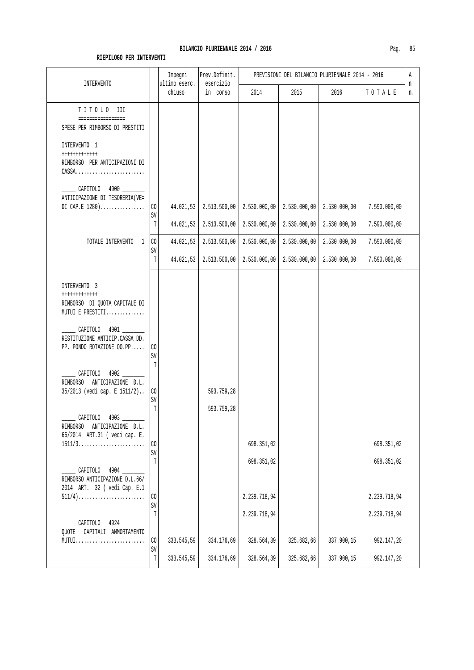#### BILANCIO PLURIENNALE 2014 / 2016

| Paα |  |
|-----|--|
|-----|--|

| <b>INTERVENTO</b>                                                                                                                                                                                                                                                                                             |                                                | Impegni<br>ultimo eserc. | Prev.Definit.<br>esercizio   | PREVISIONI DEL BILANCIO PLURIENNALE 2014 - 2016 |                              |                              |                                          |         |
|---------------------------------------------------------------------------------------------------------------------------------------------------------------------------------------------------------------------------------------------------------------------------------------------------------------|------------------------------------------------|--------------------------|------------------------------|-------------------------------------------------|------------------------------|------------------------------|------------------------------------------|---------|
|                                                                                                                                                                                                                                                                                                               |                                                | chiuso                   | in corso                     | 2014                                            | 2015                         | 2016                         | TOTALE                                   | n<br>n. |
| TITOLO III<br>=================<br>SPESE PER RIMBORSO DI PRESTITI                                                                                                                                                                                                                                             |                                                |                          |                              |                                                 |                              |                              |                                          |         |
| INTERVENTO 1<br>++++++++++++<br>RIMBORSO PER ANTICIPAZIONI DI<br>$\mathtt{CASSA} \ldots \ldots \ldots \ldots \ldots \ldots \ldots \ldots$                                                                                                                                                                     |                                                |                          |                              |                                                 |                              |                              |                                          |         |
| CAPITOLO 4900 ______<br>ANTICIPAZIONE DI TESORERIA(VE=<br>DI CAP.E $1280)$                                                                                                                                                                                                                                    | CO<br>SV<br>T                                  | 44.021,53<br>44.021,53   | 2.513.500,00<br>2.513.500,00 | 2.530.000,00<br>2.530.000,00                    | 2.530.000,00<br>2.530.000,00 | 2.530.000,00<br>2.530.000,00 | 7.590.000,00<br>7.590.000,00             |         |
| TOTALE INTERVENTO 1                                                                                                                                                                                                                                                                                           | $\rm CO$<br>SV<br>Т                            | 44.021,53<br>44.021,53   | 2.513.500,00<br>2.513.500,00 | 2.530.000,00<br>2.530.000,00                    | 2.530.000,00<br>2.530.000,00 | 2.530.000,00<br>2.530.000,00 | 7.590.000,00<br>7.590.000,00             |         |
| INTERVENTO 3<br>++++++++++++<br>RIMBORSO DI QUOTA CAPITALE DI<br>MUTUI E PRESTITI<br>CAPITOLO 4901<br>RESTITUZIONE ANTICIP.CASSA DD.<br>PP. PONDO ROTAZIONE OO.PP<br>CAPITOLO 4902<br>RIMBORSO ANTICIPAZIONE D.L.<br>35/2013 (vedi cap. E 1511/2)<br>___ CAPITOLO 4903 _______<br>RIMBORSO ANTICIPAZIONE D.L. | CO<br>SV<br>$\mathbb T$<br>$\rm CO$<br>SV<br>T |                          | 593.759,28<br>593.759,28     |                                                 |                              |                              |                                          |         |
| 66/2014 ART.31 ( vedi cap. E.<br>$1511/3 \ldots  \ldots  \ldots $<br>CAPITOLO 4904<br>RIMBORSO ANTICIPAZIONE D.L.66/<br>2014 ART. 32 ( vedi Cap. E.1<br>$511/4)$                                                                                                                                              | $\rm CO$<br>SV<br>T<br>$\rm CO$<br>SV          |                          |                              | 698.351,02<br>698.351,02<br>2.239.718,94        |                              |                              | 698.351,02<br>698.351,02<br>2.239.718,94 |         |
| CAPITOLO 4924<br>QUOTE CAPITALI AMMORTAMENTO<br>MUTUI                                                                                                                                                                                                                                                         | T<br>$\rm CO$<br>SV<br>T                       | 333.545,59<br>333.545,59 | 334.176,69<br>334.176,69     | 2.239.718,94<br>328.564,39<br>328.564,39        | 325.682,66<br>325.682,66     | 337.900,15<br>337.900,15     | 2.239.718,94<br>992.147,20<br>992.147,20 |         |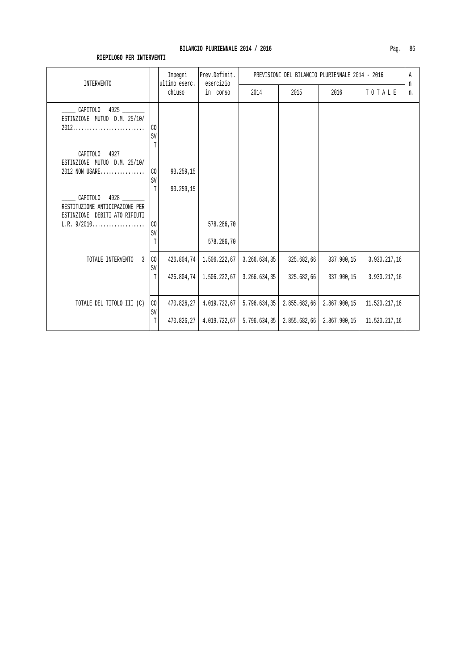| INTERVENTO                                                                          |               | Impegni<br>ultimo eserc. | Prev.Definit.<br>esercizio     | PREVISIONI DEL BILANCIO PLURIENNALE 2014 - 2016 |                              |                              |                                |         |
|-------------------------------------------------------------------------------------|---------------|--------------------------|--------------------------------|-------------------------------------------------|------------------------------|------------------------------|--------------------------------|---------|
|                                                                                     |               | chiuso                   | in corso                       | 2014                                            | 2015                         | 2016                         | TOTALE                         | n<br>n. |
| CAPITOLO<br>4925<br>ESTINZIONE MUTUO D.M. 25/10/                                    | CO<br>SV      |                          |                                |                                                 |                              |                              |                                |         |
| CAPITOLO<br>4927<br>ESTINZIONE MUTUO D.M. 25/10/<br>2012 NON USARE                  | T<br>CO       | 93.259,15                |                                |                                                 |                              |                              |                                |         |
| CAPITOLO<br>4928<br>RESTITUZIONE ANTICIPAZIONE PER<br>ESTINZIONE DEBITI ATO RIFIUTI | SV<br>T       | 93.259,15                |                                |                                                 |                              |                              |                                |         |
| $L.R. 9/2010$                                                                       | CO<br>SV<br>T |                          | 578.286,70<br>578.286,70       |                                                 |                              |                              |                                |         |
| TOTALE INTERVENTO<br>$\overline{3}$                                                 | CO<br>SV      | 426.804,74               | 1.506.222,67                   | 3.266.634,35                                    | 325.682,66                   | 337.900,15                   | 3.930.217,16                   |         |
|                                                                                     | T             | 426.804,74               | 1.506.222,67                   | 3.266.634,35                                    | 325.682,66                   | 337.900,15                   | 3.930.217,16                   |         |
| TOTALE DEL TITOLO III (C)                                                           | CO<br>SV<br>T | 470.826,27<br>470.826,27 | 4.019.722,67  <br>4.019.722.67 | 5.796.634,35<br>5.796.634,35                    | 2.855.682,66<br>2.855.682,66 | 2.867.900,15<br>2.867.900,15 | 11.520.217,16<br>11.520.217,16 |         |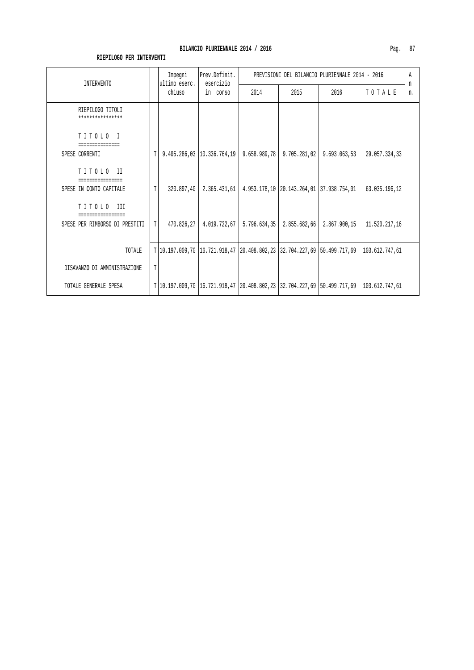| INTERVENTO                           |             | Impegni<br>ultimo eserc. | Prev.Definit.<br>esercizio | PREVISIONI DEL BILANCIO PLURIENNALE 2014 - 2016                             |                                          |              |                |         |
|--------------------------------------|-------------|--------------------------|----------------------------|-----------------------------------------------------------------------------|------------------------------------------|--------------|----------------|---------|
|                                      |             | chiuso                   | in corso                   | 2014                                                                        | 2015                                     | 2016         | TOTALE         | n<br>n. |
| RIEPILOGO TITOLI<br>**************** |             |                          |                            |                                                                             |                                          |              |                |         |
| TITOLO I                             |             |                          |                            |                                                                             |                                          |              |                |         |
| SPESE CORRENTI                       | Т           |                          |                            | $9.405.286,03$   10.336.764, 19   9.658.989, 78                             | 9.705.281,02                             | 9.693.063,53 | 29.057.334,33  |         |
| TITOLO II                            |             |                          |                            |                                                                             |                                          |              |                |         |
| SPESE IN CONTO CAPITALE              | T           | 320.897,40               | 2.365.431,61               |                                                                             | 4.953.178,10 20.143.264,01 37.938.754,01 |              | 63.035.196,12  |         |
| TITOLO III                           |             |                          |                            |                                                                             |                                          |              |                |         |
| SPESE PER RIMBORSO DI PRESTITI       | $\mathbb T$ | 470.826,27               |                            | $4.019.722,67$   5.796.634,35                                               | 2.855.682,66                             | 2.867.900,15 | 11.520.217,16  |         |
|                                      |             |                          |                            |                                                                             |                                          |              |                |         |
| TOTALE                               |             |                          |                            | $T 10.197.009,70 16.721.918,47 20.408.802,23 32.704.227,69 50.499.717,69$   |                                          |              | 103.612.747,61 |         |
| DISAVANZO DI AMMINISTRAZIONE         | T           |                          |                            |                                                                             |                                          |              |                |         |
| TOTALE GENERALE SPESA                |             |                          |                            | T 10.197.009,70  16.721.918,47  20.408.802,23  32.704.227,69  50.499.717,69 |                                          |              | 103.612.747,61 |         |